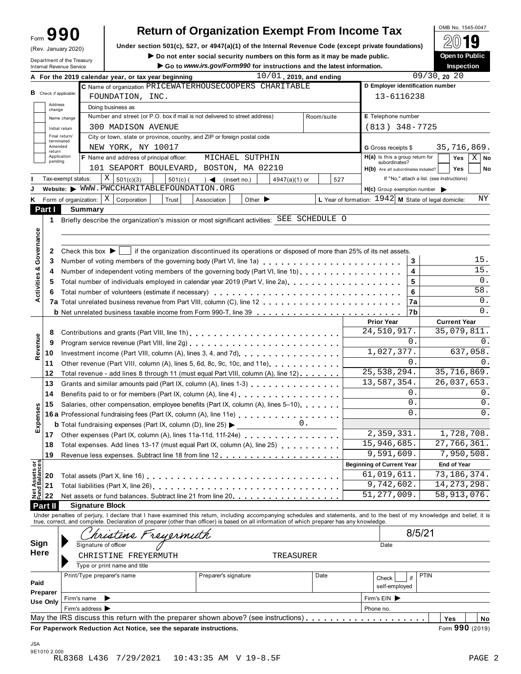|                                | 99                |                               |                        |                                                                                                                                                                                                                                | <b>Return of Organization Exempt From Income Tax</b>                                               |             |                                |                             |                            |       |            |                                                        |            |                                            | OMB No. 1545-0047   |             |                |
|--------------------------------|-------------------|-------------------------------|------------------------|--------------------------------------------------------------------------------------------------------------------------------------------------------------------------------------------------------------------------------|----------------------------------------------------------------------------------------------------|-------------|--------------------------------|-----------------------------|----------------------------|-------|------------|--------------------------------------------------------|------------|--------------------------------------------|---------------------|-------------|----------------|
|                                |                   | (Rev. January 2020)           |                        |                                                                                                                                                                                                                                | Under section 501(c), 527, or 4947(a)(1) of the Internal Revenue Code (except private foundations) |             |                                |                             |                            |       |            |                                                        |            |                                            |                     |             |                |
|                                |                   | Department of the Treasury    |                        |                                                                                                                                                                                                                                | Do not enter social security numbers on this form as it may be made public.                        |             |                                |                             |                            |       |            |                                                        |            |                                            | Open to Public      |             |                |
|                                |                   | Internal Revenue Service      |                        |                                                                                                                                                                                                                                | Go to www.irs.gov/Form990 for instructions and the latest information.                             |             |                                |                             |                            |       |            |                                                        |            |                                            | <b>Inspection</b>   |             |                |
|                                |                   |                               |                        | A For the 2019 calendar year, or tax year beginning                                                                                                                                                                            |                                                                                                    |             |                                |                             | $10/01$ , 2019, and ending |       |            |                                                        |            | 09/30, 2020                                |                     |             |                |
|                                |                   | <b>B</b> Check if applicable: |                        | C Name of organization PRICEWATERHOUSECOOPERS CHARITABLE                                                                                                                                                                       |                                                                                                    |             |                                |                             |                            |       |            | D Employer identification number                       |            |                                            |                     |             |                |
|                                | Address           |                               |                        | FOUNDATION, INC.                                                                                                                                                                                                               |                                                                                                    |             |                                |                             |                            |       |            | 13-6116238                                             |            |                                            |                     |             |                |
|                                | change            |                               |                        | Doing business as                                                                                                                                                                                                              |                                                                                                    |             |                                |                             |                            |       |            |                                                        |            |                                            |                     |             |                |
|                                |                   | Name change                   |                        | Number and street (or P.O. box if mail is not delivered to street address)                                                                                                                                                     |                                                                                                    |             |                                |                             |                            |       | Room/suite | E Telephone number                                     |            |                                            |                     |             |                |
|                                |                   | Initial return                |                        | 300 MADISON AVENUE                                                                                                                                                                                                             |                                                                                                    |             |                                |                             |                            |       |            | $(813)$ $348 - 7725$                                   |            |                                            |                     |             |                |
|                                |                   | Final return/<br>terminated   |                        | City or town, state or province, country, and ZIP or foreign postal code                                                                                                                                                       |                                                                                                    |             |                                |                             |                            |       |            |                                                        |            |                                            |                     |             |                |
|                                | Amended<br>return | Application                   |                        | NEW YORK, NY 10017                                                                                                                                                                                                             |                                                                                                    |             |                                |                             |                            |       |            | G Gross receipts \$                                    |            |                                            | 35,716,869.         |             |                |
|                                | pending           |                               |                        | <b>F</b> Name and address of principal officer:                                                                                                                                                                                |                                                                                                    |             | MICHAEL SUTPHIN                |                             |                            |       |            | $H(a)$ is this a group return for<br>subordinates?     |            |                                            | Yes                 | $X \mid No$ |                |
|                                |                   |                               |                        | 101 SEAPORT BOULEVARD, BOSTON, MA 02210                                                                                                                                                                                        |                                                                                                    |             |                                |                             |                            |       |            | H(b) Are all subordinates included?                    |            |                                            | <b>Yes</b>          |             | No             |
|                                |                   | Tax-exempt status:            |                        | Χ<br>501(c)(3)<br>Website: WWW.PWCCHARITABLEFOUNDATION.ORG                                                                                                                                                                     | $501(c)$ (                                                                                         |             | $) \triangleleft$ (insert no.) |                             | 4947(a)(1) or              |       | 527        |                                                        |            | If "No," attach a list. (see instructions) |                     |             |                |
| J.                             |                   |                               |                        |                                                                                                                                                                                                                                |                                                                                                    |             |                                |                             |                            |       |            | $H(c)$ Group exemption number                          |            |                                            |                     |             |                |
| Κ                              |                   |                               |                        | Form of organization: $\mid X \mid$ Corporation                                                                                                                                                                                | Trust                                                                                              | Association |                                | Other $\blacktriangleright$ |                            |       |            | L Year of formation: $1942$ M State of legal domicile: |            |                                            |                     |             | ΝY             |
|                                | Part I            |                               | <b>Summary</b>         |                                                                                                                                                                                                                                |                                                                                                    |             |                                |                             |                            |       |            |                                                        |            |                                            |                     |             |                |
|                                | 1                 |                               |                        | Briefly describe the organization's mission or most significant activities: SEE SCHEDULE O                                                                                                                                     |                                                                                                    |             |                                |                             |                            |       |            |                                                        |            |                                            |                     |             |                |
|                                |                   |                               |                        |                                                                                                                                                                                                                                |                                                                                                    |             |                                |                             |                            |       |            |                                                        |            |                                            |                     |             |                |
| Governance                     |                   |                               |                        |                                                                                                                                                                                                                                |                                                                                                    |             |                                |                             |                            |       |            |                                                        |            |                                            |                     |             |                |
|                                | 2                 |                               |                        | Check this box $\blacktriangleright$   if the organization discontinued its operations or disposed of more than 25% of its net assets.                                                                                         |                                                                                                    |             |                                |                             |                            |       |            |                                                        |            |                                            |                     |             | 15.            |
|                                | 3                 |                               |                        | Number of voting members of the governing body (Part VI, line 1a)                                                                                                                                                              |                                                                                                    |             |                                |                             |                            |       |            |                                                        | 3          |                                            |                     |             | 15.            |
| Activities &                   | 4                 |                               |                        | Number of independent voting members of the governing body (Part VI, line 1b)                                                                                                                                                  |                                                                                                    |             |                                |                             |                            |       |            |                                                        | 4          |                                            |                     |             | 0.             |
|                                | 5                 |                               |                        | Total number of individuals employed in calendar year 2019 (Part V, line 2a)                                                                                                                                                   |                                                                                                    |             |                                |                             |                            |       |            |                                                        | 5          |                                            |                     |             | 58.            |
|                                | 6                 |                               |                        |                                                                                                                                                                                                                                |                                                                                                    |             |                                |                             |                            |       |            |                                                        | 6          |                                            |                     |             | 0.             |
|                                |                   |                               |                        |                                                                                                                                                                                                                                |                                                                                                    |             |                                |                             |                            |       |            |                                                        | 7a         |                                            |                     |             |                |
|                                |                   |                               |                        |                                                                                                                                                                                                                                |                                                                                                    |             |                                |                             |                            |       |            |                                                        | 7b         |                                            |                     |             | $0$ .          |
|                                |                   |                               |                        |                                                                                                                                                                                                                                |                                                                                                    |             |                                |                             |                            |       |            | <b>Prior Year</b>                                      |            |                                            | <b>Current Year</b> |             |                |
|                                | 8                 |                               |                        | Contributions and grants (Part VIII, line 1h)                                                                                                                                                                                  |                                                                                                    |             |                                |                             |                            |       |            | 24,510,917.                                            |            |                                            | 35,079,811.         |             |                |
| Revenue                        | 9                 |                               |                        |                                                                                                                                                                                                                                |                                                                                                    |             |                                |                             |                            |       |            |                                                        | 0.         |                                            |                     |             | 0.             |
|                                | 10                |                               |                        | Investment income (Part VIII, column (A), lines 3, 4, and 7d)<br>[2010]                                                                                                                                                        |                                                                                                    |             |                                |                             |                            |       |            | 1,027,377.                                             |            |                                            | 637,058.            |             |                |
|                                | 11                |                               |                        | Other revenue (Part VIII, column (A), lines 5, 6d, 8c, 9c, 10c, and 11e)                                                                                                                                                       |                                                                                                    |             |                                |                             |                            |       |            |                                                        | 0.         |                                            |                     |             | $\Omega$ .     |
|                                | 12                |                               |                        | Total revenue - add lines 8 through 11 (must equal Part VIII, column (A), line 12)                                                                                                                                             |                                                                                                    |             |                                |                             |                            |       |            | 25, 538, 294.                                          |            |                                            | 35,716,869.         |             |                |
|                                | 13                |                               |                        | Grants and similar amounts paid (Part IX, column (A), lines 1-3)                                                                                                                                                               |                                                                                                    |             |                                |                             |                            |       |            | 13,587,354.                                            |            |                                            | 26,037,653.         |             |                |
|                                | 14                |                               |                        |                                                                                                                                                                                                                                |                                                                                                    |             |                                |                             |                            |       |            |                                                        | 0.         |                                            |                     |             | 0.             |
|                                | 15                |                               |                        | Salaries, other compensation, employee benefits (Part IX, column (A), lines 5-10).                                                                                                                                             |                                                                                                    |             |                                |                             |                            |       |            |                                                        | 0.         |                                            |                     |             | 0.             |
| Expenses                       |                   |                               |                        | 16a Professional fundraising fees (Part IX, column (A), line 11e)<br>16a Professional fundraising fees (Part IX, column (A), line 11e)                                                                                         |                                                                                                    |             |                                |                             |                            |       |            |                                                        | $\Omega$ . |                                            |                     |             | $\mathbf{0}$ . |
|                                |                   |                               |                        | <b>b</b> Total fundraising expenses (Part IX, column (D), line 25) $\blacktriangleright$                                                                                                                                       |                                                                                                    |             |                                |                             |                            | $0$ . |            |                                                        |            |                                            |                     |             |                |
|                                | 17                |                               |                        | Other expenses (Part IX, column (A), lines 11a-11d, 11f-24e)                                                                                                                                                                   |                                                                                                    |             |                                |                             |                            |       |            | $\overline{2,359,331}$ .                               |            |                                            | 1,728,708.          |             |                |
|                                | 18                |                               |                        | Total expenses. Add lines 13-17 (must equal Part IX, column (A), line 25)                                                                                                                                                      |                                                                                                    |             |                                |                             |                            |       |            | 15,946,685.                                            |            |                                            | 27,766,361.         |             |                |
|                                | 19                |                               |                        |                                                                                                                                                                                                                                |                                                                                                    |             |                                |                             |                            |       |            | 9,591,609.                                             |            |                                            | 7,950,508.          |             |                |
| Net Assets or<br>Fund Balances |                   |                               |                        |                                                                                                                                                                                                                                |                                                                                                    |             |                                |                             |                            |       |            | <b>Beginning of Current Year</b>                       |            |                                            | <b>End of Year</b>  |             |                |
|                                | 20                |                               |                        |                                                                                                                                                                                                                                |                                                                                                    |             |                                |                             |                            |       |            | 61,019,611.                                            |            |                                            | 73,186,374.         |             |                |
|                                | 21                |                               |                        |                                                                                                                                                                                                                                |                                                                                                    |             |                                |                             |                            |       |            | $\overline{9}$ , 742, 602.                             |            |                                            | 14, 273, 298.       |             |                |
|                                | 22                |                               |                        | Net assets or fund balances. Subtract line 21 from line 20 [11] [12] Net assets or fund balances. Subtract line 21 from line 20 [12] $\ldots$                                                                                  |                                                                                                    |             |                                |                             |                            |       |            | 51, 277, 009.                                          |            |                                            | 58,913,076.         |             |                |
|                                | Part II           |                               | <b>Signature Block</b> |                                                                                                                                                                                                                                |                                                                                                    |             |                                |                             |                            |       |            |                                                        |            |                                            |                     |             |                |
|                                |                   |                               |                        | Under penalties of perjury, I declare that I have examined this return, including accompanying schedules and statements, and to the best of my knowledge and belief, it is true, correct, and complete. Declaration of prepare |                                                                                                    |             |                                |                             |                            |       |            |                                                        |            |                                            |                     |             |                |
|                                |                   |                               |                        | ristine Freyermith                                                                                                                                                                                                             |                                                                                                    |             |                                |                             |                            |       |            |                                                        |            | 8/5/21                                     |                     |             |                |
| Sign                           |                   |                               | Signature of officer   |                                                                                                                                                                                                                                |                                                                                                    |             |                                |                             |                            |       |            | Date                                                   |            |                                            |                     |             |                |
| Here                           |                   |                               |                        |                                                                                                                                                                                                                                |                                                                                                    |             |                                |                             |                            |       |            |                                                        |            |                                            |                     |             |                |
|                                |                   |                               |                        | CHRISTINE FREYERMUTH                                                                                                                                                                                                           |                                                                                                    |             |                                |                             | TREASURER                  |       |            |                                                        |            |                                            |                     |             |                |
|                                |                   |                               |                        | Type or print name and title                                                                                                                                                                                                   |                                                                                                    |             |                                |                             |                            |       |            |                                                        |            |                                            |                     |             |                |
| Paid                           |                   |                               |                        | Print/Type preparer's name                                                                                                                                                                                                     |                                                                                                    |             | Preparer's signature           |                             |                            |       | Date       | Check                                                  |            | PTIN                                       |                     |             |                |
|                                | Preparer          |                               |                        |                                                                                                                                                                                                                                |                                                                                                    |             |                                |                             |                            |       |            | self-employed                                          |            |                                            |                     |             |                |
|                                | Use Only          | Firm's name                   |                        |                                                                                                                                                                                                                                |                                                                                                    |             |                                |                             |                            |       |            | Firm's EIN                                             |            |                                            |                     |             |                |
|                                |                   |                               | Firm's address >       |                                                                                                                                                                                                                                |                                                                                                    |             |                                |                             |                            |       |            | Phone no.                                              |            |                                            |                     |             |                |
|                                |                   |                               |                        |                                                                                                                                                                                                                                |                                                                                                    |             |                                |                             |                            |       |            |                                                        |            |                                            | Yes                 |             | No             |
|                                |                   |                               |                        | For Paperwork Reduction Act Notice, see the separate instructions.                                                                                                                                                             |                                                                                                    |             |                                |                             |                            |       |            |                                                        |            |                                            | Form 990 (2019)     |             |                |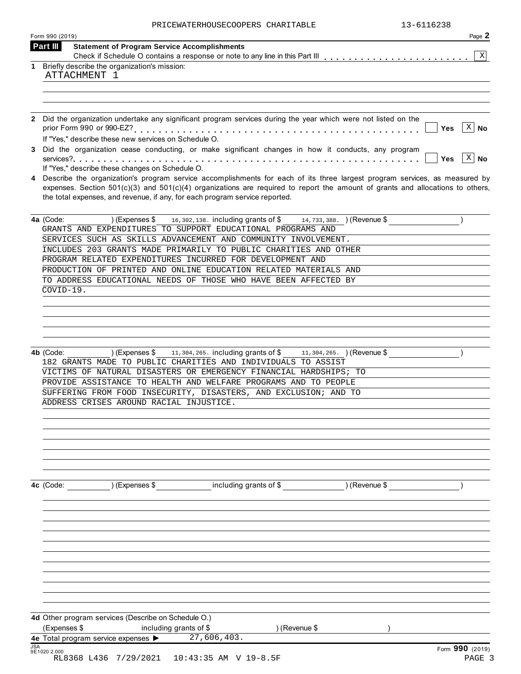| PRICEWATERHOUSECOOPERS CHARITABLE | 13-6116238 |
|-----------------------------------|------------|
|                                   |            |

| 13-6116238<br>PRICEWATERHOUSECOOPERS CHARITABLE<br>Form 990 (2019)                                                                   | Page 2       |
|--------------------------------------------------------------------------------------------------------------------------------------|--------------|
| Part III<br><b>Statement of Program Service Accomplishments</b>                                                                      |              |
| 1 Briefly describe the organization's mission:                                                                                       | $\mathbf X$  |
| ATTACHMENT 1                                                                                                                         |              |
|                                                                                                                                      |              |
|                                                                                                                                      |              |
| 2 Did the organization undertake any significant program services during the year which were not listed on the                       |              |
| <b>Yes</b>                                                                                                                           | $X \mid N$ o |
| If "Yes," describe these new services on Schedule O.                                                                                 |              |
| 3 Did the organization cease conducting, or make significant changes in how it conducts, any program<br>Yes                          | $x \mid N$ o |
| If "Yes," describe these changes on Schedule O.                                                                                      |              |
| 4 Describe the organization's program service accomplishments for each of its three largest program services, as measured by         |              |
| expenses. Section $501(c)(3)$ and $501(c)(4)$ organizations are required to report the amount of grants and allocations to others,   |              |
| the total expenses, and revenue, if any, for each program service reported.                                                          |              |
| 4a (Code:<br>) (Expenses \$<br>16, 302, 138. including grants of \$14, 733, 388. (Revenue \$                                         |              |
| GRANTS AND EXPENDITURES TO SUPPORT EDUCATIONAL PROGRAMS AND                                                                          |              |
| SERVICES SUCH AS SKILLS ADVANCEMENT AND COMMUNITY INVOLVEMENT.                                                                       |              |
| INCLUDES 203 GRANTS MADE PRIMARILY TO PUBLIC CHARITIES AND OTHER<br>PROGRAM RELATED EXPENDITURES INCURRED FOR DEVELOPMENT AND        |              |
| PRODUCTION OF PRINTED AND ONLINE EDUCATION RELATED MATERIALS AND                                                                     |              |
| TO ADDRESS EDUCATIONAL NEEDS OF THOSE WHO HAVE BEEN AFFECTED BY                                                                      |              |
| $COVID-19.$                                                                                                                          |              |
|                                                                                                                                      |              |
|                                                                                                                                      |              |
|                                                                                                                                      |              |
|                                                                                                                                      |              |
| 4b (Code:<br>) (Expenses \$<br>11, 304, 265. including grants of \$<br>11, 304, 265. (Revenue \$                                     |              |
|                                                                                                                                      |              |
| 182 GRANTS MADE TO PUBLIC CHARITIES AND INDIVIDUALS TO ASSIST                                                                        |              |
| VICTIMS OF NATURAL DISASTERS OR EMERGENCY FINANCIAL HARDSHIPS; TO<br>PROVIDE ASSISTANCE TO HEALTH AND WELFARE PROGRAMS AND TO PEOPLE |              |
| SUFFERING FROM FOOD INSECURITY, DISASTERS, AND EXCLUSION; AND TO                                                                     |              |
| ADDRESS CRISES AROUND RACIAL INJUSTICE.                                                                                              |              |
|                                                                                                                                      |              |
|                                                                                                                                      |              |
|                                                                                                                                      |              |
|                                                                                                                                      |              |
|                                                                                                                                      |              |
|                                                                                                                                      |              |
| including grants of \$<br>) (Expenses \$<br>) (Revenue \$<br>4c (Code:                                                               |              |
|                                                                                                                                      |              |
|                                                                                                                                      |              |
|                                                                                                                                      |              |
|                                                                                                                                      |              |
|                                                                                                                                      |              |
|                                                                                                                                      |              |
|                                                                                                                                      |              |
|                                                                                                                                      |              |
|                                                                                                                                      |              |
| 4d Other program services (Describe on Schedule O.)                                                                                  |              |
| (Expenses \$<br>including grants of \$<br>) (Revenue \$<br>27,606,403.<br>4e Total program service expenses >                        |              |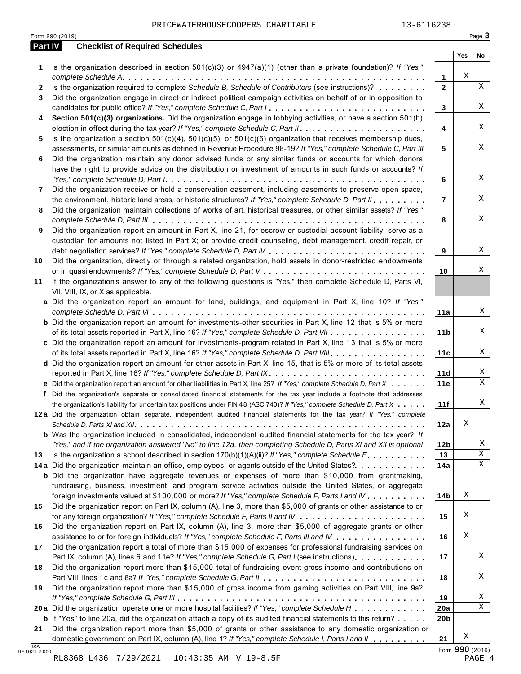|              | Form 990 (2019)                                                                                                                                                                                                                                                                                                                          |                 |     | Page 3      |
|--------------|------------------------------------------------------------------------------------------------------------------------------------------------------------------------------------------------------------------------------------------------------------------------------------------------------------------------------------------|-----------------|-----|-------------|
|              | <b>Checklist of Required Schedules</b><br>Part IV                                                                                                                                                                                                                                                                                        |                 | Yes | No          |
| 1            | Is the organization described in section $501(c)(3)$ or $4947(a)(1)$ (other than a private foundation)? If "Yes,"                                                                                                                                                                                                                        | 1               | Χ   |             |
| $\mathbf{2}$ | Is the organization required to complete Schedule B, Schedule of Contributors (see instructions)?                                                                                                                                                                                                                                        | $\mathbf{2}$    |     | X           |
| 3            | Did the organization engage in direct or indirect political campaign activities on behalf of or in opposition to<br>candidates for public office? If "Yes," complete Schedule C, Part I                                                                                                                                                  | 3               |     | Χ           |
| 4            | Section 501(c)(3) organizations. Did the organization engage in lobbying activities, or have a section 501(h)                                                                                                                                                                                                                            | 4               |     | Χ           |
| 5.           | Is the organization a section $501(c)(4)$ , $501(c)(5)$ , or $501(c)(6)$ organization that receives membership dues,                                                                                                                                                                                                                     |                 |     | X           |
| 6            | assessments, or similar amounts as defined in Revenue Procedure 98-19? If "Yes," complete Schedule C, Part III<br>Did the organization maintain any donor advised funds or any similar funds or accounts for which donors<br>have the right to provide advice on the distribution or investment of amounts in such funds or accounts? If | 5               |     |             |
| 7            | Did the organization receive or hold a conservation easement, including easements to preserve open space,                                                                                                                                                                                                                                | 6               |     | Χ           |
| 8            | the environment, historic land areas, or historic structures? If "Yes," complete Schedule D, Part II.<br>Did the organization maintain collections of works of art, historical treasures, or other similar assets? If "Yes,"                                                                                                             | $\overline{7}$  |     | Χ           |
| 9            | Did the organization report an amount in Part X, line 21, for escrow or custodial account liability, serve as a                                                                                                                                                                                                                          | 8               |     | Χ           |
|              | custodian for amounts not listed in Part X; or provide credit counseling, debt management, credit repair, or                                                                                                                                                                                                                             | 9               |     | Χ           |
| 10           | Did the organization, directly or through a related organization, hold assets in donor-restricted endowments                                                                                                                                                                                                                             | 10              |     | Χ           |
| 11           | If the organization's answer to any of the following questions is "Yes," then complete Schedule D, Parts VI,<br>VII, VIII, IX, or X as applicable.                                                                                                                                                                                       |                 |     |             |
|              | a Did the organization report an amount for land, buildings, and equipment in Part X, line 10? If "Yes,"                                                                                                                                                                                                                                 | 11a             |     | Χ           |
|              | <b>b</b> Did the organization report an amount for investments-other securities in Part X, line 12 that is 5% or more<br>of its total assets reported in Part X, line 16? If "Yes," complete Schedule D, Part VII                                                                                                                        | 11 <sub>b</sub> |     | Χ           |
|              | c Did the organization report an amount for investments-program related in Part X, line 13 that is 5% or more<br>of its total assets reported in Part X, line 16? If "Yes," complete Schedule D, Part VIII                                                                                                                               | 11c             |     | Χ           |
|              | d Did the organization report an amount for other assets in Part X, line 15, that is 5% or more of its total assets                                                                                                                                                                                                                      | 11d             |     | Χ           |
|              | e Did the organization report an amount for other liabilities in Part X, line 25? If "Yes," complete Schedule D, Part X                                                                                                                                                                                                                  | 11e             |     | $\mathbf X$ |
|              | f Did the organization's separate or consolidated financial statements for the tax year include a footnote that addresses<br>the organization's liability for uncertain tax positions under FIN 48 (ASC 740)? If "Yes," complete Schedule D, Part X                                                                                      | 11f             |     | Χ           |
|              | 12a Did the organization obtain separate, independent audited financial statements for the tax year? If "Yes," complete                                                                                                                                                                                                                  | 12a             | Χ   |             |
|              | <b>b</b> Was the organization included in consolidated, independent audited financial statements for the tax year? If<br>"Yes," and if the organization answered "No" to line 12a, then completing Schedule D, Parts XI and XII is optional                                                                                              | 12 <sub>b</sub> |     | Χ           |
| 13           | Is the organization a school described in section $170(b)(1)(A)(ii)?$ If "Yes," complete Schedule E.                                                                                                                                                                                                                                     | 13              |     | Χ           |
|              | 14a Did the organization maintain an office, employees, or agents outside of the United States?                                                                                                                                                                                                                                          | 14a             |     | Χ           |
|              | <b>b</b> Did the organization have aggregate revenues or expenses of more than \$10,000 from grantmaking,<br>fundraising, business, investment, and program service activities outside the United States, or aggregate                                                                                                                   |                 |     |             |
| 15           | foreign investments valued at \$100,000 or more? If "Yes," complete Schedule F, Parts I and IV<br>Did the organization report on Part IX, column (A), line 3, more than \$5,000 of grants or other assistance to or                                                                                                                      | 14b             | Χ   |             |
| 16           | Did the organization report on Part IX, column (A), line 3, more than \$5,000 of aggregate grants or other                                                                                                                                                                                                                               | 15              | Χ   |             |
| 17           | assistance to or for foreign individuals? If "Yes," complete Schedule F, Parts III and IV<br>Did the organization report a total of more than \$15,000 of expenses for professional fundraising services on                                                                                                                              | 16              | Χ   |             |
| 18           | Part IX, column (A), lines 6 and 11e? If "Yes," complete Schedule G, Part I (see instructions).<br>Did the organization report more than \$15,000 total of fundraising event gross income and contributions on                                                                                                                           | 17              |     | Χ           |
| 19           | Did the organization report more than \$15,000 of gross income from gaming activities on Part VIII, line 9a?                                                                                                                                                                                                                             | 18              |     | Χ           |
|              |                                                                                                                                                                                                                                                                                                                                          | 19              |     | Χ           |
|              | 20a Did the organization operate one or more hospital facilities? If "Yes," complete Schedule H                                                                                                                                                                                                                                          | 20a             |     | Χ           |
| 21           | <b>b</b> If "Yes" to line 20a, did the organization attach a copy of its audited financial statements to this return?<br>Did the organization report more than \$5,000 of grants or other assistance to any domestic organization or                                                                                                     | 20 <sub>b</sub> |     |             |
|              | domestic government on Part IX, column (A), line 1? If "Yes," complete Schedule I, Parts I and II                                                                                                                                                                                                                                        | 21              | Χ   |             |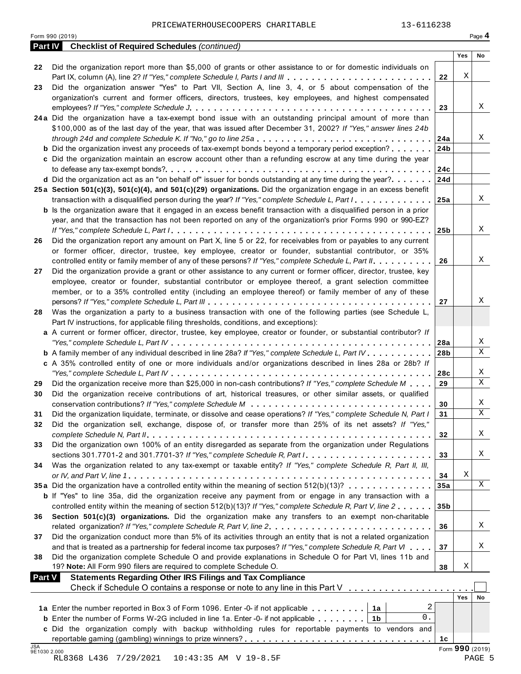|                | 13-6116238<br>PRICEWATERHOUSECOOPERS CHARITABLE                                                                                                                               |                 |                 |        |
|----------------|-------------------------------------------------------------------------------------------------------------------------------------------------------------------------------|-----------------|-----------------|--------|
| <b>Part IV</b> | Form 990 (2019)<br><b>Checklist of Required Schedules (continued)</b>                                                                                                         |                 |                 | Page 4 |
|                |                                                                                                                                                                               |                 | Yes             | No     |
| 22             | Did the organization report more than \$5,000 of grants or other assistance to or for domestic individuals on                                                                 |                 |                 |        |
|                | Part IX, column (A), line 2? If "Yes," complete Schedule I, Parts I and III                                                                                                   | 22              | Χ               |        |
| 23             | Did the organization answer "Yes" to Part VII, Section A, line 3, 4, or 5 about compensation of the                                                                           |                 |                 |        |
|                | organization's current and former officers, directors, trustees, key employees, and highest compensated                                                                       |                 |                 |        |
|                |                                                                                                                                                                               | 23              |                 | Χ      |
|                | 24a Did the organization have a tax-exempt bond issue with an outstanding principal amount of more than                                                                       |                 |                 |        |
|                | \$100,000 as of the last day of the year, that was issued after December 31, 2002? If "Yes," answer lines 24b<br>through 24d and complete Schedule K. If "No," go to line 25a | 24a             |                 | Χ      |
|                | <b>b</b> Did the organization invest any proceeds of tax-exempt bonds beyond a temporary period exception?                                                                    | 24b             |                 |        |
|                | c Did the organization maintain an escrow account other than a refunding escrow at any time during the year                                                                   |                 |                 |        |
|                |                                                                                                                                                                               | 24c             |                 |        |
|                | d Did the organization act as an "on behalf of" issuer for bonds outstanding at any time during the year?                                                                     | 24d             |                 |        |
|                | 25a Section 501(c)(3), 501(c)(4), and 501(c)(29) organizations. Did the organization engage in an excess benefit                                                              |                 |                 |        |
|                | transaction with a disqualified person during the year? If "Yes," complete Schedule L, Part I                                                                                 | 25a             |                 | X      |
|                | <b>b</b> Is the organization aware that it engaged in an excess benefit transaction with a disqualified person in a prior                                                     |                 |                 |        |
|                | year, and that the transaction has not been reported on any of the organization's prior Forms 990 or 990-EZ?                                                                  |                 |                 |        |
|                |                                                                                                                                                                               | 25 <sub>b</sub> |                 | Χ      |
| 26             | Did the organization report any amount on Part X, line 5 or 22, for receivables from or payables to any current                                                               |                 |                 |        |
|                | or former officer, director, trustee, key employee, creator or founder, substantial contributor, or 35%                                                                       |                 |                 |        |
|                | controlled entity or family member of any of these persons? If "Yes," complete Schedule L, Part II.                                                                           | 26              |                 | Χ      |
| 27             | Did the organization provide a grant or other assistance to any current or former officer, director, trustee, key                                                             |                 |                 |        |
|                | employee, creator or founder, substantial contributor or employee thereof, a grant selection committee                                                                        |                 |                 |        |
|                | member, or to a 35% controlled entity (including an employee thereof) or family member of any of these                                                                        |                 |                 |        |
|                |                                                                                                                                                                               | 27              |                 | Χ      |
| 28             | Was the organization a party to a business transaction with one of the following parties (see Schedule L,                                                                     |                 |                 |        |
|                | Part IV instructions, for applicable filing thresholds, conditions, and exceptions):                                                                                          |                 |                 |        |
|                | a A current or former officer, director, trustee, key employee, creator or founder, or substantial contributor? If                                                            |                 |                 |        |
|                |                                                                                                                                                                               | 28a             |                 | Χ<br>X |
|                | <b>b</b> A family member of any individual described in line 28a? If "Yes," complete Schedule L, Part IV.                                                                     | 28b             |                 |        |
|                | c A 35% controlled entity of one or more individuals and/or organizations described in lines 28a or 28b? If                                                                   |                 |                 | Χ      |
|                |                                                                                                                                                                               | 28c             |                 | X      |
| 29             | Did the organization receive more than \$25,000 in non-cash contributions? If "Yes," complete Schedule M                                                                      | 29              |                 |        |
| 30             | Did the organization receive contributions of art, historical treasures, or other similar assets, or qualified                                                                | 30              |                 | Χ      |
| 31             | Did the organization liquidate, terminate, or dissolve and cease operations? If "Yes," complete Schedule N, Part I                                                            | 31              |                 | Χ      |
| 32             | Did the organization sell, exchange, dispose of, or transfer more than 25% of its net assets? If "Yes,"                                                                       |                 |                 |        |
|                |                                                                                                                                                                               | 32              |                 | X      |
| 33             | Did the organization own 100% of an entity disregarded as separate from the organization under Regulations                                                                    |                 |                 |        |
|                |                                                                                                                                                                               | 33              |                 | Χ      |
| 34             | Was the organization related to any tax-exempt or taxable entity? If "Yes," complete Schedule R, Part II, III,                                                                |                 |                 |        |
|                |                                                                                                                                                                               | 34              | Χ               |        |
|                | 35a Did the organization have a controlled entity within the meaning of section 512(b)(13)?                                                                                   | 35a             |                 | X      |
|                | <b>b</b> If "Yes" to line 35a, did the organization receive any payment from or engage in any transaction with a                                                              |                 |                 |        |
|                | controlled entity within the meaning of section 512(b)(13)? If "Yes," complete Schedule R, Part V, line 2                                                                     | 35 <sub>b</sub> |                 |        |
| 36             | Section 501(c)(3) organizations. Did the organization make any transfers to an exempt non-charitable                                                                          |                 |                 |        |
|                |                                                                                                                                                                               | 36              |                 | Χ      |
| 37             | Did the organization conduct more than 5% of its activities through an entity that is not a related organization                                                              |                 |                 |        |
|                | and that is treated as a partnership for federal income tax purposes? If "Yes," complete Schedule R, Part VI                                                                  | 37              |                 | Χ      |
| 38             | Did the organization complete Schedule O and provide explanations in Schedule O for Part VI, lines 11b and                                                                    |                 |                 |        |
|                | 19? Note: All Form 990 filers are required to complete Schedule O.                                                                                                            | 38              | Χ               |        |
| <b>Part V</b>  | <b>Statements Regarding Other IRS Filings and Tax Compliance</b>                                                                                                              |                 |                 |        |
|                | Check if Schedule O contains a response or note to any line in this Part V                                                                                                    |                 |                 |        |
|                |                                                                                                                                                                               |                 | <b>Yes</b>      | No     |
|                | 2<br>1a Enter the number reported in Box 3 of Form 1096. Enter -0- if not applicable<br>1a<br>0.                                                                              |                 |                 |        |
|                | <b>b</b> Enter the number of Forms W-2G included in line 1a. Enter -0- if not applicable $\ldots \ldots \ldots$<br>1b                                                         |                 |                 |        |
|                | c Did the organization comply with backup withholding rules for reportable payments to vendors and                                                                            |                 |                 |        |
| <b>JSA</b>     |                                                                                                                                                                               | 1c              | Form 990 (2019) |        |
| 9E1030 2.000   | $10.42.2E$ AM $U$ 10 0 E $E$                                                                                                                                                  |                 |                 | na cir |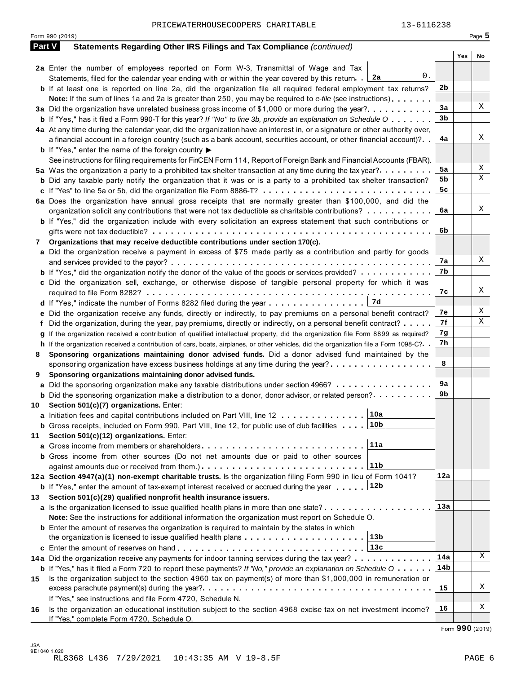|               | 13-6116238<br>PRICEWATERHOUSECOOPERS CHARITABLE<br>Form 990 (2019)                                                                                                                                                                   |                |     | Page $5$ |
|---------------|--------------------------------------------------------------------------------------------------------------------------------------------------------------------------------------------------------------------------------------|----------------|-----|----------|
| <b>Part V</b> | Statements Regarding Other IRS Filings and Tax Compliance (continued)                                                                                                                                                                |                |     |          |
|               |                                                                                                                                                                                                                                      |                | Yes | No       |
|               | 2a Enter the number of employees reported on Form W-3, Transmittal of Wage and Tax<br>0.<br>Statements, filed for the calendar year ending with or within the year covered by this return. 2a                                        |                |     |          |
|               | <b>b</b> If at least one is reported on line 2a, did the organization file all required federal employment tax returns?<br>Note: If the sum of lines 1a and 2a is greater than 250, you may be required to e-file (see instructions) | 2 <sub>b</sub> |     |          |
|               | 3a Did the organization have unrelated business gross income of \$1,000 or more during the year?                                                                                                                                     | 3a             |     | Χ        |
|               | <b>b</b> If "Yes," has it filed a Form 990-T for this year? If "No" to line 3b, provide an explanation on Schedule O                                                                                                                 | 3b             |     |          |
|               | 4a At any time during the calendar year, did the organization have an interest in, or a signature or other authority over,                                                                                                           |                |     |          |
|               | a financial account in a foreign country (such as a bank account, securities account, or other financial account)?                                                                                                                   | 4a             |     | Χ        |
|               | <b>b</b> If "Yes," enter the name of the foreign country $\blacktriangleright$                                                                                                                                                       |                |     |          |
|               | See instructions for filing requirements for FinCEN Form 114, Report of Foreign Bank and Financial Accounts (FBAR).                                                                                                                  |                |     | Χ        |
|               | 5a Was the organization a party to a prohibited tax shelter transaction at any time during the tax year?                                                                                                                             | 5a             |     | X        |
|               | <b>b</b> Did any taxable party notify the organization that it was or is a party to a prohibited tax shelter transaction?                                                                                                            | 5b             |     |          |
|               |                                                                                                                                                                                                                                      | 5c             |     |          |
|               | 6a Does the organization have annual gross receipts that are normally greater than \$100,000, and did the                                                                                                                            |                |     |          |
|               | organization solicit any contributions that were not tax deductible as charitable contributions?                                                                                                                                     | 6a             |     | Χ        |
|               | <b>b</b> If "Yes," did the organization include with every solicitation an express statement that such contributions or                                                                                                              |                |     |          |
|               |                                                                                                                                                                                                                                      | 6b             |     |          |
| 7             | Organizations that may receive deductible contributions under section 170(c).                                                                                                                                                        |                |     |          |
|               | a Did the organization receive a payment in excess of \$75 made partly as a contribution and partly for goods                                                                                                                        | 7а             |     | Χ        |
|               | <b>b</b> If "Yes," did the organization notify the donor of the value of the goods or services provided?                                                                                                                             | 7b             |     |          |
|               | c Did the organization sell, exchange, or otherwise dispose of tangible personal property for which it was                                                                                                                           |                |     |          |
|               |                                                                                                                                                                                                                                      | 7c             |     | Χ        |
|               |                                                                                                                                                                                                                                      |                |     | Χ        |
|               | e Did the organization receive any funds, directly or indirectly, to pay premiums on a personal benefit contract?                                                                                                                    | 7е<br>7f       |     | Χ        |
|               | f Did the organization, during the year, pay premiums, directly or indirectly, on a personal benefit contract?                                                                                                                       |                |     |          |
|               | If the organization received a contribution of qualified intellectual property, did the organization file Form 8899 as required?                                                                                                     | 7g<br>7h       |     |          |
|               | h If the organization received a contribution of cars, boats, airplanes, or other vehicles, did the organization file a Form 1098-C?. .                                                                                              |                |     |          |
| 8             | Sponsoring organizations maintaining donor advised funds. Did a donor advised fund maintained by the<br>sponsoring organization have excess business holdings at any time during the year?                                           | 8              |     |          |
| 9             | Sponsoring organizations maintaining donor advised funds.                                                                                                                                                                            |                |     |          |
|               | a Did the sponsoring organization make any taxable distributions under section 4966?                                                                                                                                                 | 9a             |     |          |
|               | <b>b</b> Did the sponsoring organization make a distribution to a donor, donor advisor, or related person?                                                                                                                           | 9b             |     |          |
| 10            | Section 501(c)(7) organizations. Enter:                                                                                                                                                                                              |                |     |          |
|               | 10a<br>a Initiation fees and capital contributions included on Part VIII, line 12                                                                                                                                                    |                |     |          |
|               | <b>b</b> Gross receipts, included on Form 990, Part VIII, line 12, for public use of club facilities $\ldots$ 10b                                                                                                                    |                |     |          |
| 11            | Section 501(c)(12) organizations. Enter:                                                                                                                                                                                             |                |     |          |
|               | 11a                                                                                                                                                                                                                                  |                |     |          |
|               | <b>b</b> Gross income from other sources (Do not net amounts due or paid to other sources                                                                                                                                            |                |     |          |
|               | 11b                                                                                                                                                                                                                                  |                |     |          |
|               | 12a Section 4947(a)(1) non-exempt charitable trusts. Is the organization filing Form 990 in lieu of Form 1041?                                                                                                                       | 12a            |     |          |
|               | <b>b</b> If "Yes," enter the amount of tax-exempt interest received or accrued during the year 12b                                                                                                                                   |                |     |          |
| 13            | Section 501(c)(29) qualified nonprofit health insurance issuers.                                                                                                                                                                     |                |     |          |
|               | a Is the organization licensed to issue qualified health plans in more than one state?                                                                                                                                               | 13a            |     |          |
|               | Note: See the instructions for additional information the organization must report on Schedule O.                                                                                                                                    |                |     |          |
|               | <b>b</b> Enter the amount of reserves the organization is required to maintain by the states in which                                                                                                                                |                |     |          |
|               | 13b <br>the organization is licensed to issue qualified health plans                                                                                                                                                                 |                |     |          |
|               | 13с                                                                                                                                                                                                                                  |                |     |          |
|               | 14a Did the organization receive any payments for indoor tanning services during the tax year?                                                                                                                                       | 14a            |     | Χ        |
|               | <b>b</b> If "Yes," has it filed a Form 720 to report these payments? If "No," provide an explanation on Schedule $0 \cdot \cdot \cdot \cdot$                                                                                         | 14b            |     |          |
| 15            | Is the organization subject to the section 4960 tax on payment(s) of more than \$1,000,000 in remuneration or                                                                                                                        | 15             |     | Χ        |
|               | If "Yes," see instructions and file Form 4720, Schedule N.                                                                                                                                                                           |                |     |          |
| 16            | Is the organization an educational institution subject to the section 4968 excise tax on net investment income?<br>If "Yes," complete Form 4720, Schedule O.                                                                         | 16             |     | Χ        |
|               |                                                                                                                                                                                                                                      |                |     |          |

Form **990** (2019)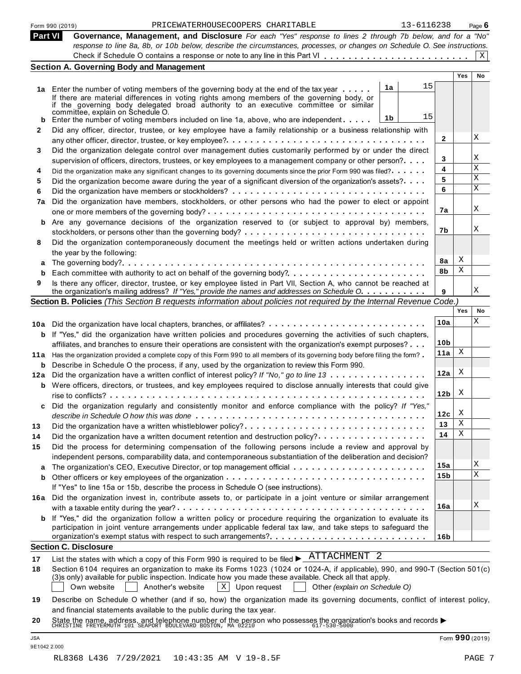|                | 13-6116238<br>PRICEWATERHOUSECOOPERS CHARITABLE<br>Form 990 (2019)                                                                                                                                                                      |                 |            | Page 6 |
|----------------|-----------------------------------------------------------------------------------------------------------------------------------------------------------------------------------------------------------------------------------------|-----------------|------------|--------|
| <b>Part VI</b> | Governance, Management, and Disclosure For each "Yes" response to lines 2 through 7b below, and for a "No"<br>response to line 8a, 8b, or 10b below, describe the circumstances, processes, or changes on Schedule O. See instructions. |                 |            |        |
|                |                                                                                                                                                                                                                                         |                 |            | X      |
|                | <b>Section A. Governing Body and Management</b>                                                                                                                                                                                         |                 |            |        |
|                |                                                                                                                                                                                                                                         |                 | <b>Yes</b> | No     |
|                | 15<br>1a<br>1a Enter the number of voting members of the governing body at the end of the tax year                                                                                                                                      |                 |            |        |
|                | If there are material differences in voting rights among members of the governing body, or                                                                                                                                              |                 |            |        |
|                | if the governing body delegated broad authority to an executive committee or similar<br>committée, explain on Schedule O.                                                                                                               |                 |            |        |
| b              | 15<br>1b<br>Enter the number of voting members included on line 1a, above, who are independent                                                                                                                                          |                 |            |        |
| 2              | Did any officer, director, trustee, or key employee have a family relationship or a business relationship with                                                                                                                          |                 |            |        |
|                |                                                                                                                                                                                                                                         | 2               |            | Χ      |
| 3              | Did the organization delegate control over management duties customarily performed by or under the direct                                                                                                                               |                 |            |        |
|                | supervision of officers, directors, trustees, or key employees to a management company or other person?                                                                                                                                 | 3               |            | Χ      |
| 4              | Did the organization make any significant changes to its governing documents since the prior Form 990 was filed?                                                                                                                        | 4               |            | X      |
| 5              | Did the organization become aware during the year of a significant diversion of the organization's assets?                                                                                                                              | 5               |            | Χ      |
| 6              |                                                                                                                                                                                                                                         | 6               |            | X      |
| 7a             | Did the organization have members, stockholders, or other persons who had the power to elect or appoint                                                                                                                                 |                 |            |        |
|                |                                                                                                                                                                                                                                         | 7a              |            | Χ      |
| b              | Are any governance decisions of the organization reserved to (or subject to approval by) members,                                                                                                                                       |                 |            | Χ      |
|                | stockholders, or persons other than the governing body? $\dots \dots \dots \dots \dots \dots \dots \dots \dots \dots \dots \dots$                                                                                                       | 7b              |            |        |
| 8              | Did the organization contemporaneously document the meetings held or written actions undertaken during                                                                                                                                  |                 |            |        |
|                | the year by the following:                                                                                                                                                                                                              |                 | X          |        |
|                |                                                                                                                                                                                                                                         | 8a<br>8b        | Χ          |        |
| b              | Each committee with authority to act on behalf of the governing body?                                                                                                                                                                   |                 |            |        |
| 9              | Is there any officer, director, trustee, or key employee listed in Part VII, Section A, who cannot be reached at<br>the organization's mailing address? If "Yes," provide the names and addresses on Schedule O.                        | 9               |            | Χ      |
|                | Section B. Policies (This Section B requests information about policies not required by the Internal Revenue Code.)                                                                                                                     |                 |            |        |
|                |                                                                                                                                                                                                                                         |                 | Yes        | No     |
|                | 10a Did the organization have local chapters, branches, or affiliates?                                                                                                                                                                  | 10a             |            | Χ      |
|                | <b>b</b> If "Yes," did the organization have written policies and procedures governing the activities of such chapters,                                                                                                                 |                 |            |        |
|                | affiliates, and branches to ensure their operations are consistent with the organization's exempt purposes?                                                                                                                             | 10 <sub>b</sub> |            |        |
|                | 11a Has the organization provided a complete copy of this Form 990 to all members of its governing body before filing the form?                                                                                                         | 11a             | X          |        |
|                | <b>b</b> Describe in Schedule O the process, if any, used by the organization to review this Form 990.                                                                                                                                  |                 |            |        |
|                | 12a Did the organization have a written conflict of interest policy? If "No," go to line 13                                                                                                                                             | 12a             | X          |        |
|                | <b>b</b> Were officers, directors, or trustees, and key employees required to disclose annually interests that could give                                                                                                               |                 |            |        |
|                |                                                                                                                                                                                                                                         | 12 <sub>b</sub> | Х          |        |
| c              | Did the organization regularly and consistently monitor and enforce compliance with the policy? If "Yes,"                                                                                                                               |                 |            |        |
|                |                                                                                                                                                                                                                                         | 12c             | X          |        |
| 13             | Did the organization have a written whistleblower policy?                                                                                                                                                                               | 13              | Χ          |        |
| 14             | Did the organization have a written document retention and destruction policy?                                                                                                                                                          | 14              | Χ          |        |
| 15             | Did the process for determining compensation of the following persons include a review and approval by                                                                                                                                  |                 |            |        |
|                | independent persons, comparability data, and contemporaneous substantiation of the deliberation and decision?                                                                                                                           |                 |            |        |
|                |                                                                                                                                                                                                                                         | 15a             |            | Χ<br>X |
| b              |                                                                                                                                                                                                                                         | 15b             |            |        |
|                | If "Yes" to line 15a or 15b, describe the process in Schedule O (see instructions).                                                                                                                                                     |                 |            |        |
| 16а            | Did the organization invest in, contribute assets to, or participate in a joint venture or similar arrangement                                                                                                                          |                 |            | Χ      |
|                |                                                                                                                                                                                                                                         | 16a             |            |        |
| b              | If "Yes," did the organization follow a written policy or procedure requiring the organization to evaluate its<br>participation in joint venture arrangements under applicable federal tax law, and take steps to safeguard the         |                 |            |        |
|                | organization's exempt status with respect to such arrangements?                                                                                                                                                                         | 16b             |            |        |
|                | <b>Section C. Disclosure</b>                                                                                                                                                                                                            |                 |            |        |
|                | List the states with which a copy of this Form 990 is required to be filed $\blacktriangleright$ $\frac{\text{ATTACHMENT}}{\text{2}}$                                                                                                   |                 |            |        |
| 17<br>18       | Section 6104 requires an organization to make its Forms 1023 (1024 or 1024-A, if applicable), 990, and 990-T (Section 501(c)                                                                                                            |                 |            |        |
|                | (3)s only) available for public inspection. Indicate how you made these available. Check all that apply.                                                                                                                                |                 |            |        |
|                | Own website<br>Another's website<br>$X$ Upon request<br>Other (explain on Schedule O)                                                                                                                                                   |                 |            |        |
|                |                                                                                                                                                                                                                                         |                 |            |        |
|                |                                                                                                                                                                                                                                         |                 |            |        |
| 19             | Describe on Schedule O whether (and if so, how) the organization made its governing documents, conflict of interest policy,<br>and financial statements available to the public during the tax year.                                    |                 |            |        |

9E1042 2.000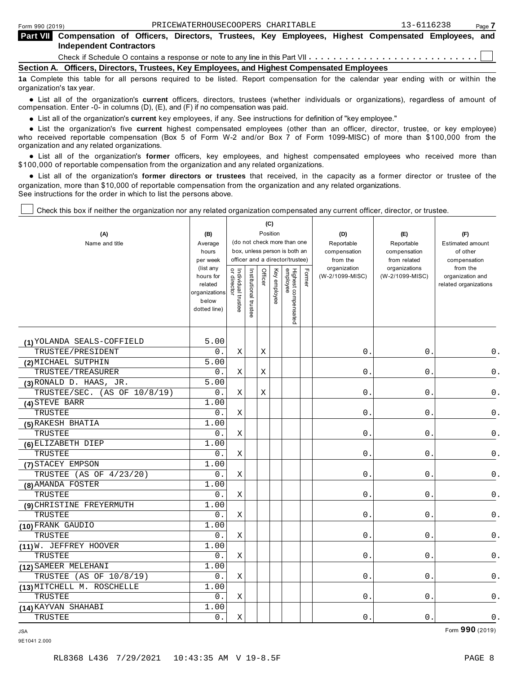| Form 990 (2019) |                                                                                                                                             |  | PRICEWATERHOUSECOOPERS CHARITABLE |  |  | 13-6116238 | Page 7 |
|-----------------|---------------------------------------------------------------------------------------------------------------------------------------------|--|-----------------------------------|--|--|------------|--------|
|                 | Part VII Compensation of Officers, Directors, Trustees, Key Employees, Highest Compensated Employees, and<br><b>Independent Contractors</b> |  |                                   |  |  |            |        |
|                 |                                                                                                                                             |  |                                   |  |  |            |        |
|                 | Section A. Officers, Directors, Trustees, Key Employees, and Highest Compensated Employees                                                  |  |                                   |  |  |            |        |
|                 | da Osmaliki khir kalifa fan all manisima mandmal ka har Hikad. Damank sammaniske fan klausten salande omaling middelme klau                 |  |                                   |  |  |            |        |

**1a** Complete this table for all persons required to be listed. Report compensation for the calendar year ending with or within the organization's tax year.

anization's lax year.<br>● List all of the organization's **current** officers, directors, trustees (whether individuals or organizations), regardless of amount of<br>nnensation Enter -0- in columns (D) (E) and (E) if no compensa compensation. Enter -0- in columns (D), (E), and (F) if no compensation was paid.

**■** List all of the organization's **current** key employees, if any. See instructions for definition of "key employee."<br>■ List the experimetiscle five evenent birbed expressed explores (other than an efficer director t

**Example in the organization's current** key employees, if any, see instructions for definition of key employee.<br>• List the organization's five **current** highest compensated employees (other than an officer, director, trust who received reportable compensation (Box 5 of Form W-2 and/or Box 7 of Form 1099-MISC) of more than \$100,000 from the

organization and any related organizations.<br>● List all of the organization's **former** officers, key employees, and highest compensated employees who received more than<br>\$1,00,000 of reportable componention from the erganiz \$100,000 of reportable compensation from the organization and any related organizations.

% List all of the organization's **former directors or trustees** that received, in the capacity as a former director or trustee of the organization, more than \$10,000 of reportable compensation from the organization and any related organizations. See instructions for the order in which to list the persons above.

Check this box if neither the organization nor any related organization compensated any current officer, director, or trustee.

| (A)<br>Name and title        | (B)<br>Average<br>hours<br>per week<br>(list any<br>hours for<br>related<br>organizations<br>below<br>dotted line) | Individual trustee<br>or director | Institutional trustee | Position<br>Officer | (C)<br>Key employee | (do not check more than one<br>box, unless person is both an<br>officer and a director/trustee)<br>Highest compensated<br>employee | Former | (D)<br>Reportable<br>compensation<br>from the<br>organization<br>(W-2/1099-MISC) | (E)<br>Reportable<br>compensation<br>from related<br>organizations<br>(W-2/1099-MISC) | (F)<br><b>Estimated amount</b><br>of other<br>compensation<br>from the<br>organization and<br>related organizations |
|------------------------------|--------------------------------------------------------------------------------------------------------------------|-----------------------------------|-----------------------|---------------------|---------------------|------------------------------------------------------------------------------------------------------------------------------------|--------|----------------------------------------------------------------------------------|---------------------------------------------------------------------------------------|---------------------------------------------------------------------------------------------------------------------|
| (1) YOLANDA SEALS-COFFIELD   | 5.00                                                                                                               |                                   |                       |                     |                     |                                                                                                                                    |        |                                                                                  |                                                                                       |                                                                                                                     |
| TRUSTEE/PRESIDENT            | 0.                                                                                                                 | Χ                                 |                       | Χ                   |                     |                                                                                                                                    |        | 0                                                                                | $\mathsf{0}$ .                                                                        | $0$ .                                                                                                               |
| (2) MICHAEL SUTPHIN          | 5.00                                                                                                               |                                   |                       |                     |                     |                                                                                                                                    |        |                                                                                  |                                                                                       |                                                                                                                     |
| TRUSTEE/TREASURER            | 0.                                                                                                                 | X                                 |                       | X                   |                     |                                                                                                                                    |        | $\overline{0}$                                                                   | 0                                                                                     | 0.                                                                                                                  |
| (3) RONALD D. HAAS, JR.      | 5.00                                                                                                               |                                   |                       |                     |                     |                                                                                                                                    |        |                                                                                  |                                                                                       |                                                                                                                     |
| TRUSTEE/SEC. (AS OF 10/8/19) | 0.                                                                                                                 | X                                 |                       | X                   |                     |                                                                                                                                    |        | $\overline{0}$                                                                   | 0                                                                                     | 0.                                                                                                                  |
| (4) STEVE BARR               | 1.00                                                                                                               |                                   |                       |                     |                     |                                                                                                                                    |        |                                                                                  |                                                                                       |                                                                                                                     |
| TRUSTEE                      | 0.                                                                                                                 | X                                 |                       |                     |                     |                                                                                                                                    |        | $\mathsf{O}$ .                                                                   | 0                                                                                     | $0$ .                                                                                                               |
| (5) RAKESH BHATIA            | 1.00                                                                                                               |                                   |                       |                     |                     |                                                                                                                                    |        |                                                                                  |                                                                                       |                                                                                                                     |
| TRUSTEE                      | 0.                                                                                                                 | X.                                |                       |                     |                     |                                                                                                                                    |        | $\mathbf{0}$                                                                     | 0                                                                                     | $0$ .                                                                                                               |
| (6) ELIZABETH DIEP           | 1.00                                                                                                               |                                   |                       |                     |                     |                                                                                                                                    |        |                                                                                  |                                                                                       |                                                                                                                     |
| TRUSTEE                      | 0.                                                                                                                 | Χ                                 |                       |                     |                     |                                                                                                                                    |        | $\mathsf{O}$ .                                                                   | $\mathsf{O}$                                                                          | $\mathsf 0$ .                                                                                                       |
| (7) STACEY EMPSON            | 1.00                                                                                                               |                                   |                       |                     |                     |                                                                                                                                    |        |                                                                                  |                                                                                       |                                                                                                                     |
| TRUSTEE (AS OF 4/23/20)      | 0.                                                                                                                 | Χ                                 |                       |                     |                     |                                                                                                                                    |        | 0                                                                                | 0                                                                                     | 0.                                                                                                                  |
| (8) AMANDA FOSTER            | 1.00                                                                                                               |                                   |                       |                     |                     |                                                                                                                                    |        |                                                                                  |                                                                                       |                                                                                                                     |
| TRUSTEE                      | $0$ .                                                                                                              | Χ                                 |                       |                     |                     |                                                                                                                                    |        | 0                                                                                | 0                                                                                     | $\mathsf 0$ .                                                                                                       |
| (9) CHRISTINE FREYERMUTH     | 1.00                                                                                                               |                                   |                       |                     |                     |                                                                                                                                    |        |                                                                                  |                                                                                       |                                                                                                                     |
| TRUSTEE                      | 0.                                                                                                                 | X                                 |                       |                     |                     |                                                                                                                                    |        | $\overline{0}$                                                                   | 0                                                                                     | 0.                                                                                                                  |
| (10) FRANK GAUDIO            | 1.00                                                                                                               |                                   |                       |                     |                     |                                                                                                                                    |        |                                                                                  |                                                                                       |                                                                                                                     |
| TRUSTEE                      | 0.                                                                                                                 | X                                 |                       |                     |                     |                                                                                                                                    |        | 0.                                                                               | $\mathbf 0$ .                                                                         | 0.                                                                                                                  |
| $(11)$ W. JEFFREY HOOVER     | 1.00                                                                                                               |                                   |                       |                     |                     |                                                                                                                                    |        |                                                                                  |                                                                                       |                                                                                                                     |
| TRUSTEE                      | 0.                                                                                                                 | X                                 |                       |                     |                     |                                                                                                                                    |        | $\overline{0}$                                                                   | 0                                                                                     | $0$ .                                                                                                               |
| (12) SAMEER MELEHANI         | 1.00                                                                                                               |                                   |                       |                     |                     |                                                                                                                                    |        |                                                                                  |                                                                                       |                                                                                                                     |
| TRUSTEE (AS OF 10/8/19)      | 0.                                                                                                                 | X                                 |                       |                     |                     |                                                                                                                                    |        | $\mathsf{O}$                                                                     | 0                                                                                     | $0$ .                                                                                                               |
| (13) MITCHELL M. ROSCHELLE   | 1.00                                                                                                               |                                   |                       |                     |                     |                                                                                                                                    |        |                                                                                  |                                                                                       |                                                                                                                     |
| TRUSTEE                      | $0$ .                                                                                                              | Χ                                 |                       |                     |                     |                                                                                                                                    |        | 0                                                                                | 0                                                                                     | $\mathsf 0$ .                                                                                                       |
| (14) KAYVAN SHAHABI          | 1.00                                                                                                               |                                   |                       |                     |                     |                                                                                                                                    |        |                                                                                  |                                                                                       |                                                                                                                     |
| TRUSTEE                      | $0$ .                                                                                                              | Χ                                 |                       |                     |                     |                                                                                                                                    |        | $\mathsf{O}$ .                                                                   | $\mathsf{O}$                                                                          | $\mathsf{0}$ .                                                                                                      |

JSA Form **990** (2019)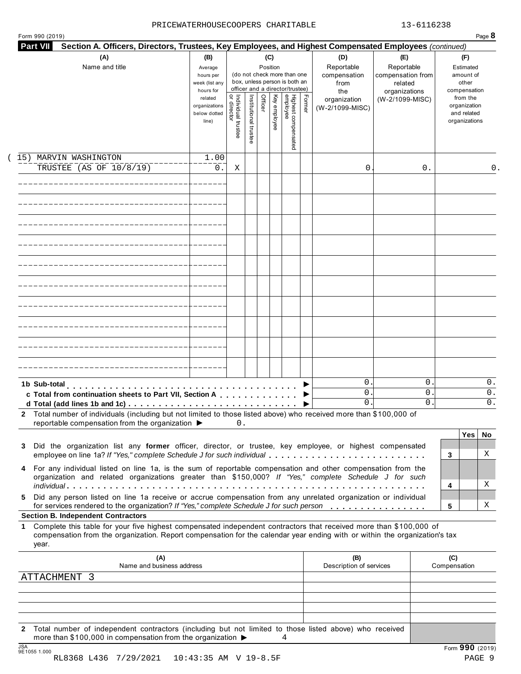#### PRICEWATERHOUSECOOPERS CHARITABLE 13-6116238

| <b>Part VII</b> | Section A. Officers, Directors, Trustees, Key Employees, and Highest Compensated Employees (continued)<br>(A)<br>Name and title                                                                                                                                                                                                                                                                            | (B)<br>Average<br>hours per<br>week (list any                  |                                           |                       | (C)<br>Position |              | (do not check more than one<br>box, unless person is both an<br>officer and a director/trustee) |        | (D)<br>Reportable<br>compensation<br>from | (E)<br>Reportable<br>compensation from<br>related |                     | (F)<br>Estimated<br>amount of<br>other                                   |                |
|-----------------|------------------------------------------------------------------------------------------------------------------------------------------------------------------------------------------------------------------------------------------------------------------------------------------------------------------------------------------------------------------------------------------------------------|----------------------------------------------------------------|-------------------------------------------|-----------------------|-----------------|--------------|-------------------------------------------------------------------------------------------------|--------|-------------------------------------------|---------------------------------------------------|---------------------|--------------------------------------------------------------------------|----------------|
|                 |                                                                                                                                                                                                                                                                                                                                                                                                            | hours for<br>related<br>organizations<br>below dotted<br>line) | <br>  Individual trustee<br>  or director | Institutional trustee | Officer         | Key employee | Highest compensated<br>employee                                                                 | Former | the<br>organization<br>(W-2/1099-MISC)    | organizations<br>(W-2/1099-MISC)                  |                     | compensation<br>from the<br>organization<br>and related<br>organizations |                |
|                 | 15) MARVIN WASHINGTON<br>TRUSTEE (AS OF 10/8/19)                                                                                                                                                                                                                                                                                                                                                           | 1.00<br>0.                                                     | Χ                                         |                       |                 |              |                                                                                                 |        | 0                                         | 0.                                                |                     |                                                                          | 0.             |
|                 |                                                                                                                                                                                                                                                                                                                                                                                                            |                                                                |                                           |                       |                 |              |                                                                                                 |        |                                           |                                                   |                     |                                                                          |                |
|                 |                                                                                                                                                                                                                                                                                                                                                                                                            |                                                                |                                           |                       |                 |              |                                                                                                 |        |                                           |                                                   |                     |                                                                          |                |
|                 |                                                                                                                                                                                                                                                                                                                                                                                                            |                                                                |                                           |                       |                 |              |                                                                                                 |        |                                           |                                                   |                     |                                                                          |                |
|                 |                                                                                                                                                                                                                                                                                                                                                                                                            |                                                                |                                           |                       |                 |              |                                                                                                 |        |                                           |                                                   |                     |                                                                          |                |
|                 |                                                                                                                                                                                                                                                                                                                                                                                                            |                                                                |                                           |                       |                 |              |                                                                                                 |        |                                           |                                                   |                     |                                                                          |                |
|                 |                                                                                                                                                                                                                                                                                                                                                                                                            |                                                                |                                           |                       |                 |              |                                                                                                 |        |                                           |                                                   |                     |                                                                          |                |
|                 |                                                                                                                                                                                                                                                                                                                                                                                                            |                                                                |                                           |                       |                 |              |                                                                                                 |        |                                           |                                                   |                     |                                                                          |                |
|                 | 1b Sub-total<br>c Total from continuation sheets to Part VII, Section A<br>2 Total number of individuals (including but not limited to those listed above) who received more than \$100,000 of                                                                                                                                                                                                             |                                                                |                                           |                       |                 |              |                                                                                                 |        | $\mathbf{0}$<br>$0$ .<br>$\mathbf{0}$ .   | 0<br>0<br>0                                       |                     |                                                                          | 0.<br>0.<br>0. |
|                 | reportable compensation from the organization ▶                                                                                                                                                                                                                                                                                                                                                            |                                                                | 0.                                        |                       |                 |              |                                                                                                 |        |                                           |                                                   |                     | Yes                                                                      | No.            |
| 3<br>4          | Did the organization list any former officer, director, or trustee, key employee, or highest compensated<br>employee on line 1a? If "Yes," complete Schedule J for such individual<br>For any individual listed on line 1a, is the sum of reportable compensation and other compensation from the<br>organization and related organizations greater than \$150,000? If "Yes," complete Schedule J for such |                                                                |                                           |                       |                 |              |                                                                                                 |        |                                           |                                                   | 3                   |                                                                          | X              |
| 5.              | Did any person listed on line 1a receive or accrue compensation from any unrelated organization or individual                                                                                                                                                                                                                                                                                              |                                                                |                                           |                       |                 |              |                                                                                                 |        |                                           |                                                   | 4                   |                                                                          | X              |
|                 | for services rendered to the organization? If "Yes," complete Schedule J for such person<br><b>Section B. Independent Contractors</b>                                                                                                                                                                                                                                                                      |                                                                |                                           |                       |                 |              |                                                                                                 |        |                                           |                                                   | 5                   |                                                                          | Χ              |
| 1.<br>year.     | Complete this table for your five highest compensated independent contractors that received more than \$100,000 of<br>compensation from the organization. Report compensation for the calendar year ending with or within the organization's tax                                                                                                                                                           |                                                                |                                           |                       |                 |              |                                                                                                 |        |                                           |                                                   |                     |                                                                          |                |
|                 | (A)<br>Name and business address                                                                                                                                                                                                                                                                                                                                                                           |                                                                |                                           |                       |                 |              |                                                                                                 |        | (B)<br>Description of services            |                                                   | (C)<br>Compensation |                                                                          |                |
|                 | ATTACHMENT 3                                                                                                                                                                                                                                                                                                                                                                                               |                                                                |                                           |                       |                 |              |                                                                                                 |        |                                           |                                                   |                     |                                                                          |                |
|                 |                                                                                                                                                                                                                                                                                                                                                                                                            |                                                                |                                           |                       |                 |              |                                                                                                 |        |                                           |                                                   |                     |                                                                          |                |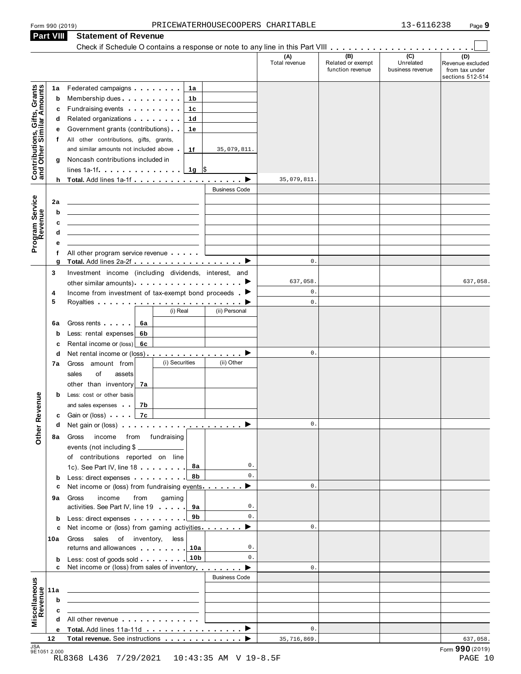| Form 990 (2019)                                                | PRICEWATERHOUSECOOPERS CHARITABLE                                                                                                                                                                                                           |                      |                      |                                              | 13-6116238                                      | Page 9                                                        |
|----------------------------------------------------------------|---------------------------------------------------------------------------------------------------------------------------------------------------------------------------------------------------------------------------------------------|----------------------|----------------------|----------------------------------------------|-------------------------------------------------|---------------------------------------------------------------|
| Part VIII                                                      | <b>Statement of Revenue</b>                                                                                                                                                                                                                 |                      |                      |                                              |                                                 |                                                               |
|                                                                |                                                                                                                                                                                                                                             |                      |                      |                                              |                                                 |                                                               |
|                                                                |                                                                                                                                                                                                                                             |                      | (A)<br>Total revenue | (B)<br>Related or exempt<br>function revenue | $\overline{C}$<br>Unrelated<br>business revenue | (D)<br>Revenue excluded<br>from tax under<br>sections 512-514 |
| 1a                                                             | Federated campaigns <b>Federated</b><br>1a                                                                                                                                                                                                  |                      |                      |                                              |                                                 |                                                               |
| Contributions, Gifts, Grants<br>and Other Similar Amounts<br>b | Membership dues<br>1b                                                                                                                                                                                                                       |                      |                      |                                              |                                                 |                                                               |
| c                                                              | Fundraising events <b>Fundraising</b><br>1c                                                                                                                                                                                                 |                      |                      |                                              |                                                 |                                                               |
| d                                                              | Related organizations <b>contains</b> and the set of the set of the set of the set of the set of the set of the set of the set of the set of the set of the set of the set of the set of the set of the set of the set of the set o<br>1d   |                      |                      |                                              |                                                 |                                                               |
| е                                                              | Government grants (contributions)<br>1e                                                                                                                                                                                                     |                      |                      |                                              |                                                 |                                                               |
| f                                                              | All other contributions, gifts, grants,                                                                                                                                                                                                     |                      |                      |                                              |                                                 |                                                               |
|                                                                | and similar amounts not included above.<br>1f                                                                                                                                                                                               | 35,079,811.          |                      |                                              |                                                 |                                                               |
| g                                                              | Noncash contributions included in                                                                                                                                                                                                           |                      |                      |                                              |                                                 |                                                               |
|                                                                | $lines 1a-1f$ $\ldots$ $\ldots$ $\ldots$<br>1g $\sqrt{3}$                                                                                                                                                                                   |                      |                      |                                              |                                                 |                                                               |
|                                                                | $h$ Total. Add lines 1a-1f $\ldots$ $\ldots$ $\ldots$ $\ldots$ $\blacktriangleright$                                                                                                                                                        |                      | 35,079,811.          |                                              |                                                 |                                                               |
|                                                                |                                                                                                                                                                                                                                             | <b>Business Code</b> |                      |                                              |                                                 |                                                               |
| 2a                                                             | the control of the control of the control of the control of the control of the control of                                                                                                                                                   |                      |                      |                                              |                                                 |                                                               |
| b                                                              |                                                                                                                                                                                                                                             |                      |                      |                                              |                                                 |                                                               |
| Program Service<br>Revenue<br>c                                | the control of the control of the control of the control of the control of the control of the control of the control of the control of the control of the control of the control of the control of the control of the control               |                      |                      |                                              |                                                 |                                                               |
| d                                                              | the control of the control of the control of the control of the control of the control of                                                                                                                                                   |                      |                      |                                              |                                                 |                                                               |
| е                                                              |                                                                                                                                                                                                                                             |                      |                      |                                              |                                                 |                                                               |
| f                                                              | All other program service revenue                                                                                                                                                                                                           |                      | 0.                   |                                              |                                                 |                                                               |
| g                                                              | Total. Add lines 2a-2f ▶                                                                                                                                                                                                                    |                      |                      |                                              |                                                 |                                                               |
| 3                                                              | Investment income (including dividends, interest, and                                                                                                                                                                                       |                      | 637,058.             |                                              |                                                 | 637,058.                                                      |
| 4                                                              | Income from investment of tax-exempt bond proceeds $\blacktriangleright$                                                                                                                                                                    |                      | 0.                   |                                              |                                                 |                                                               |
| 5                                                              |                                                                                                                                                                                                                                             |                      | $\mathbf{0}$ .       |                                              |                                                 |                                                               |
|                                                                | (i) Real                                                                                                                                                                                                                                    | (ii) Personal        |                      |                                              |                                                 |                                                               |
| 6a                                                             | Gross rents<br>6а                                                                                                                                                                                                                           |                      |                      |                                              |                                                 |                                                               |
| b                                                              | Less: rental expenses<br>6b                                                                                                                                                                                                                 |                      |                      |                                              |                                                 |                                                               |
| с                                                              | Rental income or $(\text{loss})$ 6c                                                                                                                                                                                                         |                      |                      |                                              |                                                 |                                                               |
| d                                                              | Net rental income or (loss) $\ldots$ , $\ldots$ , $\ldots$ , $\blacktriangleright$                                                                                                                                                          |                      | $\mathbf 0$ .        |                                              |                                                 |                                                               |
| 7a                                                             | (i) Securities<br>Gross amount from                                                                                                                                                                                                         | (ii) Other           |                      |                                              |                                                 |                                                               |
|                                                                | sales<br>of<br>assets                                                                                                                                                                                                                       |                      |                      |                                              |                                                 |                                                               |
|                                                                | other than inventory<br>7а                                                                                                                                                                                                                  |                      |                      |                                              |                                                 |                                                               |
| b                                                              | Less: cost or other basis                                                                                                                                                                                                                   |                      |                      |                                              |                                                 |                                                               |
|                                                                | and sales expenses<br>7b                                                                                                                                                                                                                    |                      |                      |                                              |                                                 |                                                               |
| c                                                              | Gain or (loss) <b></b> 7 <b>c</b>                                                                                                                                                                                                           |                      |                      |                                              |                                                 |                                                               |
| a                                                              | Net gain or (loss) $\cdots$ $\cdots$ $\cdots$ $\cdots$ $\cdots$ $\cdots$ $\cdots$                                                                                                                                                           |                      | $\mathbf{0}$ .       |                                              |                                                 |                                                               |
| <b>Other Revenue</b><br>8а                                     | Gross<br>income from fundraising                                                                                                                                                                                                            |                      |                      |                                              |                                                 |                                                               |
|                                                                | events (not including \$                                                                                                                                                                                                                    |                      |                      |                                              |                                                 |                                                               |
|                                                                | of contributions reported on line                                                                                                                                                                                                           |                      |                      |                                              |                                                 |                                                               |
|                                                                | 1c). See Part IV, line 18<br>8а                                                                                                                                                                                                             | 0.<br>0.             |                      |                                              |                                                 |                                                               |
| b                                                              | 8b<br>Less: direct expenses extending the state of the state of the state of the state of the state of the state of the state of the state of the state of the state of the state of the state of the state of the state of the stat        |                      | $\mathbf{0}$ .       |                                              |                                                 |                                                               |
| c                                                              | Net income or (loss) from fundraising events ▶                                                                                                                                                                                              |                      |                      |                                              |                                                 |                                                               |
| 9а                                                             | Gross<br>income<br>from<br>gaming<br>activities. See Part IV, line 19<br>9а                                                                                                                                                                 | 0.                   |                      |                                              |                                                 |                                                               |
|                                                                | 9b                                                                                                                                                                                                                                          | 0.                   |                      |                                              |                                                 |                                                               |
| b<br>c                                                         | Less: direct expenses<br>Net income or (loss) from gaming activities ▶                                                                                                                                                                      |                      | $\mathbf{0}$ .       |                                              |                                                 |                                                               |
| 10a                                                            | Gross<br>sales<br>of inventory,<br>less                                                                                                                                                                                                     |                      |                      |                                              |                                                 |                                                               |
|                                                                | returns and allowances <b>with the set of the set of the set of the set of the set of the set of the set of the set of the set of the set of the set of the set of the set of the set of the set of the set of the set of the se</b><br>10a | 0.                   |                      |                                              |                                                 |                                                               |
| b                                                              | 10 <sub>b</sub><br>Less: cost of goods sold                                                                                                                                                                                                 | 0.                   |                      |                                              |                                                 |                                                               |
| c                                                              | Net income or (loss) from sales of inventory                                                                                                                                                                                                |                      | $\mathbf{0}$ .       |                                              |                                                 |                                                               |
|                                                                |                                                                                                                                                                                                                                             | <b>Business Code</b> |                      |                                              |                                                 |                                                               |
| 11a                                                            |                                                                                                                                                                                                                                             |                      |                      |                                              |                                                 |                                                               |
| Miscellaneous<br>Revenue<br>b                                  | <u> 1989 - Johann Stein, marwolaethau a bhann an t-Amhair an t-Amhair an t-Amhair an t-Amhair an t-Amhair an t-A</u>                                                                                                                        |                      |                      |                                              |                                                 |                                                               |
| c                                                              |                                                                                                                                                                                                                                             |                      |                      |                                              |                                                 |                                                               |
|                                                                | All other revenue experience in the set of the set of the set of the set of the set of the set of the set of the set of the set of the set of the set of the set of the set of the set of the set of the set of the set of the              |                      |                      |                                              |                                                 |                                                               |
|                                                                |                                                                                                                                                                                                                                             |                      | 0.                   |                                              |                                                 |                                                               |
| 12                                                             |                                                                                                                                                                                                                                             |                      | 35,716,869.          |                                              |                                                 | 637,058.                                                      |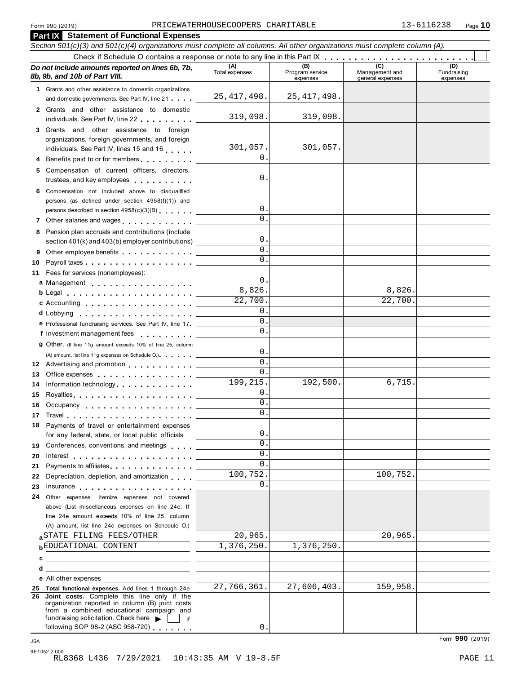#### Form 990 (2019) Page **10** PRICEWATERHOUSECOOPERS CHARITABLE 13-6116238

| Form 990 (2019)                                                                                                                                                                                                                                                                                                                  | PRICEWATERHOUSECOOPERS CHARITABLE |                                    |                                           | 13-6116238<br>Page $10$        |
|----------------------------------------------------------------------------------------------------------------------------------------------------------------------------------------------------------------------------------------------------------------------------------------------------------------------------------|-----------------------------------|------------------------------------|-------------------------------------------|--------------------------------|
| <b>Part IX Statement of Functional Expenses</b>                                                                                                                                                                                                                                                                                  |                                   |                                    |                                           |                                |
| Section 501(c)(3) and 501(c)(4) organizations must complete all columns. All other organizations must complete column (A).                                                                                                                                                                                                       |                                   |                                    |                                           |                                |
|                                                                                                                                                                                                                                                                                                                                  |                                   |                                    |                                           |                                |
| Do not include amounts reported on lines 6b, 7b,<br>8b, 9b, and 10b of Part VIII.                                                                                                                                                                                                                                                | (A)<br>Total expenses             | (B)<br>Program service<br>expenses | (C)<br>Management and<br>general expenses | (D)<br>Fundraising<br>expenses |
| 1 Grants and other assistance to domestic organizations                                                                                                                                                                                                                                                                          |                                   |                                    |                                           |                                |
| and domestic governments. See Part IV, line 21                                                                                                                                                                                                                                                                                   | 25, 417, 498.                     | 25, 417, 498.                      |                                           |                                |
| 2 Grants and other assistance to domestic<br>individuals. See Part IV, line 22                                                                                                                                                                                                                                                   | 319,098.                          | 319,098.                           |                                           |                                |
| 3 Grants and other assistance to foreign                                                                                                                                                                                                                                                                                         |                                   |                                    |                                           |                                |
| organizations, foreign governments, and foreign<br>individuals. See Part IV, lines 15 and 16                                                                                                                                                                                                                                     | 301,057.                          | 301,057.                           |                                           |                                |
| 4 Benefits paid to or for members                                                                                                                                                                                                                                                                                                | $\Omega$ .                        |                                    |                                           |                                |
| 5 Compensation of current officers, directors,                                                                                                                                                                                                                                                                                   |                                   |                                    |                                           |                                |
| trustees, and key employees with a state of the state of                                                                                                                                                                                                                                                                         | 0.                                |                                    |                                           |                                |
| 6 Compensation not included above to disqualified                                                                                                                                                                                                                                                                                |                                   |                                    |                                           |                                |
| persons (as defined under section 4958(f)(1)) and                                                                                                                                                                                                                                                                                |                                   |                                    |                                           |                                |
| persons described in section 4958(c)(3)(B)                                                                                                                                                                                                                                                                                       | 0.<br>$\Omega$ .                  |                                    |                                           |                                |
| 7 Other salaries and wages                                                                                                                                                                                                                                                                                                       |                                   |                                    |                                           |                                |
| 8 Pension plan accruals and contributions (include<br>section 401(k) and 403(b) employer contributions)                                                                                                                                                                                                                          | О.                                |                                    |                                           |                                |
| Other employee benefits<br>9                                                                                                                                                                                                                                                                                                     | $\mathsf{O}$ .                    |                                    |                                           |                                |
| 10                                                                                                                                                                                                                                                                                                                               | $\mathsf{O}$ .                    |                                    |                                           |                                |
| Fees for services (nonemployees):<br>11                                                                                                                                                                                                                                                                                          |                                   |                                    |                                           |                                |
| a Management experience and a management                                                                                                                                                                                                                                                                                         | 0.                                |                                    |                                           |                                |
| $b$ Legal $\ldots$ , $\ldots$ , $\ldots$ , $\ldots$ , $\ldots$ , $\ldots$                                                                                                                                                                                                                                                        | 8,826.                            |                                    | 8,826.                                    |                                |
| c Accounting                                                                                                                                                                                                                                                                                                                     | $\overline{22,700}$ .             |                                    | 22,700.                                   |                                |
| d Lobbying                                                                                                                                                                                                                                                                                                                       | $\mathsf{O}$ .<br>0               |                                    |                                           |                                |
| e Professional fundraising services. See Part IV, line 17                                                                                                                                                                                                                                                                        | 0.                                |                                    |                                           |                                |
| f Investment management fees                                                                                                                                                                                                                                                                                                     |                                   |                                    |                                           |                                |
| 9 Other. (If line 11g amount exceeds 10% of line 25, column                                                                                                                                                                                                                                                                      | О.                                |                                    |                                           |                                |
| (A) amount, list line 11g expenses on Schedule O.)<br>12 Advertising and promotion                                                                                                                                                                                                                                               | 0.                                |                                    |                                           |                                |
| 13 Office expenses                                                                                                                                                                                                                                                                                                               | 0.                                |                                    |                                           |                                |
| 14 Information technology                                                                                                                                                                                                                                                                                                        | 199, 215.                         | 192,500.                           | 6,715.                                    |                                |
| 15                                                                                                                                                                                                                                                                                                                               | 0.                                |                                    |                                           |                                |
| Occupancy<br>16                                                                                                                                                                                                                                                                                                                  | 0.                                |                                    |                                           |                                |
| 17                                                                                                                                                                                                                                                                                                                               | 0.                                |                                    |                                           |                                |
| 18 Payments of travel or entertainment expenses                                                                                                                                                                                                                                                                                  |                                   |                                    |                                           |                                |
| for any federal, state, or local public officials                                                                                                                                                                                                                                                                                | 0.<br>0.                          |                                    |                                           |                                |
| Conferences, conventions, and meetings<br>19                                                                                                                                                                                                                                                                                     | 0.                                |                                    |                                           |                                |
| 20<br>Interest $\ldots$ , $\ldots$ , $\ldots$ , $\ldots$ , $\ldots$ , $\ldots$ , $\ldots$<br>Payments to affiliates entertainment of the state of the state of the state of the state of the state of the state of the state of the state of the state of the state of the state of the state of the state of the state of<br>21 | $\Omega$ .                        |                                    |                                           |                                |
| Depreciation, depletion, and amortization<br>22                                                                                                                                                                                                                                                                                  | 100,752.                          |                                    | 100,752.                                  |                                |
| 23                                                                                                                                                                                                                                                                                                                               | $\Omega$ .                        |                                    |                                           |                                |
| Other expenses. Itemize expenses not covered<br>24                                                                                                                                                                                                                                                                               |                                   |                                    |                                           |                                |
| above (List miscellaneous expenses on line 24e. If                                                                                                                                                                                                                                                                               |                                   |                                    |                                           |                                |
| line 24e amount exceeds 10% of line 25, column                                                                                                                                                                                                                                                                                   |                                   |                                    |                                           |                                |
| (A) amount, list line 24e expenses on Schedule O.)                                                                                                                                                                                                                                                                               |                                   |                                    |                                           |                                |
| a STATE FILING FEES/OTHER<br><b>bEDUCATIONAL CONTENT</b>                                                                                                                                                                                                                                                                         | 20,965.<br>1,376,250.             | 1,376,250.                         | 20,965.                                   |                                |
|                                                                                                                                                                                                                                                                                                                                  |                                   |                                    |                                           |                                |
| <u> 1989 - Johann Stein, mars an deus Amerikaansk kommunister (</u><br>d                                                                                                                                                                                                                                                         |                                   |                                    |                                           |                                |
| <b>e</b> All other expenses                                                                                                                                                                                                                                                                                                      |                                   |                                    |                                           |                                |
| 25 Total functional expenses. Add lines 1 through 24e                                                                                                                                                                                                                                                                            | 27,766,361.                       | 27,606,403.                        | 159,958.                                  |                                |
| 26 Joint costs. Complete this line only if the<br>organization reported in column (B) joint costs<br>from a combined educational campaign and                                                                                                                                                                                    |                                   |                                    |                                           |                                |
| fundraising solicitation. Check here<br>if.<br>following SOP 98-2 (ASC 958-720)                                                                                                                                                                                                                                                  | $\mathsf{O}$ .                    |                                    |                                           |                                |
|                                                                                                                                                                                                                                                                                                                                  |                                   |                                    |                                           | Form 990 (2019)                |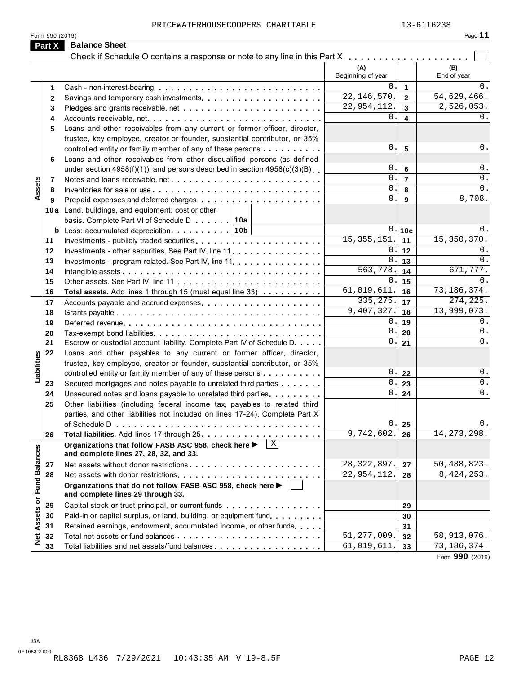| Form 990 (2019) |                                                                            |  |  |  |
|-----------------|----------------------------------------------------------------------------|--|--|--|
| <b>Part X</b>   | <b>Balance Sheet</b>                                                       |  |  |  |
|                 | Check if Schedule O contains a response or note to any line in this Part X |  |  |  |

|                      |                 | PRICEWATERHOUSECOOPERS CHARITABLE                                                                   |                          |                         | 13-6116238        |
|----------------------|-----------------|-----------------------------------------------------------------------------------------------------|--------------------------|-------------------------|-------------------|
|                      | Form 990 (2019) |                                                                                                     |                          |                         | Page 11           |
|                      | Part X          | <b>Balance Sheet</b>                                                                                |                          |                         |                   |
|                      |                 | Check if Schedule O contains a response or note to any line in this Part X                          |                          |                         |                   |
|                      |                 |                                                                                                     | (A)                      |                         | (B)               |
|                      |                 |                                                                                                     | Beginning of year        |                         | End of year       |
|                      | 1               |                                                                                                     | 0.                       | $\mathbf{1}$            | $0$ .             |
|                      | 2               |                                                                                                     | $\overline{22,146,5}70.$ | $\overline{2}$          | 54,629,466.       |
|                      | 3               |                                                                                                     | 22,954,112.              | $\overline{3}$          | 2,526,053.        |
|                      | 4               |                                                                                                     | $0$ .                    | $\overline{\mathbf{4}}$ | 0.                |
|                      | 5               | Loans and other receivables from any current or former officer, director,                           |                          |                         |                   |
|                      |                 | trustee, key employee, creator or founder, substantial contributor, or 35%                          |                          |                         |                   |
|                      |                 | controlled entity or family member of any of these persons                                          | 0.                       | 5                       | 0.                |
|                      | 6               | Loans and other receivables from other disqualified persons (as defined                             |                          |                         |                   |
|                      |                 | under section $4958(f)(1)$ , and persons described in section $4958(c)(3)(B)$                       | 0.                       | 6                       | 0.                |
|                      | 7               | Notes and loans receivable, net                                                                     | $\mathbf{0}$ .           | $\overline{7}$          | 0.                |
| Assets               | 8               |                                                                                                     | $\mathsf{0}$ .           | 8                       | $0$ .             |
|                      | 9               |                                                                                                     | $\mathbf 0$ .            | 9                       | 8,708.            |
|                      |                 | 10a Land, buildings, and equipment: cost or other                                                   |                          |                         |                   |
|                      |                 | basis. Complete Part VI of Schedule D 10a                                                           |                          |                         |                   |
|                      |                 |                                                                                                     | 15, 355, 151.            | 0.10c                   | 0.<br>15,350,370. |
|                      | 11              |                                                                                                     | 0                        | 11                      | 0.                |
|                      | 12              | Investments - other securities. See Part IV, line 11.                                               | $\mathbf{0}$ .           | 12                      | 0.                |
|                      | 13<br>14        |                                                                                                     | 563,778                  | 13<br>14                | 671,777.          |
|                      | 15              |                                                                                                     | 0                        | 15                      | 0.                |
|                      | 16              | Total assets. Add lines 1 through 15 (must equal line 33)                                           | 61,019,611.              | 16                      | 73, 186, 374.     |
|                      | 17              |                                                                                                     | 335, 275.                | 17                      | 274, 225.         |
|                      | 18              |                                                                                                     | 9,407,327.               | 18                      | 13,999,073.       |
|                      | 19              |                                                                                                     | 0                        | 19                      | $0$ .             |
|                      | 20              |                                                                                                     | $\mathbf 0$              | 20                      | 0.                |
|                      | 21              | Escrow or custodial account liability. Complete Part IV of Schedule D.                              | $\mathbf{0}$             | 21                      | $0$ .             |
|                      | 22              | Loans and other payables to any current or former officer, director,                                |                          |                         |                   |
| abilities            |                 | trustee, key employee, creator or founder, substantial contributor, or 35%                          |                          |                         |                   |
|                      |                 | controlled entity or family member of any of these persons                                          | 0.1                      | 22                      | 0.                |
| ⊐                    | 23              | Secured mortgages and notes payable to unrelated third parties                                      | 0.1                      | 23                      | $0$ .             |
|                      | 24              | Unsecured notes and loans payable to unrelated third parties                                        | 0.                       | 24                      | $0$ .             |
|                      | 25              | Other liabilities (including federal income tax, payables to related third                          |                          |                         |                   |
|                      |                 | parties, and other liabilities not included on lines 17-24). Complete Part X                        |                          |                         |                   |
|                      |                 |                                                                                                     | 0                        | 25                      | $0$ .             |
|                      | 26              |                                                                                                     | 9,742,602.               | 26                      | 14, 273, 298.     |
|                      |                 | Organizations that follow FASB ASC 958, check here ▶<br>and complete lines 27, 28, 32, and 33.      |                          |                         |                   |
|                      | 27              | Net assets without donor restrictions                                                               | 28, 322, 897.            | 27                      | 50,488,823.       |
|                      | 28              |                                                                                                     | 22,954,112.              | 28                      | 8, 424, 253.      |
| <b>Fund Balances</b> |                 | Organizations that do not follow FASB ASC 958, check here ▶<br>and complete lines 29 through 33.    |                          |                         |                   |
|                      | 29              | Capital stock or trust principal, or current funds entitled and state in the capital stock or trust |                          | 29                      |                   |
|                      | 30              | Paid-in or capital surplus, or land, building, or equipment fund.                                   |                          | 30                      |                   |
| Assets or            | 31              | Retained earnings, endowment, accumulated income, or other funds                                    |                          | 31                      |                   |
| $\frac{1}{2}$        | 32              |                                                                                                     | 51, 277, 009.            | 32                      | 58,913,076.       |
|                      | 33              |                                                                                                     | 61,019,611.              | 33                      | 73, 186, 374.     |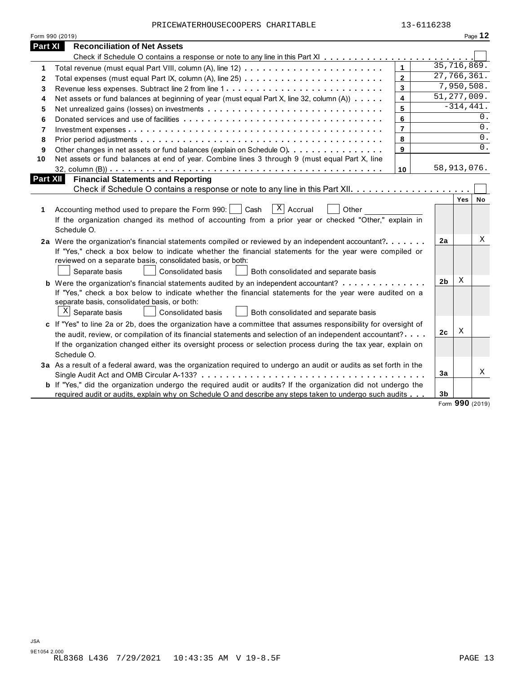|                | PRICEWATERHOUSECOOPERS CHARITABLE                                                                                                                                                                                                | 13-6116238              |                |              |           |
|----------------|----------------------------------------------------------------------------------------------------------------------------------------------------------------------------------------------------------------------------------|-------------------------|----------------|--------------|-----------|
|                | Form 990 (2019)                                                                                                                                                                                                                  |                         |                |              | Page 12   |
| <b>Part XI</b> | <b>Reconciliation of Net Assets</b>                                                                                                                                                                                              |                         |                |              |           |
|                |                                                                                                                                                                                                                                  |                         |                |              |           |
| 1              |                                                                                                                                                                                                                                  | $\mathbf{1}$            | 35,716,869.    |              |           |
| 2              |                                                                                                                                                                                                                                  | $\overline{2}$          | 27,766,361.    |              |           |
| 3              |                                                                                                                                                                                                                                  | $\mathbf{3}$            |                | 7,950,508.   |           |
| 4              | Net assets or fund balances at beginning of year (must equal Part X, line 32, column (A))                                                                                                                                        | $\overline{\mathbf{4}}$ | 51, 277, 009.  |              |           |
| 5              |                                                                                                                                                                                                                                  | 5                       |                | $-314, 441.$ |           |
| 6              |                                                                                                                                                                                                                                  | 6                       |                |              | 0.        |
| $\overline{7}$ |                                                                                                                                                                                                                                  | $\overline{7}$          |                |              | 0.        |
| 8              |                                                                                                                                                                                                                                  | 8                       |                |              | 0.        |
| 9              | Other changes in net assets or fund balances (explain on Schedule O)                                                                                                                                                             | 9                       |                |              | 0.        |
| 10             | Net assets or fund balances at end of year. Combine lines 3 through 9 (must equal Part X, line                                                                                                                                   |                         |                |              |           |
|                |                                                                                                                                                                                                                                  | 10                      | 58,913,076.    |              |           |
|                | <b>Part XII</b><br><b>Financial Statements and Reporting</b>                                                                                                                                                                     |                         |                |              |           |
|                |                                                                                                                                                                                                                                  |                         |                |              |           |
|                |                                                                                                                                                                                                                                  |                         |                | Yes          | <b>No</b> |
| 1              | $\overline{X}$ Accrual<br>Accounting method used to prepare the Form 990:<br>Cash<br>Other                                                                                                                                       |                         |                |              |           |
|                | If the organization changed its method of accounting from a prior year or checked "Other," explain in                                                                                                                            |                         |                |              |           |
|                | Schedule O.                                                                                                                                                                                                                      |                         |                |              |           |
|                | 2a Were the organization's financial statements compiled or reviewed by an independent accountant?                                                                                                                               |                         | 2a             |              | Χ         |
|                | If "Yes," check a box below to indicate whether the financial statements for the year were compiled or                                                                                                                           |                         |                |              |           |
|                |                                                                                                                                                                                                                                  |                         |                |              |           |
|                | reviewed on a separate basis, consolidated basis, or both:                                                                                                                                                                       |                         |                |              |           |
|                | Separate basis<br>Consolidated basis<br>Both consolidated and separate basis                                                                                                                                                     |                         |                |              |           |
|                | <b>b</b> Were the organization's financial statements audited by an independent accountant?                                                                                                                                      |                         | 2 <sub>b</sub> | X            |           |
|                | If "Yes," check a box below to indicate whether the financial statements for the year were audited on a                                                                                                                          |                         |                |              |           |
|                | separate basis, consolidated basis, or both:                                                                                                                                                                                     |                         |                |              |           |
|                | $X$ Separate basis<br>Consolidated basis<br>Both consolidated and separate basis                                                                                                                                                 |                         |                |              |           |
|                | c If "Yes" to line 2a or 2b, does the organization have a committee that assumes responsibility for oversight of                                                                                                                 |                         |                |              |           |
|                | the audit, review, or compilation of its financial statements and selection of an independent accountant?                                                                                                                        |                         | 2 <sub>c</sub> | Χ            |           |
|                | If the organization changed either its oversight process or selection process during the tax year, explain on                                                                                                                    |                         |                |              |           |
|                | Schedule O.                                                                                                                                                                                                                      |                         |                |              |           |
|                | 3a As a result of a federal award, was the organization required to undergo an audit or audits as set forth in the                                                                                                               |                         |                |              |           |
|                |                                                                                                                                                                                                                                  |                         | 3a             |              |           |
|                | <b>b</b> If "Yes," did the organization undergo the required audit or audits? If the organization did not undergo the<br>required audit or audits, explain why on Schedule O and describe any steps taken to undergo such audits |                         | 3 <sub>b</sub> |              | X         |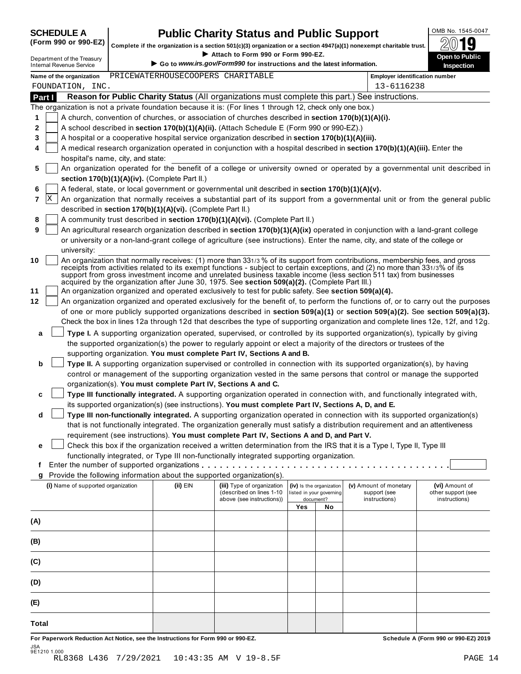# **SCHEDULE A Public Charity Status and Public Support**<br>(Form 990 or 990-EZ) complete if the examination is a section 501(c)(2) creanization or a section 4047(c)(1) persecurnt charitable trust  $\partial M$ **10**

**Complete if the organization is a section 501(c)(3) organization or a section 4947(a)(1) nonexempt charitable trust.** <br>Attach to Form 990 or Form 990-EZ. Attach to Form 990 or Form 990-EZ.

| Department of the Treasury      |                                                                                                           |                                   | $\blacktriangleright$ Attach to Form 990 or Form 990-EZ.               |                          |                          |                                                                                                                                                                                                                                                                                                                                                                                  | <b>Open to Public</b>                |
|---------------------------------|-----------------------------------------------------------------------------------------------------------|-----------------------------------|------------------------------------------------------------------------|--------------------------|--------------------------|----------------------------------------------------------------------------------------------------------------------------------------------------------------------------------------------------------------------------------------------------------------------------------------------------------------------------------------------------------------------------------|--------------------------------------|
| <b>Internal Revenue Service</b> |                                                                                                           |                                   | Go to www.irs.gov/Form990 for instructions and the latest information. |                          |                          |                                                                                                                                                                                                                                                                                                                                                                                  | Inspection                           |
| Name of the organization        |                                                                                                           | PRICEWATERHOUSECOOPERS CHARITABLE |                                                                        |                          |                          | <b>Employer identification number</b>                                                                                                                                                                                                                                                                                                                                            |                                      |
| FOUNDATION, INC.                |                                                                                                           |                                   |                                                                        |                          |                          | 13-6116238                                                                                                                                                                                                                                                                                                                                                                       |                                      |
| Part I                          |                                                                                                           |                                   |                                                                        |                          |                          | Reason for Public Charity Status (All organizations must complete this part.) See instructions.                                                                                                                                                                                                                                                                                  |                                      |
|                                 | The organization is not a private foundation because it is: (For lines 1 through 12, check only one box.) |                                   |                                                                        |                          |                          |                                                                                                                                                                                                                                                                                                                                                                                  |                                      |
| 1                               | A church, convention of churches, or association of churches described in section 170(b)(1)(A)(i).        |                                   |                                                                        |                          |                          |                                                                                                                                                                                                                                                                                                                                                                                  |                                      |
| 2                               | A school described in section 170(b)(1)(A)(ii). (Attach Schedule E (Form 990 or 990-EZ).)                 |                                   |                                                                        |                          |                          |                                                                                                                                                                                                                                                                                                                                                                                  |                                      |
| 3                               | A hospital or a cooperative hospital service organization described in section 170(b)(1)(A)(iii).         |                                   |                                                                        |                          |                          |                                                                                                                                                                                                                                                                                                                                                                                  |                                      |
| 4                               |                                                                                                           |                                   |                                                                        |                          |                          | A medical research organization operated in conjunction with a hospital described in section 170(b)(1)(A)(iii). Enter the                                                                                                                                                                                                                                                        |                                      |
|                                 | hospital's name, city, and state:                                                                         |                                   |                                                                        |                          |                          |                                                                                                                                                                                                                                                                                                                                                                                  |                                      |
| 5                               | section 170(b)(1)(A)(iv). (Complete Part II.)                                                             |                                   |                                                                        |                          |                          | An organization operated for the benefit of a college or university owned or operated by a governmental unit described in                                                                                                                                                                                                                                                        |                                      |
| 6                               | A federal, state, or local government or governmental unit described in section 170(b)(1)(A)(v).          |                                   |                                                                        |                          |                          |                                                                                                                                                                                                                                                                                                                                                                                  |                                      |
| x<br>$\overline{7}$             |                                                                                                           |                                   |                                                                        |                          |                          | An organization that normally receives a substantial part of its support from a governmental unit or from the general public                                                                                                                                                                                                                                                     |                                      |
|                                 | described in section 170(b)(1)(A)(vi). (Complete Part II.)                                                |                                   |                                                                        |                          |                          |                                                                                                                                                                                                                                                                                                                                                                                  |                                      |
| 8                               | A community trust described in section 170(b)(1)(A)(vi). (Complete Part II.)                              |                                   |                                                                        |                          |                          |                                                                                                                                                                                                                                                                                                                                                                                  |                                      |
| 9                               |                                                                                                           |                                   |                                                                        |                          |                          | An agricultural research organization described in section 170(b)(1)(A)(ix) operated in conjunction with a land-grant college                                                                                                                                                                                                                                                    |                                      |
|                                 |                                                                                                           |                                   |                                                                        |                          |                          | or university or a non-land-grant college of agriculture (see instructions). Enter the name, city, and state of the college or                                                                                                                                                                                                                                                   |                                      |
|                                 | university:                                                                                               |                                   |                                                                        |                          |                          |                                                                                                                                                                                                                                                                                                                                                                                  |                                      |
| 10                              | acquired by the organization after June 30, 1975. See section 509(a)(2). (Complete Part III.)             |                                   |                                                                        |                          |                          | An organization that normally receives: (1) more than 331/3 % of its support from contributions, membership fees, and gross<br>receipts from activities related to its exempt functions - subject to certain exceptions, and (2) no more than 331/3% of its<br>support from gross investment income and unrelated business taxable income (less section 511 tax) from businesses |                                      |
| 11                              | An organization organized and operated exclusively to test for public safety. See section 509(a)(4).      |                                   |                                                                        |                          |                          |                                                                                                                                                                                                                                                                                                                                                                                  |                                      |
| 12                              |                                                                                                           |                                   |                                                                        |                          |                          | An organization organized and operated exclusively for the benefit of, to perform the functions of, or to carry out the purposes                                                                                                                                                                                                                                                 |                                      |
|                                 |                                                                                                           |                                   |                                                                        |                          |                          | of one or more publicly supported organizations described in section 509(a)(1) or section 509(a)(2). See section 509(a)(3).                                                                                                                                                                                                                                                      |                                      |
|                                 |                                                                                                           |                                   |                                                                        |                          |                          | Check the box in lines 12a through 12d that describes the type of supporting organization and complete lines 12e, 12f, and 12g.                                                                                                                                                                                                                                                  |                                      |
| a                               |                                                                                                           |                                   |                                                                        |                          |                          | Type I. A supporting organization operated, supervised, or controlled by its supported organization(s), typically by giving                                                                                                                                                                                                                                                      |                                      |
|                                 |                                                                                                           |                                   |                                                                        |                          |                          | the supported organization(s) the power to regularly appoint or elect a majority of the directors or trustees of the                                                                                                                                                                                                                                                             |                                      |
|                                 | supporting organization. You must complete Part IV, Sections A and B.                                     |                                   |                                                                        |                          |                          |                                                                                                                                                                                                                                                                                                                                                                                  |                                      |
| b                               |                                                                                                           |                                   |                                                                        |                          |                          | Type II. A supporting organization supervised or controlled in connection with its supported organization(s), by having                                                                                                                                                                                                                                                          |                                      |
|                                 |                                                                                                           |                                   |                                                                        |                          |                          | control or management of the supporting organization vested in the same persons that control or manage the supported                                                                                                                                                                                                                                                             |                                      |
|                                 | organization(s). You must complete Part IV, Sections A and C.                                             |                                   |                                                                        |                          |                          |                                                                                                                                                                                                                                                                                                                                                                                  |                                      |
| c                               |                                                                                                           |                                   |                                                                        |                          |                          | Type III functionally integrated. A supporting organization operated in connection with, and functionally integrated with,                                                                                                                                                                                                                                                       |                                      |
|                                 | its supported organization(s) (see instructions). You must complete Part IV, Sections A, D, and E.        |                                   |                                                                        |                          |                          |                                                                                                                                                                                                                                                                                                                                                                                  |                                      |
| d                               |                                                                                                           |                                   |                                                                        |                          |                          | Type III non-functionally integrated. A supporting organization operated in connection with its supported organization(s)                                                                                                                                                                                                                                                        |                                      |
|                                 |                                                                                                           |                                   |                                                                        |                          |                          | that is not functionally integrated. The organization generally must satisfy a distribution requirement and an attentiveness                                                                                                                                                                                                                                                     |                                      |
|                                 | requirement (see instructions). You must complete Part IV, Sections A and D, and Part V.                  |                                   |                                                                        |                          |                          |                                                                                                                                                                                                                                                                                                                                                                                  |                                      |
| е                               |                                                                                                           |                                   |                                                                        |                          |                          | Check this box if the organization received a written determination from the IRS that it is a Type I, Type II, Type III                                                                                                                                                                                                                                                          |                                      |
|                                 | functionally integrated, or Type III non-functionally integrated supporting organization.                 |                                   |                                                                        |                          |                          |                                                                                                                                                                                                                                                                                                                                                                                  |                                      |
| t.                              |                                                                                                           |                                   |                                                                        |                          |                          |                                                                                                                                                                                                                                                                                                                                                                                  |                                      |
| g                               | Provide the following information about the supported organization(s).                                    |                                   |                                                                        |                          |                          |                                                                                                                                                                                                                                                                                                                                                                                  |                                      |
|                                 | (i) Name of supported organization                                                                        | (ii) EIN                          | (iii) Type of organization                                             |                          | (iv) Is the organization | (v) Amount of monetary                                                                                                                                                                                                                                                                                                                                                           | (vi) Amount of                       |
|                                 |                                                                                                           |                                   | (described on lines 1-10<br>above (see instructions))                  | listed in your governing | document?                | support (see<br>instructions)                                                                                                                                                                                                                                                                                                                                                    | other support (see<br>instructions)  |
|                                 |                                                                                                           |                                   |                                                                        | Yes                      | No                       |                                                                                                                                                                                                                                                                                                                                                                                  |                                      |
|                                 |                                                                                                           |                                   |                                                                        |                          |                          |                                                                                                                                                                                                                                                                                                                                                                                  |                                      |
| (A)                             |                                                                                                           |                                   |                                                                        |                          |                          |                                                                                                                                                                                                                                                                                                                                                                                  |                                      |
| (B)                             |                                                                                                           |                                   |                                                                        |                          |                          |                                                                                                                                                                                                                                                                                                                                                                                  |                                      |
| (C)                             |                                                                                                           |                                   |                                                                        |                          |                          |                                                                                                                                                                                                                                                                                                                                                                                  |                                      |
| (D)                             |                                                                                                           |                                   |                                                                        |                          |                          |                                                                                                                                                                                                                                                                                                                                                                                  |                                      |
|                                 |                                                                                                           |                                   |                                                                        |                          |                          |                                                                                                                                                                                                                                                                                                                                                                                  |                                      |
| (E)                             |                                                                                                           |                                   |                                                                        |                          |                          |                                                                                                                                                                                                                                                                                                                                                                                  |                                      |
| Total                           |                                                                                                           |                                   |                                                                        |                          |                          |                                                                                                                                                                                                                                                                                                                                                                                  |                                      |
|                                 | For Paperwork Reduction Act Notice, see the Instructions for Form 990 or 990-EZ.                          |                                   |                                                                        |                          |                          |                                                                                                                                                                                                                                                                                                                                                                                  | Schedule A (Form 990 or 990-EZ) 2019 |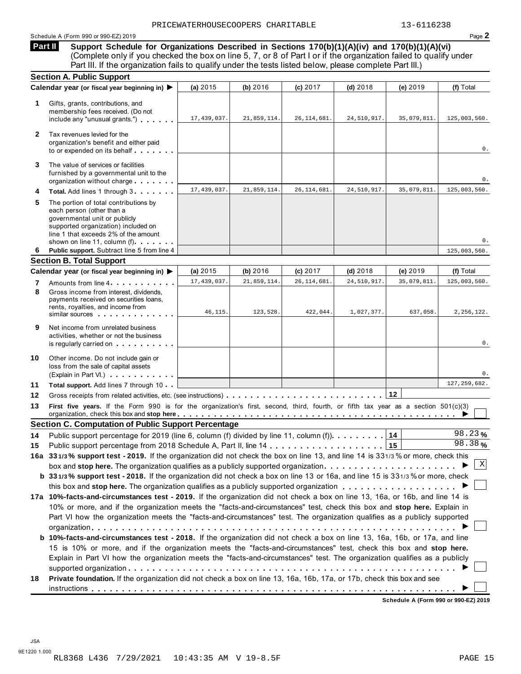#### Schedule A (Form 990 or 990-EZ) 2019 Page **2**

**Support Schedule for Organizations Described in Sections 170(b)(1)(A)(iv) and 170(b)(1)(A)(vi)** (Complete only if you checked the box on line 5, 7, or 8 of Part I or if the organization failed to qualify under **Part II** 

|              | Part III. If the organization fails to qualify under the tests listed below, please complete Part III.)                                                                                                                                                                                                                                                                              |               |             |               |             |             |                |
|--------------|--------------------------------------------------------------------------------------------------------------------------------------------------------------------------------------------------------------------------------------------------------------------------------------------------------------------------------------------------------------------------------------|---------------|-------------|---------------|-------------|-------------|----------------|
|              | <b>Section A. Public Support</b>                                                                                                                                                                                                                                                                                                                                                     |               |             |               |             |             |                |
|              | Calendar year (or fiscal year beginning in) ▶                                                                                                                                                                                                                                                                                                                                        | (a) 2015      | (b) 2016    | (c) 2017      | $(d)$ 2018  | (e) 2019    | (f) Total      |
| 1.           | Gifts, grants, contributions, and<br>membership fees received. (Do not<br>include any "unusual grants.")                                                                                                                                                                                                                                                                             | 17,439,037.   | 21,859,114. | 26, 114, 681. | 24,510,917. | 35,079,811. | 125,003,560.   |
| $\mathbf{2}$ | Tax revenues levied for the<br>organization's benefit and either paid<br>to or expended on its behalf                                                                                                                                                                                                                                                                                |               |             |               |             |             | 0.             |
| 3            | The value of services or facilities<br>furnished by a governmental unit to the<br>organization without charge                                                                                                                                                                                                                                                                        |               |             |               |             |             | 0.             |
| 4            | Total. Add lines 1 through 3                                                                                                                                                                                                                                                                                                                                                         | 17, 439, 037. | 21,859,114. | 26, 114, 681. | 24,510,917. | 35,079,811. | 125,003,560.   |
| 5            | The portion of total contributions by<br>each person (other than a<br>governmental unit or publicly<br>supported organization) included on<br>line 1 that exceeds 2% of the amount<br>shown on line 11, column (f) <b>Shown</b> on line 11, column (f)                                                                                                                               |               |             |               |             |             | 0.             |
| 6            | Public support. Subtract line 5 from line 4                                                                                                                                                                                                                                                                                                                                          |               |             |               |             |             | 125,003,560.   |
|              | <b>Section B. Total Support</b>                                                                                                                                                                                                                                                                                                                                                      |               |             |               |             |             |                |
|              | Calendar year (or fiscal year beginning in) ▶                                                                                                                                                                                                                                                                                                                                        | (a) 2015      | (b) 2016    | (c) 2017      | $(d)$ 2018  | (e) 2019    | (f) Total      |
| 7<br>8       | Amounts from line 4.<br>Gross income from interest, dividends,                                                                                                                                                                                                                                                                                                                       | 17, 439, 037. | 21,859,114. | 26, 114, 681  | 24,510,917. | 35,079,811. | 125,003,560.   |
|              | payments received on securities loans,<br>rents, royalties, and income from<br>similar sources experiences                                                                                                                                                                                                                                                                           | 46, 115.      | 123,528.    | 422,044.      | 1,027,377.  | 637,058.    | 2, 256, 122.   |
| 9            | Net income from unrelated business<br>activities, whether or not the business<br>is regularly carried on the control of the set of the set of the set of the set of the set of the set of the s                                                                                                                                                                                      |               |             |               |             |             | 0.             |
| 10           | Other income. Do not include gain or<br>loss from the sale of capital assets<br>(Explain in Part VI.) <b>COMPLAINER</b>                                                                                                                                                                                                                                                              |               |             |               |             |             | 0.             |
| 11           | Total support. Add lines 7 through 10                                                                                                                                                                                                                                                                                                                                                |               |             |               |             |             | 127, 259, 682. |
| 12           |                                                                                                                                                                                                                                                                                                                                                                                      |               |             |               |             | 12          |                |
| 13           | First five years. If the Form 990 is for the organization's first, second, third, fourth, or fifth tax year as a section 501(c)(3)<br>organization, check this box and stop here equitarian enterity or an example to the state of the state of the state or $\blacktriangleright$                                                                                                   |               |             |               |             |             |                |
|              | <b>Section C. Computation of Public Support Percentage</b>                                                                                                                                                                                                                                                                                                                           |               |             |               |             |             |                |
| 14           | Public support percentage for 2019 (line 6, column (f) divided by line 11, column (f)).                                                                                                                                                                                                                                                                                              |               |             |               |             | 14          | 98.23%         |
| 15           |                                                                                                                                                                                                                                                                                                                                                                                      |               |             |               |             |             | 98.38%         |
|              | 16a 331/3% support test - 2019. If the organization did not check the box on line 13, and line 14 is 331/3% or more, check this                                                                                                                                                                                                                                                      |               |             |               |             |             |                |
|              | box and stop here. The organization qualifies as a publicly supported organization                                                                                                                                                                                                                                                                                                   |               |             |               |             |             | Χ              |
|              | b 331/3% support test - 2018. If the organization did not check a box on line 13 or 16a, and line 15 is 331/3% or more, check                                                                                                                                                                                                                                                        |               |             |               |             |             |                |
|              |                                                                                                                                                                                                                                                                                                                                                                                      |               |             |               |             |             |                |
|              | 17a 10%-facts-and-circumstances test - 2019. If the organization did not check a box on line 13, 16a, or 16b, and line 14 is<br>10% or more, and if the organization meets the "facts-and-circumstances" test, check this box and stop here. Explain in<br>Part VI how the organization meets the "facts-and-circumstances" test. The organization qualifies as a publicly supported |               |             |               |             |             |                |
|              | <b>b 10%-facts-and-circumstances test - 2018.</b> If the organization did not check a box on line 13, 16a, 16b, or 17a, and line<br>15 is 10% or more, and if the organization meets the "facts-and-circumstances" test, check this box and stop here.                                                                                                                               |               |             |               |             |             |                |
|              | Explain in Part VI how the organization meets the "facts-and-circumstances" test. The organization qualifies as a publicly                                                                                                                                                                                                                                                           |               |             |               |             |             |                |
|              |                                                                                                                                                                                                                                                                                                                                                                                      |               |             |               |             |             |                |
|              | Private foundation. If the organization did not check a box on line 13, 16a, 16b, 17a, or 17b, check this box and see                                                                                                                                                                                                                                                                |               |             |               |             |             |                |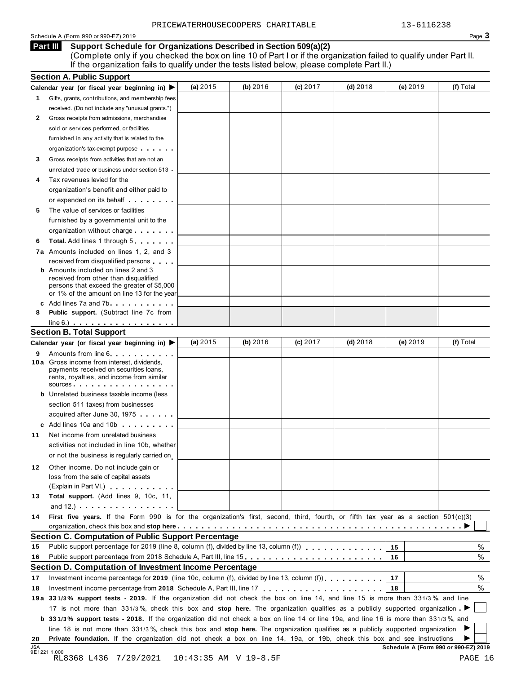### Schedule A (Form 990 or 990-EZ) 2019 Page 3

#### **Support Schedule for Organizations Described in Section 509(a)(2) Part III**

(Complete only if you checked the box on line 10 of Part I or if the organization failed to qualify under Part II. If the organization fails to qualify under the tests listed below, please complete Part II.)

|    | <b>Section A. Public Support</b>                                                                                                                                                                                                                                                                                      |            |          |            |            |            |           |
|----|-----------------------------------------------------------------------------------------------------------------------------------------------------------------------------------------------------------------------------------------------------------------------------------------------------------------------|------------|----------|------------|------------|------------|-----------|
|    | Calendar year (or fiscal year beginning in)                                                                                                                                                                                                                                                                           | (a) $2015$ | (b) 2016 | $(c)$ 2017 | $(d)$ 2018 | (e) $2019$ | (f) Total |
| 1. | Gifts, grants, contributions, and membership fees                                                                                                                                                                                                                                                                     |            |          |            |            |            |           |
|    | received. (Do not include any "unusual grants.")                                                                                                                                                                                                                                                                      |            |          |            |            |            |           |
| 2  | Gross receipts from admissions, merchandise                                                                                                                                                                                                                                                                           |            |          |            |            |            |           |
|    | sold or services performed, or facilities                                                                                                                                                                                                                                                                             |            |          |            |            |            |           |
|    | furnished in any activity that is related to the                                                                                                                                                                                                                                                                      |            |          |            |            |            |           |
|    | organization's tax-exempt purpose                                                                                                                                                                                                                                                                                     |            |          |            |            |            |           |
| 3  | Gross receipts from activities that are not an                                                                                                                                                                                                                                                                        |            |          |            |            |            |           |
|    | unrelated trade or business under section 513.                                                                                                                                                                                                                                                                        |            |          |            |            |            |           |
|    | Tax revenues levied for the                                                                                                                                                                                                                                                                                           |            |          |            |            |            |           |
|    | organization's benefit and either paid to                                                                                                                                                                                                                                                                             |            |          |            |            |            |           |
|    | or expended on its behalf <b>contains the set of the set of the set of the set of the set of the set of the set of the set of the set of the set of the set of the set of the set of the set of the set of the set of the set of</b>                                                                                  |            |          |            |            |            |           |
| 5  | The value of services or facilities                                                                                                                                                                                                                                                                                   |            |          |            |            |            |           |
|    | furnished by a governmental unit to the                                                                                                                                                                                                                                                                               |            |          |            |            |            |           |
|    | organization without charge                                                                                                                                                                                                                                                                                           |            |          |            |            |            |           |
| 6  | <b>Total.</b> Add lines 1 through 5                                                                                                                                                                                                                                                                                   |            |          |            |            |            |           |
|    | 7a Amounts included on lines 1, 2, and 3                                                                                                                                                                                                                                                                              |            |          |            |            |            |           |
|    | received from disqualified persons                                                                                                                                                                                                                                                                                    |            |          |            |            |            |           |
|    | <b>b</b> Amounts included on lines 2 and 3                                                                                                                                                                                                                                                                            |            |          |            |            |            |           |
|    | received from other than disqualified                                                                                                                                                                                                                                                                                 |            |          |            |            |            |           |
|    | persons that exceed the greater of \$5,000                                                                                                                                                                                                                                                                            |            |          |            |            |            |           |
|    | or 1% of the amount on line 13 for the year                                                                                                                                                                                                                                                                           |            |          |            |            |            |           |
| 8  | c Add lines 7a and 7b contact the state of the state of the state of the state of the state of the state of the state of the state of the state of the state of the state of the state of the state of the state of the state<br>Public support. (Subtract line 7c from                                               |            |          |            |            |            |           |
|    |                                                                                                                                                                                                                                                                                                                       |            |          |            |            |            |           |
|    | $line 6.)$<br><b>Section B. Total Support</b>                                                                                                                                                                                                                                                                         |            |          |            |            |            |           |
|    | Calendar year (or fiscal year beginning in) $\blacktriangleright$                                                                                                                                                                                                                                                     | (a) $2015$ | (b) 2016 | $(c)$ 2017 | $(d)$ 2018 | (e) 2019   | (f) Total |
|    |                                                                                                                                                                                                                                                                                                                       |            |          |            |            |            |           |
| 9  | Amounts from line 6<br><b>10a</b> Gross income from interest, dividends,                                                                                                                                                                                                                                              |            |          |            |            |            |           |
|    | payments received on securities loans,<br>rents, royalties, and income from similar<br>sources in the set of the set of the set of the set of the set of the set of the set of the set of the set of the set of the set of the set of the set of the set of the set of the set of the set of the set of the set of th |            |          |            |            |            |           |
|    | <b>b</b> Unrelated business taxable income (less                                                                                                                                                                                                                                                                      |            |          |            |            |            |           |
|    | section 511 taxes) from businesses                                                                                                                                                                                                                                                                                    |            |          |            |            |            |           |
|    | acquired after June 30, 1975                                                                                                                                                                                                                                                                                          |            |          |            |            |            |           |
|    | c Add lines 10a and 10b                                                                                                                                                                                                                                                                                               |            |          |            |            |            |           |
|    | Net income from unrelated business                                                                                                                                                                                                                                                                                    |            |          |            |            |            |           |
| 11 |                                                                                                                                                                                                                                                                                                                       |            |          |            |            |            |           |
|    | activities not included in line 10b, whether                                                                                                                                                                                                                                                                          |            |          |            |            |            |           |
|    | or not the business is regularly carried on                                                                                                                                                                                                                                                                           |            |          |            |            |            |           |
| 12 | Other income. Do not include gain or                                                                                                                                                                                                                                                                                  |            |          |            |            |            |           |
|    | loss from the sale of capital assets                                                                                                                                                                                                                                                                                  |            |          |            |            |            |           |
|    | (Explain in Part VI.) Canada and The Contract of The Contract of The Contract of The Contract of The Contract of The Contract of The Contract of The Contract of The Contract of The Contract of The Contract of The Contract                                                                                         |            |          |            |            |            |           |
| 13 | Total support. (Add lines 9, 10c, 11,                                                                                                                                                                                                                                                                                 |            |          |            |            |            |           |
|    | and $12.$ ) $\cdots$ $\cdots$ $\cdots$ $\cdots$ $\cdots$                                                                                                                                                                                                                                                              |            |          |            |            |            |           |
| 14 | First five years. If the Form 990 is for the organization's first, second, third, fourth, or fifth tax year as a section 501(c)(3)                                                                                                                                                                                    |            |          |            |            |            |           |
|    |                                                                                                                                                                                                                                                                                                                       |            |          |            |            |            |           |
|    | <b>Section C. Computation of Public Support Percentage</b>                                                                                                                                                                                                                                                            |            |          |            |            |            |           |
| 15 |                                                                                                                                                                                                                                                                                                                       |            |          |            |            | 15         | %         |
| 16 | Public support percentage from 2018 Schedule A, Part III, line 15.                                                                                                                                                                                                                                                    |            |          |            |            | 16         | %         |
|    | Section D. Computation of Investment Income Percentage                                                                                                                                                                                                                                                                |            |          |            |            |            |           |
| 17 | Investment income percentage for 2019 (line 10c, column (f), divided by line 13, column (f)).                                                                                                                                                                                                                         |            |          |            |            | 17         | $\%$      |
|    | Investment income percentage from 2018 Schedule A, Part III, line 17 [Cross Lemma Lemma Lemma Lemma Lemma Lemma                                                                                                                                                                                                       |            |          |            |            | 18         | $\%$      |
|    |                                                                                                                                                                                                                                                                                                                       |            |          |            |            |            |           |
|    | 19a 331/3% support tests - 2019. If the organization did not check the box on line 14, and line 15 is more than 331/3%, and line                                                                                                                                                                                      |            |          |            |            |            |           |
|    | 17 is not more than 331/3%, check this box and stop here. The organization qualifies as a publicly supported organization                                                                                                                                                                                             |            |          |            |            |            |           |
|    | <b>b</b> 331/3% support tests - 2018. If the organization did not check a box on line 14 or line 19a, and line 16 is more than 331/3%, and                                                                                                                                                                            |            |          |            |            |            |           |
| 18 | line 18 is not more than 331/3%, check this box and stop here. The organization qualifies as a publicly supported organization                                                                                                                                                                                        |            |          |            |            |            |           |
| 20 | Private foundation. If the organization did not check a box on line 14, 19a, or 19b, check this box and see instructions                                                                                                                                                                                              |            |          |            |            |            |           |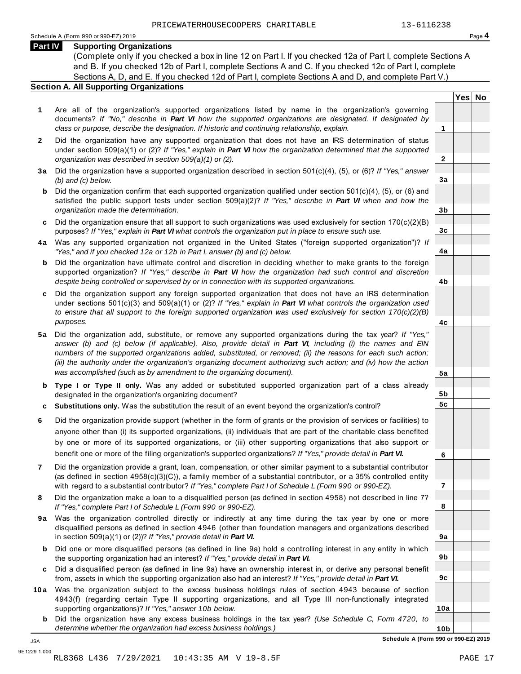**Yes No**

**2**

**3a**

**3b**

**3c**

**4a**

**4b**

**4c**

**5a**

**5b 5c**

**6**

**7**

**8**

**9a**

**9b**

**9c**

**10a**

#### **Part IV Supporting Organizations**

(Complete only if you checked a box in line 12 on Part I. If you checked 12a of Part I, complete Sections A and B. If you checked 12b of Part I, complete Sections A and C. If you checked 12c of Part I, complete Sections A, D, and E. If you checked 12d of Part I, complete Sections A and D, and complete Part V.)

#### **Section A. All Supporting Organizations**

- **1** Are all of the organization's supported organizations listed by name in the organization's governing documents? *If "No," describe in Part VI how the supported organizations are designated. If designated by class or purpose, describe the designation. If historic and continuing relationship, explain.* **1**
- **2** Did the organization have any supported organization that does not have an IRS determination of status under section 509(a)(1) or (2)? *If "Yes," explain in Part VI how the organization determined that the supported organization was described in section 509(a)(1) or (2).*
- **3 a** Did the organization have a supported organization described in section 501(c)(4), (5), or (6)? *If "Yes," answer (b) and (c) below.*
- **b** Did the organization confirm that each supported organization qualified under section 501(c)(4), (5), or (6) and  $\mid$ satisfied the public support tests under section 509(a)(2)? *If "Yes," describe in Part VI when and how the organization made the determination.*
- **c** Did the organization ensure that all support to such organizations was used exclusively for section 170(c)(2)(B) purposes? *If "Yes," explain in Part VI what controls the organization put in place to ensure such use.*
- **4 a** Was any supported organization not organized in the United States ("foreign supported organization")? *If "Yes," and if you checked 12a or 12b in Part I, answer (b) and (c) below.*
- **b** Did the organization have ultimate control and discretion in deciding whether to make grants to the foreign  $|$ supported organization? *If "Yes," describe in Part VI how the organization had such control and discretion despite being controlled or supervised by or in connection with its supported organizations.*
- **c** Did the organization support any foreign supported organization that does not have an IRS determination under sections 501(c)(3) and 509(a)(1) or (2)? *If "Yes," explain in Part VI what controls the organization used to ensure that all support to the foreign supported organization was used exclusively for section 170(c)(2)(B) purposes.*
- **5 a** Did the organization add, substitute, or remove any supported organizations during the tax year? *If "Yes," answer (b) and (c) below (if applicable). Also, provide detail in Part VI, including (i) the names and EIN numbers of the supported organizations added, substituted, or removed; (ii) the reasons for each such action; (iii) the authority under the organization's organizing document authorizing such action; and (iv) how the action was accomplished (such as by amendment to the organizing document).*
- **b Type I or Type II only.** Was any added or substituted supported organization part of a class already | designated in the organization's organizing document?
- **c Substitutions only.** Was the substitution the result of an event beyond the organization's control?
- **6** Did the organization provide support (whether in the form of grants or the provision of services or facilities) to anyone other than (i) its supported organizations, (ii) individuals that are part of the charitable class benefited by one or more of its supported organizations, or (iii) other supporting organizations that also support or benefit one or more of the filing organization's supported organizations? *If "Yes," provide detail in Part VI.*
- **7** Did the organization provide a grant, loan, compensation, or other similar payment to a substantial contributor (as defined in section 4958(c)(3)(C)), a family member of a substantial contributor, or a 35% controlled entity with regard to a substantial contributor? *If "Yes," complete Part I of Schedule L (Form 990 or 990-EZ).*
- **8** Did the organization make a loan to a disqualified person (as defined in section 4958) not described in line 7? *If "Yes," complete Part I of Schedule L (Form 990 or 990-EZ).*
- **9a** Was the organization controlled directly or indirectly at any time during the tax year by one or more  $|$ disqualified persons as defined in section 4946 (other than foundation managers and organizations described in section 509(a)(1) or (2))? *If "Yes," provide detail in Part VI.*
- **b** Did one or more disqualified persons (as defined in line 9a) hold a controlling interest in any entity in which  $|$ the supporting organization had an interest? *If "Yes," provide detail in Part VI.*
- **c** Did a disqualified person (as defined in line 9a) have an ownership interest in, or derive any personal benefit from, assets in which the supporting organization also had an interest? *If "Yes," provide detail in Part VI.*
- **10 a** Was the organization subject to the excess business holdings rules of section 4943 because of section  $|$ 4943(f) (regarding certain Type II supporting organizations, and all Type III non-functionally integrated supporting organizations)? *If "Yes," answer 10b below.*
	- **b** Did the organization have any excess business holdings in the tax year? *(Use Schedule C, Form 4720, to determine whether the organization had excess business holdings.)*

**10b Schedule A (Form 990 or 990-EZ) 2019** JSA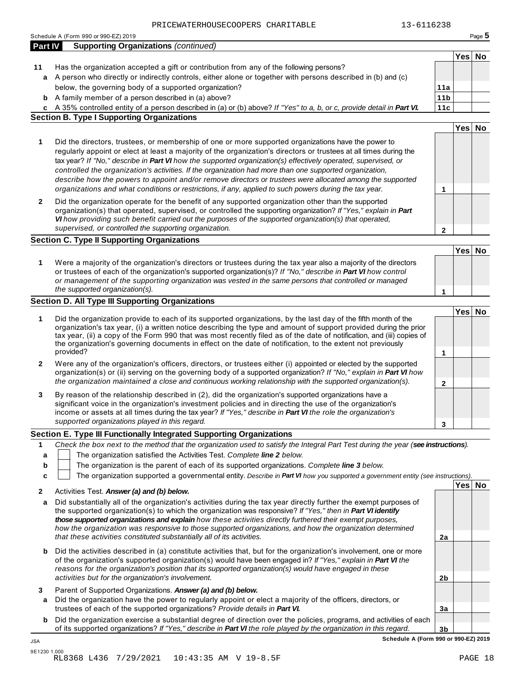| Part IV     | Schedule A (Form 990 or 990-EZ) 2019                                                                                                                                                                                                     |                 |        | Page 5 |
|-------------|------------------------------------------------------------------------------------------------------------------------------------------------------------------------------------------------------------------------------------------|-----------------|--------|--------|
|             | <b>Supporting Organizations (continued)</b>                                                                                                                                                                                              |                 |        |        |
|             |                                                                                                                                                                                                                                          |                 | Yes No |        |
| 11          | Has the organization accepted a gift or contribution from any of the following persons?                                                                                                                                                  |                 |        |        |
| a           | A person who directly or indirectly controls, either alone or together with persons described in (b) and (c)                                                                                                                             |                 |        |        |
|             | below, the governing body of a supported organization?                                                                                                                                                                                   | 11a             |        |        |
|             | <b>b</b> A family member of a person described in (a) above?                                                                                                                                                                             | 11 <sub>b</sub> |        |        |
|             | c A 35% controlled entity of a person described in (a) or (b) above? If "Yes" to a, b, or c, provide detail in Part VI.                                                                                                                  | 11c             |        |        |
|             | <b>Section B. Type I Supporting Organizations</b>                                                                                                                                                                                        |                 |        |        |
|             |                                                                                                                                                                                                                                          |                 | Yes No |        |
| 1           | Did the directors, trustees, or membership of one or more supported organizations have the power to                                                                                                                                      |                 |        |        |
|             | regularly appoint or elect at least a majority of the organization's directors or trustees at all times during the                                                                                                                       |                 |        |        |
|             | tax year? If "No," describe in Part VI how the supported organization(s) effectively operated, supervised, or                                                                                                                            |                 |        |        |
|             | controlled the organization's activities. If the organization had more than one supported organization,                                                                                                                                  |                 |        |        |
|             | describe how the powers to appoint and/or remove directors or trustees were allocated among the supported                                                                                                                                |                 |        |        |
|             | organizations and what conditions or restrictions, if any, applied to such powers during the tax year.                                                                                                                                   | 1               |        |        |
| 2           | Did the organization operate for the benefit of any supported organization other than the supported                                                                                                                                      |                 |        |        |
|             | organization(s) that operated, supervised, or controlled the supporting organization? If "Yes," explain in Part                                                                                                                          |                 |        |        |
|             | VI how providing such benefit carried out the purposes of the supported organization(s) that operated,                                                                                                                                   |                 |        |        |
|             | supervised, or controlled the supporting organization.                                                                                                                                                                                   | $\mathbf{2}$    |        |        |
|             | <b>Section C. Type II Supporting Organizations</b>                                                                                                                                                                                       |                 |        |        |
|             |                                                                                                                                                                                                                                          |                 | Yes No |        |
|             |                                                                                                                                                                                                                                          |                 |        |        |
| 1           | Were a majority of the organization's directors or trustees during the tax year also a majority of the directors                                                                                                                         |                 |        |        |
|             | or trustees of each of the organization's supported organization(s)? If "No," describe in Part VI how control                                                                                                                            |                 |        |        |
|             | or management of the supporting organization was vested in the same persons that controlled or managed<br>the supported organization(s).                                                                                                 |                 |        |        |
|             |                                                                                                                                                                                                                                          | 1               |        |        |
|             | Section D. All Type III Supporting Organizations                                                                                                                                                                                         |                 |        |        |
|             |                                                                                                                                                                                                                                          |                 | Yes No |        |
| 1           | Did the organization provide to each of its supported organizations, by the last day of the fifth month of the<br>organization's tax year, (i) a written notice describing the type and amount of support provided during the prior      |                 |        |        |
|             | tax year, (ii) a copy of the Form 990 that was most recently filed as of the date of notification, and (iii) copies of                                                                                                                   |                 |        |        |
|             | the organization's governing documents in effect on the date of notification, to the extent not previously                                                                                                                               |                 |        |        |
|             | provided?                                                                                                                                                                                                                                | 1               |        |        |
| 2           | Were any of the organization's officers, directors, or trustees either (i) appointed or elected by the supported                                                                                                                         |                 |        |        |
|             | organization(s) or (ii) serving on the governing body of a supported organization? If "No," explain in Part VI how                                                                                                                       |                 |        |        |
|             | the organization maintained a close and continuous working relationship with the supported organization(s).                                                                                                                              | 2               |        |        |
| 3           | By reason of the relationship described in (2), did the organization's supported organizations have a                                                                                                                                    |                 |        |        |
|             | significant voice in the organization's investment policies and in directing the use of the organization's                                                                                                                               |                 |        |        |
|             | income or assets at all times during the tax year? If "Yes," describe in Part VI the role the organization's                                                                                                                             |                 |        |        |
|             | supported organizations played in this regard.                                                                                                                                                                                           | 3               |        |        |
|             |                                                                                                                                                                                                                                          |                 |        |        |
|             | Section E. Type III Functionally Integrated Supporting Organizations                                                                                                                                                                     |                 |        |        |
|             |                                                                                                                                                                                                                                          |                 |        |        |
|             | Check the box next to the method that the organization used to satisfy the Integral Part Test during the year (see instructions).                                                                                                        |                 |        |        |
| a           | The organization satisfied the Activities Test. Complete line 2 below.                                                                                                                                                                   |                 |        |        |
| b           | The organization is the parent of each of its supported organizations. Complete line 3 below.                                                                                                                                            |                 |        |        |
| C           | The organization supported a governmental entity. Describe in Part VI how you supported a government entity (see instructions).                                                                                                          |                 |        |        |
|             |                                                                                                                                                                                                                                          |                 | Yes No |        |
|             | Activities Test. Answer (a) and (b) below.                                                                                                                                                                                               |                 |        |        |
| a           | Did substantially all of the organization's activities during the tax year directly further the exempt purposes of                                                                                                                       |                 |        |        |
|             | the supported organization(s) to which the organization was responsive? If "Yes," then in Part VI identify                                                                                                                               |                 |        |        |
|             | those supported organizations and explain how these activities directly furthered their exempt purposes,                                                                                                                                 |                 |        |        |
|             | how the organization was responsive to those supported organizations, and how the organization determined                                                                                                                                | 2a              |        |        |
|             | that these activities constituted substantially all of its activities.                                                                                                                                                                   |                 |        |        |
| b           | Did the activities described in (a) constitute activities that, but for the organization's involvement, one or more                                                                                                                      |                 |        |        |
|             | of the organization's supported organization(s) would have been engaged in? If "Yes," explain in Part VI the                                                                                                                             |                 |        |        |
|             | reasons for the organization's position that its supported organization(s) would have engaged in these                                                                                                                                   |                 |        |        |
|             | activities but for the organization's involvement.                                                                                                                                                                                       | 2 <sub>b</sub>  |        |        |
|             | Parent of Supported Organizations. Answer (a) and (b) below.                                                                                                                                                                             |                 |        |        |
| a           | Did the organization have the power to regularly appoint or elect a majority of the officers, directors, or                                                                                                                              |                 |        |        |
| 1<br>2<br>3 | trustees of each of the supported organizations? Provide details in Part VI.                                                                                                                                                             | 3a              |        |        |
| b           | Did the organization exercise a substantial degree of direction over the policies, programs, and activities of each<br>of its supported organizations? If "Yes," describe in Part VI the role played by the organization in this regard. | 3 <sub>b</sub>  |        |        |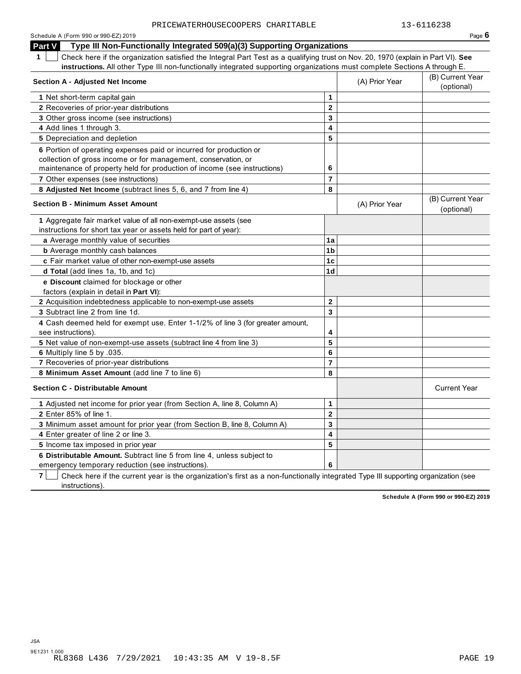|                |                                                   | Page $6$                                                                                                                                                                                                                                                                                                                                 |
|----------------|---------------------------------------------------|------------------------------------------------------------------------------------------------------------------------------------------------------------------------------------------------------------------------------------------------------------------------------------------------------------------------------------------|
|                |                                                   |                                                                                                                                                                                                                                                                                                                                          |
|                |                                                   |                                                                                                                                                                                                                                                                                                                                          |
|                |                                                   |                                                                                                                                                                                                                                                                                                                                          |
|                | (A) Prior Year                                    | (B) Current Year<br>(optional)                                                                                                                                                                                                                                                                                                           |
| $\mathbf{1}$   |                                                   |                                                                                                                                                                                                                                                                                                                                          |
| $\mathbf{2}$   |                                                   |                                                                                                                                                                                                                                                                                                                                          |
| 3              |                                                   |                                                                                                                                                                                                                                                                                                                                          |
| 4              |                                                   |                                                                                                                                                                                                                                                                                                                                          |
| 5              |                                                   |                                                                                                                                                                                                                                                                                                                                          |
|                |                                                   |                                                                                                                                                                                                                                                                                                                                          |
|                |                                                   |                                                                                                                                                                                                                                                                                                                                          |
|                |                                                   |                                                                                                                                                                                                                                                                                                                                          |
|                |                                                   |                                                                                                                                                                                                                                                                                                                                          |
|                | (A) Prior Year                                    | (B) Current Year<br>(optional)                                                                                                                                                                                                                                                                                                           |
|                |                                                   |                                                                                                                                                                                                                                                                                                                                          |
|                |                                                   |                                                                                                                                                                                                                                                                                                                                          |
| 1a             |                                                   |                                                                                                                                                                                                                                                                                                                                          |
| 1 <sub>b</sub> |                                                   |                                                                                                                                                                                                                                                                                                                                          |
| 1c             |                                                   |                                                                                                                                                                                                                                                                                                                                          |
| 1d             |                                                   |                                                                                                                                                                                                                                                                                                                                          |
|                |                                                   |                                                                                                                                                                                                                                                                                                                                          |
|                |                                                   |                                                                                                                                                                                                                                                                                                                                          |
|                |                                                   |                                                                                                                                                                                                                                                                                                                                          |
|                |                                                   |                                                                                                                                                                                                                                                                                                                                          |
| 4              |                                                   |                                                                                                                                                                                                                                                                                                                                          |
| 5              |                                                   |                                                                                                                                                                                                                                                                                                                                          |
| 6              |                                                   |                                                                                                                                                                                                                                                                                                                                          |
| $\overline{7}$ |                                                   |                                                                                                                                                                                                                                                                                                                                          |
| 8              |                                                   |                                                                                                                                                                                                                                                                                                                                          |
|                |                                                   | <b>Current Year</b>                                                                                                                                                                                                                                                                                                                      |
| 1              |                                                   |                                                                                                                                                                                                                                                                                                                                          |
| $\mathbf{2}$   |                                                   |                                                                                                                                                                                                                                                                                                                                          |
| 3              |                                                   |                                                                                                                                                                                                                                                                                                                                          |
| 4              |                                                   |                                                                                                                                                                                                                                                                                                                                          |
| 5              |                                                   |                                                                                                                                                                                                                                                                                                                                          |
|                |                                                   |                                                                                                                                                                                                                                                                                                                                          |
|                | 6<br>$\overline{7}$<br>8<br>$\mathbf 2$<br>3<br>6 | Type III Non-Functionally Integrated 509(a)(3) Supporting Organizations<br>Check here if the organization satisfied the Integral Part Test as a qualifying trust on Nov. 20, 1970 (explain in Part VI). See<br>instructions. All other Type III non-functionally integrated supporting organizations must complete Sections A through E. |

**7 Check here if the current year is the organization's first as a non-functionally integrated Type III supporting organization (see** instructions).

**Schedule A (Form 990 or 990-EZ) 2019**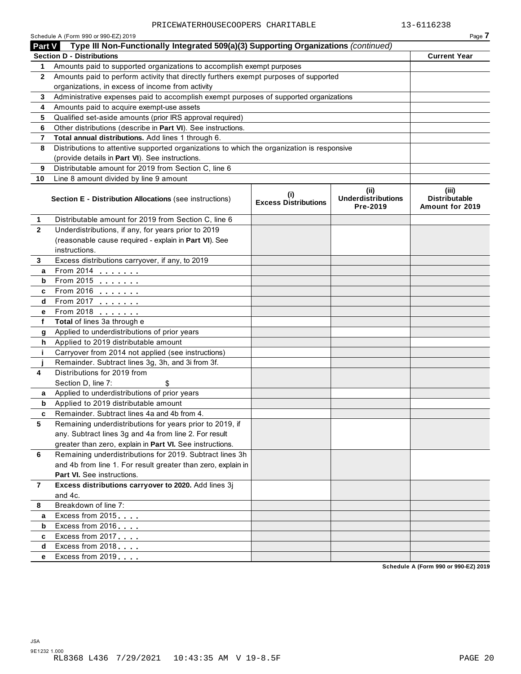|                | Schedule A (Form 990 or 990-EZ) 2019                                                                                    |                                            |                                               | Page 7                                    |
|----------------|-------------------------------------------------------------------------------------------------------------------------|--------------------------------------------|-----------------------------------------------|-------------------------------------------|
| Part V         | Type III Non-Functionally Integrated 509(a)(3) Supporting Organizations (continued)<br><b>Section D - Distributions</b> |                                            |                                               | <b>Current Year</b>                       |
| $\mathbf 1$    | Amounts paid to supported organizations to accomplish exempt purposes                                                   |                                            |                                               |                                           |
| $\mathbf{2}$   | Amounts paid to perform activity that directly furthers exempt purposes of supported                                    |                                            |                                               |                                           |
|                | organizations, in excess of income from activity                                                                        |                                            |                                               |                                           |
| 3              | Administrative expenses paid to accomplish exempt purposes of supported organizations                                   |                                            |                                               |                                           |
| 4              | Amounts paid to acquire exempt-use assets                                                                               |                                            |                                               |                                           |
| 5              | Qualified set-aside amounts (prior IRS approval required)                                                               |                                            |                                               |                                           |
| 6              | Other distributions (describe in Part VI). See instructions.                                                            |                                            |                                               |                                           |
| 7              | Total annual distributions. Add lines 1 through 6.                                                                      |                                            |                                               |                                           |
| 8              | Distributions to attentive supported organizations to which the organization is responsive                              |                                            |                                               |                                           |
|                | (provide details in Part VI). See instructions.                                                                         |                                            |                                               |                                           |
| 9              | Distributable amount for 2019 from Section C, line 6                                                                    |                                            |                                               |                                           |
| 10             | Line 8 amount divided by line 9 amount                                                                                  |                                            |                                               |                                           |
|                |                                                                                                                         |                                            |                                               |                                           |
|                | Section E - Distribution Allocations (see instructions)                                                                 | $\sf^{(i)}$<br><b>Excess Distributions</b> | (ii)<br><b>Underdistributions</b><br>Pre-2019 | (iii)<br>Distributable<br>Amount for 2019 |
| 1              | Distributable amount for 2019 from Section C, line 6                                                                    |                                            |                                               |                                           |
| $\mathbf{2}$   | Underdistributions, if any, for years prior to 2019                                                                     |                                            |                                               |                                           |
|                | (reasonable cause required - explain in Part VI). See                                                                   |                                            |                                               |                                           |
|                | instructions.                                                                                                           |                                            |                                               |                                           |
| 3              | Excess distributions carryover, if any, to 2019                                                                         |                                            |                                               |                                           |
| a              | From 2014                                                                                                               |                                            |                                               |                                           |
| b              | From 2015 <b></b>                                                                                                       |                                            |                                               |                                           |
| c              | From 2016 <b></b>                                                                                                       |                                            |                                               |                                           |
| d              | From 2017 <b></b>                                                                                                       |                                            |                                               |                                           |
| е              | From 2018 <b></b>                                                                                                       |                                            |                                               |                                           |
| f              | Total of lines 3a through e                                                                                             |                                            |                                               |                                           |
| g              | Applied to underdistributions of prior years                                                                            |                                            |                                               |                                           |
| h.             | Applied to 2019 distributable amount                                                                                    |                                            |                                               |                                           |
| j.             | Carryover from 2014 not applied (see instructions)                                                                      |                                            |                                               |                                           |
| j              | Remainder. Subtract lines 3g, 3h, and 3i from 3f.                                                                       |                                            |                                               |                                           |
| 4              | Distributions for 2019 from                                                                                             |                                            |                                               |                                           |
|                | Section D, line 7:                                                                                                      |                                            |                                               |                                           |
| a              | Applied to underdistributions of prior years                                                                            |                                            |                                               |                                           |
| b              | Applied to 2019 distributable amount                                                                                    |                                            |                                               |                                           |
| c              | Remainder. Subtract lines 4a and 4b from 4.                                                                             |                                            |                                               |                                           |
| 5              | Remaining underdistributions for years prior to 2019, if                                                                |                                            |                                               |                                           |
|                | any. Subtract lines 3g and 4a from line 2. For result                                                                   |                                            |                                               |                                           |
|                | greater than zero, explain in Part VI. See instructions.                                                                |                                            |                                               |                                           |
| 6              | Remaining underdistributions for 2019. Subtract lines 3h                                                                |                                            |                                               |                                           |
|                | and 4b from line 1. For result greater than zero, explain in                                                            |                                            |                                               |                                           |
|                | <b>Part VI.</b> See instructions.                                                                                       |                                            |                                               |                                           |
| $\overline{7}$ | Excess distributions carryover to 2020. Add lines 3j                                                                    |                                            |                                               |                                           |
|                | and 4c.                                                                                                                 |                                            |                                               |                                           |
| 8              | Breakdown of line 7:                                                                                                    |                                            |                                               |                                           |
| a              | Excess from 2015                                                                                                        |                                            |                                               |                                           |
| b              | Excess from 2016                                                                                                        |                                            |                                               |                                           |
| c              | Excess from 2017                                                                                                        |                                            |                                               |                                           |
| d              | Excess from 2018                                                                                                        |                                            |                                               |                                           |
| е              | Excess from 2019                                                                                                        |                                            |                                               |                                           |
|                |                                                                                                                         |                                            |                                               | Schedule A (Form 990 or 990-EZ) 2019      |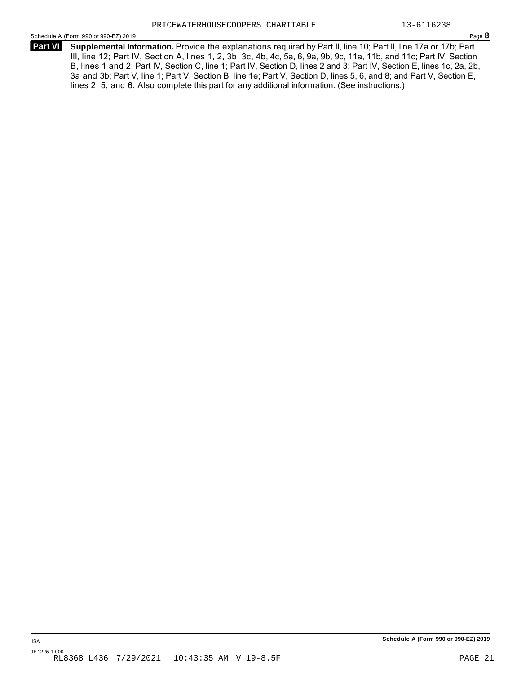Schedule A (Form 990 or 990-EZ) 2019 Page **8**

**Supplemental Information.** Provide the explanations required by Part II, line 10; Part II, line 17a or 17b; Part **Part VI**  III, line 12; Part IV, Section A, lines 1, 2, 3b, 3c, 4b, 4c, 5a, 6, 9a, 9b, 9c, 11a, 11b, and 11c; Part IV, Section B, lines 1 and 2; Part IV, Section C, line 1; Part IV, Section D, lines 2 and 3; Part IV, Section E, lines 1c, 2a, 2b, 3a and 3b; Part V, line 1; Part V, Section B, line 1e; Part V, Section D, lines 5, 6, and 8; and Part V, Section E, lines 2, 5, and 6. Also complete this part for any additional information. (See instructions.)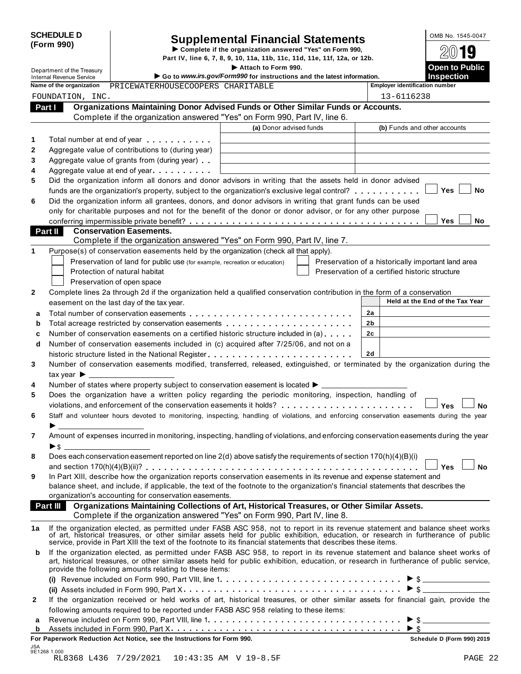| <b>SCHEDULE D</b> |  |
|-------------------|--|
| (Form 990)        |  |

# SCHEDULE D<br>
Supplemental Financial Statements<br>
Form 990)<br>
Part IV, line 6, 7, 8, 9, 10, 11a, 11b, 11c, 11d, 11e, 11f, 12a, or 12b.<br>
Part IV, line 6, 7, 8, 9, 10, 11a, 11b, 11c, 11d, 11e, 11f, 12a, or 12b.

The Complete if the organization answered "Yes" on Form 990,<br>Department of the Treasury<br>Department of the Treasury<br> $\triangleright$  2.1.4 we say to Public **Complete in the Mattach to Form 990.** 

|             | Department of the Treasury      |                                                                                                                                                                                                                                      | Attach to Form 990.                                                                                                                                                                                                                                 |                                                    | <b>Open to Public</b>                      |
|-------------|---------------------------------|--------------------------------------------------------------------------------------------------------------------------------------------------------------------------------------------------------------------------------------|-----------------------------------------------------------------------------------------------------------------------------------------------------------------------------------------------------------------------------------------------------|----------------------------------------------------|--------------------------------------------|
|             | <b>Internal Revenue Service</b> |                                                                                                                                                                                                                                      | Go to www.irs.gov/Form990 for instructions and the latest information.                                                                                                                                                                              |                                                    | <b>Inspection</b>                          |
|             | Name of the organization        | PRICEWATERHOUSECOOPERS CHARITABLE                                                                                                                                                                                                    |                                                                                                                                                                                                                                                     | <b>Employer identification number</b>              |                                            |
|             | FOUNDATION, INC.                |                                                                                                                                                                                                                                      |                                                                                                                                                                                                                                                     | 13-6116238                                         |                                            |
| Part I      |                                 |                                                                                                                                                                                                                                      | Organizations Maintaining Donor Advised Funds or Other Similar Funds or Accounts.                                                                                                                                                                   |                                                    |                                            |
|             |                                 |                                                                                                                                                                                                                                      | Complete if the organization answered "Yes" on Form 990, Part IV, line 6.                                                                                                                                                                           |                                                    |                                            |
|             |                                 |                                                                                                                                                                                                                                      | (a) Donor advised funds                                                                                                                                                                                                                             |                                                    | (b) Funds and other accounts               |
| 1           |                                 | Total number at end of year <b>that the state of the state of the state of the state of the state of the state of the state of the state of the state of the state of the state of the state of the state of the state of the st</b> |                                                                                                                                                                                                                                                     |                                                    |                                            |
| 2           |                                 | Aggregate value of contributions to (during year)                                                                                                                                                                                    |                                                                                                                                                                                                                                                     |                                                    |                                            |
| 3           |                                 | Aggregate value of grants from (during year)                                                                                                                                                                                         |                                                                                                                                                                                                                                                     |                                                    |                                            |
| 4           |                                 | Aggregate value at end of year example and all the set of the set of the set of the set of the set of the set o                                                                                                                      |                                                                                                                                                                                                                                                     |                                                    |                                            |
| 5           |                                 |                                                                                                                                                                                                                                      | Did the organization inform all donors and donor advisors in writing that the assets held in donor advised                                                                                                                                          |                                                    |                                            |
|             |                                 |                                                                                                                                                                                                                                      | funds are the organization's property, subject to the organization's exclusive legal control?                                                                                                                                                       |                                                    | Yes<br>No                                  |
| 6           |                                 |                                                                                                                                                                                                                                      | Did the organization inform all grantees, donors, and donor advisors in writing that grant funds can be used                                                                                                                                        |                                                    |                                            |
|             |                                 |                                                                                                                                                                                                                                      | only for charitable purposes and not for the benefit of the donor or donor advisor, or for any other purpose                                                                                                                                        |                                                    |                                            |
|             |                                 |                                                                                                                                                                                                                                      |                                                                                                                                                                                                                                                     |                                                    | Yes<br>No                                  |
| Part II     |                                 | <b>Conservation Easements.</b>                                                                                                                                                                                                       |                                                                                                                                                                                                                                                     |                                                    |                                            |
|             |                                 |                                                                                                                                                                                                                                      | Complete if the organization answered "Yes" on Form 990, Part IV, line 7.                                                                                                                                                                           |                                                    |                                            |
| 1           |                                 | Purpose(s) of conservation easements held by the organization (check all that apply).                                                                                                                                                |                                                                                                                                                                                                                                                     |                                                    |                                            |
|             |                                 | Preservation of land for public use (for example, recreation or education)                                                                                                                                                           |                                                                                                                                                                                                                                                     | Preservation of a historically important land area |                                            |
|             |                                 | Protection of natural habitat                                                                                                                                                                                                        |                                                                                                                                                                                                                                                     | Preservation of a certified historic structure     |                                            |
|             |                                 | Preservation of open space                                                                                                                                                                                                           |                                                                                                                                                                                                                                                     |                                                    |                                            |
| 2           |                                 |                                                                                                                                                                                                                                      | Complete lines 2a through 2d if the organization held a qualified conservation contribution in the form of a conservation                                                                                                                           |                                                    |                                            |
|             |                                 | easement on the last day of the tax year.                                                                                                                                                                                            |                                                                                                                                                                                                                                                     |                                                    | Held at the End of the Tax Year            |
| a           |                                 |                                                                                                                                                                                                                                      |                                                                                                                                                                                                                                                     | 2a                                                 |                                            |
| b           |                                 |                                                                                                                                                                                                                                      | Total acreage restricted by conservation easements                                                                                                                                                                                                  | 2b                                                 |                                            |
| c           |                                 |                                                                                                                                                                                                                                      | Number of conservation easements on a certified historic structure included in (a)                                                                                                                                                                  | 2c                                                 |                                            |
| d           |                                 |                                                                                                                                                                                                                                      | Number of conservation easements included in (c) acquired after 7/25/06, and not on a                                                                                                                                                               |                                                    |                                            |
|             |                                 |                                                                                                                                                                                                                                      |                                                                                                                                                                                                                                                     | <b>2d</b>                                          |                                            |
| 3           |                                 |                                                                                                                                                                                                                                      | Number of conservation easements modified, transferred, released, extinguished, or terminated by the organization during the                                                                                                                        |                                                    |                                            |
|             | tax year $\triangleright$ _____ |                                                                                                                                                                                                                                      |                                                                                                                                                                                                                                                     |                                                    |                                            |
| 4           |                                 |                                                                                                                                                                                                                                      | Number of states where property subject to conservation easement is located $\blacktriangleright$ _____                                                                                                                                             |                                                    |                                            |
| 5           |                                 |                                                                                                                                                                                                                                      | Does the organization have a written policy regarding the periodic monitoring, inspection, handling of                                                                                                                                              |                                                    |                                            |
|             |                                 |                                                                                                                                                                                                                                      |                                                                                                                                                                                                                                                     |                                                    | Yes<br>No                                  |
| 6           |                                 |                                                                                                                                                                                                                                      | Staff and volunteer hours devoted to monitoring, inspecting, handling of violations, and enforcing conservation easements during the year                                                                                                           |                                                    |                                            |
|             |                                 |                                                                                                                                                                                                                                      |                                                                                                                                                                                                                                                     |                                                    |                                            |
| 7           |                                 |                                                                                                                                                                                                                                      | Amount of expenses incurred in monitoring, inspecting, handling of violations, and enforcing conservation easements during the year                                                                                                                 |                                                    |                                            |
|             | ▶\$                             |                                                                                                                                                                                                                                      |                                                                                                                                                                                                                                                     |                                                    |                                            |
| 8           |                                 |                                                                                                                                                                                                                                      | Does each conservation easement reported on line 2(d) above satisfy the requirements of section 170(h)(4)(B)(i)                                                                                                                                     |                                                    |                                            |
|             |                                 |                                                                                                                                                                                                                                      |                                                                                                                                                                                                                                                     |                                                    | <b>No</b><br>Yes                           |
| 9           |                                 |                                                                                                                                                                                                                                      | In Part XIII, describe how the organization reports conservation easements in its revenue and expense statement and                                                                                                                                 |                                                    |                                            |
|             |                                 |                                                                                                                                                                                                                                      | balance sheet, and include, if applicable, the text of the footnote to the organization's financial statements that describes the                                                                                                                   |                                                    |                                            |
|             |                                 | organization's accounting for conservation easements.                                                                                                                                                                                |                                                                                                                                                                                                                                                     |                                                    |                                            |
|             | Part III                        |                                                                                                                                                                                                                                      | Organizations Maintaining Collections of Art, Historical Treasures, or Other Similar Assets.                                                                                                                                                        |                                                    |                                            |
|             |                                 |                                                                                                                                                                                                                                      | Complete if the organization answered "Yes" on Form 990, Part IV, line 8.                                                                                                                                                                           |                                                    |                                            |
| 1a          |                                 |                                                                                                                                                                                                                                      | If the organization elected, as permitted under FASB ASC 958, not to report in its revenue statement and balance sheet works                                                                                                                        |                                                    |                                            |
|             |                                 |                                                                                                                                                                                                                                      | of art, historical treasures, or other similar assets held for public exhibition, education, or research in furtherance of public<br>service, provide in Part XIII the text of the footnote to its financial statements that describes these items. |                                                    |                                            |
|             |                                 |                                                                                                                                                                                                                                      | If the organization elected, as permitted under FASB ASC 958, to report in its revenue statement and balance sheet works of                                                                                                                         |                                                    |                                            |
| b           |                                 |                                                                                                                                                                                                                                      |                                                                                                                                                                                                                                                     |                                                    |                                            |
|             |                                 |                                                                                                                                                                                                                                      |                                                                                                                                                                                                                                                     |                                                    |                                            |
|             |                                 |                                                                                                                                                                                                                                      | art, historical treasures, or other similar assets held for public exhibition, education, or research in furtherance of public service,                                                                                                             |                                                    |                                            |
|             |                                 | provide the following amounts relating to these items:                                                                                                                                                                               |                                                                                                                                                                                                                                                     |                                                    |                                            |
|             |                                 |                                                                                                                                                                                                                                      | (i) Revenue included on Form 990, Part VIII, line 1. $\dots \dots \dots \dots \dots \dots \dots \dots \dots \dots \dots \dots$                                                                                                                      |                                                    |                                            |
|             |                                 |                                                                                                                                                                                                                                      |                                                                                                                                                                                                                                                     |                                                    |                                            |
|             |                                 |                                                                                                                                                                                                                                      | If the organization received or held works of art, historical treasures, or other similar assets for financial gain, provide the                                                                                                                    |                                                    |                                            |
|             |                                 |                                                                                                                                                                                                                                      | following amounts required to be reported under FASB ASC 958 relating to these items:                                                                                                                                                               |                                                    |                                            |
| 2<br>a<br>b |                                 |                                                                                                                                                                                                                                      |                                                                                                                                                                                                                                                     | $\triangleright$ \$                                | $\triangleright$ \$<br>$\triangleright$ \$ |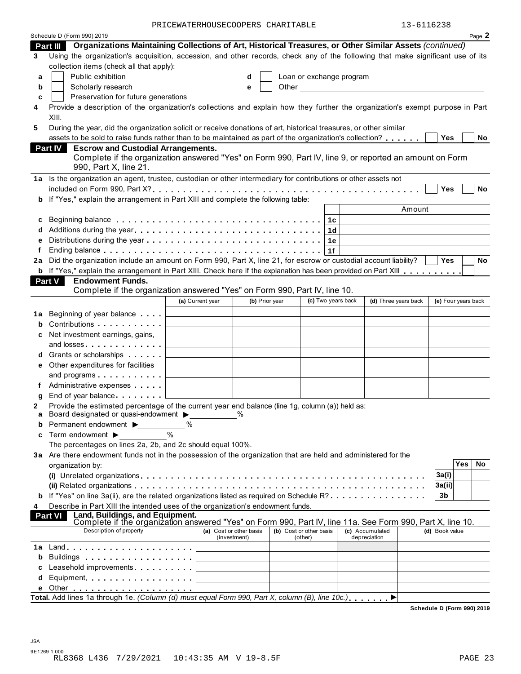PRICEWATERHOUSECOOPERS CHARITABLE 13-6116238

|    | Schedule D (Form 990) 2019                                                                                                              |                                              |                                         |                                    |                                                                                                                                                                                                                                |                                 | Page 2                     |
|----|-----------------------------------------------------------------------------------------------------------------------------------------|----------------------------------------------|-----------------------------------------|------------------------------------|--------------------------------------------------------------------------------------------------------------------------------------------------------------------------------------------------------------------------------|---------------------------------|----------------------------|
|    | Organizations Maintaining Collections of Art, Historical Treasures, or Other Similar Assets (continued)<br><b>Part III</b>              |                                              |                                         |                                    |                                                                                                                                                                                                                                |                                 |                            |
| 3  | Using the organization's acquisition, accession, and other records, check any of the following that make significant use of its         |                                              |                                         |                                    |                                                                                                                                                                                                                                |                                 |                            |
|    | collection items (check all that apply):                                                                                                |                                              |                                         |                                    |                                                                                                                                                                                                                                |                                 |                            |
| a  | Public exhibition                                                                                                                       |                                              | d                                       |                                    | Loan or exchange program                                                                                                                                                                                                       |                                 |                            |
| b  | Scholarly research                                                                                                                      |                                              | e                                       |                                    | Other and the control of the control of the control of the control of the control of the control of the control of the control of the control of the control of the control of the control of the control of the control of th |                                 |                            |
| c  | Preservation for future generations                                                                                                     |                                              |                                         |                                    |                                                                                                                                                                                                                                |                                 |                            |
| 4  | Provide a description of the organization's collections and explain how they further the organization's exempt purpose in Part<br>XIII. |                                              |                                         |                                    |                                                                                                                                                                                                                                |                                 |                            |
| 5  | During the year, did the organization solicit or receive donations of art, historical treasures, or other similar                       |                                              |                                         |                                    |                                                                                                                                                                                                                                |                                 |                            |
|    | assets to be sold to raise funds rather than to be maintained as part of the organization's collection?                                 |                                              |                                         |                                    |                                                                                                                                                                                                                                |                                 | Yes<br>No                  |
|    | <b>Escrow and Custodial Arrangements.</b><br><b>Part IV</b>                                                                             |                                              |                                         |                                    |                                                                                                                                                                                                                                |                                 |                            |
|    | Complete if the organization answered "Yes" on Form 990, Part IV, line 9, or reported an amount on Form<br>990, Part X, line 21.        |                                              |                                         |                                    |                                                                                                                                                                                                                                |                                 |                            |
|    | 1a Is the organization an agent, trustee, custodian or other intermediary for contributions or other assets not                         |                                              |                                         |                                    |                                                                                                                                                                                                                                |                                 |                            |
|    |                                                                                                                                         |                                              |                                         |                                    |                                                                                                                                                                                                                                |                                 | Yes<br>No                  |
|    | b If "Yes," explain the arrangement in Part XIII and complete the following table:                                                      |                                              |                                         |                                    |                                                                                                                                                                                                                                |                                 |                            |
|    |                                                                                                                                         |                                              |                                         |                                    |                                                                                                                                                                                                                                | Amount                          |                            |
| c  | Beginning balance enterpreteration of the contract of the contract of the contract of the contract of the contr                         |                                              |                                         |                                    | 1с                                                                                                                                                                                                                             |                                 |                            |
| d  |                                                                                                                                         |                                              |                                         |                                    | 1d                                                                                                                                                                                                                             |                                 |                            |
| е  |                                                                                                                                         |                                              |                                         |                                    | 1е                                                                                                                                                                                                                             |                                 |                            |
|    |                                                                                                                                         |                                              |                                         |                                    | 1f                                                                                                                                                                                                                             |                                 |                            |
| 2a | Did the organization include an amount on Form 990, Part X, line 21, for escrow or custodial account liability?                         |                                              |                                         |                                    |                                                                                                                                                                                                                                |                                 | <b>Yes</b><br>No           |
|    | <b>b</b> If "Yes," explain the arrangement in Part XIII. Check here if the explanation has been provided on Part XIII                   |                                              |                                         |                                    |                                                                                                                                                                                                                                |                                 |                            |
|    | <b>Endowment Funds.</b><br>Part V                                                                                                       |                                              |                                         |                                    |                                                                                                                                                                                                                                |                                 |                            |
|    | Complete if the organization answered "Yes" on Form 990, Part IV, line 10.                                                              |                                              |                                         |                                    |                                                                                                                                                                                                                                |                                 |                            |
|    |                                                                                                                                         | (a) Current year                             | (b) Prior year                          |                                    | (c) Two years back                                                                                                                                                                                                             | (d) Three years back            | (e) Four years back        |
| 1a | Beginning of year balance                                                                                                               |                                              |                                         |                                    |                                                                                                                                                                                                                                |                                 |                            |
| b  | Contributions <b>Contributions</b>                                                                                                      |                                              |                                         |                                    |                                                                                                                                                                                                                                |                                 |                            |
| с  | Net investment earnings, gains,                                                                                                         |                                              |                                         |                                    |                                                                                                                                                                                                                                |                                 |                            |
|    | and losses                                                                                                                              |                                              |                                         |                                    |                                                                                                                                                                                                                                |                                 |                            |
| d  | Grants or scholarships <b>Contains</b>                                                                                                  |                                              |                                         |                                    |                                                                                                                                                                                                                                |                                 |                            |
|    | e Other expenditures for facilities                                                                                                     |                                              |                                         |                                    |                                                                                                                                                                                                                                |                                 |                            |
|    | and programs                                                                                                                            | the control of the control of the control of |                                         |                                    |                                                                                                                                                                                                                                |                                 |                            |
| f  | Administrative expenses                                                                                                                 |                                              |                                         |                                    |                                                                                                                                                                                                                                |                                 |                            |
| g  | End of year balance                                                                                                                     |                                              |                                         |                                    |                                                                                                                                                                                                                                |                                 |                            |
| 2  | Provide the estimated percentage of the current year end balance (line 1g, column (a)) held as:                                         |                                              |                                         |                                    |                                                                                                                                                                                                                                |                                 |                            |
| a  | Board designated or quasi-endowment >                                                                                                   |                                              | $\%$                                    |                                    |                                                                                                                                                                                                                                |                                 |                            |
| b  | Permanent endowment ▶                                                                                                                   | %                                            |                                         |                                    |                                                                                                                                                                                                                                |                                 |                            |
| c  | Term endowment $\blacktriangleright$                                                                                                    | $\frac{0}{0}$                                |                                         |                                    |                                                                                                                                                                                                                                |                                 |                            |
|    | The percentages on lines 2a, 2b, and 2c should equal 100%.                                                                              |                                              |                                         |                                    |                                                                                                                                                                                                                                |                                 |                            |
|    | 3a Are there endowment funds not in the possession of the organization that are held and administered for the                           |                                              |                                         |                                    |                                                                                                                                                                                                                                |                                 |                            |
|    | organization by:                                                                                                                        |                                              |                                         |                                    |                                                                                                                                                                                                                                |                                 | <b>Yes</b><br>No           |
|    |                                                                                                                                         |                                              |                                         |                                    |                                                                                                                                                                                                                                |                                 | 3a(i)                      |
|    |                                                                                                                                         |                                              |                                         |                                    |                                                                                                                                                                                                                                |                                 | 3a(i)                      |
|    | <b>b</b> If "Yes" on line 3a(ii), are the related organizations listed as required on Schedule R?                                       |                                              |                                         |                                    |                                                                                                                                                                                                                                |                                 | 3b                         |
| 4  | Describe in Part XIII the intended uses of the organization's endowment funds.<br>Land, Buildings, and Equipment.                       |                                              |                                         |                                    |                                                                                                                                                                                                                                |                                 |                            |
|    | <b>Part VI</b><br>Complete if the organization answered "Yes" on Form 990, Part IV, line 11a. See Form 990, Part X, line 10.            |                                              |                                         |                                    |                                                                                                                                                                                                                                |                                 |                            |
|    | Description of property                                                                                                                 |                                              | (a) Cost or other basis<br>(investment) | (b) Cost or other basis<br>(other) |                                                                                                                                                                                                                                | (c) Accumulated<br>depreciation | (d) Book value             |
| 1а |                                                                                                                                         |                                              |                                         |                                    |                                                                                                                                                                                                                                |                                 |                            |
| b  |                                                                                                                                         |                                              |                                         |                                    |                                                                                                                                                                                                                                |                                 |                            |
|    | Leasehold improvements expressions and                                                                                                  |                                              |                                         |                                    |                                                                                                                                                                                                                                |                                 |                            |
| d  | Equipment                                                                                                                               |                                              |                                         |                                    |                                                                                                                                                                                                                                |                                 |                            |
|    |                                                                                                                                         |                                              |                                         |                                    |                                                                                                                                                                                                                                |                                 |                            |
|    | Total. Add lines 1a through 1e. (Column (d) must equal Form 990, Part X, column (B), line 10c.).                                        |                                              |                                         |                                    |                                                                                                                                                                                                                                |                                 |                            |
|    |                                                                                                                                         |                                              |                                         |                                    |                                                                                                                                                                                                                                |                                 | Schedule D (Form 990) 2019 |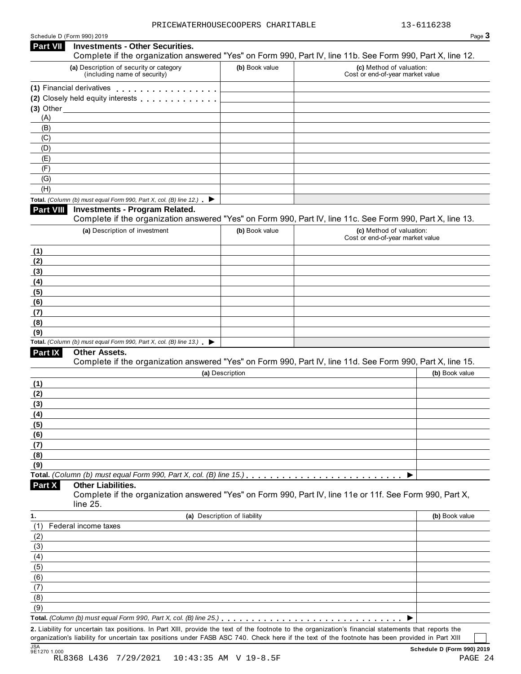| Schedule D (Form 990) 2019 |  |  |  |  |  |
|----------------------------|--|--|--|--|--|
|----------------------------|--|--|--|--|--|

| <b>Part VII</b>  | <b>Investments - Other Securities.</b><br>Complete if the organization answered "Yes" on Form 990, Part IV, line 11b. See Form 990, Part X, line 12. |                              |                                                              |                |
|------------------|------------------------------------------------------------------------------------------------------------------------------------------------------|------------------------------|--------------------------------------------------------------|----------------|
|                  | (a) Description of security or category<br>(including name of security)                                                                              | (b) Book value               | (c) Method of valuation:<br>Cost or end-of-year market value |                |
|                  | (1) Financial derivatives                                                                                                                            |                              |                                                              |                |
|                  | (2) Closely held equity interests entitled and closely held equity interests                                                                         |                              |                                                              |                |
| $(3)$ Other $\_$ |                                                                                                                                                      |                              |                                                              |                |
| (A)              |                                                                                                                                                      |                              |                                                              |                |
| (B)              |                                                                                                                                                      |                              |                                                              |                |
| (C)              |                                                                                                                                                      |                              |                                                              |                |
| (D)              |                                                                                                                                                      |                              |                                                              |                |
| (E)              |                                                                                                                                                      |                              |                                                              |                |
| (F)              |                                                                                                                                                      |                              |                                                              |                |
| (G)              |                                                                                                                                                      |                              |                                                              |                |
| (H)              |                                                                                                                                                      |                              |                                                              |                |
|                  | Total. (Column (b) must equal Form 990, Part X, col. (B) line 12.) $\blacktriangleright$                                                             |                              |                                                              |                |
| <b>Part VIII</b> | <b>Investments - Program Related.</b><br>Complete if the organization answered "Yes" on Form 990, Part IV, line 11c. See Form 990, Part X, line 13.  |                              |                                                              |                |
|                  | (a) Description of investment                                                                                                                        | (b) Book value               | (c) Method of valuation:                                     |                |
|                  |                                                                                                                                                      |                              | Cost or end-of-year market value                             |                |
| (1)              |                                                                                                                                                      |                              |                                                              |                |
| (2)              |                                                                                                                                                      |                              |                                                              |                |
| (3)              |                                                                                                                                                      |                              |                                                              |                |
| (4)              |                                                                                                                                                      |                              |                                                              |                |
| (5)              |                                                                                                                                                      |                              |                                                              |                |
| (6)              |                                                                                                                                                      |                              |                                                              |                |
| (7)              |                                                                                                                                                      |                              |                                                              |                |
| (8)              |                                                                                                                                                      |                              |                                                              |                |
| (9)              |                                                                                                                                                      |                              |                                                              |                |
|                  | Total. (Column (b) must equal Form 990, Part X, col. (B) line 13.) $\blacktriangleright$                                                             |                              |                                                              |                |
| <b>Part IX</b>   | Other Assets.<br>Complete if the organization answered "Yes" on Form 990, Part IV, line 11d. See Form 990, Part X, line 15.                          |                              |                                                              |                |
|                  |                                                                                                                                                      | (a) Description              |                                                              | (b) Book value |
| (1)              |                                                                                                                                                      |                              |                                                              |                |
| (2)              |                                                                                                                                                      |                              |                                                              |                |
| (3)              |                                                                                                                                                      |                              |                                                              |                |
| (4)              |                                                                                                                                                      |                              |                                                              |                |
| (5)              |                                                                                                                                                      |                              |                                                              |                |
| (6)              |                                                                                                                                                      |                              |                                                              |                |
| (7)              |                                                                                                                                                      |                              |                                                              |                |
| (8)              |                                                                                                                                                      |                              |                                                              |                |
| (9)              |                                                                                                                                                      |                              |                                                              |                |
|                  |                                                                                                                                                      |                              |                                                              |                |
| Part X           | <b>Other Liabilities.</b><br>Complete if the organization answered "Yes" on Form 990, Part IV, line 11e or 11f. See Form 990, Part X,<br>line 25.    |                              |                                                              |                |
|                  |                                                                                                                                                      | (a) Description of liability |                                                              | (b) Book value |
| (1)              | Federal income taxes                                                                                                                                 |                              |                                                              |                |
| (2)              |                                                                                                                                                      |                              |                                                              |                |
| (3)              |                                                                                                                                                      |                              |                                                              |                |
| (4)              |                                                                                                                                                      |                              |                                                              |                |
|                  |                                                                                                                                                      |                              |                                                              |                |
|                  |                                                                                                                                                      |                              |                                                              |                |
|                  |                                                                                                                                                      |                              |                                                              |                |
| (5)<br>(6)       |                                                                                                                                                      |                              |                                                              |                |
| (7)<br>(8)       |                                                                                                                                                      |                              |                                                              |                |
| (9)              |                                                                                                                                                      |                              |                                                              |                |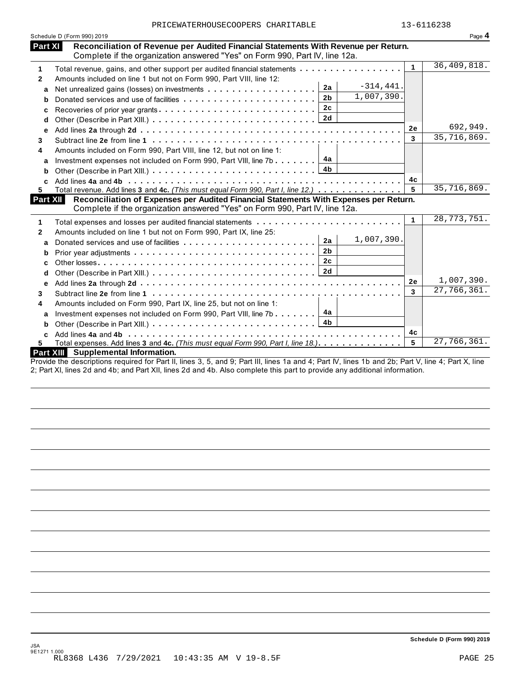| PRICEWATERHOUSECOOPERS CHARITABLE | 13-6116238 |
|-----------------------------------|------------|
|                                   |            |

| PRICEWATERHOUSECOOPERS CHARITABLE<br>Schedule D (Form 990) 2019<br><b>Part XI</b><br>Reconciliation of Revenue per Audited Financial Statements With Revenue per Return.<br>Complete if the organization answered "Yes" on Form 990, Part IV, line 12a.<br>Total revenue, gains, and other support per audited financial statements<br>$\mathbf 1$<br>Amounts included on line 1 but not on Form 990, Part VIII, line 12:<br>$\mathbf{2}$<br>$-314, 441.$<br>2a<br>a<br>1,007,390.<br>2 <sub>b</sub><br>b<br>2c<br>c<br>2d<br>d<br>е<br>3<br>Amounts included on Form 990, Part VIII, line 12, but not on line 1:<br>4<br>Investment expenses not included on Form 990, Part VIII, line 7b $\boxed{4a}$<br>a<br>4 <sub>b</sub><br>b<br>C.<br>Total revenue. Add lines 3 and 4c. (This must equal Form 990, Part I, line 12.)<br>5.<br>Part XII<br>Reconciliation of Expenses per Audited Financial Statements With Expenses per Return.<br>Complete if the organization answered "Yes" on Form 990, Part IV, line 12a.<br>$\mathbf{1}$ | $\mathbf{1}$<br>2e<br>3 | 13-6116238<br>Page 4<br>36,409,818.<br>692,949.<br>35,716,869. |
|----------------------------------------------------------------------------------------------------------------------------------------------------------------------------------------------------------------------------------------------------------------------------------------------------------------------------------------------------------------------------------------------------------------------------------------------------------------------------------------------------------------------------------------------------------------------------------------------------------------------------------------------------------------------------------------------------------------------------------------------------------------------------------------------------------------------------------------------------------------------------------------------------------------------------------------------------------------------------------------------------------------------------------------|-------------------------|----------------------------------------------------------------|
|                                                                                                                                                                                                                                                                                                                                                                                                                                                                                                                                                                                                                                                                                                                                                                                                                                                                                                                                                                                                                                        |                         |                                                                |
|                                                                                                                                                                                                                                                                                                                                                                                                                                                                                                                                                                                                                                                                                                                                                                                                                                                                                                                                                                                                                                        |                         |                                                                |
|                                                                                                                                                                                                                                                                                                                                                                                                                                                                                                                                                                                                                                                                                                                                                                                                                                                                                                                                                                                                                                        |                         |                                                                |
|                                                                                                                                                                                                                                                                                                                                                                                                                                                                                                                                                                                                                                                                                                                                                                                                                                                                                                                                                                                                                                        |                         |                                                                |
|                                                                                                                                                                                                                                                                                                                                                                                                                                                                                                                                                                                                                                                                                                                                                                                                                                                                                                                                                                                                                                        |                         |                                                                |
|                                                                                                                                                                                                                                                                                                                                                                                                                                                                                                                                                                                                                                                                                                                                                                                                                                                                                                                                                                                                                                        |                         |                                                                |
|                                                                                                                                                                                                                                                                                                                                                                                                                                                                                                                                                                                                                                                                                                                                                                                                                                                                                                                                                                                                                                        |                         |                                                                |
|                                                                                                                                                                                                                                                                                                                                                                                                                                                                                                                                                                                                                                                                                                                                                                                                                                                                                                                                                                                                                                        |                         |                                                                |
|                                                                                                                                                                                                                                                                                                                                                                                                                                                                                                                                                                                                                                                                                                                                                                                                                                                                                                                                                                                                                                        |                         |                                                                |
|                                                                                                                                                                                                                                                                                                                                                                                                                                                                                                                                                                                                                                                                                                                                                                                                                                                                                                                                                                                                                                        |                         |                                                                |
|                                                                                                                                                                                                                                                                                                                                                                                                                                                                                                                                                                                                                                                                                                                                                                                                                                                                                                                                                                                                                                        |                         |                                                                |
|                                                                                                                                                                                                                                                                                                                                                                                                                                                                                                                                                                                                                                                                                                                                                                                                                                                                                                                                                                                                                                        |                         |                                                                |
|                                                                                                                                                                                                                                                                                                                                                                                                                                                                                                                                                                                                                                                                                                                                                                                                                                                                                                                                                                                                                                        |                         |                                                                |
|                                                                                                                                                                                                                                                                                                                                                                                                                                                                                                                                                                                                                                                                                                                                                                                                                                                                                                                                                                                                                                        | 4с                      |                                                                |
|                                                                                                                                                                                                                                                                                                                                                                                                                                                                                                                                                                                                                                                                                                                                                                                                                                                                                                                                                                                                                                        | 5                       | 35,716,869.                                                    |
|                                                                                                                                                                                                                                                                                                                                                                                                                                                                                                                                                                                                                                                                                                                                                                                                                                                                                                                                                                                                                                        |                         |                                                                |
|                                                                                                                                                                                                                                                                                                                                                                                                                                                                                                                                                                                                                                                                                                                                                                                                                                                                                                                                                                                                                                        | 1                       | 28, 773, 751.                                                  |
|                                                                                                                                                                                                                                                                                                                                                                                                                                                                                                                                                                                                                                                                                                                                                                                                                                                                                                                                                                                                                                        |                         |                                                                |
| Amounts included on line 1 but not on Form 990, Part IX, line 25:<br>$\mathbf{2}$<br>1,007,390.<br>2a                                                                                                                                                                                                                                                                                                                                                                                                                                                                                                                                                                                                                                                                                                                                                                                                                                                                                                                                  |                         |                                                                |
| a<br>2 <sub>b</sub>                                                                                                                                                                                                                                                                                                                                                                                                                                                                                                                                                                                                                                                                                                                                                                                                                                                                                                                                                                                                                    |                         |                                                                |
| b<br>2c                                                                                                                                                                                                                                                                                                                                                                                                                                                                                                                                                                                                                                                                                                                                                                                                                                                                                                                                                                                                                                |                         |                                                                |
| c                                                                                                                                                                                                                                                                                                                                                                                                                                                                                                                                                                                                                                                                                                                                                                                                                                                                                                                                                                                                                                      |                         |                                                                |
| d                                                                                                                                                                                                                                                                                                                                                                                                                                                                                                                                                                                                                                                                                                                                                                                                                                                                                                                                                                                                                                      |                         | 1,007,390.                                                     |
| е                                                                                                                                                                                                                                                                                                                                                                                                                                                                                                                                                                                                                                                                                                                                                                                                                                                                                                                                                                                                                                      | 2e<br>3                 | 27,766,361.                                                    |
| 3                                                                                                                                                                                                                                                                                                                                                                                                                                                                                                                                                                                                                                                                                                                                                                                                                                                                                                                                                                                                                                      |                         |                                                                |
| Amounts included on Form 990, Part IX, line 25, but not on line 1:<br>4                                                                                                                                                                                                                                                                                                                                                                                                                                                                                                                                                                                                                                                                                                                                                                                                                                                                                                                                                                |                         |                                                                |
| Investment expenses not included on Form 990, Part VIII, line 7b $\ldots \ldots$ $4a$<br>a                                                                                                                                                                                                                                                                                                                                                                                                                                                                                                                                                                                                                                                                                                                                                                                                                                                                                                                                             |                         |                                                                |
| 4b<br>b                                                                                                                                                                                                                                                                                                                                                                                                                                                                                                                                                                                                                                                                                                                                                                                                                                                                                                                                                                                                                                |                         |                                                                |
| C                                                                                                                                                                                                                                                                                                                                                                                                                                                                                                                                                                                                                                                                                                                                                                                                                                                                                                                                                                                                                                      | 4с                      |                                                                |
| Total expenses. Add lines 3 and 4c. (This must equal Form 990, Part I, line 18.)<br>5.<br>Part XIII Supplemental Information.                                                                                                                                                                                                                                                                                                                                                                                                                                                                                                                                                                                                                                                                                                                                                                                                                                                                                                          | 5                       | 27,766,361.                                                    |

Provide the descriptions required for Part II, lines 3, 5, and 9; Part III, lines 1a and 4; Part IV, lines 1b and 2b; Part V, line 4; Part X, line 2; Part XI, lines 2d and 4b; and Part XII, lines 2d and 4b. Also complete this part to provide any additional information.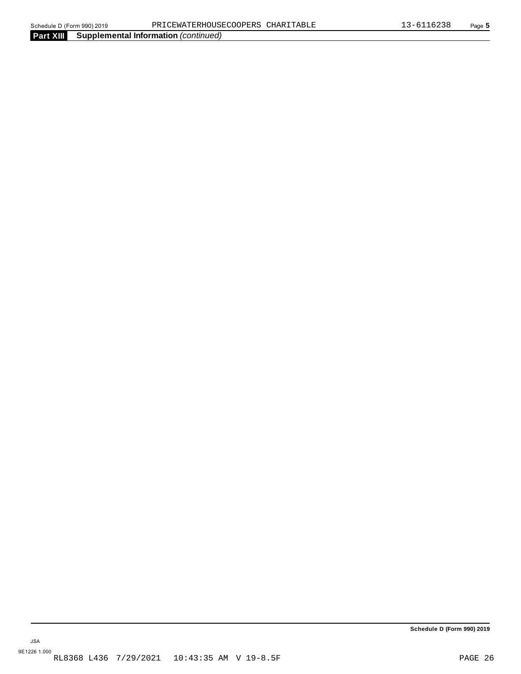**Part XIII Supplemental Information** *(continued)*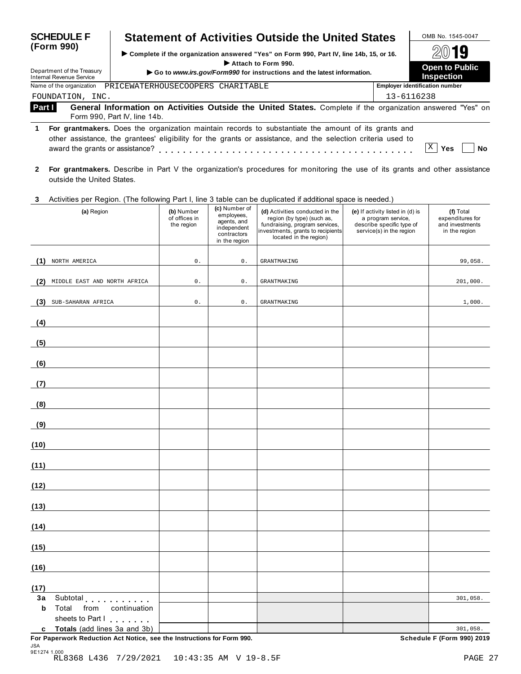| <b>SCHEDULE F</b>                                                    | <b>Statement of Activities Outside the United States</b>                                                                                                                                                             | OMB No. 1545-0047                                  |  |
|----------------------------------------------------------------------|----------------------------------------------------------------------------------------------------------------------------------------------------------------------------------------------------------------------|----------------------------------------------------|--|
| (Form 990)<br>Department of the Treasury<br>Internal Revenue Service | ► Complete if the organization answered "Yes" on Form 990, Part IV, line 14b, 15, or 16.<br>Attach to Form 990.<br>Go to www.irs.gov/Form990 for instructions and the latest information.                            | 2019<br><b>Open to Public</b><br><b>Inspection</b> |  |
| Name of the organization                                             | PRICEWATERHOUSECOOPERS CHARITABLE                                                                                                                                                                                    | <b>Employer identification number</b>              |  |
| FOUNDATION, INC.                                                     |                                                                                                                                                                                                                      | 13-6116238                                         |  |
| Part I                                                               | General Information on Activities Outside the United States. Complete if the organization answered "Yes" on<br>Form 990, Part IV, line 14b.                                                                          |                                                    |  |
| 1.<br>award the grants or assistance?                                | For grantmakers. Does the organization maintain records to substantiate the amount of its grants and<br>other assistance, the grantees' eligibility for the grants or assistance, and the selection criteria used to | X<br>Yes<br>No                                     |  |
|                                                                      | Ear graphmakers. Decembe in Dert V the expenization's precedures for menitoring the use of its graph and other espistance                                                                                            |                                                    |  |

**2 For grantmakers.** Describe in Part V the organization's procedures for monitoring the use of its grants and other assistance outside the United States.

### **3** Activities per Region. (The following Part I, line 3 table can be duplicated if additional space is needed.)

| (a) Region                                                                                               | (b) Number<br>of offices in<br>the region | (c) Number of<br>employees,<br>agents, and<br>independent<br>contractors<br>in the region | (d) Activities conducted in the<br>region (by type) (such as,<br>fundraising, program services,<br>investments, grants to recipients<br>located in the region) | (e) If activity listed in (d) is<br>a program service,<br>describe specific type of<br>service(s) in the region | (f) Total<br>expenditures for<br>and investments<br>in the region |
|----------------------------------------------------------------------------------------------------------|-------------------------------------------|-------------------------------------------------------------------------------------------|----------------------------------------------------------------------------------------------------------------------------------------------------------------|-----------------------------------------------------------------------------------------------------------------|-------------------------------------------------------------------|
| (1) NORTH AMERICA                                                                                        | $\mathsf 0$ .                             | $\mathsf{0}$ .                                                                            | <b>GRANTMAKING</b>                                                                                                                                             |                                                                                                                 | 99,058.                                                           |
| MIDDLE EAST AND NORTH AFRICA<br>(2)                                                                      | $\mathsf 0$ .                             | 0.                                                                                        | <b>GRANTMAKING</b>                                                                                                                                             |                                                                                                                 | 201,000.                                                          |
| SUB-SAHARAN AFRICA<br>(3)                                                                                | $\mathsf 0$ .                             | $\mathsf{0}$ .                                                                            | <b>GRANTMAKING</b>                                                                                                                                             |                                                                                                                 | 1,000.                                                            |
| (4)                                                                                                      |                                           |                                                                                           |                                                                                                                                                                |                                                                                                                 |                                                                   |
| (5)                                                                                                      |                                           |                                                                                           |                                                                                                                                                                |                                                                                                                 |                                                                   |
| (6)                                                                                                      |                                           |                                                                                           |                                                                                                                                                                |                                                                                                                 |                                                                   |
| (7)                                                                                                      |                                           |                                                                                           |                                                                                                                                                                |                                                                                                                 |                                                                   |
| (8)                                                                                                      |                                           |                                                                                           |                                                                                                                                                                |                                                                                                                 |                                                                   |
| (9)                                                                                                      |                                           |                                                                                           |                                                                                                                                                                |                                                                                                                 |                                                                   |
| (10)                                                                                                     |                                           |                                                                                           |                                                                                                                                                                |                                                                                                                 |                                                                   |
| (11)                                                                                                     |                                           |                                                                                           |                                                                                                                                                                |                                                                                                                 |                                                                   |
| (12)                                                                                                     |                                           |                                                                                           |                                                                                                                                                                |                                                                                                                 |                                                                   |
| (13)                                                                                                     |                                           |                                                                                           |                                                                                                                                                                |                                                                                                                 |                                                                   |
| (14)                                                                                                     |                                           |                                                                                           |                                                                                                                                                                |                                                                                                                 |                                                                   |
| (15)                                                                                                     |                                           |                                                                                           |                                                                                                                                                                |                                                                                                                 |                                                                   |
| (16)                                                                                                     |                                           |                                                                                           |                                                                                                                                                                |                                                                                                                 |                                                                   |
| (17)                                                                                                     |                                           |                                                                                           |                                                                                                                                                                |                                                                                                                 |                                                                   |
| 3a<br>Subtotal experiences<br>b<br>Total<br>from<br>continuation<br>sheets to Part I                     |                                           |                                                                                           |                                                                                                                                                                |                                                                                                                 | 301,058.                                                          |
| c Totals (add lines 3a and 3b)<br>For Paperwork Reduction Act Notice, see the Instructions for Form 990. |                                           |                                                                                           |                                                                                                                                                                |                                                                                                                 | 301,058.<br><b>Schedule F (Form 990) 2019</b>                     |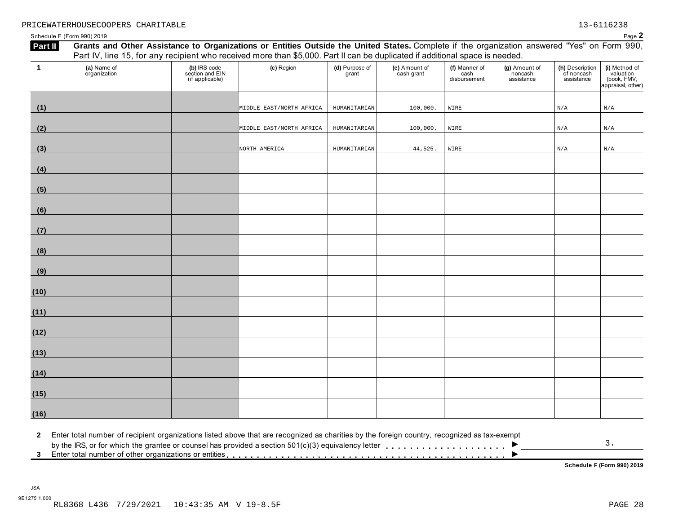**(i)** Method of valuation (book, FMV, appraisal, other)

Schedule F (Form 990) 2019  $P$ age  $2$ **Part II** Grants and Other Assistance to Organizations or Entities Outside the United States. Complete if the organization answered "Yes" on Form 990, Part IV, line 15, for any recipient who received more than \$5,000. Part II can be duplicated if additional space is needed. **(a)** Name of organization **(b)** IRS code section and EIN (if applicable) **(c)** Region **(d)** Purpose of grant **(e)** Amount of cash grant **(f)** Manner of cash disbursement **(g)** Amount of noncash assistance **(h)** Description of noncash assistance **1 (1) (2) (3) (4) (5) (6) (7) (8) (9) (10) (11) (12) (13) (14) (15)** MIDDLE EAST/NORTH AFRICA HUMANITARIAN 100,000. WIRE N/A N/A MIDDLE EAST/NORTH AFRICA | HUMANITARIAN | 100,000. WIRE | N/A | N/A N/A NORTH AMERICA **HUMANITARIAN** 44,525. WIRE N/A N/A N/A

**2** Enter total number of recipient organizations listed above that are recognized as charities by the foreign country, recognized as tax-exempt

by the IRS, or for which the grantee or counsel has provided a section 501(c)(3) equivalency letter  $\ldots \ldots \ldots \ldots$ 

3 Enter total number of other organizations or entities **Conservance in the Conservance of the Conservance of Conservance Conservance** Schedule F (Form 990) 2019

3.

 $\overline{\phantom{a}}$ 

**(16)**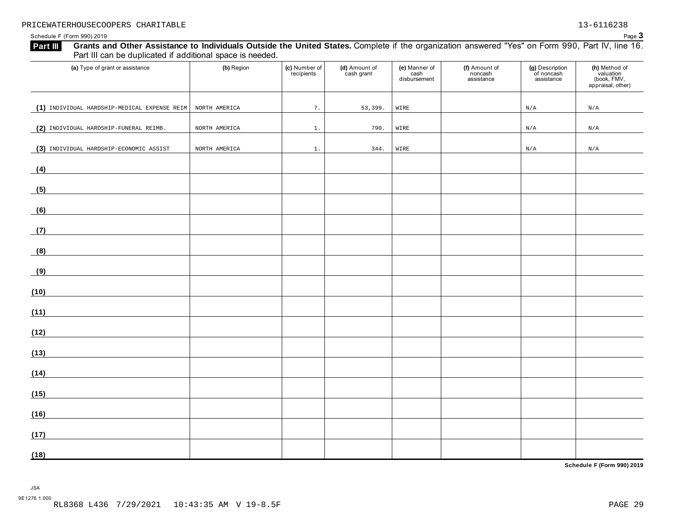Schedule F (Form 990) 2019 Page **3**

| Part III can be duplicated if additional space is needed.                                                                    |               |                             |                             |                                       |                                        |                                             |                                                                |  |  |  |
|------------------------------------------------------------------------------------------------------------------------------|---------------|-----------------------------|-----------------------------|---------------------------------------|----------------------------------------|---------------------------------------------|----------------------------------------------------------------|--|--|--|
| (a) Type of grant or assistance                                                                                              | (b) Region    | (c) Number of<br>recipients | (d) Amount of<br>cash grant | (e) Manner of<br>cash<br>disbursement | (f) Amount of<br>noncash<br>assistance | (g) Description<br>of noncash<br>assistance | (h) Method of<br>valuation<br>(book, FMV,<br>appraisal, other) |  |  |  |
| (1) INDIVIDUAL HARDSHIP-MEDICAL EXPENSE REIM                                                                                 | NORTH AMERICA | 7.                          | 53,399.                     | WIRE                                  |                                        | N/A                                         | N/A                                                            |  |  |  |
| (2) INDIVIDUAL HARDSHIP-FUNERAL REIMB.                                                                                       | NORTH AMERICA | $1$ .                       | 790.                        | WIRE                                  |                                        | $\rm N/A$                                   | N/A                                                            |  |  |  |
| (3) INDIVIDUAL HARDSHIP-ECONOMIC ASSIST                                                                                      | NORTH AMERICA | 1.                          | 344.                        | WIRE                                  |                                        | N/A                                         | N/A                                                            |  |  |  |
| (4)<br><u> 1990 - Jan Barbara Barbara, prima politik po</u>                                                                  |               |                             |                             |                                       |                                        |                                             |                                                                |  |  |  |
| (5)                                                                                                                          |               |                             |                             |                                       |                                        |                                             |                                                                |  |  |  |
| (6)<br><u> 1990 - Andrea Station Barbara, politik eta politik eta politik eta politik eta politik eta politik eta politi</u> |               |                             |                             |                                       |                                        |                                             |                                                                |  |  |  |
| (7)                                                                                                                          |               |                             |                             |                                       |                                        |                                             |                                                                |  |  |  |
| (8)                                                                                                                          |               |                             |                             |                                       |                                        |                                             |                                                                |  |  |  |
| (9)                                                                                                                          |               |                             |                             |                                       |                                        |                                             |                                                                |  |  |  |
| (10)                                                                                                                         |               |                             |                             |                                       |                                        |                                             |                                                                |  |  |  |
| (11)                                                                                                                         |               |                             |                             |                                       |                                        |                                             |                                                                |  |  |  |
| (12)                                                                                                                         |               |                             |                             |                                       |                                        |                                             |                                                                |  |  |  |
| (13)                                                                                                                         |               |                             |                             |                                       |                                        |                                             |                                                                |  |  |  |
| (14)                                                                                                                         |               |                             |                             |                                       |                                        |                                             |                                                                |  |  |  |
| (15)                                                                                                                         |               |                             |                             |                                       |                                        |                                             |                                                                |  |  |  |
| (16)                                                                                                                         |               |                             |                             |                                       |                                        |                                             |                                                                |  |  |  |
| (17)                                                                                                                         |               |                             |                             |                                       |                                        |                                             |                                                                |  |  |  |
| (18)                                                                                                                         |               |                             |                             |                                       |                                        |                                             |                                                                |  |  |  |

Part III Grants and Other Assistance to Individuals Outside the United States. Complete if the organization answered "Yes" on Form 990, Part IV, line 16.

**Schedule F (Form 990) 2019**

JSA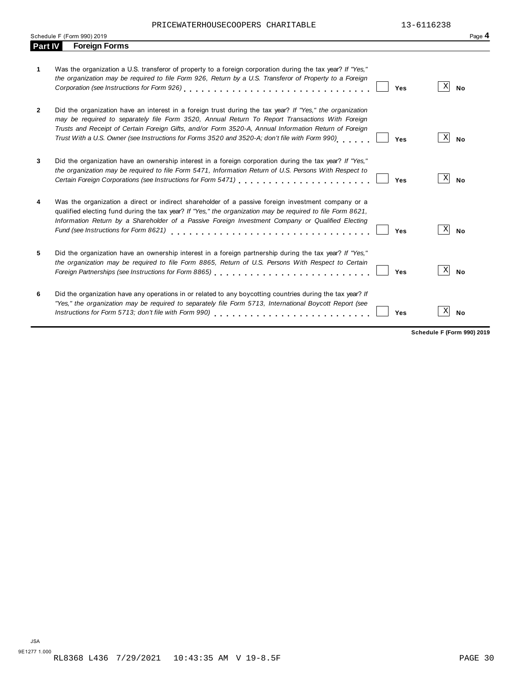PRICEWATERHOUSECOOPERS CHARITABLE 13-6116238

| <b>Foreign Forms</b><br><b>Part IV</b><br>Was the organization a U.S. transferor of property to a foreign corporation during the tax year? If "Yes,"<br>1<br>the organization may be required to file Form 926, Return by a U.S. Transferor of Property to a Foreign<br>Did the organization have an interest in a foreign trust during the tax year? If "Yes," the organization<br>$\mathbf{2}$<br>may be required to separately file Form 3520, Annual Return To Report Transactions With Foreign<br>Trusts and Receipt of Certain Foreign Gifts, and/or Form 3520-A, Annual Information Return of Foreign | X<br>Yes | <b>No</b> |
|--------------------------------------------------------------------------------------------------------------------------------------------------------------------------------------------------------------------------------------------------------------------------------------------------------------------------------------------------------------------------------------------------------------------------------------------------------------------------------------------------------------------------------------------------------------------------------------------------------------|----------|-----------|
|                                                                                                                                                                                                                                                                                                                                                                                                                                                                                                                                                                                                              |          |           |
|                                                                                                                                                                                                                                                                                                                                                                                                                                                                                                                                                                                                              |          |           |
| Trust With a U.S. Owner (see Instructions for Forms 3520 and 3520-A; don't file with Form 990)                                                                                                                                                                                                                                                                                                                                                                                                                                                                                                               | X<br>Yes | <b>No</b> |
| Did the organization have an ownership interest in a foreign corporation during the tax year? If "Yes,"<br>3<br>the organization may be required to file Form 5471, Information Return of U.S. Persons With Respect to                                                                                                                                                                                                                                                                                                                                                                                       | X<br>Yes | <b>No</b> |
| Was the organization a direct or indirect shareholder of a passive foreign investment company or a<br>4<br>qualified electing fund during the tax year? If "Yes," the organization may be required to file Form 8621,<br>Information Return by a Shareholder of a Passive Foreign Investment Company or Qualified Electing<br>Fund (see Instructions for Form 8621)                                                                                                                                                                                                                                          | X<br>Yes | <b>No</b> |
| Did the organization have an ownership interest in a foreign partnership during the tax year? If "Yes,"<br>5<br>the organization may be required to file Form 8865, Return of U.S. Persons With Respect to Certain                                                                                                                                                                                                                                                                                                                                                                                           | X<br>Yes | <b>No</b> |
| Did the organization have any operations in or related to any boycotting countries during the tax year? If<br>6<br>"Yes," the organization may be required to separately file Form 5713, International Boycott Report (see<br>Instructions for Form 5713; don't file with Form 990)                                                                                                                                                                                                                                                                                                                          | X<br>Yes | <b>No</b> |

**Schedule F (Form 990) 2019**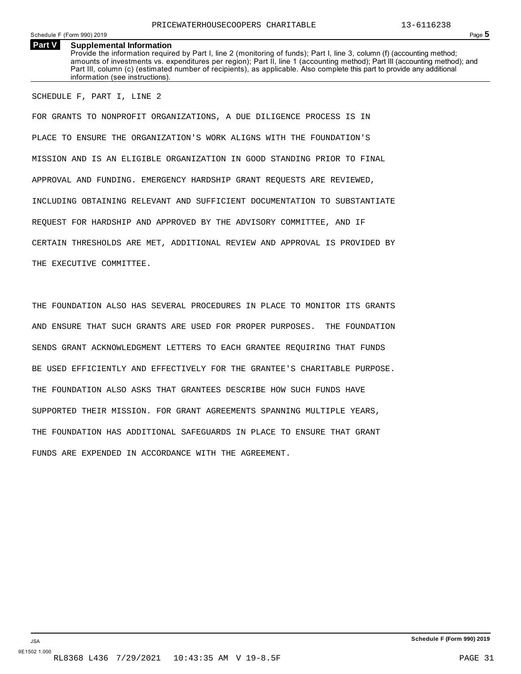Schedule F (Form 990) 2019 Page **5**

#### **Part V** Supplemental Information

Provide the information required by Part I, line 2 (monitoring of funds); Part I, line 3, column (f) (accounting method; amounts of investments vs. expenditures per region); Part II, line 1 (accounting method); Part III (accounting method); and Part III, column (c) (estimated number of recipients), as applicable. Also complete this part to provide any additional information (see instructions).

#### SCHEDULE F, PART I, LINE 2

FOR GRANTS TO NONPROFIT ORGANIZATIONS, A DUE DILIGENCE PROCESS IS IN PLACE TO ENSURE THE ORGANIZATION'S WORK ALIGNS WITH THE FOUNDATION'S MISSION AND IS AN ELIGIBLE ORGANIZATION IN GOOD STANDING PRIOR TO FINAL APPROVAL AND FUNDING. EMERGENCY HARDSHIP GRANT REQUESTS ARE REVIEWED, INCLUDING OBTAINING RELEVANT AND SUFFICIENT DOCUMENTATION TO SUBSTANTIATE REQUEST FOR HARDSHIP AND APPROVED BY THE ADVISORY COMMITTEE, AND IF CERTAIN THRESHOLDS ARE MET, ADDITIONAL REVIEW AND APPROVAL IS PROVIDED BY THE EXECUTIVE COMMITTEE.

THE FOUNDATION ALSO HAS SEVERAL PROCEDURES IN PLACE TO MONITOR ITS GRANTS AND ENSURE THAT SUCH GRANTS ARE USED FOR PROPER PURPOSES. THE FOUNDATION SENDS GRANT ACKNOWLEDGMENT LETTERS TO EACH GRANTEE REQUIRING THAT FUNDS BE USED EFFICIENTLY AND EFFECTIVELY FOR THE GRANTEE'S CHARITABLE PURPOSE. THE FOUNDATION ALSO ASKS THAT GRANTEES DESCRIBE HOW SUCH FUNDS HAVE SUPPORTED THEIR MISSION. FOR GRANT AGREEMENTS SPANNING MULTIPLE YEARS, THE FOUNDATION HAS ADDITIONAL SAFEGUARDS IN PLACE TO ENSURE THAT GRANT FUNDS ARE EXPENDED IN ACCORDANCE WITH THE AGREEMENT.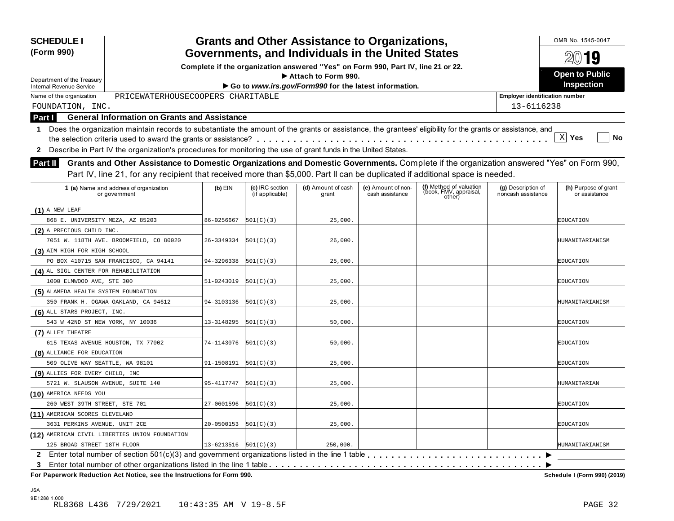| <b>SCHEDULE I</b><br>(Form 990)                                                                                                                                                                                                                                                             |                                                                                                                                       |                                    | <b>Grants and Other Assistance to Organizations,</b>  |                                       |                                                             |                                          | OMB No. 1545-0047<br>2019             |  |  |
|---------------------------------------------------------------------------------------------------------------------------------------------------------------------------------------------------------------------------------------------------------------------------------------------|---------------------------------------------------------------------------------------------------------------------------------------|------------------------------------|-------------------------------------------------------|---------------------------------------|-------------------------------------------------------------|------------------------------------------|---------------------------------------|--|--|
|                                                                                                                                                                                                                                                                                             | Governments, and Individuals in the United States<br>Complete if the organization answered "Yes" on Form 990, Part IV, line 21 or 22. |                                    |                                                       |                                       |                                                             |                                          |                                       |  |  |
|                                                                                                                                                                                                                                                                                             |                                                                                                                                       |                                    | Attach to Form 990.                                   |                                       |                                                             |                                          | <b>Open to Public</b>                 |  |  |
| Department of the Treasury<br><b>Internal Revenue Service</b>                                                                                                                                                                                                                               |                                                                                                                                       |                                    | Go to www.irs.gov/Form990 for the latest information. |                                       |                                                             |                                          | <b>Inspection</b>                     |  |  |
| PRICEWATERHOUSECOOPERS CHARITABLE<br>Name of the organization                                                                                                                                                                                                                               |                                                                                                                                       |                                    |                                                       |                                       |                                                             | <b>Employer identification number</b>    |                                       |  |  |
| FOUNDATION, INC.                                                                                                                                                                                                                                                                            |                                                                                                                                       |                                    |                                                       |                                       |                                                             | 13-6116238                               |                                       |  |  |
| <b>General Information on Grants and Assistance</b><br>Part I                                                                                                                                                                                                                               |                                                                                                                                       |                                    |                                                       |                                       |                                                             |                                          |                                       |  |  |
| 1 Does the organization maintain records to substantiate the amount of the grants or assistance, the grantees' eligibility for the grants or assistance, and                                                                                                                                |                                                                                                                                       |                                    |                                                       |                                       |                                                             |                                          |                                       |  |  |
|                                                                                                                                                                                                                                                                                             |                                                                                                                                       |                                    |                                                       |                                       |                                                             |                                          | X <br>Yes<br>No                       |  |  |
| Describe in Part IV the organization's procedures for monitoring the use of grant funds in the United States.<br>$\mathbf{2}$                                                                                                                                                               |                                                                                                                                       |                                    |                                                       |                                       |                                                             |                                          |                                       |  |  |
| Grants and Other Assistance to Domestic Organizations and Domestic Governments. Complete if the organization answered "Yes" on Form 990,<br><b>Part II</b><br>Part IV, line 21, for any recipient that received more than \$5,000. Part II can be duplicated if additional space is needed. |                                                                                                                                       |                                    |                                                       |                                       |                                                             |                                          |                                       |  |  |
| 1 (a) Name and address of organization<br>or government                                                                                                                                                                                                                                     | $(b)$ EIN                                                                                                                             | (c) IRC section<br>(if applicable) | (d) Amount of cash<br>grant                           | (e) Amount of non-<br>cash assistance | (f) Method of valuation<br>(book, FMV, appraisal,<br>other) | (g) Description of<br>noncash assistance | (h) Purpose of grant<br>or assistance |  |  |
| $(1)$ A NEW LEAF                                                                                                                                                                                                                                                                            |                                                                                                                                       |                                    |                                                       |                                       |                                                             |                                          |                                       |  |  |
| 868 E. UNIVERSITY MEZA, AZ 85203                                                                                                                                                                                                                                                            | 86-0256667                                                                                                                            | 501(C)(3)                          | 25,000.                                               |                                       |                                                             |                                          | EDUCATION                             |  |  |
| (2) A PRECIOUS CHILD INC.                                                                                                                                                                                                                                                                   |                                                                                                                                       |                                    |                                                       |                                       |                                                             |                                          |                                       |  |  |
| 7051 W. 118TH AVE. BROOMFIELD, CO 80020                                                                                                                                                                                                                                                     | 26-3349334                                                                                                                            | 501(C)(3)                          | 26,000.                                               |                                       |                                                             |                                          | HUMANITARIANISM                       |  |  |
| (3) AIM HIGH FOR HIGH SCHOOL                                                                                                                                                                                                                                                                |                                                                                                                                       |                                    |                                                       |                                       |                                                             |                                          |                                       |  |  |
| PO BOX 410715 SAN FRANCISCO, CA 94141                                                                                                                                                                                                                                                       | 94-3296338                                                                                                                            | 501(C)(3)                          | 25,000.                                               |                                       |                                                             |                                          | EDUCATION                             |  |  |
| (4) AL SIGL CENTER FOR REHABILITATION                                                                                                                                                                                                                                                       |                                                                                                                                       |                                    |                                                       |                                       |                                                             |                                          |                                       |  |  |
| 1000 ELMWOOD AVE, STE 300                                                                                                                                                                                                                                                                   | 51-0243019                                                                                                                            | 501(C)(3)                          | 25,000.                                               |                                       |                                                             |                                          | EDUCATION                             |  |  |
| (5) ALAMEDA HEALTH SYSTEM FOUNDATION                                                                                                                                                                                                                                                        |                                                                                                                                       |                                    |                                                       |                                       |                                                             |                                          |                                       |  |  |
| 350 FRANK H. OGAWA OAKLAND, CA 94612                                                                                                                                                                                                                                                        | 94-3103136                                                                                                                            | 501(C)(3)                          | 25,000.                                               |                                       |                                                             |                                          | HUMANITARIANISM                       |  |  |
| (6) ALL STARS PROJECT, INC.                                                                                                                                                                                                                                                                 |                                                                                                                                       |                                    |                                                       |                                       |                                                             |                                          |                                       |  |  |
| 543 W 42ND ST NEW YORK, NY 10036                                                                                                                                                                                                                                                            | 13-3148295                                                                                                                            | 501(C)(3)                          | 50,000.                                               |                                       |                                                             |                                          | EDUCATION                             |  |  |
| (7) ALLEY THEATRE                                                                                                                                                                                                                                                                           |                                                                                                                                       |                                    |                                                       |                                       |                                                             |                                          |                                       |  |  |
| 615 TEXAS AVENUE HOUSTON, TX 77002                                                                                                                                                                                                                                                          | 74-1143076                                                                                                                            | 501(C)(3)                          | 50,000.                                               |                                       |                                                             |                                          | EDUCATION                             |  |  |
| (8) ALLIANCE FOR EDUCATION                                                                                                                                                                                                                                                                  |                                                                                                                                       |                                    |                                                       |                                       |                                                             |                                          |                                       |  |  |
| 509 OLIVE WAY SEATTLE, WA 98101                                                                                                                                                                                                                                                             | 91-1508191                                                                                                                            | 501(C)(3)                          | 25,000.                                               |                                       |                                                             |                                          | EDUCATION                             |  |  |
| (9) ALLIES FOR EVERY CHILD, INC                                                                                                                                                                                                                                                             |                                                                                                                                       |                                    |                                                       |                                       |                                                             |                                          |                                       |  |  |
| 5721 W. SLAUSON AVENUE, SUITE 140                                                                                                                                                                                                                                                           | 95-4117747                                                                                                                            | 501(C)(3)                          | 25,000.                                               |                                       |                                                             |                                          | HUMANITARIAN                          |  |  |
| (10) AMERICA NEEDS YOU                                                                                                                                                                                                                                                                      |                                                                                                                                       |                                    |                                                       |                                       |                                                             |                                          |                                       |  |  |
| 260 WEST 39TH STREET, STE 701                                                                                                                                                                                                                                                               | 27-0601596                                                                                                                            | 501(C)(3)                          | 25,000.                                               |                                       |                                                             |                                          | <b>EDUCATION</b>                      |  |  |
| (11) AMERICAN SCORES CLEVELAND                                                                                                                                                                                                                                                              |                                                                                                                                       |                                    |                                                       |                                       |                                                             |                                          |                                       |  |  |
| 3631 PERKINS AVENUE, UNIT 2CE                                                                                                                                                                                                                                                               | 20-0500153                                                                                                                            | 501(C)(3)                          | 25,000.                                               |                                       |                                                             |                                          | EDUCATION                             |  |  |
| (12) AMERICAN CIVIL LIBERTIES UNION FOUNDATION                                                                                                                                                                                                                                              |                                                                                                                                       |                                    |                                                       |                                       |                                                             |                                          |                                       |  |  |
| 125 BROAD STREET 18TH FLOOR                                                                                                                                                                                                                                                                 | $13 - 6213516$ $ 501(C)(3) $                                                                                                          |                                    | 250,000.                                              |                                       |                                                             |                                          | HUMANITARIANISM                       |  |  |
| 3.                                                                                                                                                                                                                                                                                          |                                                                                                                                       |                                    |                                                       |                                       |                                                             |                                          |                                       |  |  |
| For Paperwork Reduction Act Notice, see the Instructions for Form 990.                                                                                                                                                                                                                      |                                                                                                                                       |                                    |                                                       |                                       |                                                             |                                          | Schedule I (Form 990) (2019)          |  |  |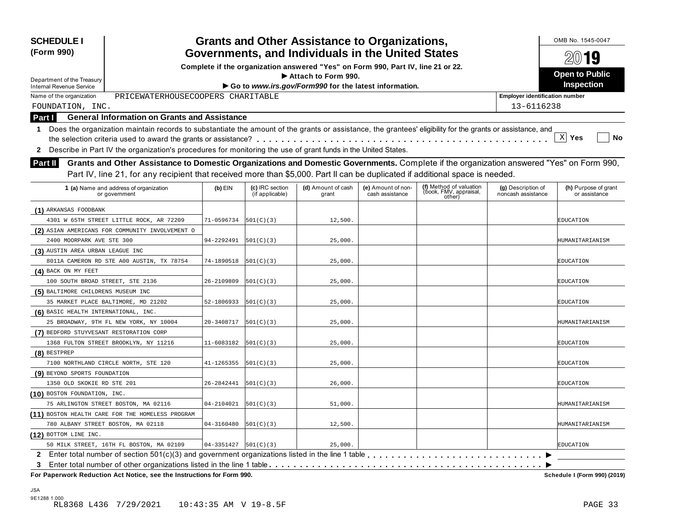| 2019<br>Complete if the organization answered "Yes" on Form 990, Part IV, line 21 or 22.<br><b>Open to Public</b><br>Attach to Form 990.<br>Department of the Treasury<br>Inspection<br>Go to www.irs.gov/Form990 for the latest information.<br><b>Internal Revenue Service</b><br>PRICEWATERHOUSECOOPERS CHARITABLE<br>Name of the organization<br><b>Employer identification number</b><br>13-6116238<br>FOUNDATION, INC.<br><b>General Information on Grants and Assistance</b><br>Part I<br>1 Does the organization maintain records to substantiate the amount of the grants or assistance, the grantees' eligibility for the grants or assistance, and<br>$\mathbf{x}$<br>Yes<br>No<br>Describe in Part IV the organization's procedures for monitoring the use of grant funds in the United States.<br>$\mathbf{2}$<br>Grants and Other Assistance to Domestic Organizations and Domestic Governments. Complete if the organization answered "Yes" on Form 990,<br><b>Part II</b><br>Part IV, line 21, for any recipient that received more than \$5,000. Part II can be duplicated if additional space is needed.<br>(f) Method of valuation<br>1 (a) Name and address of organization<br>$(b)$ EIN<br>(c) IRC section<br>(d) Amount of cash<br>(e) Amount of non-<br>(g) Description of<br>(h) Purpose of grant<br>(book, FMV, appraisal,<br>(if applicable)<br>cash assistance<br>noncash assistance<br>grant<br>or assistance<br>or government<br>other)<br>(1) ARKANSAS FOODBANK<br>12,500.<br>71-0596734<br> 501(C)(3) <br>4301 W 65TH STREET LITTLE ROCK, AR 72209<br>EDUCATION<br>(2) ASIAN AMERICANS FOR COMMUNITY INVOLVEMENT O<br>94-2292491<br>2400 MOORPARK AVE STE 300<br> 501(C)(3) <br>25,000.<br>HUMANITARIANISM<br>(3) AUSTIN AREA URBAN LEAGUE INC<br>8011A CAMERON RD STE A00 AUSTIN, TX 78754<br>74-1890518<br> 501(C)(3) <br>25,000.<br>EDUCATION<br>(4) BACK ON MY FEET<br>100 SOUTH BROAD STREET, STE 2136<br>26-2109809<br> 501(C)(3) <br>25,000.<br>EDUCATION<br>(5) BALTIMORE CHILDRENS MUSEUM INC<br>35 MARKET PLACE BALTIMORE, MD 21202<br>52-1806933<br> 501(C)(3) <br>25,000.<br>EDUCATION<br>(6) BASIC HEALTH INTERNATIONAL, INC.<br>25 BROADWAY, 9TH FL NEW YORK, NY 10004<br>20-3408717<br> 501(C)(3) <br>25,000.<br>HUMANITARIANISM<br>(7) BEDFORD STUYVESANT RESTORATION CORP<br>1368 FULTON STREET BROOKLYN, NY 11216<br>11-6083182<br> 501(C)(3) <br>25,000.<br>EDUCATION<br>$(8)$ BESTPREP<br>7100 NORTHLAND CIRCLE NORTH, STE 120<br>41-1265355<br> 501(C)(3) <br>25,000.<br>EDUCATION<br>(9) BEYOND SPORTS FOUNDATION<br>1350 OLD SKOKIE RD STE 201<br>26-2842441<br> 501(C)(3) <br>26,000.<br>EDUCATION<br>(10) BOSTON FOUNDATION, INC.<br>75 ARLINGTON STREET BOSTON, MA 02116<br>04-2104021<br> 501(C)(3) <br>51,000.<br>HUMANITARIANISM<br>(11) BOSTON HEALTH CARE FOR THE HOMELESS PROGRAM<br>12,500.<br>780 ALBANY STREET BOSTON, MA 02118<br>04-3160480<br> 501(C)(3) <br>HUMANITARIANISM<br>(12) BOTTOM LINE INC.<br>50 MILK STREET, 16TH FL BOSTON, MA 02109<br>04-3351427<br>501(C)(3)<br>25,000.<br><b>EDUCATION</b> | <b>SCHEDULE I</b><br>(Form 990) |                                                   |  |  | <b>Grants and Other Assistance to Organizations,</b> |  |  |  | OMB No. 1545-0047 |  |
|----------------------------------------------------------------------------------------------------------------------------------------------------------------------------------------------------------------------------------------------------------------------------------------------------------------------------------------------------------------------------------------------------------------------------------------------------------------------------------------------------------------------------------------------------------------------------------------------------------------------------------------------------------------------------------------------------------------------------------------------------------------------------------------------------------------------------------------------------------------------------------------------------------------------------------------------------------------------------------------------------------------------------------------------------------------------------------------------------------------------------------------------------------------------------------------------------------------------------------------------------------------------------------------------------------------------------------------------------------------------------------------------------------------------------------------------------------------------------------------------------------------------------------------------------------------------------------------------------------------------------------------------------------------------------------------------------------------------------------------------------------------------------------------------------------------------------------------------------------------------------------------------------------------------------------------------------------------------------------------------------------------------------------------------------------------------------------------------------------------------------------------------------------------------------------------------------------------------------------------------------------------------------------------------------------------------------------------------------------------------------------------------------------------------------------------------------------------------------------------------------------------------------------------------------------------------------------------------------------------------------------------------------------------------------------------------------------------------------------------------------------------------------------------------------------------------------------------------------------------------------------------------------------------------------------------------------------------------------------------------------------------------------------------------------------------------------------|---------------------------------|---------------------------------------------------|--|--|------------------------------------------------------|--|--|--|-------------------|--|
|                                                                                                                                                                                                                                                                                                                                                                                                                                                                                                                                                                                                                                                                                                                                                                                                                                                                                                                                                                                                                                                                                                                                                                                                                                                                                                                                                                                                                                                                                                                                                                                                                                                                                                                                                                                                                                                                                                                                                                                                                                                                                                                                                                                                                                                                                                                                                                                                                                                                                                                                                                                                                                                                                                                                                                                                                                                                                                                                                                                                                                                                                  |                                 | Governments, and Individuals in the United States |  |  |                                                      |  |  |  |                   |  |
|                                                                                                                                                                                                                                                                                                                                                                                                                                                                                                                                                                                                                                                                                                                                                                                                                                                                                                                                                                                                                                                                                                                                                                                                                                                                                                                                                                                                                                                                                                                                                                                                                                                                                                                                                                                                                                                                                                                                                                                                                                                                                                                                                                                                                                                                                                                                                                                                                                                                                                                                                                                                                                                                                                                                                                                                                                                                                                                                                                                                                                                                                  |                                 |                                                   |  |  |                                                      |  |  |  |                   |  |
|                                                                                                                                                                                                                                                                                                                                                                                                                                                                                                                                                                                                                                                                                                                                                                                                                                                                                                                                                                                                                                                                                                                                                                                                                                                                                                                                                                                                                                                                                                                                                                                                                                                                                                                                                                                                                                                                                                                                                                                                                                                                                                                                                                                                                                                                                                                                                                                                                                                                                                                                                                                                                                                                                                                                                                                                                                                                                                                                                                                                                                                                                  |                                 |                                                   |  |  |                                                      |  |  |  |                   |  |
|                                                                                                                                                                                                                                                                                                                                                                                                                                                                                                                                                                                                                                                                                                                                                                                                                                                                                                                                                                                                                                                                                                                                                                                                                                                                                                                                                                                                                                                                                                                                                                                                                                                                                                                                                                                                                                                                                                                                                                                                                                                                                                                                                                                                                                                                                                                                                                                                                                                                                                                                                                                                                                                                                                                                                                                                                                                                                                                                                                                                                                                                                  |                                 |                                                   |  |  |                                                      |  |  |  |                   |  |
|                                                                                                                                                                                                                                                                                                                                                                                                                                                                                                                                                                                                                                                                                                                                                                                                                                                                                                                                                                                                                                                                                                                                                                                                                                                                                                                                                                                                                                                                                                                                                                                                                                                                                                                                                                                                                                                                                                                                                                                                                                                                                                                                                                                                                                                                                                                                                                                                                                                                                                                                                                                                                                                                                                                                                                                                                                                                                                                                                                                                                                                                                  |                                 |                                                   |  |  |                                                      |  |  |  |                   |  |
|                                                                                                                                                                                                                                                                                                                                                                                                                                                                                                                                                                                                                                                                                                                                                                                                                                                                                                                                                                                                                                                                                                                                                                                                                                                                                                                                                                                                                                                                                                                                                                                                                                                                                                                                                                                                                                                                                                                                                                                                                                                                                                                                                                                                                                                                                                                                                                                                                                                                                                                                                                                                                                                                                                                                                                                                                                                                                                                                                                                                                                                                                  |                                 |                                                   |  |  |                                                      |  |  |  |                   |  |
|                                                                                                                                                                                                                                                                                                                                                                                                                                                                                                                                                                                                                                                                                                                                                                                                                                                                                                                                                                                                                                                                                                                                                                                                                                                                                                                                                                                                                                                                                                                                                                                                                                                                                                                                                                                                                                                                                                                                                                                                                                                                                                                                                                                                                                                                                                                                                                                                                                                                                                                                                                                                                                                                                                                                                                                                                                                                                                                                                                                                                                                                                  |                                 |                                                   |  |  |                                                      |  |  |  |                   |  |
|                                                                                                                                                                                                                                                                                                                                                                                                                                                                                                                                                                                                                                                                                                                                                                                                                                                                                                                                                                                                                                                                                                                                                                                                                                                                                                                                                                                                                                                                                                                                                                                                                                                                                                                                                                                                                                                                                                                                                                                                                                                                                                                                                                                                                                                                                                                                                                                                                                                                                                                                                                                                                                                                                                                                                                                                                                                                                                                                                                                                                                                                                  |                                 |                                                   |  |  |                                                      |  |  |  |                   |  |
|                                                                                                                                                                                                                                                                                                                                                                                                                                                                                                                                                                                                                                                                                                                                                                                                                                                                                                                                                                                                                                                                                                                                                                                                                                                                                                                                                                                                                                                                                                                                                                                                                                                                                                                                                                                                                                                                                                                                                                                                                                                                                                                                                                                                                                                                                                                                                                                                                                                                                                                                                                                                                                                                                                                                                                                                                                                                                                                                                                                                                                                                                  |                                 |                                                   |  |  |                                                      |  |  |  |                   |  |
|                                                                                                                                                                                                                                                                                                                                                                                                                                                                                                                                                                                                                                                                                                                                                                                                                                                                                                                                                                                                                                                                                                                                                                                                                                                                                                                                                                                                                                                                                                                                                                                                                                                                                                                                                                                                                                                                                                                                                                                                                                                                                                                                                                                                                                                                                                                                                                                                                                                                                                                                                                                                                                                                                                                                                                                                                                                                                                                                                                                                                                                                                  |                                 |                                                   |  |  |                                                      |  |  |  |                   |  |
|                                                                                                                                                                                                                                                                                                                                                                                                                                                                                                                                                                                                                                                                                                                                                                                                                                                                                                                                                                                                                                                                                                                                                                                                                                                                                                                                                                                                                                                                                                                                                                                                                                                                                                                                                                                                                                                                                                                                                                                                                                                                                                                                                                                                                                                                                                                                                                                                                                                                                                                                                                                                                                                                                                                                                                                                                                                                                                                                                                                                                                                                                  |                                 |                                                   |  |  |                                                      |  |  |  |                   |  |
|                                                                                                                                                                                                                                                                                                                                                                                                                                                                                                                                                                                                                                                                                                                                                                                                                                                                                                                                                                                                                                                                                                                                                                                                                                                                                                                                                                                                                                                                                                                                                                                                                                                                                                                                                                                                                                                                                                                                                                                                                                                                                                                                                                                                                                                                                                                                                                                                                                                                                                                                                                                                                                                                                                                                                                                                                                                                                                                                                                                                                                                                                  |                                 |                                                   |  |  |                                                      |  |  |  |                   |  |
|                                                                                                                                                                                                                                                                                                                                                                                                                                                                                                                                                                                                                                                                                                                                                                                                                                                                                                                                                                                                                                                                                                                                                                                                                                                                                                                                                                                                                                                                                                                                                                                                                                                                                                                                                                                                                                                                                                                                                                                                                                                                                                                                                                                                                                                                                                                                                                                                                                                                                                                                                                                                                                                                                                                                                                                                                                                                                                                                                                                                                                                                                  |                                 |                                                   |  |  |                                                      |  |  |  |                   |  |
|                                                                                                                                                                                                                                                                                                                                                                                                                                                                                                                                                                                                                                                                                                                                                                                                                                                                                                                                                                                                                                                                                                                                                                                                                                                                                                                                                                                                                                                                                                                                                                                                                                                                                                                                                                                                                                                                                                                                                                                                                                                                                                                                                                                                                                                                                                                                                                                                                                                                                                                                                                                                                                                                                                                                                                                                                                                                                                                                                                                                                                                                                  |                                 |                                                   |  |  |                                                      |  |  |  |                   |  |
|                                                                                                                                                                                                                                                                                                                                                                                                                                                                                                                                                                                                                                                                                                                                                                                                                                                                                                                                                                                                                                                                                                                                                                                                                                                                                                                                                                                                                                                                                                                                                                                                                                                                                                                                                                                                                                                                                                                                                                                                                                                                                                                                                                                                                                                                                                                                                                                                                                                                                                                                                                                                                                                                                                                                                                                                                                                                                                                                                                                                                                                                                  |                                 |                                                   |  |  |                                                      |  |  |  |                   |  |
|                                                                                                                                                                                                                                                                                                                                                                                                                                                                                                                                                                                                                                                                                                                                                                                                                                                                                                                                                                                                                                                                                                                                                                                                                                                                                                                                                                                                                                                                                                                                                                                                                                                                                                                                                                                                                                                                                                                                                                                                                                                                                                                                                                                                                                                                                                                                                                                                                                                                                                                                                                                                                                                                                                                                                                                                                                                                                                                                                                                                                                                                                  |                                 |                                                   |  |  |                                                      |  |  |  |                   |  |
|                                                                                                                                                                                                                                                                                                                                                                                                                                                                                                                                                                                                                                                                                                                                                                                                                                                                                                                                                                                                                                                                                                                                                                                                                                                                                                                                                                                                                                                                                                                                                                                                                                                                                                                                                                                                                                                                                                                                                                                                                                                                                                                                                                                                                                                                                                                                                                                                                                                                                                                                                                                                                                                                                                                                                                                                                                                                                                                                                                                                                                                                                  |                                 |                                                   |  |  |                                                      |  |  |  |                   |  |
|                                                                                                                                                                                                                                                                                                                                                                                                                                                                                                                                                                                                                                                                                                                                                                                                                                                                                                                                                                                                                                                                                                                                                                                                                                                                                                                                                                                                                                                                                                                                                                                                                                                                                                                                                                                                                                                                                                                                                                                                                                                                                                                                                                                                                                                                                                                                                                                                                                                                                                                                                                                                                                                                                                                                                                                                                                                                                                                                                                                                                                                                                  |                                 |                                                   |  |  |                                                      |  |  |  |                   |  |
|                                                                                                                                                                                                                                                                                                                                                                                                                                                                                                                                                                                                                                                                                                                                                                                                                                                                                                                                                                                                                                                                                                                                                                                                                                                                                                                                                                                                                                                                                                                                                                                                                                                                                                                                                                                                                                                                                                                                                                                                                                                                                                                                                                                                                                                                                                                                                                                                                                                                                                                                                                                                                                                                                                                                                                                                                                                                                                                                                                                                                                                                                  |                                 |                                                   |  |  |                                                      |  |  |  |                   |  |
|                                                                                                                                                                                                                                                                                                                                                                                                                                                                                                                                                                                                                                                                                                                                                                                                                                                                                                                                                                                                                                                                                                                                                                                                                                                                                                                                                                                                                                                                                                                                                                                                                                                                                                                                                                                                                                                                                                                                                                                                                                                                                                                                                                                                                                                                                                                                                                                                                                                                                                                                                                                                                                                                                                                                                                                                                                                                                                                                                                                                                                                                                  |                                 |                                                   |  |  |                                                      |  |  |  |                   |  |
|                                                                                                                                                                                                                                                                                                                                                                                                                                                                                                                                                                                                                                                                                                                                                                                                                                                                                                                                                                                                                                                                                                                                                                                                                                                                                                                                                                                                                                                                                                                                                                                                                                                                                                                                                                                                                                                                                                                                                                                                                                                                                                                                                                                                                                                                                                                                                                                                                                                                                                                                                                                                                                                                                                                                                                                                                                                                                                                                                                                                                                                                                  |                                 |                                                   |  |  |                                                      |  |  |  |                   |  |
|                                                                                                                                                                                                                                                                                                                                                                                                                                                                                                                                                                                                                                                                                                                                                                                                                                                                                                                                                                                                                                                                                                                                                                                                                                                                                                                                                                                                                                                                                                                                                                                                                                                                                                                                                                                                                                                                                                                                                                                                                                                                                                                                                                                                                                                                                                                                                                                                                                                                                                                                                                                                                                                                                                                                                                                                                                                                                                                                                                                                                                                                                  |                                 |                                                   |  |  |                                                      |  |  |  |                   |  |
|                                                                                                                                                                                                                                                                                                                                                                                                                                                                                                                                                                                                                                                                                                                                                                                                                                                                                                                                                                                                                                                                                                                                                                                                                                                                                                                                                                                                                                                                                                                                                                                                                                                                                                                                                                                                                                                                                                                                                                                                                                                                                                                                                                                                                                                                                                                                                                                                                                                                                                                                                                                                                                                                                                                                                                                                                                                                                                                                                                                                                                                                                  |                                 |                                                   |  |  |                                                      |  |  |  |                   |  |
|                                                                                                                                                                                                                                                                                                                                                                                                                                                                                                                                                                                                                                                                                                                                                                                                                                                                                                                                                                                                                                                                                                                                                                                                                                                                                                                                                                                                                                                                                                                                                                                                                                                                                                                                                                                                                                                                                                                                                                                                                                                                                                                                                                                                                                                                                                                                                                                                                                                                                                                                                                                                                                                                                                                                                                                                                                                                                                                                                                                                                                                                                  |                                 |                                                   |  |  |                                                      |  |  |  |                   |  |
|                                                                                                                                                                                                                                                                                                                                                                                                                                                                                                                                                                                                                                                                                                                                                                                                                                                                                                                                                                                                                                                                                                                                                                                                                                                                                                                                                                                                                                                                                                                                                                                                                                                                                                                                                                                                                                                                                                                                                                                                                                                                                                                                                                                                                                                                                                                                                                                                                                                                                                                                                                                                                                                                                                                                                                                                                                                                                                                                                                                                                                                                                  |                                 |                                                   |  |  |                                                      |  |  |  |                   |  |
|                                                                                                                                                                                                                                                                                                                                                                                                                                                                                                                                                                                                                                                                                                                                                                                                                                                                                                                                                                                                                                                                                                                                                                                                                                                                                                                                                                                                                                                                                                                                                                                                                                                                                                                                                                                                                                                                                                                                                                                                                                                                                                                                                                                                                                                                                                                                                                                                                                                                                                                                                                                                                                                                                                                                                                                                                                                                                                                                                                                                                                                                                  |                                 |                                                   |  |  |                                                      |  |  |  |                   |  |
|                                                                                                                                                                                                                                                                                                                                                                                                                                                                                                                                                                                                                                                                                                                                                                                                                                                                                                                                                                                                                                                                                                                                                                                                                                                                                                                                                                                                                                                                                                                                                                                                                                                                                                                                                                                                                                                                                                                                                                                                                                                                                                                                                                                                                                                                                                                                                                                                                                                                                                                                                                                                                                                                                                                                                                                                                                                                                                                                                                                                                                                                                  |                                 |                                                   |  |  |                                                      |  |  |  |                   |  |
|                                                                                                                                                                                                                                                                                                                                                                                                                                                                                                                                                                                                                                                                                                                                                                                                                                                                                                                                                                                                                                                                                                                                                                                                                                                                                                                                                                                                                                                                                                                                                                                                                                                                                                                                                                                                                                                                                                                                                                                                                                                                                                                                                                                                                                                                                                                                                                                                                                                                                                                                                                                                                                                                                                                                                                                                                                                                                                                                                                                                                                                                                  |                                 |                                                   |  |  |                                                      |  |  |  |                   |  |
|                                                                                                                                                                                                                                                                                                                                                                                                                                                                                                                                                                                                                                                                                                                                                                                                                                                                                                                                                                                                                                                                                                                                                                                                                                                                                                                                                                                                                                                                                                                                                                                                                                                                                                                                                                                                                                                                                                                                                                                                                                                                                                                                                                                                                                                                                                                                                                                                                                                                                                                                                                                                                                                                                                                                                                                                                                                                                                                                                                                                                                                                                  |                                 |                                                   |  |  |                                                      |  |  |  |                   |  |
|                                                                                                                                                                                                                                                                                                                                                                                                                                                                                                                                                                                                                                                                                                                                                                                                                                                                                                                                                                                                                                                                                                                                                                                                                                                                                                                                                                                                                                                                                                                                                                                                                                                                                                                                                                                                                                                                                                                                                                                                                                                                                                                                                                                                                                                                                                                                                                                                                                                                                                                                                                                                                                                                                                                                                                                                                                                                                                                                                                                                                                                                                  |                                 |                                                   |  |  |                                                      |  |  |  |                   |  |
|                                                                                                                                                                                                                                                                                                                                                                                                                                                                                                                                                                                                                                                                                                                                                                                                                                                                                                                                                                                                                                                                                                                                                                                                                                                                                                                                                                                                                                                                                                                                                                                                                                                                                                                                                                                                                                                                                                                                                                                                                                                                                                                                                                                                                                                                                                                                                                                                                                                                                                                                                                                                                                                                                                                                                                                                                                                                                                                                                                                                                                                                                  |                                 |                                                   |  |  |                                                      |  |  |  |                   |  |
|                                                                                                                                                                                                                                                                                                                                                                                                                                                                                                                                                                                                                                                                                                                                                                                                                                                                                                                                                                                                                                                                                                                                                                                                                                                                                                                                                                                                                                                                                                                                                                                                                                                                                                                                                                                                                                                                                                                                                                                                                                                                                                                                                                                                                                                                                                                                                                                                                                                                                                                                                                                                                                                                                                                                                                                                                                                                                                                                                                                                                                                                                  |                                 |                                                   |  |  |                                                      |  |  |  |                   |  |
|                                                                                                                                                                                                                                                                                                                                                                                                                                                                                                                                                                                                                                                                                                                                                                                                                                                                                                                                                                                                                                                                                                                                                                                                                                                                                                                                                                                                                                                                                                                                                                                                                                                                                                                                                                                                                                                                                                                                                                                                                                                                                                                                                                                                                                                                                                                                                                                                                                                                                                                                                                                                                                                                                                                                                                                                                                                                                                                                                                                                                                                                                  |                                 |                                                   |  |  |                                                      |  |  |  |                   |  |
|                                                                                                                                                                                                                                                                                                                                                                                                                                                                                                                                                                                                                                                                                                                                                                                                                                                                                                                                                                                                                                                                                                                                                                                                                                                                                                                                                                                                                                                                                                                                                                                                                                                                                                                                                                                                                                                                                                                                                                                                                                                                                                                                                                                                                                                                                                                                                                                                                                                                                                                                                                                                                                                                                                                                                                                                                                                                                                                                                                                                                                                                                  |                                 |                                                   |  |  |                                                      |  |  |  |                   |  |
|                                                                                                                                                                                                                                                                                                                                                                                                                                                                                                                                                                                                                                                                                                                                                                                                                                                                                                                                                                                                                                                                                                                                                                                                                                                                                                                                                                                                                                                                                                                                                                                                                                                                                                                                                                                                                                                                                                                                                                                                                                                                                                                                                                                                                                                                                                                                                                                                                                                                                                                                                                                                                                                                                                                                                                                                                                                                                                                                                                                                                                                                                  |                                 |                                                   |  |  |                                                      |  |  |  |                   |  |
|                                                                                                                                                                                                                                                                                                                                                                                                                                                                                                                                                                                                                                                                                                                                                                                                                                                                                                                                                                                                                                                                                                                                                                                                                                                                                                                                                                                                                                                                                                                                                                                                                                                                                                                                                                                                                                                                                                                                                                                                                                                                                                                                                                                                                                                                                                                                                                                                                                                                                                                                                                                                                                                                                                                                                                                                                                                                                                                                                                                                                                                                                  |                                 |                                                   |  |  |                                                      |  |  |  |                   |  |
| 3<br>For Paperwork Reduction Act Notice, see the Instructions for Form 990.<br>Schedule I (Form 990) (2019)                                                                                                                                                                                                                                                                                                                                                                                                                                                                                                                                                                                                                                                                                                                                                                                                                                                                                                                                                                                                                                                                                                                                                                                                                                                                                                                                                                                                                                                                                                                                                                                                                                                                                                                                                                                                                                                                                                                                                                                                                                                                                                                                                                                                                                                                                                                                                                                                                                                                                                                                                                                                                                                                                                                                                                                                                                                                                                                                                                      |                                 |                                                   |  |  |                                                      |  |  |  |                   |  |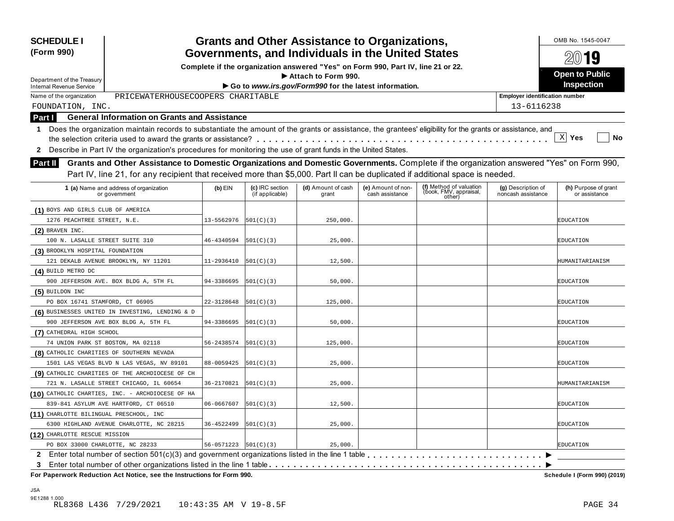| <b>SCHEDULE I</b><br>(Form 990)                                                                                                                                                                                                                                                      |            |                                    | <b>Grants and Other Assistance to Organizations,</b>                             |                                       |                                                             |                                          | OMB No. 1545-0047                     |
|--------------------------------------------------------------------------------------------------------------------------------------------------------------------------------------------------------------------------------------------------------------------------------------|------------|------------------------------------|----------------------------------------------------------------------------------|---------------------------------------|-------------------------------------------------------------|------------------------------------------|---------------------------------------|
|                                                                                                                                                                                                                                                                                      |            |                                    | Governments, and Individuals in the United States                                |                                       |                                                             |                                          | $20$ 19                               |
|                                                                                                                                                                                                                                                                                      |            |                                    | Complete if the organization answered "Yes" on Form 990, Part IV, line 21 or 22. |                                       |                                                             |                                          | <b>Open to Public</b>                 |
| Department of the Treasury                                                                                                                                                                                                                                                           |            |                                    | Attach to Form 990.                                                              |                                       |                                                             |                                          | Inspection                            |
| <b>Internal Revenue Service</b>                                                                                                                                                                                                                                                      |            |                                    | Go to www.irs.gov/Form990 for the latest information.                            |                                       |                                                             |                                          |                                       |
| PRICEWATERHOUSECOOPERS CHARITABLE<br>Name of the organization                                                                                                                                                                                                                        |            |                                    |                                                                                  |                                       |                                                             | <b>Employer identification number</b>    |                                       |
| FOUNDATION, INC.                                                                                                                                                                                                                                                                     |            |                                    |                                                                                  |                                       |                                                             | 13-6116238                               |                                       |
| <b>General Information on Grants and Assistance</b><br>Part I                                                                                                                                                                                                                        |            |                                    |                                                                                  |                                       |                                                             |                                          |                                       |
| Does the organization maintain records to substantiate the amount of the grants or assistance, the grantees' eligibility for the grants or assistance, and<br>1                                                                                                                      |            |                                    |                                                                                  |                                       |                                                             |                                          | X <br>Yes<br>No                       |
| Describe in Part IV the organization's procedures for monitoring the use of grant funds in the United States.<br>2                                                                                                                                                                   |            |                                    |                                                                                  |                                       |                                                             |                                          |                                       |
| Grants and Other Assistance to Domestic Organizations and Domestic Governments. Complete if the organization answered "Yes" on Form 990,<br>Part II<br>Part IV, line 21, for any recipient that received more than \$5,000. Part II can be duplicated if additional space is needed. |            |                                    |                                                                                  |                                       |                                                             |                                          |                                       |
| 1 (a) Name and address of organization<br>or government                                                                                                                                                                                                                              | $(b)$ EIN  | (c) IRC section<br>(if applicable) | (d) Amount of cash<br>grant                                                      | (e) Amount of non-<br>cash assistance | (f) Method of valuation<br>(book, FMV, appraisal,<br>other) | (g) Description of<br>noncash assistance | (h) Purpose of grant<br>or assistance |
| (1) BOYS AND GIRLS CLUB OF AMERICA                                                                                                                                                                                                                                                   |            |                                    |                                                                                  |                                       |                                                             |                                          |                                       |
| 1276 PEACHTREE STREET, N.E.                                                                                                                                                                                                                                                          | 13-5562976 | 501(C)(3)                          | 250,000.                                                                         |                                       |                                                             |                                          | EDUCATION                             |
| $(2)$ BRAVEN INC.                                                                                                                                                                                                                                                                    |            |                                    |                                                                                  |                                       |                                                             |                                          |                                       |
| 100 N. LASALLE STREET SUITE 310                                                                                                                                                                                                                                                      | 46-4340594 | 501(C)(3)                          | 25,000.                                                                          |                                       |                                                             |                                          | EDUCATION                             |
| (3) BROOKLYN HOSPITAL FOUNDATION                                                                                                                                                                                                                                                     |            |                                    |                                                                                  |                                       |                                                             |                                          |                                       |
| 121 DEKALB AVENUE BROOKLYN, NY 11201                                                                                                                                                                                                                                                 | 11-2936410 | 501(C)(3)                          | 12,500.                                                                          |                                       |                                                             |                                          | HUMANITARIANISM                       |
| (4) BUILD METRO DC                                                                                                                                                                                                                                                                   |            |                                    |                                                                                  |                                       |                                                             |                                          |                                       |
| 900 JEFFERSON AVE. BOX BLDG A, 5TH FL                                                                                                                                                                                                                                                | 94-3386695 | 501(C)(3)                          | 50,000.                                                                          |                                       |                                                             |                                          | EDUCATION                             |
| (5) BUILDON INC                                                                                                                                                                                                                                                                      |            |                                    |                                                                                  |                                       |                                                             |                                          |                                       |
| PO BOX 16741 STAMFORD, CT 06905                                                                                                                                                                                                                                                      | 22-3128648 | 501(C)(3)                          | 125,000.                                                                         |                                       |                                                             |                                          | EDUCATION                             |
| (6) BUSINESSES UNITED IN INVESTING, LENDING & D                                                                                                                                                                                                                                      |            |                                    |                                                                                  |                                       |                                                             |                                          |                                       |
| 900 JEFFERSON AVE BOX BLDG A, 5TH FL                                                                                                                                                                                                                                                 | 94-3386695 | 501(C)(3)                          | 50,000.                                                                          |                                       |                                                             |                                          | EDUCATION                             |
| (7) CATHEDRAL HIGH SCHOOL                                                                                                                                                                                                                                                            |            |                                    |                                                                                  |                                       |                                                             |                                          |                                       |
| 74 UNION PARK ST BOSTON, MA 02118                                                                                                                                                                                                                                                    | 56-2438574 | 501(C)(3)                          | 125,000.                                                                         |                                       |                                                             |                                          | EDUCATION                             |
| (8) CATHOLIC CHARITIES OF SOUTHERN NEVADA                                                                                                                                                                                                                                            |            |                                    |                                                                                  |                                       |                                                             |                                          |                                       |
| 1501 LAS VEGAS BLVD N LAS VEGAS, NV 89101                                                                                                                                                                                                                                            | 88-0059425 | 501(C)(3)                          | 25,000.                                                                          |                                       |                                                             |                                          | EDUCATION                             |
| (9) CATHOLIC CHARITIES OF THE ARCHDIOCESE OF CH                                                                                                                                                                                                                                      |            |                                    |                                                                                  |                                       |                                                             |                                          |                                       |
| 721 N. LASALLE STREET CHICAGO, IL 60654                                                                                                                                                                                                                                              | 36-2170821 | 501(C)(3)                          | 25,000.                                                                          |                                       |                                                             |                                          | HUMANITARIANISM                       |
| (10) CATHOLIC CHARTIES, INC. - ARCHDIOCESE OF HA                                                                                                                                                                                                                                     |            |                                    |                                                                                  |                                       |                                                             |                                          |                                       |
| 839-841 ASYLUM AVE HARTFORD, CT 06510                                                                                                                                                                                                                                                | 06-0667607 | 501(C)(3)                          | 12,500.                                                                          |                                       |                                                             |                                          | <b>EDUCATION</b>                      |
| (11) CHARLOTTE BILINGUAL PRESCHOOL, INC                                                                                                                                                                                                                                              |            |                                    |                                                                                  |                                       |                                                             |                                          |                                       |
| 6300 HIGHLAND AVENUE CHARLOTTE, NC 28215                                                                                                                                                                                                                                             | 36-4522499 | 501(C)(3)                          | 25,000.                                                                          |                                       |                                                             |                                          | EDUCATION                             |
| (12) CHARLOTTE RESCUE MISSION                                                                                                                                                                                                                                                        |            |                                    |                                                                                  |                                       |                                                             |                                          |                                       |
| PO BOX 33000 CHARLOTTE, NC 28233                                                                                                                                                                                                                                                     | 56-0571223 | 501(C)(3)                          | 25,000.                                                                          |                                       |                                                             |                                          | <b>EDUCATION</b>                      |
|                                                                                                                                                                                                                                                                                      |            |                                    |                                                                                  |                                       |                                                             |                                          |                                       |
| 3                                                                                                                                                                                                                                                                                    |            |                                    |                                                                                  |                                       |                                                             |                                          |                                       |
| For Paperwork Reduction Act Notice, see the Instructions for Form 990.                                                                                                                                                                                                               |            |                                    |                                                                                  |                                       |                                                             |                                          | Schedule I (Form 990) (2019)          |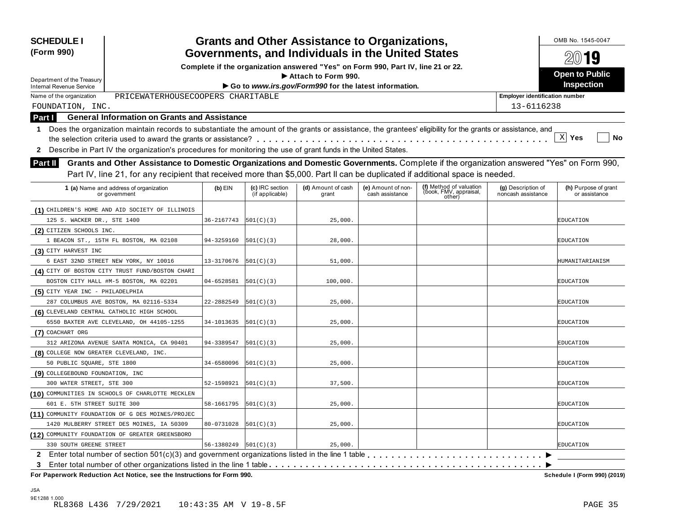| (Form 990)<br>Department of the Treasury<br><b>Internal Revenue Service</b><br>PRICEWATERHOUSECOOPERS CHARITABLE<br>Name of the organization                         |            |                                    | Governments, and Individuals in the United States<br>Complete if the organization answered "Yes" on Form 990, Part IV, line 21 or 22. |                                       |                                                             |                                          |                                       |
|----------------------------------------------------------------------------------------------------------------------------------------------------------------------|------------|------------------------------------|---------------------------------------------------------------------------------------------------------------------------------------|---------------------------------------|-------------------------------------------------------------|------------------------------------------|---------------------------------------|
|                                                                                                                                                                      |            |                                    |                                                                                                                                       |                                       |                                                             |                                          | $20$ 19                               |
|                                                                                                                                                                      |            |                                    | Attach to Form 990.                                                                                                                   |                                       |                                                             |                                          | <b>Open to Public</b>                 |
|                                                                                                                                                                      |            |                                    | Go to www.irs.gov/Form990 for the latest information.                                                                                 |                                       |                                                             |                                          | <b>Inspection</b>                     |
|                                                                                                                                                                      |            |                                    |                                                                                                                                       |                                       |                                                             | <b>Employer identification number</b>    |                                       |
|                                                                                                                                                                      |            |                                    |                                                                                                                                       |                                       |                                                             | 13-6116238                               |                                       |
| FOUNDATION, INC.<br><b>General Information on Grants and Assistance</b>                                                                                              |            |                                    |                                                                                                                                       |                                       |                                                             |                                          |                                       |
| Part I<br>Does the organization maintain records to substantiate the amount of the grants or assistance, the grantees' eligibility for the grants or assistance, and |            |                                    |                                                                                                                                       |                                       |                                                             |                                          |                                       |
| 1                                                                                                                                                                    |            |                                    |                                                                                                                                       |                                       |                                                             |                                          | X <br>Yes<br>No                       |
| Describe in Part IV the organization's procedures for monitoring the use of grant funds in the United States.                                                        |            |                                    |                                                                                                                                       |                                       |                                                             |                                          |                                       |
| 2                                                                                                                                                                    |            |                                    |                                                                                                                                       |                                       |                                                             |                                          |                                       |
| Grants and Other Assistance to Domestic Organizations and Domestic Governments. Complete if the organization answered "Yes" on Form 990,<br><b>Part II</b>           |            |                                    |                                                                                                                                       |                                       |                                                             |                                          |                                       |
| Part IV, line 21, for any recipient that received more than \$5,000. Part II can be duplicated if additional space is needed.                                        |            |                                    |                                                                                                                                       |                                       |                                                             |                                          |                                       |
| 1 (a) Name and address of organization<br>or government                                                                                                              | $(b)$ EIN  | (c) IRC section<br>(if applicable) | (d) Amount of cash<br>grant                                                                                                           | (e) Amount of non-<br>cash assistance | (f) Method of valuation<br>(book, FMV, appraisal,<br>other) | (g) Description of<br>noncash assistance | (h) Purpose of grant<br>or assistance |
| (1) CHILDREN'S HOME AND AID SOCIETY OF ILLINOIS                                                                                                                      |            |                                    |                                                                                                                                       |                                       |                                                             |                                          |                                       |
| 125 S. WACKER DR., STE 1400                                                                                                                                          | 36-2167743 | 501(C)(3)                          | 25,000.                                                                                                                               |                                       |                                                             |                                          | EDUCATION                             |
| (2) CITIZEN SCHOOLS INC.                                                                                                                                             |            |                                    |                                                                                                                                       |                                       |                                                             |                                          |                                       |
| 1 BEACON ST., 15TH FL BOSTON, MA 02108                                                                                                                               | 94-3259160 | 501(C)(3)                          | 28,000.                                                                                                                               |                                       |                                                             |                                          | EDUCATION                             |
| (3) CITY HARVEST INC                                                                                                                                                 |            |                                    |                                                                                                                                       |                                       |                                                             |                                          |                                       |
| 6 EAST 32ND STREET NEW YORK, NY 10016                                                                                                                                | 13-3170676 | 501(C)(3)                          | 51,000.                                                                                                                               |                                       |                                                             |                                          | HUMANITARIANISM                       |
| (4) CITY OF BOSTON CITY TRUST FUND/BOSTON CHARI                                                                                                                      |            |                                    |                                                                                                                                       |                                       |                                                             |                                          |                                       |
| BOSTON CITY HALL #M-5 BOSTON, MA 02201                                                                                                                               | 04-6528581 | 501(C)(3)                          | 100,000.                                                                                                                              |                                       |                                                             |                                          | EDUCATION                             |
| (5) CITY YEAR INC - PHILADELPHIA                                                                                                                                     |            |                                    |                                                                                                                                       |                                       |                                                             |                                          |                                       |
| 287 COLUMBUS AVE BOSTON, MA 02116-5334                                                                                                                               | 22-2882549 | 501(C)(3)                          | 25,000.                                                                                                                               |                                       |                                                             |                                          | EDUCATION                             |
| (6) CLEVELAND CENTRAL CATHOLIC HIGH SCHOOL                                                                                                                           |            |                                    |                                                                                                                                       |                                       |                                                             |                                          |                                       |
| 6550 BAXTER AVE CLEVELAND, OH 44105-1255                                                                                                                             | 34-1013635 | 501(C)(3)                          | 25,000.                                                                                                                               |                                       |                                                             |                                          | EDUCATION                             |
| (7) COACHART ORG                                                                                                                                                     |            |                                    |                                                                                                                                       |                                       |                                                             |                                          |                                       |
| 312 ARIZONA AVENUE SANTA MONICA, CA 90401                                                                                                                            | 94-3389547 | 501(C)(3)                          | 25,000.                                                                                                                               |                                       |                                                             |                                          | EDUCATION                             |
| (8) COLLEGE NOW GREATER CLEVELAND, INC.                                                                                                                              |            |                                    |                                                                                                                                       |                                       |                                                             |                                          |                                       |
| 50 PUBLIC SQUARE, STE 1800                                                                                                                                           | 34-6580096 | 501(C)(3)                          | 25,000.                                                                                                                               |                                       |                                                             |                                          | EDUCATION                             |
| (9) COLLEGEBOUND FOUNDATION, INC                                                                                                                                     |            |                                    |                                                                                                                                       |                                       |                                                             |                                          |                                       |
| 300 WATER STREET, STE 300                                                                                                                                            | 52-1598921 | 501(C)(3)                          | 37,500.                                                                                                                               |                                       |                                                             |                                          | EDUCATION                             |
| (10) COMMUNITIES IN SCHOOLS OF CHARLOTTE MECKLEN                                                                                                                     |            |                                    |                                                                                                                                       |                                       |                                                             |                                          |                                       |
| 601 E. 5TH STREET SUITE 300                                                                                                                                          | 58-1661795 | 501(C)(3)                          | 25,000.                                                                                                                               |                                       |                                                             |                                          | EDUCATION                             |
| (11) COMMUNITY FOUNDATION OF G DES MOINES/PROJEC                                                                                                                     |            |                                    |                                                                                                                                       |                                       |                                                             |                                          |                                       |
| 1420 MULBERRY STREET DES MOINES, IA 50309                                                                                                                            | 80-0731028 | 501(C)(3)                          | 25,000.                                                                                                                               |                                       |                                                             |                                          | EDUCATION                             |
| (12) COMMUNITY FOUNDATION OF GREATER GREENSBORO                                                                                                                      |            |                                    |                                                                                                                                       |                                       |                                                             |                                          |                                       |
| 330 SOUTH GREENE STREET                                                                                                                                              | 56-1380249 | 501(C)(3)                          | 25,000.                                                                                                                               |                                       |                                                             |                                          | <b>EDUCATION</b>                      |
| 2                                                                                                                                                                    |            |                                    |                                                                                                                                       |                                       |                                                             |                                          |                                       |
| 3                                                                                                                                                                    |            |                                    |                                                                                                                                       |                                       |                                                             |                                          |                                       |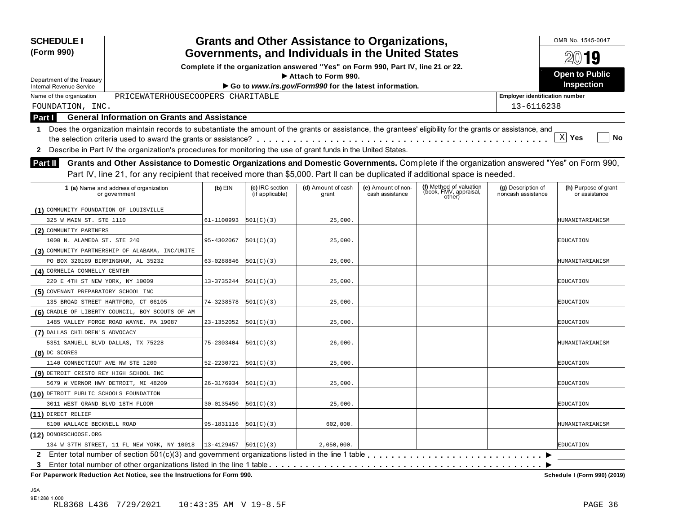| <b>SCHEDULE I</b><br>(Form 990)                                                                                                                              |            |                                    | <b>Grants and Other Assistance to Organizations,</b>                             |                                       |                                                             |                                          | OMB No. 1545-0047                     |
|--------------------------------------------------------------------------------------------------------------------------------------------------------------|------------|------------------------------------|----------------------------------------------------------------------------------|---------------------------------------|-------------------------------------------------------------|------------------------------------------|---------------------------------------|
|                                                                                                                                                              |            |                                    | Governments, and Individuals in the United States                                |                                       |                                                             |                                          | 2019                                  |
|                                                                                                                                                              |            |                                    | Complete if the organization answered "Yes" on Form 990, Part IV, line 21 or 22. |                                       |                                                             |                                          | <b>Open to Public</b>                 |
| Department of the Treasury                                                                                                                                   |            |                                    | Attach to Form 990.                                                              |                                       |                                                             |                                          | <b>Inspection</b>                     |
| <b>Internal Revenue Service</b>                                                                                                                              |            |                                    | Go to www.irs.gov/Form990 for the latest information.                            |                                       |                                                             |                                          |                                       |
| PRICEWATERHOUSECOOPERS CHARITABLE<br>Name of the organization                                                                                                |            |                                    |                                                                                  |                                       |                                                             | <b>Employer identification number</b>    |                                       |
| FOUNDATION, INC.                                                                                                                                             |            |                                    |                                                                                  |                                       |                                                             | 13-6116238                               |                                       |
| <b>General Information on Grants and Assistance</b><br>Part I                                                                                                |            |                                    |                                                                                  |                                       |                                                             |                                          |                                       |
| 1 Does the organization maintain records to substantiate the amount of the grants or assistance, the grantees' eligibility for the grants or assistance, and |            |                                    |                                                                                  |                                       |                                                             |                                          | X <br>No                              |
|                                                                                                                                                              |            |                                    |                                                                                  |                                       |                                                             |                                          | Yes                                   |
| Describe in Part IV the organization's procedures for monitoring the use of grant funds in the United States.<br>$\mathbf{2}$                                |            |                                    |                                                                                  |                                       |                                                             |                                          |                                       |
| Grants and Other Assistance to Domestic Organizations and Domestic Governments. Complete if the organization answered "Yes" on Form 990,<br><b>Part II</b>   |            |                                    |                                                                                  |                                       |                                                             |                                          |                                       |
| Part IV, line 21, for any recipient that received more than \$5,000. Part II can be duplicated if additional space is needed.                                |            |                                    |                                                                                  |                                       |                                                             |                                          |                                       |
| 1 (a) Name and address of organization<br>or government                                                                                                      | $(b)$ EIN  | (c) IRC section<br>(if applicable) | (d) Amount of cash<br>grant                                                      | (e) Amount of non-<br>cash assistance | (f) Method of valuation<br>(book, FMV, appraisal,<br>other) | (g) Description of<br>noncash assistance | (h) Purpose of grant<br>or assistance |
| (1) COMMUNITY FOUNDATION OF LOUISVILLE                                                                                                                       |            |                                    |                                                                                  |                                       |                                                             |                                          |                                       |
| 325 W MAIN ST. STE 1110                                                                                                                                      | 61-1100993 | 501(C)(3)                          | 25,000.                                                                          |                                       |                                                             |                                          | HUMANITARIANISM                       |
| (2) COMMUNITY PARTNERS                                                                                                                                       |            |                                    |                                                                                  |                                       |                                                             |                                          |                                       |
| 1000 N. ALAMEDA ST. STE 240                                                                                                                                  | 95-4302067 | 501(C)(3)                          | 25,000.                                                                          |                                       |                                                             |                                          | EDUCATION                             |
| (3) COMMUNITY PARTNERSHIP OF ALABAMA, INC/UNITE                                                                                                              |            |                                    |                                                                                  |                                       |                                                             |                                          |                                       |
| PO BOX 320189 BIRMINGHAM, AL 35232                                                                                                                           | 63-0288846 | 501(C)(3)                          | 25,000.                                                                          |                                       |                                                             |                                          | HUMANITARIANISM                       |
| (4) CORNELIA CONNELLY CENTER                                                                                                                                 |            |                                    |                                                                                  |                                       |                                                             |                                          |                                       |
| 220 E 4TH ST NEW YORK, NY 10009                                                                                                                              | 13-3735244 | 501(C)(3)                          | 25,000.                                                                          |                                       |                                                             |                                          | EDUCATION                             |
| (5) COVENANT PREPARATORY SCHOOL INC                                                                                                                          |            |                                    |                                                                                  |                                       |                                                             |                                          |                                       |
| 135 BROAD STREET HARTFORD, CT 06105                                                                                                                          | 74-3238578 | 501(C)(3)                          | 25,000.                                                                          |                                       |                                                             |                                          | EDUCATION                             |
| (6) CRADLE OF LIBERTY COUNCIL, BOY SCOUTS OF AM                                                                                                              |            |                                    |                                                                                  |                                       |                                                             |                                          |                                       |
| 1485 VALLEY FORGE ROAD WAYNE, PA 19087                                                                                                                       | 23-1352052 | 501(C)(3)                          | 25,000.                                                                          |                                       |                                                             |                                          | EDUCATION                             |
| (7) DALLAS CHILDREN'S ADVOCACY                                                                                                                               |            |                                    |                                                                                  |                                       |                                                             |                                          |                                       |
| 5351 SAMUELL BLVD DALLAS, TX 75228                                                                                                                           | 75-2303404 | 501(C)(3)                          | 26,000.                                                                          |                                       |                                                             |                                          | HUMANITARIANISM                       |
| (8) DC SCORES                                                                                                                                                |            |                                    |                                                                                  |                                       |                                                             |                                          |                                       |
| 1140 CONNECTICUT AVE NW STE 1200                                                                                                                             | 52-2230721 | 501(C)(3)                          | 25,000.                                                                          |                                       |                                                             |                                          | EDUCATION                             |
| (9) DETROIT CRISTO REY HIGH SCHOOL INC                                                                                                                       |            |                                    |                                                                                  |                                       |                                                             |                                          |                                       |
| 5679 W VERNOR HWY DETROIT, MI 48209                                                                                                                          | 26-3176934 | 501(C)(3)                          | 25,000.                                                                          |                                       |                                                             |                                          | EDUCATION                             |
| (10) DETROIT PUBLIC SCHOOLS FOUNDATION                                                                                                                       |            |                                    |                                                                                  |                                       |                                                             |                                          |                                       |
| 3011 WEST GRAND BLVD 18TH FLOOR                                                                                                                              | 30-0135450 | 501(C)(3)                          | 25,000.                                                                          |                                       |                                                             |                                          | EDUCATION                             |
| $(11)$ DIRECT RELIEF                                                                                                                                         |            |                                    |                                                                                  |                                       |                                                             |                                          |                                       |
| 6100 WALLACE BECKNELL ROAD                                                                                                                                   | 95-1831116 | 501(C)(3)                          | 602,000.                                                                         |                                       |                                                             |                                          | HUMANITARIANISM                       |
| (12) DONORSCHOOSE.ORG                                                                                                                                        |            |                                    |                                                                                  |                                       |                                                             |                                          |                                       |
| 134 W 37TH STREET, 11 FL NEW YORK, NY 10018                                                                                                                  | 13-4129457 | 501(C)(3)                          | 2,050,000.                                                                       |                                       |                                                             |                                          | <b>EDUCATION</b>                      |
| 2 Enter total number of section 501(c)(3) and government organizations listed in the line 1 table                                                            |            |                                    |                                                                                  |                                       |                                                             |                                          |                                       |
| 3                                                                                                                                                            |            |                                    |                                                                                  |                                       |                                                             |                                          |                                       |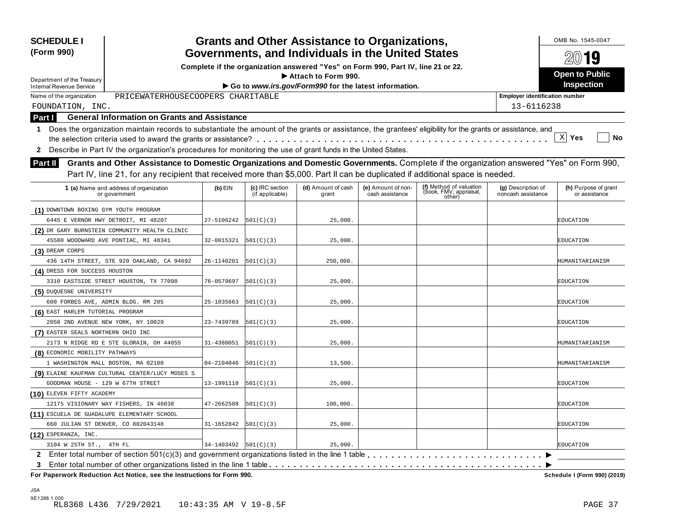| <b>SCHEDULE I</b><br>(Form 990)                                                                                                                                                                                                                                           |            |                                    | <b>Grants and Other Assistance to Organizations,</b>                             |                                       |                                                             |                                          | OMB No. 1545-0047                     |
|---------------------------------------------------------------------------------------------------------------------------------------------------------------------------------------------------------------------------------------------------------------------------|------------|------------------------------------|----------------------------------------------------------------------------------|---------------------------------------|-------------------------------------------------------------|------------------------------------------|---------------------------------------|
|                                                                                                                                                                                                                                                                           |            |                                    | Governments, and Individuals in the United States                                |                                       |                                                             |                                          | $20$ 19                               |
|                                                                                                                                                                                                                                                                           |            |                                    | Complete if the organization answered "Yes" on Form 990, Part IV, line 21 or 22. |                                       |                                                             |                                          | <b>Open to Public</b>                 |
| Department of the Treasury                                                                                                                                                                                                                                                |            |                                    | Attach to Form 990.                                                              |                                       |                                                             |                                          | Inspection                            |
| <b>Internal Revenue Service</b><br>PRICEWATERHOUSECOOPERS CHARITABLE<br>Name of the organization                                                                                                                                                                          |            |                                    | Go to www.irs.gov/Form990 for the latest information.                            |                                       |                                                             | <b>Employer identification number</b>    |                                       |
|                                                                                                                                                                                                                                                                           |            |                                    |                                                                                  |                                       |                                                             | 13-6116238                               |                                       |
| FOUNDATION, INC.<br><b>General Information on Grants and Assistance</b>                                                                                                                                                                                                   |            |                                    |                                                                                  |                                       |                                                             |                                          |                                       |
| Part I                                                                                                                                                                                                                                                                    |            |                                    |                                                                                  |                                       |                                                             |                                          |                                       |
| Does the organization maintain records to substantiate the amount of the grants or assistance, the grantees' eligibility for the grants or assistance, and<br>$\mathbf 1$                                                                                                 |            |                                    |                                                                                  |                                       |                                                             |                                          | $\mathbf{x}$<br>Yes<br>No             |
|                                                                                                                                                                                                                                                                           |            |                                    |                                                                                  |                                       |                                                             |                                          |                                       |
| Describe in Part IV the organization's procedures for monitoring the use of grant funds in the United States.<br>2<br>Grants and Other Assistance to Domestic Organizations and Domestic Governments. Complete if the organization answered "Yes" on Form 990,<br>Part II |            |                                    |                                                                                  |                                       |                                                             |                                          |                                       |
| Part IV, line 21, for any recipient that received more than \$5,000. Part II can be duplicated if additional space is needed.                                                                                                                                             |            |                                    |                                                                                  |                                       |                                                             |                                          |                                       |
|                                                                                                                                                                                                                                                                           |            |                                    |                                                                                  |                                       |                                                             |                                          |                                       |
| 1 (a) Name and address of organization<br>or government                                                                                                                                                                                                                   | $(b)$ EIN  | (c) IRC section<br>(if applicable) | (d) Amount of cash<br>grant                                                      | (e) Amount of non-<br>cash assistance | (f) Method of valuation<br>(book, FMV, appraisal,<br>other) | (g) Description of<br>noncash assistance | (h) Purpose of grant<br>or assistance |
| (1) DOWNTOWN BOXING GYM YOUTH PROGRAM                                                                                                                                                                                                                                     |            |                                    |                                                                                  |                                       |                                                             |                                          |                                       |
| 6445 E VERNOR HWY DETROIT, MI 48207                                                                                                                                                                                                                                       | 27-5106242 | 501(C)(3)                          | 25,000.                                                                          |                                       |                                                             |                                          | EDUCATION                             |
| (2) DR GARY BURNSTEIN COMMUNITY HEALTH CLINIC                                                                                                                                                                                                                             |            |                                    |                                                                                  |                                       |                                                             |                                          |                                       |
| 45580 WOODWARD AVE PONTIAC, MI 48341                                                                                                                                                                                                                                      | 32-0015321 | 501(C)(3)                          | 25,000.                                                                          |                                       |                                                             |                                          | EDUCATION                             |
| (3) DREAM CORPS                                                                                                                                                                                                                                                           |            |                                    |                                                                                  |                                       |                                                             |                                          |                                       |
| 436 14TH STREET, STE 920 OAKLAND, CA 94692                                                                                                                                                                                                                                | 26-1140201 | 501(C)(3)                          | 250,000.                                                                         |                                       |                                                             |                                          | HUMANITARIANISM                       |
| (4) DRESS FOR SUCCESS HOUSTON                                                                                                                                                                                                                                             |            |                                    |                                                                                  |                                       |                                                             |                                          |                                       |
| 3310 EASTSIDE STREET HOUSTON, TX 77098                                                                                                                                                                                                                                    | 76-0579697 | 501(C)(3)                          | 25,000.                                                                          |                                       |                                                             |                                          | EDUCATION                             |
| (5) DUQUESNE UNIVERSITY                                                                                                                                                                                                                                                   |            |                                    |                                                                                  |                                       |                                                             |                                          |                                       |
| 600 FORBES AVE, ADMIN BLDG. RM 205                                                                                                                                                                                                                                        | 25-1035663 | 501(C)(3)                          | 25,000.                                                                          |                                       |                                                             |                                          | EDUCATION                             |
| (6) EAST HARLEM TUTORIAL PROGRAM                                                                                                                                                                                                                                          |            |                                    |                                                                                  |                                       |                                                             |                                          |                                       |
| 2050 2ND AVENUE NEW YORK, NY 10029                                                                                                                                                                                                                                        | 23-7439789 | 501(C)(3)                          | 25,000.                                                                          |                                       |                                                             |                                          | EDUCATION                             |
| (7) EASTER SEALS NORTHERN OHIO INC                                                                                                                                                                                                                                        |            |                                    |                                                                                  |                                       |                                                             |                                          |                                       |
| 2173 N RIDGE RD E STE GLORAIN, OH 44055                                                                                                                                                                                                                                   | 31-4380051 | 501(C)(3)                          | 25,000.                                                                          |                                       |                                                             |                                          | HUMANITARIANISM                       |
| (8) ECONOMIC MOBILITY PATHWAYS                                                                                                                                                                                                                                            |            |                                    |                                                                                  |                                       |                                                             |                                          |                                       |
| 1 WASHINGTON MALL BOSTON, MA 02108                                                                                                                                                                                                                                        | 04-2104046 | 501(C)(3)                          | 13,500.                                                                          |                                       |                                                             |                                          | HUMANITARIANISM                       |
| (9) ELAINE KAUFMAN CULTURAL CENTER/LUCY MOSES S                                                                                                                                                                                                                           |            |                                    |                                                                                  |                                       |                                                             |                                          |                                       |
| GOODMAN HOUSE - 129 W 67TH STREET                                                                                                                                                                                                                                         | 13-1991118 | 501(C)(3)                          | 25,000.                                                                          |                                       |                                                             |                                          | EDUCATION                             |
| (10) ELEVEN FIFTY ACADEMY                                                                                                                                                                                                                                                 |            |                                    |                                                                                  |                                       |                                                             |                                          |                                       |
| 12175 VISIONARY WAY FISHERS, IN 46038                                                                                                                                                                                                                                     | 47-2662508 | 501(C)(3)                          | 100,000.                                                                         |                                       |                                                             |                                          | EDUCATION                             |
| (11) ESCUELA DE GUADALUPE ELEMENTARY SCHOOL                                                                                                                                                                                                                               |            |                                    |                                                                                  |                                       |                                                             |                                          |                                       |
| 660 JULIAN ST DENVER, CO 802043148                                                                                                                                                                                                                                        | 31-1652842 | 501(C)(3)                          | 25,000.                                                                          |                                       |                                                             |                                          | EDUCATION                             |
| (12) ESPERANZA, INC.                                                                                                                                                                                                                                                      |            |                                    |                                                                                  |                                       |                                                             |                                          |                                       |
| 3104 W 25TH ST., 4TH FL                                                                                                                                                                                                                                                   | 34-1403492 | 501(C)(3)                          | 25,000.                                                                          |                                       |                                                             |                                          | <b>EDUCATION</b>                      |
| $\mathbf{2}$                                                                                                                                                                                                                                                              |            |                                    |                                                                                  |                                       |                                                             |                                          |                                       |
| Enter total number of other organizations listed in the line 1 table<br>3                                                                                                                                                                                                 |            |                                    |                                                                                  |                                       |                                                             |                                          |                                       |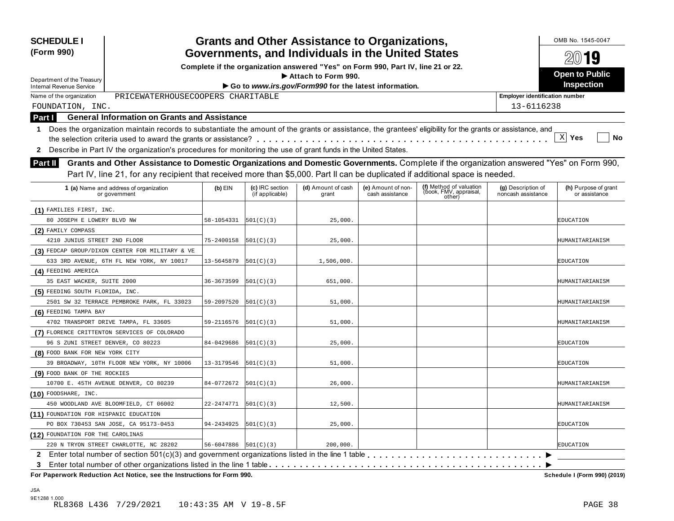| Governments, and Individuals in the United States<br>Complete if the organization answered "Yes" on Form 990, Part IV, line 21 or 22.<br><b>Open to Public</b><br>Attach to Form 990.<br>Department of the Treasury<br>Go to www.irs.gov/Form990 for the latest information.<br><b>Internal Revenue Service</b><br>PRICEWATERHOUSECOOPERS CHARITABLE<br>Name of the organization<br><b>Employer identification number</b><br>13-6116238<br>FOUNDATION, INC.<br><b>General Information on Grants and Assistance</b><br>Part I<br>Does the organization maintain records to substantiate the amount of the grants or assistance, the grantees' eligibility for the grants or assistance, and<br>1<br>X <br>Yes<br>Describe in Part IV the organization's procedures for monitoring the use of grant funds in the United States.<br>$\mathbf{2}$<br>Grants and Other Assistance to Domestic Organizations and Domestic Governments. Complete if the organization answered "Yes" on Form 990,<br><b>Part II</b><br>Part IV, line 21, for any recipient that received more than \$5,000. Part II can be duplicated if additional space is needed.<br>(f) Method of valuation<br>(d) Amount of cash<br>1 (a) Name and address of organization<br>$(b)$ EIN<br>(c) IRC section<br>(e) Amount of non-<br>(g) Description of<br>(book, FMV, appraisal,<br>(if applicable)<br>cash assistance<br>noncash assistance<br>grant<br>or government<br>other)<br>(1) FAMILIES FIRST, INC.<br>80 JOSEPH E LOWERY BLVD NW<br>58-1054331<br> 501(C)(3) <br>25,000.<br>EDUCATION<br>(2) FAMILY COMPASS<br>4210 JUNIUS STREET 2ND FLOOR<br>75-2400158<br>501(C)(3)<br>25,000.<br>(3) FEDCAP GROUP/DIXON CENTER FOR MILITARY & VE<br>633 3RD AVENUE, 6TH FL NEW YORK, NY 10017<br>13-5645879<br> 501(C)(3) <br>1,506,000.<br>EDUCATION<br>(4) FEEDING AMERICA<br>35 EAST WACKER, SUITE 2000<br>36-3673599<br>501(C)(3)<br>651,000.<br>(5) FEEDING SOUTH FLORIDA, INC.<br>2501 SW 32 TERRACE PEMBROKE PARK, FL 33023<br>59-2097520<br> 501(C)(3) <br>51,000.<br>(6) FEEDING TAMPA BAY<br>4702 TRANSPORT DRIVE TAMPA, FL 33605<br>59-2116576<br>501(C)(3)<br>51,000.<br>(7) FLORENCE CRITTENTON SERVICES OF COLORADO<br>96 S ZUNI STREET DENVER, CO 80223<br>84-0429686<br>501(C)(3)<br>25,000.<br>EDUCATION<br>(8) FOOD BANK FOR NEW YORK CITY<br>39 BROADWAY, 10TH FLOOR NEW YORK, NY 10006<br>13-3179546<br> 501(C)(3) <br>51,000.<br>EDUCATION<br>(9) FOOD BANK OF THE ROCKIES<br>10700 E. 45TH AVENUE DENVER, CO 80239<br>84-0772672<br> 501(C)(3) <br>26,000.<br>$(10)$ FOODSHARE, INC.<br>450 WOODLAND AVE BLOOMFIELD, CT 06002<br>22-2474771<br> 501(C)(3) <br>12,500.<br>(11) FOUNDATION FOR HISPANIC EDUCATION<br>PO BOX 730453 SAN JOSE, CA 95173-0453<br>94-2434925<br>501(C)(3)<br>25,000.<br><b>EDUCATION</b><br>(12) FOUNDATION FOR THE CAROLINAS<br>$56 - 6047886$ $[501(C)(3)]$ | <b>SCHEDULE I</b><br>(Form 990)        |  | <b>Grants and Other Assistance to Organizations,</b> |  | OMB No. 1545-0047                     |
|--------------------------------------------------------------------------------------------------------------------------------------------------------------------------------------------------------------------------------------------------------------------------------------------------------------------------------------------------------------------------------------------------------------------------------------------------------------------------------------------------------------------------------------------------------------------------------------------------------------------------------------------------------------------------------------------------------------------------------------------------------------------------------------------------------------------------------------------------------------------------------------------------------------------------------------------------------------------------------------------------------------------------------------------------------------------------------------------------------------------------------------------------------------------------------------------------------------------------------------------------------------------------------------------------------------------------------------------------------------------------------------------------------------------------------------------------------------------------------------------------------------------------------------------------------------------------------------------------------------------------------------------------------------------------------------------------------------------------------------------------------------------------------------------------------------------------------------------------------------------------------------------------------------------------------------------------------------------------------------------------------------------------------------------------------------------------------------------------------------------------------------------------------------------------------------------------------------------------------------------------------------------------------------------------------------------------------------------------------------------------------------------------------------------------------------------------------------------------------------------------------------------------------------------------------------------------------------------------------------------------------------------------------------------------------------------------------------------------------------------------------------------------------------------------------------------------------------------------------------------------|----------------------------------------|--|------------------------------------------------------|--|---------------------------------------|
|                                                                                                                                                                                                                                                                                                                                                                                                                                                                                                                                                                                                                                                                                                                                                                                                                                                                                                                                                                                                                                                                                                                                                                                                                                                                                                                                                                                                                                                                                                                                                                                                                                                                                                                                                                                                                                                                                                                                                                                                                                                                                                                                                                                                                                                                                                                                                                                                                                                                                                                                                                                                                                                                                                                                                                                                                                                                          |                                        |  |                                                      |  | 2019                                  |
|                                                                                                                                                                                                                                                                                                                                                                                                                                                                                                                                                                                                                                                                                                                                                                                                                                                                                                                                                                                                                                                                                                                                                                                                                                                                                                                                                                                                                                                                                                                                                                                                                                                                                                                                                                                                                                                                                                                                                                                                                                                                                                                                                                                                                                                                                                                                                                                                                                                                                                                                                                                                                                                                                                                                                                                                                                                                          |                                        |  |                                                      |  |                                       |
|                                                                                                                                                                                                                                                                                                                                                                                                                                                                                                                                                                                                                                                                                                                                                                                                                                                                                                                                                                                                                                                                                                                                                                                                                                                                                                                                                                                                                                                                                                                                                                                                                                                                                                                                                                                                                                                                                                                                                                                                                                                                                                                                                                                                                                                                                                                                                                                                                                                                                                                                                                                                                                                                                                                                                                                                                                                                          |                                        |  |                                                      |  | Inspection                            |
|                                                                                                                                                                                                                                                                                                                                                                                                                                                                                                                                                                                                                                                                                                                                                                                                                                                                                                                                                                                                                                                                                                                                                                                                                                                                                                                                                                                                                                                                                                                                                                                                                                                                                                                                                                                                                                                                                                                                                                                                                                                                                                                                                                                                                                                                                                                                                                                                                                                                                                                                                                                                                                                                                                                                                                                                                                                                          |                                        |  |                                                      |  |                                       |
|                                                                                                                                                                                                                                                                                                                                                                                                                                                                                                                                                                                                                                                                                                                                                                                                                                                                                                                                                                                                                                                                                                                                                                                                                                                                                                                                                                                                                                                                                                                                                                                                                                                                                                                                                                                                                                                                                                                                                                                                                                                                                                                                                                                                                                                                                                                                                                                                                                                                                                                                                                                                                                                                                                                                                                                                                                                                          |                                        |  |                                                      |  |                                       |
|                                                                                                                                                                                                                                                                                                                                                                                                                                                                                                                                                                                                                                                                                                                                                                                                                                                                                                                                                                                                                                                                                                                                                                                                                                                                                                                                                                                                                                                                                                                                                                                                                                                                                                                                                                                                                                                                                                                                                                                                                                                                                                                                                                                                                                                                                                                                                                                                                                                                                                                                                                                                                                                                                                                                                                                                                                                                          |                                        |  |                                                      |  |                                       |
|                                                                                                                                                                                                                                                                                                                                                                                                                                                                                                                                                                                                                                                                                                                                                                                                                                                                                                                                                                                                                                                                                                                                                                                                                                                                                                                                                                                                                                                                                                                                                                                                                                                                                                                                                                                                                                                                                                                                                                                                                                                                                                                                                                                                                                                                                                                                                                                                                                                                                                                                                                                                                                                                                                                                                                                                                                                                          |                                        |  |                                                      |  |                                       |
|                                                                                                                                                                                                                                                                                                                                                                                                                                                                                                                                                                                                                                                                                                                                                                                                                                                                                                                                                                                                                                                                                                                                                                                                                                                                                                                                                                                                                                                                                                                                                                                                                                                                                                                                                                                                                                                                                                                                                                                                                                                                                                                                                                                                                                                                                                                                                                                                                                                                                                                                                                                                                                                                                                                                                                                                                                                                          |                                        |  |                                                      |  | No                                    |
|                                                                                                                                                                                                                                                                                                                                                                                                                                                                                                                                                                                                                                                                                                                                                                                                                                                                                                                                                                                                                                                                                                                                                                                                                                                                                                                                                                                                                                                                                                                                                                                                                                                                                                                                                                                                                                                                                                                                                                                                                                                                                                                                                                                                                                                                                                                                                                                                                                                                                                                                                                                                                                                                                                                                                                                                                                                                          |                                        |  |                                                      |  |                                       |
|                                                                                                                                                                                                                                                                                                                                                                                                                                                                                                                                                                                                                                                                                                                                                                                                                                                                                                                                                                                                                                                                                                                                                                                                                                                                                                                                                                                                                                                                                                                                                                                                                                                                                                                                                                                                                                                                                                                                                                                                                                                                                                                                                                                                                                                                                                                                                                                                                                                                                                                                                                                                                                                                                                                                                                                                                                                                          |                                        |  |                                                      |  |                                       |
|                                                                                                                                                                                                                                                                                                                                                                                                                                                                                                                                                                                                                                                                                                                                                                                                                                                                                                                                                                                                                                                                                                                                                                                                                                                                                                                                                                                                                                                                                                                                                                                                                                                                                                                                                                                                                                                                                                                                                                                                                                                                                                                                                                                                                                                                                                                                                                                                                                                                                                                                                                                                                                                                                                                                                                                                                                                                          |                                        |  |                                                      |  |                                       |
|                                                                                                                                                                                                                                                                                                                                                                                                                                                                                                                                                                                                                                                                                                                                                                                                                                                                                                                                                                                                                                                                                                                                                                                                                                                                                                                                                                                                                                                                                                                                                                                                                                                                                                                                                                                                                                                                                                                                                                                                                                                                                                                                                                                                                                                                                                                                                                                                                                                                                                                                                                                                                                                                                                                                                                                                                                                                          |                                        |  |                                                      |  |                                       |
|                                                                                                                                                                                                                                                                                                                                                                                                                                                                                                                                                                                                                                                                                                                                                                                                                                                                                                                                                                                                                                                                                                                                                                                                                                                                                                                                                                                                                                                                                                                                                                                                                                                                                                                                                                                                                                                                                                                                                                                                                                                                                                                                                                                                                                                                                                                                                                                                                                                                                                                                                                                                                                                                                                                                                                                                                                                                          |                                        |  |                                                      |  | (h) Purpose of grant<br>or assistance |
|                                                                                                                                                                                                                                                                                                                                                                                                                                                                                                                                                                                                                                                                                                                                                                                                                                                                                                                                                                                                                                                                                                                                                                                                                                                                                                                                                                                                                                                                                                                                                                                                                                                                                                                                                                                                                                                                                                                                                                                                                                                                                                                                                                                                                                                                                                                                                                                                                                                                                                                                                                                                                                                                                                                                                                                                                                                                          |                                        |  |                                                      |  |                                       |
|                                                                                                                                                                                                                                                                                                                                                                                                                                                                                                                                                                                                                                                                                                                                                                                                                                                                                                                                                                                                                                                                                                                                                                                                                                                                                                                                                                                                                                                                                                                                                                                                                                                                                                                                                                                                                                                                                                                                                                                                                                                                                                                                                                                                                                                                                                                                                                                                                                                                                                                                                                                                                                                                                                                                                                                                                                                                          |                                        |  |                                                      |  |                                       |
|                                                                                                                                                                                                                                                                                                                                                                                                                                                                                                                                                                                                                                                                                                                                                                                                                                                                                                                                                                                                                                                                                                                                                                                                                                                                                                                                                                                                                                                                                                                                                                                                                                                                                                                                                                                                                                                                                                                                                                                                                                                                                                                                                                                                                                                                                                                                                                                                                                                                                                                                                                                                                                                                                                                                                                                                                                                                          |                                        |  |                                                      |  |                                       |
|                                                                                                                                                                                                                                                                                                                                                                                                                                                                                                                                                                                                                                                                                                                                                                                                                                                                                                                                                                                                                                                                                                                                                                                                                                                                                                                                                                                                                                                                                                                                                                                                                                                                                                                                                                                                                                                                                                                                                                                                                                                                                                                                                                                                                                                                                                                                                                                                                                                                                                                                                                                                                                                                                                                                                                                                                                                                          |                                        |  |                                                      |  | HUMANITARIANISM                       |
|                                                                                                                                                                                                                                                                                                                                                                                                                                                                                                                                                                                                                                                                                                                                                                                                                                                                                                                                                                                                                                                                                                                                                                                                                                                                                                                                                                                                                                                                                                                                                                                                                                                                                                                                                                                                                                                                                                                                                                                                                                                                                                                                                                                                                                                                                                                                                                                                                                                                                                                                                                                                                                                                                                                                                                                                                                                                          |                                        |  |                                                      |  |                                       |
|                                                                                                                                                                                                                                                                                                                                                                                                                                                                                                                                                                                                                                                                                                                                                                                                                                                                                                                                                                                                                                                                                                                                                                                                                                                                                                                                                                                                                                                                                                                                                                                                                                                                                                                                                                                                                                                                                                                                                                                                                                                                                                                                                                                                                                                                                                                                                                                                                                                                                                                                                                                                                                                                                                                                                                                                                                                                          |                                        |  |                                                      |  |                                       |
|                                                                                                                                                                                                                                                                                                                                                                                                                                                                                                                                                                                                                                                                                                                                                                                                                                                                                                                                                                                                                                                                                                                                                                                                                                                                                                                                                                                                                                                                                                                                                                                                                                                                                                                                                                                                                                                                                                                                                                                                                                                                                                                                                                                                                                                                                                                                                                                                                                                                                                                                                                                                                                                                                                                                                                                                                                                                          |                                        |  |                                                      |  |                                       |
|                                                                                                                                                                                                                                                                                                                                                                                                                                                                                                                                                                                                                                                                                                                                                                                                                                                                                                                                                                                                                                                                                                                                                                                                                                                                                                                                                                                                                                                                                                                                                                                                                                                                                                                                                                                                                                                                                                                                                                                                                                                                                                                                                                                                                                                                                                                                                                                                                                                                                                                                                                                                                                                                                                                                                                                                                                                                          |                                        |  |                                                      |  | HUMANITARIANISM                       |
|                                                                                                                                                                                                                                                                                                                                                                                                                                                                                                                                                                                                                                                                                                                                                                                                                                                                                                                                                                                                                                                                                                                                                                                                                                                                                                                                                                                                                                                                                                                                                                                                                                                                                                                                                                                                                                                                                                                                                                                                                                                                                                                                                                                                                                                                                                                                                                                                                                                                                                                                                                                                                                                                                                                                                                                                                                                                          |                                        |  |                                                      |  |                                       |
|                                                                                                                                                                                                                                                                                                                                                                                                                                                                                                                                                                                                                                                                                                                                                                                                                                                                                                                                                                                                                                                                                                                                                                                                                                                                                                                                                                                                                                                                                                                                                                                                                                                                                                                                                                                                                                                                                                                                                                                                                                                                                                                                                                                                                                                                                                                                                                                                                                                                                                                                                                                                                                                                                                                                                                                                                                                                          |                                        |  |                                                      |  | HUMANITARIANISM                       |
|                                                                                                                                                                                                                                                                                                                                                                                                                                                                                                                                                                                                                                                                                                                                                                                                                                                                                                                                                                                                                                                                                                                                                                                                                                                                                                                                                                                                                                                                                                                                                                                                                                                                                                                                                                                                                                                                                                                                                                                                                                                                                                                                                                                                                                                                                                                                                                                                                                                                                                                                                                                                                                                                                                                                                                                                                                                                          |                                        |  |                                                      |  |                                       |
|                                                                                                                                                                                                                                                                                                                                                                                                                                                                                                                                                                                                                                                                                                                                                                                                                                                                                                                                                                                                                                                                                                                                                                                                                                                                                                                                                                                                                                                                                                                                                                                                                                                                                                                                                                                                                                                                                                                                                                                                                                                                                                                                                                                                                                                                                                                                                                                                                                                                                                                                                                                                                                                                                                                                                                                                                                                                          |                                        |  |                                                      |  | HUMANITARIANISM                       |
|                                                                                                                                                                                                                                                                                                                                                                                                                                                                                                                                                                                                                                                                                                                                                                                                                                                                                                                                                                                                                                                                                                                                                                                                                                                                                                                                                                                                                                                                                                                                                                                                                                                                                                                                                                                                                                                                                                                                                                                                                                                                                                                                                                                                                                                                                                                                                                                                                                                                                                                                                                                                                                                                                                                                                                                                                                                                          |                                        |  |                                                      |  |                                       |
|                                                                                                                                                                                                                                                                                                                                                                                                                                                                                                                                                                                                                                                                                                                                                                                                                                                                                                                                                                                                                                                                                                                                                                                                                                                                                                                                                                                                                                                                                                                                                                                                                                                                                                                                                                                                                                                                                                                                                                                                                                                                                                                                                                                                                                                                                                                                                                                                                                                                                                                                                                                                                                                                                                                                                                                                                                                                          |                                        |  |                                                      |  |                                       |
|                                                                                                                                                                                                                                                                                                                                                                                                                                                                                                                                                                                                                                                                                                                                                                                                                                                                                                                                                                                                                                                                                                                                                                                                                                                                                                                                                                                                                                                                                                                                                                                                                                                                                                                                                                                                                                                                                                                                                                                                                                                                                                                                                                                                                                                                                                                                                                                                                                                                                                                                                                                                                                                                                                                                                                                                                                                                          |                                        |  |                                                      |  |                                       |
|                                                                                                                                                                                                                                                                                                                                                                                                                                                                                                                                                                                                                                                                                                                                                                                                                                                                                                                                                                                                                                                                                                                                                                                                                                                                                                                                                                                                                                                                                                                                                                                                                                                                                                                                                                                                                                                                                                                                                                                                                                                                                                                                                                                                                                                                                                                                                                                                                                                                                                                                                                                                                                                                                                                                                                                                                                                                          |                                        |  |                                                      |  |                                       |
|                                                                                                                                                                                                                                                                                                                                                                                                                                                                                                                                                                                                                                                                                                                                                                                                                                                                                                                                                                                                                                                                                                                                                                                                                                                                                                                                                                                                                                                                                                                                                                                                                                                                                                                                                                                                                                                                                                                                                                                                                                                                                                                                                                                                                                                                                                                                                                                                                                                                                                                                                                                                                                                                                                                                                                                                                                                                          |                                        |  |                                                      |  |                                       |
|                                                                                                                                                                                                                                                                                                                                                                                                                                                                                                                                                                                                                                                                                                                                                                                                                                                                                                                                                                                                                                                                                                                                                                                                                                                                                                                                                                                                                                                                                                                                                                                                                                                                                                                                                                                                                                                                                                                                                                                                                                                                                                                                                                                                                                                                                                                                                                                                                                                                                                                                                                                                                                                                                                                                                                                                                                                                          |                                        |  |                                                      |  | HUMANITARIANISM                       |
|                                                                                                                                                                                                                                                                                                                                                                                                                                                                                                                                                                                                                                                                                                                                                                                                                                                                                                                                                                                                                                                                                                                                                                                                                                                                                                                                                                                                                                                                                                                                                                                                                                                                                                                                                                                                                                                                                                                                                                                                                                                                                                                                                                                                                                                                                                                                                                                                                                                                                                                                                                                                                                                                                                                                                                                                                                                                          |                                        |  |                                                      |  |                                       |
|                                                                                                                                                                                                                                                                                                                                                                                                                                                                                                                                                                                                                                                                                                                                                                                                                                                                                                                                                                                                                                                                                                                                                                                                                                                                                                                                                                                                                                                                                                                                                                                                                                                                                                                                                                                                                                                                                                                                                                                                                                                                                                                                                                                                                                                                                                                                                                                                                                                                                                                                                                                                                                                                                                                                                                                                                                                                          |                                        |  |                                                      |  | HUMANITARIANISM                       |
|                                                                                                                                                                                                                                                                                                                                                                                                                                                                                                                                                                                                                                                                                                                                                                                                                                                                                                                                                                                                                                                                                                                                                                                                                                                                                                                                                                                                                                                                                                                                                                                                                                                                                                                                                                                                                                                                                                                                                                                                                                                                                                                                                                                                                                                                                                                                                                                                                                                                                                                                                                                                                                                                                                                                                                                                                                                                          |                                        |  |                                                      |  |                                       |
|                                                                                                                                                                                                                                                                                                                                                                                                                                                                                                                                                                                                                                                                                                                                                                                                                                                                                                                                                                                                                                                                                                                                                                                                                                                                                                                                                                                                                                                                                                                                                                                                                                                                                                                                                                                                                                                                                                                                                                                                                                                                                                                                                                                                                                                                                                                                                                                                                                                                                                                                                                                                                                                                                                                                                                                                                                                                          |                                        |  |                                                      |  |                                       |
|                                                                                                                                                                                                                                                                                                                                                                                                                                                                                                                                                                                                                                                                                                                                                                                                                                                                                                                                                                                                                                                                                                                                                                                                                                                                                                                                                                                                                                                                                                                                                                                                                                                                                                                                                                                                                                                                                                                                                                                                                                                                                                                                                                                                                                                                                                                                                                                                                                                                                                                                                                                                                                                                                                                                                                                                                                                                          |                                        |  |                                                      |  |                                       |
|                                                                                                                                                                                                                                                                                                                                                                                                                                                                                                                                                                                                                                                                                                                                                                                                                                                                                                                                                                                                                                                                                                                                                                                                                                                                                                                                                                                                                                                                                                                                                                                                                                                                                                                                                                                                                                                                                                                                                                                                                                                                                                                                                                                                                                                                                                                                                                                                                                                                                                                                                                                                                                                                                                                                                                                                                                                                          | 220 N TRYON STREET CHARLOTTE, NC 28202 |  | 200,000.                                             |  | <b>EDUCATION</b>                      |
|                                                                                                                                                                                                                                                                                                                                                                                                                                                                                                                                                                                                                                                                                                                                                                                                                                                                                                                                                                                                                                                                                                                                                                                                                                                                                                                                                                                                                                                                                                                                                                                                                                                                                                                                                                                                                                                                                                                                                                                                                                                                                                                                                                                                                                                                                                                                                                                                                                                                                                                                                                                                                                                                                                                                                                                                                                                                          |                                        |  |                                                      |  |                                       |
| 3                                                                                                                                                                                                                                                                                                                                                                                                                                                                                                                                                                                                                                                                                                                                                                                                                                                                                                                                                                                                                                                                                                                                                                                                                                                                                                                                                                                                                                                                                                                                                                                                                                                                                                                                                                                                                                                                                                                                                                                                                                                                                                                                                                                                                                                                                                                                                                                                                                                                                                                                                                                                                                                                                                                                                                                                                                                                        |                                        |  |                                                      |  |                                       |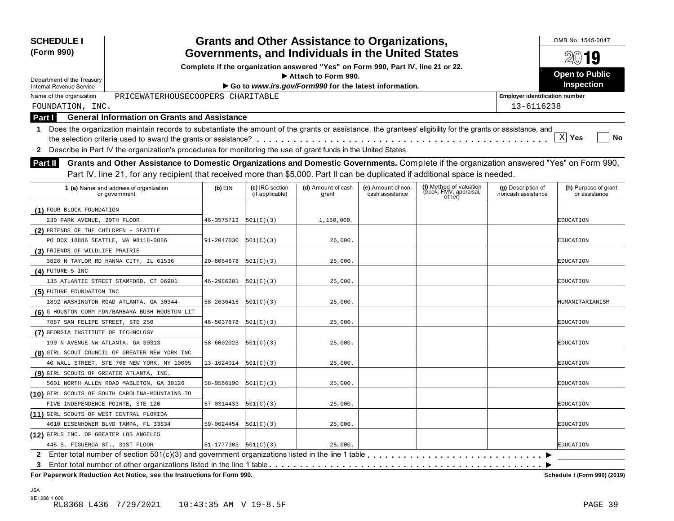| <b>SCHEDULE I</b><br>(Form 990)                                                                                                                              |                            |                                    | <b>Grants and Other Assistance to Organizations,</b><br>Governments, and Individuals in the United States |                                       |                                                             |                                          | OMB No. 1545-0047                     |
|--------------------------------------------------------------------------------------------------------------------------------------------------------------|----------------------------|------------------------------------|-----------------------------------------------------------------------------------------------------------|---------------------------------------|-------------------------------------------------------------|------------------------------------------|---------------------------------------|
|                                                                                                                                                              |                            |                                    |                                                                                                           |                                       |                                                             |                                          | $20$ 19                               |
|                                                                                                                                                              |                            |                                    | Complete if the organization answered "Yes" on Form 990, Part IV, line 21 or 22.<br>Attach to Form 990.   |                                       |                                                             |                                          | <b>Open to Public</b>                 |
| Department of the Treasury<br>Internal Revenue Service                                                                                                       |                            |                                    | Go to www.irs.gov/Form990 for the latest information.                                                     |                                       |                                                             |                                          | Inspection                            |
| Name of the organization<br>PRICEWATERHOUSECOOPERS CHARITABLE                                                                                                |                            |                                    |                                                                                                           |                                       |                                                             | <b>Employer identification number</b>    |                                       |
| FOUNDATION, INC.                                                                                                                                             |                            |                                    |                                                                                                           |                                       |                                                             | 13-6116238                               |                                       |
| <b>General Information on Grants and Assistance</b><br>Part I                                                                                                |                            |                                    |                                                                                                           |                                       |                                                             |                                          |                                       |
| 1 Does the organization maintain records to substantiate the amount of the grants or assistance, the grantees' eligibility for the grants or assistance, and |                            |                                    |                                                                                                           |                                       |                                                             |                                          |                                       |
|                                                                                                                                                              |                            |                                    |                                                                                                           |                                       |                                                             |                                          | X <br>Yes<br>No                       |
| Describe in Part IV the organization's procedures for monitoring the use of grant funds in the United States.                                                |                            |                                    |                                                                                                           |                                       |                                                             |                                          |                                       |
| 2                                                                                                                                                            |                            |                                    |                                                                                                           |                                       |                                                             |                                          |                                       |
| Grants and Other Assistance to Domestic Organizations and Domestic Governments. Complete if the organization answered "Yes" on Form 990,<br><b>Part II</b>   |                            |                                    |                                                                                                           |                                       |                                                             |                                          |                                       |
| Part IV, line 21, for any recipient that received more than \$5,000. Part II can be duplicated if additional space is needed.                                |                            |                                    |                                                                                                           |                                       |                                                             |                                          |                                       |
| 1 (a) Name and address of organization<br>or government                                                                                                      | $(b)$ EIN                  | (c) IRC section<br>(if applicable) | (d) Amount of cash<br>grant                                                                               | (e) Amount of non-<br>cash assistance | (f) Method of valuation<br>(book, FMV, appraisal,<br>other) | (g) Description of<br>noncash assistance | (h) Purpose of grant<br>or assistance |
| (1) FOUR BLOCK FOUNDATION                                                                                                                                    |                            |                                    |                                                                                                           |                                       |                                                             |                                          |                                       |
| 230 PARK AVENUE, 29TH FLOOR                                                                                                                                  | 46-3575713                 | 501(C)(3)                          | 1,150,000.                                                                                                |                                       |                                                             |                                          | EDUCATION                             |
| (2) FRIENDS OF THE CHILDREN - SEATTLE                                                                                                                        |                            |                                    |                                                                                                           |                                       |                                                             |                                          |                                       |
| PO BOX 18886 SEATTLE, WA 98118-0886                                                                                                                          | 91-2047030                 | 501(C)(3)                          | 26,000.                                                                                                   |                                       |                                                             |                                          | EDUCATION                             |
| (3) FRIENDS OF WILDLIFE PRAIRIE                                                                                                                              |                            |                                    |                                                                                                           |                                       |                                                             |                                          |                                       |
| 3826 N TAYLOR RD HANNA CITY, IL 61536                                                                                                                        | 20-8064678                 | 501(C)(3)                          | 25,000.                                                                                                   |                                       |                                                             |                                          | EDUCATION                             |
| $(4)$ FUTURE 5 INC                                                                                                                                           |                            |                                    |                                                                                                           |                                       |                                                             |                                          |                                       |
| 135 ATLANTIC STREET STAMFORD, CT 06901                                                                                                                       | 46-2986201                 | 501(C)(3)                          | 25,000.                                                                                                   |                                       |                                                             |                                          | EDUCATION                             |
| (5) FUTURE FOUNDATION INC                                                                                                                                    |                            |                                    |                                                                                                           |                                       |                                                             |                                          |                                       |
| 1892 WASHINGTON ROAD ATLANTA, GA 30344                                                                                                                       | 58-2636418                 | 501(C)(3)                          | 25,000.                                                                                                   |                                       |                                                             |                                          | HUMANITARIANISM                       |
| (6) G HOUSTON COMM FDN/BARBARA BUSH HOUSTON LIT                                                                                                              |                            |                                    |                                                                                                           |                                       |                                                             |                                          |                                       |
| 7887 SAN FELIPE STREET, STE 250                                                                                                                              | 46-5037878                 | 501(C)(3)                          | 25,000.                                                                                                   |                                       |                                                             |                                          | EDUCATION                             |
| (7) GEORGIA INSTITUTE OF TECHNOLOGY                                                                                                                          |                            |                                    |                                                                                                           |                                       |                                                             |                                          |                                       |
| 190 N AVENUE NW ATLANTA, GA 30313                                                                                                                            | 58-6002023                 | 501(C)(3)                          | 25,000.                                                                                                   |                                       |                                                             |                                          | EDUCATION                             |
| (8) GIRL SCOUT COUNCIL OF GREATER NEW YORK INC                                                                                                               |                            |                                    |                                                                                                           |                                       |                                                             |                                          |                                       |
| 40 WALL STREET, STE 708 NEW YORK, NY 10005                                                                                                                   | 13-1624014                 | 501(C)(3)                          | 25,000.                                                                                                   |                                       |                                                             |                                          | EDUCATION                             |
| (9) GIRL SCOUTS OF GREATER ATLANTA, INC.                                                                                                                     |                            |                                    |                                                                                                           |                                       |                                                             |                                          |                                       |
| 5601 NORTH ALLEN ROAD MABLETON, GA 30126                                                                                                                     | 58-0566190                 | 501(C)(3)                          | 25,000.                                                                                                   |                                       |                                                             |                                          | EDUCATION                             |
| (10) GIRL SCOUTS OF SOUTH CAROLINA-MOUNTAINS TO                                                                                                              |                            |                                    |                                                                                                           |                                       |                                                             |                                          |                                       |
| FIVE INDEPENDENCE POINTE, STE 120                                                                                                                            | 57-0314433                 | 501(C)(3)                          | 25,000.                                                                                                   |                                       |                                                             |                                          | EDUCATION                             |
| (11) GIRL SCOUTS OF WEST CENTRAL FLORIDA                                                                                                                     |                            |                                    |                                                                                                           |                                       |                                                             |                                          |                                       |
| 4610 EISENHOWER BLVD TAMPA, FL 33634                                                                                                                         | 59-0624454                 | 501(C)(3)                          | 25,000.                                                                                                   |                                       |                                                             |                                          | EDUCATION                             |
| (12) GIRLS INC. OF GREATER LOS ANGELES                                                                                                                       |                            |                                    |                                                                                                           |                                       |                                                             |                                          |                                       |
| 445 S. FIGUEROA ST., 31ST FLOOR                                                                                                                              | $81 - 1777303$   501(C)(3) |                                    | 25,000.                                                                                                   |                                       |                                                             |                                          | <b>EDUCATION</b>                      |
|                                                                                                                                                              |                            |                                    |                                                                                                           |                                       |                                                             |                                          |                                       |
| 3                                                                                                                                                            |                            |                                    |                                                                                                           |                                       |                                                             |                                          |                                       |
| For Paperwork Reduction Act Notice, see the Instructions for Form 990.                                                                                       |                            |                                    |                                                                                                           |                                       |                                                             |                                          | Schedule I (Form 990) (2019)          |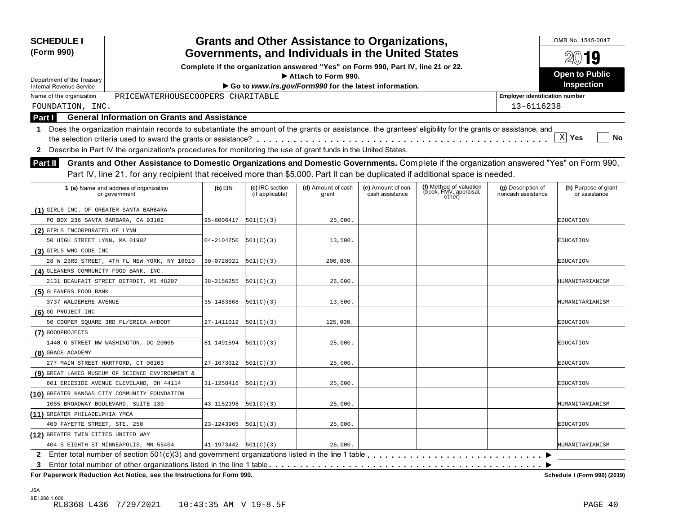| <b>SCHEDULE I</b><br>(Form 990)                                                                                                                                                                                                                                                                   |                              |                                    | <b>Grants and Other Assistance to Organizations,</b><br>Governments, and Individuals in the United States |                                       |                                                             |                                          | OMB No. 1545-0047                     |
|---------------------------------------------------------------------------------------------------------------------------------------------------------------------------------------------------------------------------------------------------------------------------------------------------|------------------------------|------------------------------------|-----------------------------------------------------------------------------------------------------------|---------------------------------------|-------------------------------------------------------------|------------------------------------------|---------------------------------------|
|                                                                                                                                                                                                                                                                                                   |                              |                                    |                                                                                                           |                                       |                                                             |                                          | $20$ 19                               |
|                                                                                                                                                                                                                                                                                                   |                              |                                    | Complete if the organization answered "Yes" on Form 990, Part IV, line 21 or 22.<br>Attach to Form 990.   |                                       |                                                             |                                          | <b>Open to Public</b>                 |
| Department of the Treasury<br>Internal Revenue Service                                                                                                                                                                                                                                            |                              |                                    | Go to www.irs.gov/Form990 for the latest information.                                                     |                                       |                                                             |                                          | Inspection                            |
| PRICEWATERHOUSECOOPERS CHARITABLE<br>Name of the organization                                                                                                                                                                                                                                     |                              |                                    |                                                                                                           |                                       |                                                             | <b>Employer identification number</b>    |                                       |
| FOUNDATION, INC.                                                                                                                                                                                                                                                                                  |                              |                                    |                                                                                                           |                                       |                                                             | 13-6116238                               |                                       |
| <b>General Information on Grants and Assistance</b><br><b>Part I</b>                                                                                                                                                                                                                              |                              |                                    |                                                                                                           |                                       |                                                             |                                          |                                       |
| Does the organization maintain records to substantiate the amount of the grants or assistance, the grantees' eligibility for the grants or assistance, and<br>1.<br>Describe in Part IV the organization's procedures for monitoring the use of grant funds in the United States.<br>$\mathbf{2}$ |                              |                                    |                                                                                                           |                                       |                                                             |                                          | X <br>Yes<br>No                       |
| Grants and Other Assistance to Domestic Organizations and Domestic Governments. Complete if the organization answered "Yes" on Form 990,<br><b>Part II</b><br>Part IV, line 21, for any recipient that received more than \$5,000. Part II can be duplicated if additional space is needed.       |                              |                                    |                                                                                                           |                                       |                                                             |                                          |                                       |
| 1 (a) Name and address of organization<br>or government                                                                                                                                                                                                                                           | $(b)$ EIN                    | (c) IRC section<br>(if applicable) | (d) Amount of cash<br>grant                                                                               | (e) Amount of non-<br>cash assistance | (f) Method of valuation<br>(book, FMV, appraisal,<br>other) | (g) Description of<br>noncash assistance | (h) Purpose of grant<br>or assistance |
| (1) GIRLS INC. OF GREATER SANTA BARBARA                                                                                                                                                                                                                                                           |                              |                                    |                                                                                                           |                                       |                                                             |                                          |                                       |
| PO BOX 236 SANTA BARBARA, CA 93102                                                                                                                                                                                                                                                                | 95-6006417                   | 501(C)(3)                          | 25,000.                                                                                                   |                                       |                                                             |                                          | EDUCATION                             |
| (2) GIRLS INCORPORATED OF LYNN                                                                                                                                                                                                                                                                    |                              |                                    |                                                                                                           |                                       |                                                             |                                          |                                       |
| 50 HIGH STREET LYNN, MA 01902                                                                                                                                                                                                                                                                     | 04-2104250                   | 501(C)(3)                          | 13,500.                                                                                                   |                                       |                                                             |                                          | EDUCATION                             |
| (3) GIRLS WHO CODE INC                                                                                                                                                                                                                                                                            |                              |                                    |                                                                                                           |                                       |                                                             |                                          |                                       |
| 28 W 23RD STREET, 4TH FL NEW YORK, NY 10010                                                                                                                                                                                                                                                       | 30-0728021                   | 501(C)(3)                          | 200,000.                                                                                                  |                                       |                                                             |                                          | EDUCATION                             |
| (4) GLEANERS COMMUNITY FOOD BANK, INC.                                                                                                                                                                                                                                                            |                              |                                    |                                                                                                           |                                       |                                                             |                                          |                                       |
| 2131 BEAUFAIT STREET DETROIT, MI 48207                                                                                                                                                                                                                                                            | 38-2156255                   | 501(C)(3)                          | 26,000.                                                                                                   |                                       |                                                             |                                          | HUMANITARIANISM                       |
| (5) GLEANERS FOOD BANK                                                                                                                                                                                                                                                                            |                              |                                    |                                                                                                           |                                       |                                                             |                                          |                                       |
| 3737 WALDEMERE AVENUE                                                                                                                                                                                                                                                                             | 35-1483868                   | 501(C)(3)                          | 13,500.                                                                                                   |                                       |                                                             |                                          | HUMANITARIANISM                       |
| (6) GO PROJECT INC                                                                                                                                                                                                                                                                                |                              |                                    |                                                                                                           |                                       |                                                             |                                          |                                       |
| 50 COOPER SQUARE 3RD FL/ERICA AHDOOT                                                                                                                                                                                                                                                              | 27-1411019                   | 501(C)(3)                          | 125,000.                                                                                                  |                                       |                                                             |                                          | EDUCATION                             |
| (7) GOODPROJECTS                                                                                                                                                                                                                                                                                  |                              |                                    |                                                                                                           |                                       |                                                             |                                          |                                       |
| 1440 G STREET NW WASHINGTON, DC 20005                                                                                                                                                                                                                                                             | 81-1491594                   | 501(C)(3)                          | 25,000.                                                                                                   |                                       |                                                             |                                          | EDUCATION                             |
| (8) GRACE ACADEMY                                                                                                                                                                                                                                                                                 |                              |                                    |                                                                                                           |                                       |                                                             |                                          |                                       |
| 277 MAIN STREET HARTFORD, CT 06103                                                                                                                                                                                                                                                                | 27-1673012                   | 501(C)(3)                          | 25,000.                                                                                                   |                                       |                                                             |                                          | EDUCATION                             |
| (9) GREAT LAKES MUSEUM OF SCIENCE ENVIRONMENT &                                                                                                                                                                                                                                                   |                              |                                    |                                                                                                           |                                       |                                                             |                                          |                                       |
| 601 ERIESIDE AVENUE CLEVELAND, OH 44114                                                                                                                                                                                                                                                           | 31-1258416                   | 501(C)(3)                          | 25,000.                                                                                                   |                                       |                                                             |                                          | <b>EDUCATION</b>                      |
| (10) GREATER KANSAS CITY COMMUNITY FOUNDATION                                                                                                                                                                                                                                                     |                              |                                    |                                                                                                           |                                       |                                                             |                                          |                                       |
| 1055 BROADWAY BOULEVARD, SUITE 130                                                                                                                                                                                                                                                                | 43-1152398                   | 501(C)(3)                          | 25,000.                                                                                                   |                                       |                                                             |                                          | HUMANITARIANISM                       |
| (11) GREATER PHILADELPHIA YMCA                                                                                                                                                                                                                                                                    |                              |                                    |                                                                                                           |                                       |                                                             |                                          |                                       |
| 400 FAYETTE STREET, STE. 250                                                                                                                                                                                                                                                                      | 23-1243965                   | 501(C)(3)                          | 25,000.                                                                                                   |                                       |                                                             |                                          | EDUCATION                             |
| (12) GREATER TWIN CITIES UNITED WAY                                                                                                                                                                                                                                                               |                              |                                    |                                                                                                           |                                       |                                                             |                                          |                                       |
| 404 S EIGHTH ST MINNEAPOLIS, MN 55404                                                                                                                                                                                                                                                             | $41 - 1973442$ $ 501(C)(3) $ |                                    | 26,000.                                                                                                   |                                       |                                                             |                                          | HUMANITARIANISM                       |
| 3                                                                                                                                                                                                                                                                                                 |                              |                                    |                                                                                                           |                                       |                                                             |                                          |                                       |
| For Paperwork Reduction Act Notice, see the Instructions for Form 990.                                                                                                                                                                                                                            |                              |                                    |                                                                                                           |                                       |                                                             |                                          | Schedule I (Form 990) (2019)          |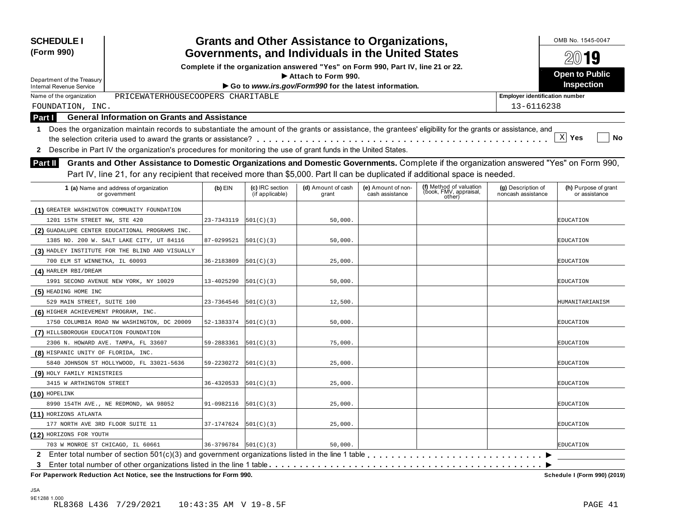| <b>SCHEDULE I</b><br>(Form 990)                                                                                                                                                                                                                                                      |                            |                                    | <b>Grants and Other Assistance to Organizations,</b>                             |                                       |                                                             |                                          | OMB No. 1545-0047                     |
|--------------------------------------------------------------------------------------------------------------------------------------------------------------------------------------------------------------------------------------------------------------------------------------|----------------------------|------------------------------------|----------------------------------------------------------------------------------|---------------------------------------|-------------------------------------------------------------|------------------------------------------|---------------------------------------|
|                                                                                                                                                                                                                                                                                      |                            |                                    | Governments, and Individuals in the United States                                |                                       |                                                             |                                          | $20$ 19                               |
|                                                                                                                                                                                                                                                                                      |                            |                                    | Complete if the organization answered "Yes" on Form 990, Part IV, line 21 or 22. |                                       |                                                             |                                          | <b>Open to Public</b>                 |
| Department of the Treasury                                                                                                                                                                                                                                                           |                            |                                    | Attach to Form 990.                                                              |                                       |                                                             |                                          | Inspection                            |
| <b>Internal Revenue Service</b>                                                                                                                                                                                                                                                      |                            |                                    | Go to www.irs.gov/Form990 for the latest information.                            |                                       |                                                             |                                          |                                       |
| PRICEWATERHOUSECOOPERS CHARITABLE<br>Name of the organization                                                                                                                                                                                                                        |                            |                                    |                                                                                  |                                       |                                                             | <b>Employer identification number</b>    |                                       |
| FOUNDATION, INC.                                                                                                                                                                                                                                                                     |                            |                                    |                                                                                  |                                       |                                                             | 13-6116238                               |                                       |
| <b>General Information on Grants and Assistance</b><br>Part I                                                                                                                                                                                                                        |                            |                                    |                                                                                  |                                       |                                                             |                                          |                                       |
| Does the organization maintain records to substantiate the amount of the grants or assistance, the grantees' eligibility for the grants or assistance, and<br>1                                                                                                                      |                            |                                    |                                                                                  |                                       |                                                             |                                          | X <br>Yes<br>No                       |
| Describe in Part IV the organization's procedures for monitoring the use of grant funds in the United States.<br>2                                                                                                                                                                   |                            |                                    |                                                                                  |                                       |                                                             |                                          |                                       |
| Grants and Other Assistance to Domestic Organizations and Domestic Governments. Complete if the organization answered "Yes" on Form 990,<br>Part II<br>Part IV, line 21, for any recipient that received more than \$5,000. Part II can be duplicated if additional space is needed. |                            |                                    |                                                                                  |                                       |                                                             |                                          |                                       |
| 1 (a) Name and address of organization<br>or government                                                                                                                                                                                                                              | $(b)$ EIN                  | (c) IRC section<br>(if applicable) | (d) Amount of cash<br>grant                                                      | (e) Amount of non-<br>cash assistance | (f) Method of valuation<br>(book, FMV, appraisal,<br>other) | (g) Description of<br>noncash assistance | (h) Purpose of grant<br>or assistance |
| (1) GREATER WASHINGTON COMMUNITY FOUNDATION                                                                                                                                                                                                                                          |                            |                                    |                                                                                  |                                       |                                                             |                                          |                                       |
| 1201 15TH STREET NW, STE 420                                                                                                                                                                                                                                                         | 23-7343119                 | 501(C)(3)                          | 50,000.                                                                          |                                       |                                                             |                                          | EDUCATION                             |
| (2) GUADALUPE CENTER EDUCATIONAL PROGRAMS INC.                                                                                                                                                                                                                                       |                            |                                    |                                                                                  |                                       |                                                             |                                          |                                       |
| 1385 NO. 200 W. SALT LAKE CITY, UT 84116                                                                                                                                                                                                                                             | 87-0299521                 | 501(C)(3)                          | 50,000.                                                                          |                                       |                                                             |                                          | EDUCATION                             |
| (3) HADLEY INSTITUTE FOR THE BLIND AND VISUALLY                                                                                                                                                                                                                                      |                            |                                    |                                                                                  |                                       |                                                             |                                          |                                       |
| 700 ELM ST WINNETKA, IL 60093                                                                                                                                                                                                                                                        | 36-2183809                 | 501(C)(3)                          | 25,000.                                                                          |                                       |                                                             |                                          | EDUCATION                             |
| (4) HARLEM RBI/DREAM                                                                                                                                                                                                                                                                 |                            |                                    |                                                                                  |                                       |                                                             |                                          |                                       |
| 1991 SECOND AVENUE NEW YORK, NY 10029                                                                                                                                                                                                                                                | 13-4025290                 | 501(C)(3)                          | 50,000.                                                                          |                                       |                                                             |                                          | EDUCATION                             |
| (5) HEADING HOME INC                                                                                                                                                                                                                                                                 |                            |                                    |                                                                                  |                                       |                                                             |                                          |                                       |
| 529 MAIN STREET, SUITE 100                                                                                                                                                                                                                                                           | 23-7364546                 | 501(C)(3)                          | 12,500.                                                                          |                                       |                                                             |                                          | HUMANITARIANISM                       |
| (6) HIGHER ACHIEVEMENT PROGRAM, INC.                                                                                                                                                                                                                                                 |                            |                                    |                                                                                  |                                       |                                                             |                                          |                                       |
| 1750 COLUMBIA ROAD NW WASHINGTON, DC 20009                                                                                                                                                                                                                                           | 52-1383374                 | 501(C)(3)                          | 50,000.                                                                          |                                       |                                                             |                                          | EDUCATION                             |
| (7) HILLSBOROUGH EDUCATION FOUNDATION                                                                                                                                                                                                                                                |                            |                                    |                                                                                  |                                       |                                                             |                                          |                                       |
| 2306 N. HOWARD AVE. TAMPA, FL 33607                                                                                                                                                                                                                                                  | 59-2883361                 | 501(C)(3)                          | 75,000.                                                                          |                                       |                                                             |                                          | EDUCATION                             |
| (8) HISPANIC UNITY OF FLORIDA, INC.                                                                                                                                                                                                                                                  |                            |                                    |                                                                                  |                                       |                                                             |                                          |                                       |
| 5840 JOHNSON ST HOLLYWOOD, FL 33021-5636                                                                                                                                                                                                                                             | 59-2230272                 | 501(C)(3)                          | 25,000.                                                                          |                                       |                                                             |                                          | EDUCATION                             |
| (9) HOLY FAMILY MINISTRIES                                                                                                                                                                                                                                                           |                            |                                    |                                                                                  |                                       |                                                             |                                          |                                       |
| 3415 W ARTHINGTON STREET                                                                                                                                                                                                                                                             | 36-4320533                 | 501(C)(3)                          | 25,000.                                                                          |                                       |                                                             |                                          | EDUCATION                             |
| $(10)$ HOPELINK                                                                                                                                                                                                                                                                      |                            |                                    |                                                                                  |                                       |                                                             |                                          |                                       |
| 8990 154TH AVE., NE REDMOND, WA 98052                                                                                                                                                                                                                                                | 91-0982116                 | 501(C)(3)                          | 25,000.                                                                          |                                       |                                                             |                                          | EDUCATION                             |
| (11) HORIZONS ATLANTA                                                                                                                                                                                                                                                                |                            |                                    |                                                                                  |                                       |                                                             |                                          |                                       |
| 177 NORTH AVE 3RD FLOOR SUITE 11                                                                                                                                                                                                                                                     | 37-1747624                 | 501(C)(3)                          | 25,000.                                                                          |                                       |                                                             |                                          | EDUCATION                             |
| (12) HORIZONS FOR YOUTH                                                                                                                                                                                                                                                              |                            |                                    |                                                                                  |                                       |                                                             |                                          |                                       |
| 703 W MONROE ST CHICAGO, IL 60661                                                                                                                                                                                                                                                    | $36-3796784$ $ 501(C)(3) $ |                                    | 50,000.                                                                          |                                       |                                                             |                                          | EDUCATION                             |
|                                                                                                                                                                                                                                                                                      |                            |                                    |                                                                                  |                                       |                                                             |                                          |                                       |
| Enter total number of other organizations listed in the line 1 table<br>3                                                                                                                                                                                                            |                            |                                    |                                                                                  |                                       |                                                             |                                          |                                       |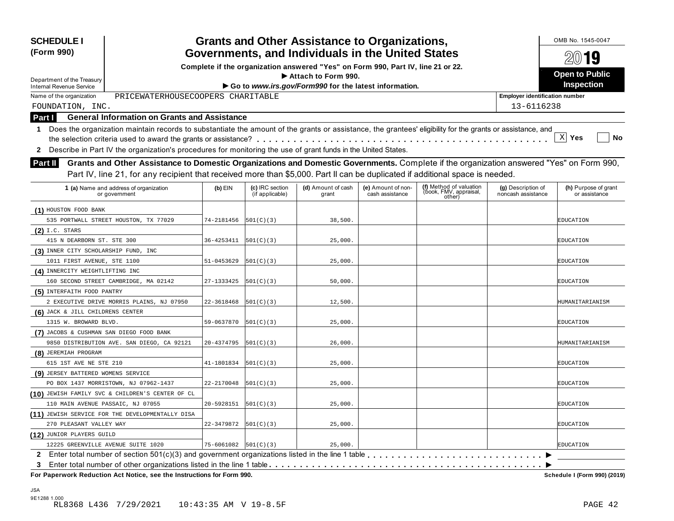| Governments, and Individuals in the United States<br>Complete if the organization answered "Yes" on Form 990, Part IV, line 21 or 22.<br><b>Open to Public</b><br>Attach to Form 990.<br>Department of the Treasury<br><b>Inspection</b><br>Go to www.irs.gov/Form990 for the latest information.<br><b>Internal Revenue Service</b><br>PRICEWATERHOUSECOOPERS CHARITABLE<br>Name of the organization<br><b>Employer identification number</b><br>13-6116238<br>FOUNDATION, INC.<br><b>General Information on Grants and Assistance</b><br>Part I<br>Does the organization maintain records to substantiate the amount of the grants or assistance, the grantees' eligibility for the grants or assistance, and<br>$\mathbf 1$<br>$\mathbf{x}$<br>Yes<br>No<br>Describe in Part IV the organization's procedures for monitoring the use of grant funds in the United States.<br>$\mathbf{2}$<br>Grants and Other Assistance to Domestic Organizations and Domestic Governments. Complete if the organization answered "Yes" on Form 990,<br>Part II<br>Part IV, line 21, for any recipient that received more than \$5,000. Part II can be duplicated if additional space is needed.<br>(f) Method of valuation<br>(c) IRC section<br>(d) Amount of cash<br>1 (a) Name and address of organization<br>$(b)$ EIN<br>(e) Amount of non-<br>(g) Description of<br>(h) Purpose of grant<br>(book, FMV, appraisal,<br>(if applicable)<br>cash assistance<br>noncash assistance<br>or assistance<br>or government<br>grant<br>other)<br>(1) HOUSTON FOOD BANK<br>535 PORTWALL STREET HOUSTON, TX 77029<br>74-2181456<br> 501(C)(3) <br>38,500.<br>EDUCATION<br>$(2)$ I.C. STARS<br>36-4253411<br>415 N DEARBORN ST. STE 300<br> 501(C)(3) <br>25,000.<br>EDUCATION<br>(3) INNER CITY SCHOLARSHIP FUND, INC<br>1011 FIRST AVENUE, STE 1100<br>51-0453629<br> 501(C)(3) <br>25,000.<br><b>EDUCATION</b><br>(4) INNERCITY WEIGHTLIFTING INC<br>160 SECOND STREET CAMBRIDGE, MA 02142<br>27-1333425<br> 501(C)(3) <br>50,000.<br>EDUCATION<br>(5) INTERFAITH FOOD PANTRY<br>12,500.<br>2 EXECUTIVE DRIVE MORRIS PLAINS, NJ 07950<br>22-3618468<br> 501(C)(3) <br>HUMANITARIANISM<br>(6) JACK & JILL CHILDRENS CENTER<br>1315 W. BROWARD BLVD.<br>59-0637870<br> 501(C)(3) <br>25,000.<br>EDUCATION<br>(7) JACOBS & CUSHMAN SAN DIEGO FOOD BANK<br>20-4374795<br>9850 DISTRIBUTION AVE. SAN DIEGO, CA 92121<br> 501(C)(3) <br>26,000.<br>HUMANITARIANISM<br>(8) JEREMIAH PROGRAM<br>615 1ST AVE NE STE 210<br>41-1801834<br> 501(C)(3) <br>25,000.<br>EDUCATION<br>(9) JERSEY BATTERED WOMENS SERVICE<br>PO BOX 1437 MORRISTOWN, NJ 07962-1437<br>22-2170048<br>501(C)(3)<br>25,000.<br>EDUCATION<br>(10) JEWISH FAMILY SVC & CHILDREN'S CENTER OF CL<br>110 MAIN AVENUE PASSAIC, NJ 07055<br>20-5928151<br> 501(C)(3) <br>25,000.<br>EDUCATION<br>(11) JEWISH SERVICE FOR THE DEVELOPMENTALLY DISA<br>22-3479872<br>25,000.<br>270 PLEASANT VALLEY WAY<br>501(C)(3)<br><b>EDUCATION</b><br>(12) JUNIOR PLAYERS GUILD<br>12225 GREENVILLE AVENUE SUITE 1020<br>$75 - 6061082$ $ 501(C)(3) $<br>25,000.<br><b>EDUCATION</b> | <b>SCHEDULE I</b><br>(Form 990) |  | <b>Grants and Other Assistance to Organizations,</b> |  | OMB No. 1545-0047 |
|-----------------------------------------------------------------------------------------------------------------------------------------------------------------------------------------------------------------------------------------------------------------------------------------------------------------------------------------------------------------------------------------------------------------------------------------------------------------------------------------------------------------------------------------------------------------------------------------------------------------------------------------------------------------------------------------------------------------------------------------------------------------------------------------------------------------------------------------------------------------------------------------------------------------------------------------------------------------------------------------------------------------------------------------------------------------------------------------------------------------------------------------------------------------------------------------------------------------------------------------------------------------------------------------------------------------------------------------------------------------------------------------------------------------------------------------------------------------------------------------------------------------------------------------------------------------------------------------------------------------------------------------------------------------------------------------------------------------------------------------------------------------------------------------------------------------------------------------------------------------------------------------------------------------------------------------------------------------------------------------------------------------------------------------------------------------------------------------------------------------------------------------------------------------------------------------------------------------------------------------------------------------------------------------------------------------------------------------------------------------------------------------------------------------------------------------------------------------------------------------------------------------------------------------------------------------------------------------------------------------------------------------------------------------------------------------------------------------------------------------------------------------------------------------------------------------------------------------------------------------------------------------------------------------------------------------------------------------------------------------------------------------------------------------------------------------------------------------------------------------|---------------------------------|--|------------------------------------------------------|--|-------------------|
|                                                                                                                                                                                                                                                                                                                                                                                                                                                                                                                                                                                                                                                                                                                                                                                                                                                                                                                                                                                                                                                                                                                                                                                                                                                                                                                                                                                                                                                                                                                                                                                                                                                                                                                                                                                                                                                                                                                                                                                                                                                                                                                                                                                                                                                                                                                                                                                                                                                                                                                                                                                                                                                                                                                                                                                                                                                                                                                                                                                                                                                                                                                 |                                 |  |                                                      |  | 2019              |
|                                                                                                                                                                                                                                                                                                                                                                                                                                                                                                                                                                                                                                                                                                                                                                                                                                                                                                                                                                                                                                                                                                                                                                                                                                                                                                                                                                                                                                                                                                                                                                                                                                                                                                                                                                                                                                                                                                                                                                                                                                                                                                                                                                                                                                                                                                                                                                                                                                                                                                                                                                                                                                                                                                                                                                                                                                                                                                                                                                                                                                                                                                                 |                                 |  |                                                      |  |                   |
|                                                                                                                                                                                                                                                                                                                                                                                                                                                                                                                                                                                                                                                                                                                                                                                                                                                                                                                                                                                                                                                                                                                                                                                                                                                                                                                                                                                                                                                                                                                                                                                                                                                                                                                                                                                                                                                                                                                                                                                                                                                                                                                                                                                                                                                                                                                                                                                                                                                                                                                                                                                                                                                                                                                                                                                                                                                                                                                                                                                                                                                                                                                 |                                 |  |                                                      |  |                   |
|                                                                                                                                                                                                                                                                                                                                                                                                                                                                                                                                                                                                                                                                                                                                                                                                                                                                                                                                                                                                                                                                                                                                                                                                                                                                                                                                                                                                                                                                                                                                                                                                                                                                                                                                                                                                                                                                                                                                                                                                                                                                                                                                                                                                                                                                                                                                                                                                                                                                                                                                                                                                                                                                                                                                                                                                                                                                                                                                                                                                                                                                                                                 |                                 |  |                                                      |  |                   |
|                                                                                                                                                                                                                                                                                                                                                                                                                                                                                                                                                                                                                                                                                                                                                                                                                                                                                                                                                                                                                                                                                                                                                                                                                                                                                                                                                                                                                                                                                                                                                                                                                                                                                                                                                                                                                                                                                                                                                                                                                                                                                                                                                                                                                                                                                                                                                                                                                                                                                                                                                                                                                                                                                                                                                                                                                                                                                                                                                                                                                                                                                                                 |                                 |  |                                                      |  |                   |
|                                                                                                                                                                                                                                                                                                                                                                                                                                                                                                                                                                                                                                                                                                                                                                                                                                                                                                                                                                                                                                                                                                                                                                                                                                                                                                                                                                                                                                                                                                                                                                                                                                                                                                                                                                                                                                                                                                                                                                                                                                                                                                                                                                                                                                                                                                                                                                                                                                                                                                                                                                                                                                                                                                                                                                                                                                                                                                                                                                                                                                                                                                                 |                                 |  |                                                      |  |                   |
|                                                                                                                                                                                                                                                                                                                                                                                                                                                                                                                                                                                                                                                                                                                                                                                                                                                                                                                                                                                                                                                                                                                                                                                                                                                                                                                                                                                                                                                                                                                                                                                                                                                                                                                                                                                                                                                                                                                                                                                                                                                                                                                                                                                                                                                                                                                                                                                                                                                                                                                                                                                                                                                                                                                                                                                                                                                                                                                                                                                                                                                                                                                 |                                 |  |                                                      |  |                   |
|                                                                                                                                                                                                                                                                                                                                                                                                                                                                                                                                                                                                                                                                                                                                                                                                                                                                                                                                                                                                                                                                                                                                                                                                                                                                                                                                                                                                                                                                                                                                                                                                                                                                                                                                                                                                                                                                                                                                                                                                                                                                                                                                                                                                                                                                                                                                                                                                                                                                                                                                                                                                                                                                                                                                                                                                                                                                                                                                                                                                                                                                                                                 |                                 |  |                                                      |  |                   |
|                                                                                                                                                                                                                                                                                                                                                                                                                                                                                                                                                                                                                                                                                                                                                                                                                                                                                                                                                                                                                                                                                                                                                                                                                                                                                                                                                                                                                                                                                                                                                                                                                                                                                                                                                                                                                                                                                                                                                                                                                                                                                                                                                                                                                                                                                                                                                                                                                                                                                                                                                                                                                                                                                                                                                                                                                                                                                                                                                                                                                                                                                                                 |                                 |  |                                                      |  |                   |
|                                                                                                                                                                                                                                                                                                                                                                                                                                                                                                                                                                                                                                                                                                                                                                                                                                                                                                                                                                                                                                                                                                                                                                                                                                                                                                                                                                                                                                                                                                                                                                                                                                                                                                                                                                                                                                                                                                                                                                                                                                                                                                                                                                                                                                                                                                                                                                                                                                                                                                                                                                                                                                                                                                                                                                                                                                                                                                                                                                                                                                                                                                                 |                                 |  |                                                      |  |                   |
|                                                                                                                                                                                                                                                                                                                                                                                                                                                                                                                                                                                                                                                                                                                                                                                                                                                                                                                                                                                                                                                                                                                                                                                                                                                                                                                                                                                                                                                                                                                                                                                                                                                                                                                                                                                                                                                                                                                                                                                                                                                                                                                                                                                                                                                                                                                                                                                                                                                                                                                                                                                                                                                                                                                                                                                                                                                                                                                                                                                                                                                                                                                 |                                 |  |                                                      |  |                   |
|                                                                                                                                                                                                                                                                                                                                                                                                                                                                                                                                                                                                                                                                                                                                                                                                                                                                                                                                                                                                                                                                                                                                                                                                                                                                                                                                                                                                                                                                                                                                                                                                                                                                                                                                                                                                                                                                                                                                                                                                                                                                                                                                                                                                                                                                                                                                                                                                                                                                                                                                                                                                                                                                                                                                                                                                                                                                                                                                                                                                                                                                                                                 |                                 |  |                                                      |  |                   |
|                                                                                                                                                                                                                                                                                                                                                                                                                                                                                                                                                                                                                                                                                                                                                                                                                                                                                                                                                                                                                                                                                                                                                                                                                                                                                                                                                                                                                                                                                                                                                                                                                                                                                                                                                                                                                                                                                                                                                                                                                                                                                                                                                                                                                                                                                                                                                                                                                                                                                                                                                                                                                                                                                                                                                                                                                                                                                                                                                                                                                                                                                                                 |                                 |  |                                                      |  |                   |
|                                                                                                                                                                                                                                                                                                                                                                                                                                                                                                                                                                                                                                                                                                                                                                                                                                                                                                                                                                                                                                                                                                                                                                                                                                                                                                                                                                                                                                                                                                                                                                                                                                                                                                                                                                                                                                                                                                                                                                                                                                                                                                                                                                                                                                                                                                                                                                                                                                                                                                                                                                                                                                                                                                                                                                                                                                                                                                                                                                                                                                                                                                                 |                                 |  |                                                      |  |                   |
|                                                                                                                                                                                                                                                                                                                                                                                                                                                                                                                                                                                                                                                                                                                                                                                                                                                                                                                                                                                                                                                                                                                                                                                                                                                                                                                                                                                                                                                                                                                                                                                                                                                                                                                                                                                                                                                                                                                                                                                                                                                                                                                                                                                                                                                                                                                                                                                                                                                                                                                                                                                                                                                                                                                                                                                                                                                                                                                                                                                                                                                                                                                 |                                 |  |                                                      |  |                   |
|                                                                                                                                                                                                                                                                                                                                                                                                                                                                                                                                                                                                                                                                                                                                                                                                                                                                                                                                                                                                                                                                                                                                                                                                                                                                                                                                                                                                                                                                                                                                                                                                                                                                                                                                                                                                                                                                                                                                                                                                                                                                                                                                                                                                                                                                                                                                                                                                                                                                                                                                                                                                                                                                                                                                                                                                                                                                                                                                                                                                                                                                                                                 |                                 |  |                                                      |  |                   |
|                                                                                                                                                                                                                                                                                                                                                                                                                                                                                                                                                                                                                                                                                                                                                                                                                                                                                                                                                                                                                                                                                                                                                                                                                                                                                                                                                                                                                                                                                                                                                                                                                                                                                                                                                                                                                                                                                                                                                                                                                                                                                                                                                                                                                                                                                                                                                                                                                                                                                                                                                                                                                                                                                                                                                                                                                                                                                                                                                                                                                                                                                                                 |                                 |  |                                                      |  |                   |
|                                                                                                                                                                                                                                                                                                                                                                                                                                                                                                                                                                                                                                                                                                                                                                                                                                                                                                                                                                                                                                                                                                                                                                                                                                                                                                                                                                                                                                                                                                                                                                                                                                                                                                                                                                                                                                                                                                                                                                                                                                                                                                                                                                                                                                                                                                                                                                                                                                                                                                                                                                                                                                                                                                                                                                                                                                                                                                                                                                                                                                                                                                                 |                                 |  |                                                      |  |                   |
|                                                                                                                                                                                                                                                                                                                                                                                                                                                                                                                                                                                                                                                                                                                                                                                                                                                                                                                                                                                                                                                                                                                                                                                                                                                                                                                                                                                                                                                                                                                                                                                                                                                                                                                                                                                                                                                                                                                                                                                                                                                                                                                                                                                                                                                                                                                                                                                                                                                                                                                                                                                                                                                                                                                                                                                                                                                                                                                                                                                                                                                                                                                 |                                 |  |                                                      |  |                   |
|                                                                                                                                                                                                                                                                                                                                                                                                                                                                                                                                                                                                                                                                                                                                                                                                                                                                                                                                                                                                                                                                                                                                                                                                                                                                                                                                                                                                                                                                                                                                                                                                                                                                                                                                                                                                                                                                                                                                                                                                                                                                                                                                                                                                                                                                                                                                                                                                                                                                                                                                                                                                                                                                                                                                                                                                                                                                                                                                                                                                                                                                                                                 |                                 |  |                                                      |  |                   |
|                                                                                                                                                                                                                                                                                                                                                                                                                                                                                                                                                                                                                                                                                                                                                                                                                                                                                                                                                                                                                                                                                                                                                                                                                                                                                                                                                                                                                                                                                                                                                                                                                                                                                                                                                                                                                                                                                                                                                                                                                                                                                                                                                                                                                                                                                                                                                                                                                                                                                                                                                                                                                                                                                                                                                                                                                                                                                                                                                                                                                                                                                                                 |                                 |  |                                                      |  |                   |
|                                                                                                                                                                                                                                                                                                                                                                                                                                                                                                                                                                                                                                                                                                                                                                                                                                                                                                                                                                                                                                                                                                                                                                                                                                                                                                                                                                                                                                                                                                                                                                                                                                                                                                                                                                                                                                                                                                                                                                                                                                                                                                                                                                                                                                                                                                                                                                                                                                                                                                                                                                                                                                                                                                                                                                                                                                                                                                                                                                                                                                                                                                                 |                                 |  |                                                      |  |                   |
|                                                                                                                                                                                                                                                                                                                                                                                                                                                                                                                                                                                                                                                                                                                                                                                                                                                                                                                                                                                                                                                                                                                                                                                                                                                                                                                                                                                                                                                                                                                                                                                                                                                                                                                                                                                                                                                                                                                                                                                                                                                                                                                                                                                                                                                                                                                                                                                                                                                                                                                                                                                                                                                                                                                                                                                                                                                                                                                                                                                                                                                                                                                 |                                 |  |                                                      |  |                   |
|                                                                                                                                                                                                                                                                                                                                                                                                                                                                                                                                                                                                                                                                                                                                                                                                                                                                                                                                                                                                                                                                                                                                                                                                                                                                                                                                                                                                                                                                                                                                                                                                                                                                                                                                                                                                                                                                                                                                                                                                                                                                                                                                                                                                                                                                                                                                                                                                                                                                                                                                                                                                                                                                                                                                                                                                                                                                                                                                                                                                                                                                                                                 |                                 |  |                                                      |  |                   |
|                                                                                                                                                                                                                                                                                                                                                                                                                                                                                                                                                                                                                                                                                                                                                                                                                                                                                                                                                                                                                                                                                                                                                                                                                                                                                                                                                                                                                                                                                                                                                                                                                                                                                                                                                                                                                                                                                                                                                                                                                                                                                                                                                                                                                                                                                                                                                                                                                                                                                                                                                                                                                                                                                                                                                                                                                                                                                                                                                                                                                                                                                                                 |                                 |  |                                                      |  |                   |
|                                                                                                                                                                                                                                                                                                                                                                                                                                                                                                                                                                                                                                                                                                                                                                                                                                                                                                                                                                                                                                                                                                                                                                                                                                                                                                                                                                                                                                                                                                                                                                                                                                                                                                                                                                                                                                                                                                                                                                                                                                                                                                                                                                                                                                                                                                                                                                                                                                                                                                                                                                                                                                                                                                                                                                                                                                                                                                                                                                                                                                                                                                                 |                                 |  |                                                      |  |                   |
|                                                                                                                                                                                                                                                                                                                                                                                                                                                                                                                                                                                                                                                                                                                                                                                                                                                                                                                                                                                                                                                                                                                                                                                                                                                                                                                                                                                                                                                                                                                                                                                                                                                                                                                                                                                                                                                                                                                                                                                                                                                                                                                                                                                                                                                                                                                                                                                                                                                                                                                                                                                                                                                                                                                                                                                                                                                                                                                                                                                                                                                                                                                 |                                 |  |                                                      |  |                   |
|                                                                                                                                                                                                                                                                                                                                                                                                                                                                                                                                                                                                                                                                                                                                                                                                                                                                                                                                                                                                                                                                                                                                                                                                                                                                                                                                                                                                                                                                                                                                                                                                                                                                                                                                                                                                                                                                                                                                                                                                                                                                                                                                                                                                                                                                                                                                                                                                                                                                                                                                                                                                                                                                                                                                                                                                                                                                                                                                                                                                                                                                                                                 |                                 |  |                                                      |  |                   |
|                                                                                                                                                                                                                                                                                                                                                                                                                                                                                                                                                                                                                                                                                                                                                                                                                                                                                                                                                                                                                                                                                                                                                                                                                                                                                                                                                                                                                                                                                                                                                                                                                                                                                                                                                                                                                                                                                                                                                                                                                                                                                                                                                                                                                                                                                                                                                                                                                                                                                                                                                                                                                                                                                                                                                                                                                                                                                                                                                                                                                                                                                                                 |                                 |  |                                                      |  |                   |
|                                                                                                                                                                                                                                                                                                                                                                                                                                                                                                                                                                                                                                                                                                                                                                                                                                                                                                                                                                                                                                                                                                                                                                                                                                                                                                                                                                                                                                                                                                                                                                                                                                                                                                                                                                                                                                                                                                                                                                                                                                                                                                                                                                                                                                                                                                                                                                                                                                                                                                                                                                                                                                                                                                                                                                                                                                                                                                                                                                                                                                                                                                                 |                                 |  |                                                      |  |                   |
|                                                                                                                                                                                                                                                                                                                                                                                                                                                                                                                                                                                                                                                                                                                                                                                                                                                                                                                                                                                                                                                                                                                                                                                                                                                                                                                                                                                                                                                                                                                                                                                                                                                                                                                                                                                                                                                                                                                                                                                                                                                                                                                                                                                                                                                                                                                                                                                                                                                                                                                                                                                                                                                                                                                                                                                                                                                                                                                                                                                                                                                                                                                 |                                 |  |                                                      |  |                   |
|                                                                                                                                                                                                                                                                                                                                                                                                                                                                                                                                                                                                                                                                                                                                                                                                                                                                                                                                                                                                                                                                                                                                                                                                                                                                                                                                                                                                                                                                                                                                                                                                                                                                                                                                                                                                                                                                                                                                                                                                                                                                                                                                                                                                                                                                                                                                                                                                                                                                                                                                                                                                                                                                                                                                                                                                                                                                                                                                                                                                                                                                                                                 |                                 |  |                                                      |  |                   |
|                                                                                                                                                                                                                                                                                                                                                                                                                                                                                                                                                                                                                                                                                                                                                                                                                                                                                                                                                                                                                                                                                                                                                                                                                                                                                                                                                                                                                                                                                                                                                                                                                                                                                                                                                                                                                                                                                                                                                                                                                                                                                                                                                                                                                                                                                                                                                                                                                                                                                                                                                                                                                                                                                                                                                                                                                                                                                                                                                                                                                                                                                                                 |                                 |  |                                                      |  |                   |
|                                                                                                                                                                                                                                                                                                                                                                                                                                                                                                                                                                                                                                                                                                                                                                                                                                                                                                                                                                                                                                                                                                                                                                                                                                                                                                                                                                                                                                                                                                                                                                                                                                                                                                                                                                                                                                                                                                                                                                                                                                                                                                                                                                                                                                                                                                                                                                                                                                                                                                                                                                                                                                                                                                                                                                                                                                                                                                                                                                                                                                                                                                                 |                                 |  |                                                      |  |                   |
| 3                                                                                                                                                                                                                                                                                                                                                                                                                                                                                                                                                                                                                                                                                                                                                                                                                                                                                                                                                                                                                                                                                                                                                                                                                                                                                                                                                                                                                                                                                                                                                                                                                                                                                                                                                                                                                                                                                                                                                                                                                                                                                                                                                                                                                                                                                                                                                                                                                                                                                                                                                                                                                                                                                                                                                                                                                                                                                                                                                                                                                                                                                                               |                                 |  |                                                      |  |                   |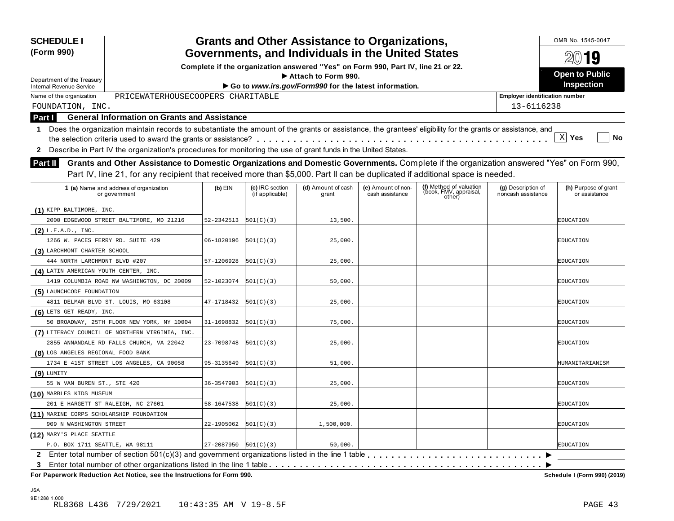| <b>SCHEDULE I</b><br>(Form 990)                                                                                                                                                                                                                                                             |            |                                    | <b>Grants and Other Assistance to Organizations,</b>                             |                                       |                                                             |                                          | OMB No. 1545-0047                     |
|---------------------------------------------------------------------------------------------------------------------------------------------------------------------------------------------------------------------------------------------------------------------------------------------|------------|------------------------------------|----------------------------------------------------------------------------------|---------------------------------------|-------------------------------------------------------------|------------------------------------------|---------------------------------------|
|                                                                                                                                                                                                                                                                                             |            |                                    | Governments, and Individuals in the United States                                |                                       |                                                             |                                          | 2019                                  |
|                                                                                                                                                                                                                                                                                             |            |                                    | Complete if the organization answered "Yes" on Form 990, Part IV, line 21 or 22. |                                       |                                                             |                                          | <b>Open to Public</b>                 |
| Department of the Treasury                                                                                                                                                                                                                                                                  |            |                                    | Attach to Form 990.<br>Go to www.irs.gov/Form990 for the latest information.     |                                       |                                                             |                                          | Inspection                            |
| <b>Internal Revenue Service</b><br>PRICEWATERHOUSECOOPERS CHARITABLE<br>Name of the organization                                                                                                                                                                                            |            |                                    |                                                                                  |                                       |                                                             | <b>Employer identification number</b>    |                                       |
| FOUNDATION, INC.                                                                                                                                                                                                                                                                            |            |                                    |                                                                                  |                                       |                                                             | 13-6116238                               |                                       |
| <b>General Information on Grants and Assistance</b>                                                                                                                                                                                                                                         |            |                                    |                                                                                  |                                       |                                                             |                                          |                                       |
| Part I<br>1 Does the organization maintain records to substantiate the amount of the grants or assistance, the grantees' eligibility for the grants or assistance, and                                                                                                                      |            |                                    |                                                                                  |                                       |                                                             |                                          | X <br>Yes<br>No                       |
| Describe in Part IV the organization's procedures for monitoring the use of grant funds in the United States.<br>$\mathbf{2}$                                                                                                                                                               |            |                                    |                                                                                  |                                       |                                                             |                                          |                                       |
| Grants and Other Assistance to Domestic Organizations and Domestic Governments. Complete if the organization answered "Yes" on Form 990,<br><b>Part II</b><br>Part IV, line 21, for any recipient that received more than \$5,000. Part II can be duplicated if additional space is needed. |            |                                    |                                                                                  |                                       |                                                             |                                          |                                       |
| 1 (a) Name and address of organization<br>or government                                                                                                                                                                                                                                     | $(b)$ EIN  | (c) IRC section<br>(if applicable) | (d) Amount of cash<br>grant                                                      | (e) Amount of non-<br>cash assistance | (f) Method of valuation<br>(book, FMV, appraisal,<br>other) | (g) Description of<br>noncash assistance | (h) Purpose of grant<br>or assistance |
| (1) KIPP BALTIMORE, INC.                                                                                                                                                                                                                                                                    |            |                                    |                                                                                  |                                       |                                                             |                                          |                                       |
| 2000 EDGEWOOD STREET BALTIMORE, MD 21216                                                                                                                                                                                                                                                    | 52-2342513 | 501(C)(3)                          | 13,500.                                                                          |                                       |                                                             |                                          | EDUCATION                             |
| $(2)$ L.E.A.D., INC.                                                                                                                                                                                                                                                                        |            |                                    |                                                                                  |                                       |                                                             |                                          |                                       |
| 1266 W. PACES FERRY RD. SUITE 429                                                                                                                                                                                                                                                           | 06-1820196 | 501(C)(3)                          | 25,000.                                                                          |                                       |                                                             |                                          | EDUCATION                             |
| (3) LARCHMONT CHARTER SCHOOL                                                                                                                                                                                                                                                                |            |                                    |                                                                                  |                                       |                                                             |                                          |                                       |
| 444 NORTH LARCHMONT BLVD #207                                                                                                                                                                                                                                                               | 57-1206928 | 501(C)(3)                          | 25,000.                                                                          |                                       |                                                             |                                          | EDUCATION                             |
| (4) LATIN AMERICAN YOUTH CENTER, INC.                                                                                                                                                                                                                                                       |            |                                    |                                                                                  |                                       |                                                             |                                          |                                       |
| 1419 COLUMBIA ROAD NW WASHINGTON, DC 20009                                                                                                                                                                                                                                                  | 52-1023074 | 501(C)(3)                          | 50,000.                                                                          |                                       |                                                             |                                          | EDUCATION                             |
| (5) LAUNCHCODE FOUNDATION                                                                                                                                                                                                                                                                   |            |                                    |                                                                                  |                                       |                                                             |                                          |                                       |
| 4811 DELMAR BLVD ST. LOUIS, MO 63108                                                                                                                                                                                                                                                        | 47-1718432 | 501(C)(3)                          | 25,000.                                                                          |                                       |                                                             |                                          | EDUCATION                             |
| (6) LETS GET READY, INC.                                                                                                                                                                                                                                                                    |            |                                    |                                                                                  |                                       |                                                             |                                          |                                       |
| 50 BROADWAY, 25TH FLOOR NEW YORK, NY 10004                                                                                                                                                                                                                                                  | 31-1698832 | 501(C)(3)                          | 75,000.                                                                          |                                       |                                                             |                                          | EDUCATION                             |
| (7) LITERACY COUNCIL OF NORTHERN VIRGINIA, INC.                                                                                                                                                                                                                                             |            |                                    |                                                                                  |                                       |                                                             |                                          |                                       |
| 2855 ANNANDALE RD FALLS CHURCH, VA 22042                                                                                                                                                                                                                                                    | 23-7098748 | 501(C)(3)                          | 25,000.                                                                          |                                       |                                                             |                                          | EDUCATION                             |
| (8) LOS ANGELES REGIONAL FOOD BANK                                                                                                                                                                                                                                                          |            |                                    |                                                                                  |                                       |                                                             |                                          |                                       |
| 1734 E 41ST STREET LOS ANGELES, CA 90058                                                                                                                                                                                                                                                    | 95-3135649 | 501(C)(3)                          | 51,000.                                                                          |                                       |                                                             |                                          | HUMANITARIANISM                       |
| $(9)$ LUMITY                                                                                                                                                                                                                                                                                |            |                                    |                                                                                  |                                       |                                                             |                                          |                                       |
| 55 W VAN BUREN ST., STE 420                                                                                                                                                                                                                                                                 | 36-3547903 | 501(C)(3)                          | 25,000.                                                                          |                                       |                                                             |                                          | EDUCATION                             |
| (10) MARBLES KIDS MUSEUM                                                                                                                                                                                                                                                                    |            |                                    |                                                                                  |                                       |                                                             |                                          |                                       |
| 201 E HARGETT ST RALEIGH, NC 27601                                                                                                                                                                                                                                                          | 58-1647538 | 501(C)(3)                          | 25,000.                                                                          |                                       |                                                             |                                          | EDUCATION                             |
| (11) MARINE CORPS SCHOLARSHIP FOUNDATION                                                                                                                                                                                                                                                    |            |                                    |                                                                                  |                                       |                                                             |                                          |                                       |
| 909 N WASHINGTON STREET                                                                                                                                                                                                                                                                     | 22-1905062 | 501(C)(3)                          | 1,500,000.                                                                       |                                       |                                                             |                                          | EDUCATION                             |
| (12) MARY'S PLACE SEATTLE                                                                                                                                                                                                                                                                   |            |                                    |                                                                                  |                                       |                                                             |                                          |                                       |
| P.O. BOX 1711 SEATTLE, WA 98111                                                                                                                                                                                                                                                             | 27-2087950 | 501(C)(3)                          | 50,000.                                                                          |                                       |                                                             |                                          | <b>EDUCATION</b>                      |
| 2 Enter total number of section 501(c)(3) and government organizations listed in the line 1 table                                                                                                                                                                                           |            |                                    |                                                                                  |                                       |                                                             |                                          |                                       |
| 3                                                                                                                                                                                                                                                                                           |            |                                    |                                                                                  |                                       |                                                             |                                          |                                       |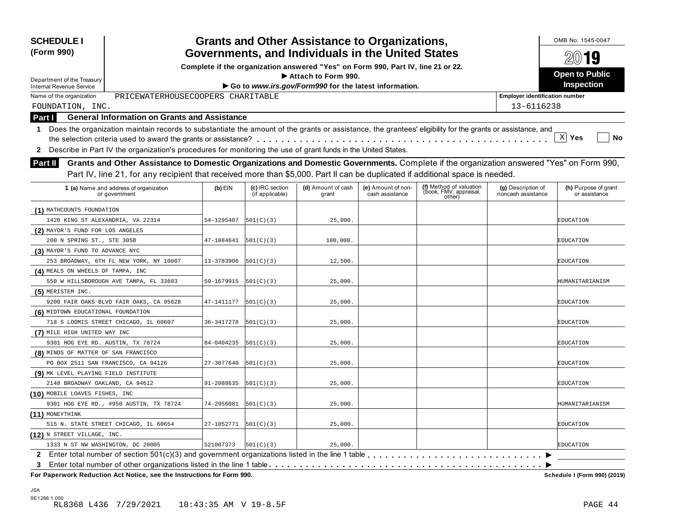| Governments, and Individuals in the United States<br>Complete if the organization answered "Yes" on Form 990, Part IV, line 21 or 22.<br><b>Open to Public</b><br>Attach to Form 990.<br>Department of the Treasury<br><b>Inspection</b><br>Go to www.irs.gov/Form990 for the latest information.<br><b>Internal Revenue Service</b><br>PRICEWATERHOUSECOOPERS CHARITABLE<br>Name of the organization<br><b>Employer identification number</b><br>13-6116238<br>FOUNDATION, INC.<br><b>General Information on Grants and Assistance</b><br>Part I<br>1 Does the organization maintain records to substantiate the amount of the grants or assistance, the grantees' eligibility for the grants or assistance, and<br>$\mathbf{x}$<br>Yes<br>Describe in Part IV the organization's procedures for monitoring the use of grant funds in the United States.<br>$\mathbf{2}$<br>Grants and Other Assistance to Domestic Organizations and Domestic Governments. Complete if the organization answered "Yes" on Form 990,<br>Part II<br>Part IV, line 21, for any recipient that received more than \$5,000. Part II can be duplicated if additional space is needed.<br>(f) Method of valuation<br>(book, FMV, appraisal,<br>(c) IRC section<br>1 (a) Name and address of organization<br>$(b)$ EIN<br>(d) Amount of cash<br>(e) Amount of non-<br>(g) Description of<br>(if applicable)<br>cash assistance<br>noncash assistance<br>grant<br>or assistance<br>or government<br>other)<br>(1) MATHCOUNTS FOUNDATION<br>1420 KING ST ALEXANDRIA, VA 22314<br>54-1295407<br> 501(C)(3) <br>25,000.<br>EDUCATION<br>(2) MAYOR'S FUND FOR LOS ANGELES<br>200 N SPRING ST., STE 305B<br>47-1084641<br> 501(C)(3) <br>100,000.<br>EDUCATION<br>(3) MAYOR'S FUND TO ADVANCE NYC<br>253 BROADWAY, 6TH FL NEW YORK, NY 10007<br>13-3783906<br> 501(C)(3) <br>12,500.<br>EDUCATION<br>(4) MEALS ON WHEELS OF TAMPA, INC<br>550 W HILLSBOROUGH AVE TAMPA, FL 33603<br>59-1679915<br> 501(C)(3) <br>25,000.<br>(5) MERISTEM INC.<br>9200 FAIR OAKS BLVD FAIR OAKS, CA 95628<br>47-1411177<br> 501(C)(3) <br>25,000.<br>EDUCATION<br>(6) MIDTOWN EDUCATIONAL FOUNDATION<br>718 S LOOMIS STREET CHICAGO, IL 60607<br>36-3417278<br> 501(C)(3) <br>25,000.<br>EDUCATION<br>(7) MILE HIGH UNITED WAY INC<br>9301 HOG EYE RD. AUSTIN, TX 78724<br>84-0404235<br> 501(C)(3) <br>25,000.<br>EDUCATION<br>(8) MINDS OF MATTER OF SAN FRANCISCO<br>PO BOX 2511 SAN FRANCISCO, CA 94126<br>27-3077640<br> 501(C)(3) <br>25,000.<br>EDUCATION<br>(9) MK LEVEL PLAYING FIELD INSTITUTE<br>2148 BROADWAY OAKLAND, CA 94612<br>91-2088635<br> 501(C)(3) <br>25,000.<br>EDUCATION<br>(10) MOBILE LOAVES FISHES, INC<br>9301 HOG EYE RD., #950 AUSTIN, TX 78724<br>74-2956081<br>25,000.<br> 501(C)(3) <br>(11) MONEYTHINK<br>515 N. STATE STREET CHICAGO, IL 60654<br>27-1052771<br>25,000.<br><b>EDUCATION</b><br> 501(C)(3) <br>(12) N STREET VILLAGE, INC. | <b>SCHEDULE I</b><br>(Form 990)   |           |           | <b>Grants and Other Assistance to Organizations,</b> |  | OMB No. 1545-0047    |
|---------------------------------------------------------------------------------------------------------------------------------------------------------------------------------------------------------------------------------------------------------------------------------------------------------------------------------------------------------------------------------------------------------------------------------------------------------------------------------------------------------------------------------------------------------------------------------------------------------------------------------------------------------------------------------------------------------------------------------------------------------------------------------------------------------------------------------------------------------------------------------------------------------------------------------------------------------------------------------------------------------------------------------------------------------------------------------------------------------------------------------------------------------------------------------------------------------------------------------------------------------------------------------------------------------------------------------------------------------------------------------------------------------------------------------------------------------------------------------------------------------------------------------------------------------------------------------------------------------------------------------------------------------------------------------------------------------------------------------------------------------------------------------------------------------------------------------------------------------------------------------------------------------------------------------------------------------------------------------------------------------------------------------------------------------------------------------------------------------------------------------------------------------------------------------------------------------------------------------------------------------------------------------------------------------------------------------------------------------------------------------------------------------------------------------------------------------------------------------------------------------------------------------------------------------------------------------------------------------------------------------------------------------------------------------------------------------------------------------------------------------------------------------------------------------------------------------------------------------------------------------------------------------------------------------|-----------------------------------|-----------|-----------|------------------------------------------------------|--|----------------------|
|                                                                                                                                                                                                                                                                                                                                                                                                                                                                                                                                                                                                                                                                                                                                                                                                                                                                                                                                                                                                                                                                                                                                                                                                                                                                                                                                                                                                                                                                                                                                                                                                                                                                                                                                                                                                                                                                                                                                                                                                                                                                                                                                                                                                                                                                                                                                                                                                                                                                                                                                                                                                                                                                                                                                                                                                                                                                                                                                 |                                   |           |           |                                                      |  | 2019                 |
|                                                                                                                                                                                                                                                                                                                                                                                                                                                                                                                                                                                                                                                                                                                                                                                                                                                                                                                                                                                                                                                                                                                                                                                                                                                                                                                                                                                                                                                                                                                                                                                                                                                                                                                                                                                                                                                                                                                                                                                                                                                                                                                                                                                                                                                                                                                                                                                                                                                                                                                                                                                                                                                                                                                                                                                                                                                                                                                                 |                                   |           |           |                                                      |  |                      |
|                                                                                                                                                                                                                                                                                                                                                                                                                                                                                                                                                                                                                                                                                                                                                                                                                                                                                                                                                                                                                                                                                                                                                                                                                                                                                                                                                                                                                                                                                                                                                                                                                                                                                                                                                                                                                                                                                                                                                                                                                                                                                                                                                                                                                                                                                                                                                                                                                                                                                                                                                                                                                                                                                                                                                                                                                                                                                                                                 |                                   |           |           |                                                      |  |                      |
|                                                                                                                                                                                                                                                                                                                                                                                                                                                                                                                                                                                                                                                                                                                                                                                                                                                                                                                                                                                                                                                                                                                                                                                                                                                                                                                                                                                                                                                                                                                                                                                                                                                                                                                                                                                                                                                                                                                                                                                                                                                                                                                                                                                                                                                                                                                                                                                                                                                                                                                                                                                                                                                                                                                                                                                                                                                                                                                                 |                                   |           |           |                                                      |  |                      |
|                                                                                                                                                                                                                                                                                                                                                                                                                                                                                                                                                                                                                                                                                                                                                                                                                                                                                                                                                                                                                                                                                                                                                                                                                                                                                                                                                                                                                                                                                                                                                                                                                                                                                                                                                                                                                                                                                                                                                                                                                                                                                                                                                                                                                                                                                                                                                                                                                                                                                                                                                                                                                                                                                                                                                                                                                                                                                                                                 |                                   |           |           |                                                      |  |                      |
|                                                                                                                                                                                                                                                                                                                                                                                                                                                                                                                                                                                                                                                                                                                                                                                                                                                                                                                                                                                                                                                                                                                                                                                                                                                                                                                                                                                                                                                                                                                                                                                                                                                                                                                                                                                                                                                                                                                                                                                                                                                                                                                                                                                                                                                                                                                                                                                                                                                                                                                                                                                                                                                                                                                                                                                                                                                                                                                                 |                                   |           |           |                                                      |  |                      |
|                                                                                                                                                                                                                                                                                                                                                                                                                                                                                                                                                                                                                                                                                                                                                                                                                                                                                                                                                                                                                                                                                                                                                                                                                                                                                                                                                                                                                                                                                                                                                                                                                                                                                                                                                                                                                                                                                                                                                                                                                                                                                                                                                                                                                                                                                                                                                                                                                                                                                                                                                                                                                                                                                                                                                                                                                                                                                                                                 |                                   |           |           |                                                      |  |                      |
|                                                                                                                                                                                                                                                                                                                                                                                                                                                                                                                                                                                                                                                                                                                                                                                                                                                                                                                                                                                                                                                                                                                                                                                                                                                                                                                                                                                                                                                                                                                                                                                                                                                                                                                                                                                                                                                                                                                                                                                                                                                                                                                                                                                                                                                                                                                                                                                                                                                                                                                                                                                                                                                                                                                                                                                                                                                                                                                                 |                                   |           |           |                                                      |  | No                   |
|                                                                                                                                                                                                                                                                                                                                                                                                                                                                                                                                                                                                                                                                                                                                                                                                                                                                                                                                                                                                                                                                                                                                                                                                                                                                                                                                                                                                                                                                                                                                                                                                                                                                                                                                                                                                                                                                                                                                                                                                                                                                                                                                                                                                                                                                                                                                                                                                                                                                                                                                                                                                                                                                                                                                                                                                                                                                                                                                 |                                   |           |           |                                                      |  |                      |
|                                                                                                                                                                                                                                                                                                                                                                                                                                                                                                                                                                                                                                                                                                                                                                                                                                                                                                                                                                                                                                                                                                                                                                                                                                                                                                                                                                                                                                                                                                                                                                                                                                                                                                                                                                                                                                                                                                                                                                                                                                                                                                                                                                                                                                                                                                                                                                                                                                                                                                                                                                                                                                                                                                                                                                                                                                                                                                                                 |                                   |           |           |                                                      |  |                      |
|                                                                                                                                                                                                                                                                                                                                                                                                                                                                                                                                                                                                                                                                                                                                                                                                                                                                                                                                                                                                                                                                                                                                                                                                                                                                                                                                                                                                                                                                                                                                                                                                                                                                                                                                                                                                                                                                                                                                                                                                                                                                                                                                                                                                                                                                                                                                                                                                                                                                                                                                                                                                                                                                                                                                                                                                                                                                                                                                 |                                   |           |           |                                                      |  |                      |
|                                                                                                                                                                                                                                                                                                                                                                                                                                                                                                                                                                                                                                                                                                                                                                                                                                                                                                                                                                                                                                                                                                                                                                                                                                                                                                                                                                                                                                                                                                                                                                                                                                                                                                                                                                                                                                                                                                                                                                                                                                                                                                                                                                                                                                                                                                                                                                                                                                                                                                                                                                                                                                                                                                                                                                                                                                                                                                                                 |                                   |           |           |                                                      |  |                      |
|                                                                                                                                                                                                                                                                                                                                                                                                                                                                                                                                                                                                                                                                                                                                                                                                                                                                                                                                                                                                                                                                                                                                                                                                                                                                                                                                                                                                                                                                                                                                                                                                                                                                                                                                                                                                                                                                                                                                                                                                                                                                                                                                                                                                                                                                                                                                                                                                                                                                                                                                                                                                                                                                                                                                                                                                                                                                                                                                 |                                   |           |           |                                                      |  | (h) Purpose of grant |
|                                                                                                                                                                                                                                                                                                                                                                                                                                                                                                                                                                                                                                                                                                                                                                                                                                                                                                                                                                                                                                                                                                                                                                                                                                                                                                                                                                                                                                                                                                                                                                                                                                                                                                                                                                                                                                                                                                                                                                                                                                                                                                                                                                                                                                                                                                                                                                                                                                                                                                                                                                                                                                                                                                                                                                                                                                                                                                                                 |                                   |           |           |                                                      |  |                      |
|                                                                                                                                                                                                                                                                                                                                                                                                                                                                                                                                                                                                                                                                                                                                                                                                                                                                                                                                                                                                                                                                                                                                                                                                                                                                                                                                                                                                                                                                                                                                                                                                                                                                                                                                                                                                                                                                                                                                                                                                                                                                                                                                                                                                                                                                                                                                                                                                                                                                                                                                                                                                                                                                                                                                                                                                                                                                                                                                 |                                   |           |           |                                                      |  |                      |
|                                                                                                                                                                                                                                                                                                                                                                                                                                                                                                                                                                                                                                                                                                                                                                                                                                                                                                                                                                                                                                                                                                                                                                                                                                                                                                                                                                                                                                                                                                                                                                                                                                                                                                                                                                                                                                                                                                                                                                                                                                                                                                                                                                                                                                                                                                                                                                                                                                                                                                                                                                                                                                                                                                                                                                                                                                                                                                                                 |                                   |           |           |                                                      |  |                      |
|                                                                                                                                                                                                                                                                                                                                                                                                                                                                                                                                                                                                                                                                                                                                                                                                                                                                                                                                                                                                                                                                                                                                                                                                                                                                                                                                                                                                                                                                                                                                                                                                                                                                                                                                                                                                                                                                                                                                                                                                                                                                                                                                                                                                                                                                                                                                                                                                                                                                                                                                                                                                                                                                                                                                                                                                                                                                                                                                 |                                   |           |           |                                                      |  |                      |
|                                                                                                                                                                                                                                                                                                                                                                                                                                                                                                                                                                                                                                                                                                                                                                                                                                                                                                                                                                                                                                                                                                                                                                                                                                                                                                                                                                                                                                                                                                                                                                                                                                                                                                                                                                                                                                                                                                                                                                                                                                                                                                                                                                                                                                                                                                                                                                                                                                                                                                                                                                                                                                                                                                                                                                                                                                                                                                                                 |                                   |           |           |                                                      |  |                      |
|                                                                                                                                                                                                                                                                                                                                                                                                                                                                                                                                                                                                                                                                                                                                                                                                                                                                                                                                                                                                                                                                                                                                                                                                                                                                                                                                                                                                                                                                                                                                                                                                                                                                                                                                                                                                                                                                                                                                                                                                                                                                                                                                                                                                                                                                                                                                                                                                                                                                                                                                                                                                                                                                                                                                                                                                                                                                                                                                 |                                   |           |           |                                                      |  |                      |
|                                                                                                                                                                                                                                                                                                                                                                                                                                                                                                                                                                                                                                                                                                                                                                                                                                                                                                                                                                                                                                                                                                                                                                                                                                                                                                                                                                                                                                                                                                                                                                                                                                                                                                                                                                                                                                                                                                                                                                                                                                                                                                                                                                                                                                                                                                                                                                                                                                                                                                                                                                                                                                                                                                                                                                                                                                                                                                                                 |                                   |           |           |                                                      |  |                      |
|                                                                                                                                                                                                                                                                                                                                                                                                                                                                                                                                                                                                                                                                                                                                                                                                                                                                                                                                                                                                                                                                                                                                                                                                                                                                                                                                                                                                                                                                                                                                                                                                                                                                                                                                                                                                                                                                                                                                                                                                                                                                                                                                                                                                                                                                                                                                                                                                                                                                                                                                                                                                                                                                                                                                                                                                                                                                                                                                 |                                   |           |           |                                                      |  | HUMANITARIANISM      |
|                                                                                                                                                                                                                                                                                                                                                                                                                                                                                                                                                                                                                                                                                                                                                                                                                                                                                                                                                                                                                                                                                                                                                                                                                                                                                                                                                                                                                                                                                                                                                                                                                                                                                                                                                                                                                                                                                                                                                                                                                                                                                                                                                                                                                                                                                                                                                                                                                                                                                                                                                                                                                                                                                                                                                                                                                                                                                                                                 |                                   |           |           |                                                      |  |                      |
|                                                                                                                                                                                                                                                                                                                                                                                                                                                                                                                                                                                                                                                                                                                                                                                                                                                                                                                                                                                                                                                                                                                                                                                                                                                                                                                                                                                                                                                                                                                                                                                                                                                                                                                                                                                                                                                                                                                                                                                                                                                                                                                                                                                                                                                                                                                                                                                                                                                                                                                                                                                                                                                                                                                                                                                                                                                                                                                                 |                                   |           |           |                                                      |  |                      |
|                                                                                                                                                                                                                                                                                                                                                                                                                                                                                                                                                                                                                                                                                                                                                                                                                                                                                                                                                                                                                                                                                                                                                                                                                                                                                                                                                                                                                                                                                                                                                                                                                                                                                                                                                                                                                                                                                                                                                                                                                                                                                                                                                                                                                                                                                                                                                                                                                                                                                                                                                                                                                                                                                                                                                                                                                                                                                                                                 |                                   |           |           |                                                      |  |                      |
|                                                                                                                                                                                                                                                                                                                                                                                                                                                                                                                                                                                                                                                                                                                                                                                                                                                                                                                                                                                                                                                                                                                                                                                                                                                                                                                                                                                                                                                                                                                                                                                                                                                                                                                                                                                                                                                                                                                                                                                                                                                                                                                                                                                                                                                                                                                                                                                                                                                                                                                                                                                                                                                                                                                                                                                                                                                                                                                                 |                                   |           |           |                                                      |  |                      |
|                                                                                                                                                                                                                                                                                                                                                                                                                                                                                                                                                                                                                                                                                                                                                                                                                                                                                                                                                                                                                                                                                                                                                                                                                                                                                                                                                                                                                                                                                                                                                                                                                                                                                                                                                                                                                                                                                                                                                                                                                                                                                                                                                                                                                                                                                                                                                                                                                                                                                                                                                                                                                                                                                                                                                                                                                                                                                                                                 |                                   |           |           |                                                      |  |                      |
|                                                                                                                                                                                                                                                                                                                                                                                                                                                                                                                                                                                                                                                                                                                                                                                                                                                                                                                                                                                                                                                                                                                                                                                                                                                                                                                                                                                                                                                                                                                                                                                                                                                                                                                                                                                                                                                                                                                                                                                                                                                                                                                                                                                                                                                                                                                                                                                                                                                                                                                                                                                                                                                                                                                                                                                                                                                                                                                                 |                                   |           |           |                                                      |  |                      |
|                                                                                                                                                                                                                                                                                                                                                                                                                                                                                                                                                                                                                                                                                                                                                                                                                                                                                                                                                                                                                                                                                                                                                                                                                                                                                                                                                                                                                                                                                                                                                                                                                                                                                                                                                                                                                                                                                                                                                                                                                                                                                                                                                                                                                                                                                                                                                                                                                                                                                                                                                                                                                                                                                                                                                                                                                                                                                                                                 |                                   |           |           |                                                      |  |                      |
|                                                                                                                                                                                                                                                                                                                                                                                                                                                                                                                                                                                                                                                                                                                                                                                                                                                                                                                                                                                                                                                                                                                                                                                                                                                                                                                                                                                                                                                                                                                                                                                                                                                                                                                                                                                                                                                                                                                                                                                                                                                                                                                                                                                                                                                                                                                                                                                                                                                                                                                                                                                                                                                                                                                                                                                                                                                                                                                                 |                                   |           |           |                                                      |  |                      |
|                                                                                                                                                                                                                                                                                                                                                                                                                                                                                                                                                                                                                                                                                                                                                                                                                                                                                                                                                                                                                                                                                                                                                                                                                                                                                                                                                                                                                                                                                                                                                                                                                                                                                                                                                                                                                                                                                                                                                                                                                                                                                                                                                                                                                                                                                                                                                                                                                                                                                                                                                                                                                                                                                                                                                                                                                                                                                                                                 |                                   |           |           |                                                      |  |                      |
|                                                                                                                                                                                                                                                                                                                                                                                                                                                                                                                                                                                                                                                                                                                                                                                                                                                                                                                                                                                                                                                                                                                                                                                                                                                                                                                                                                                                                                                                                                                                                                                                                                                                                                                                                                                                                                                                                                                                                                                                                                                                                                                                                                                                                                                                                                                                                                                                                                                                                                                                                                                                                                                                                                                                                                                                                                                                                                                                 |                                   |           |           |                                                      |  |                      |
|                                                                                                                                                                                                                                                                                                                                                                                                                                                                                                                                                                                                                                                                                                                                                                                                                                                                                                                                                                                                                                                                                                                                                                                                                                                                                                                                                                                                                                                                                                                                                                                                                                                                                                                                                                                                                                                                                                                                                                                                                                                                                                                                                                                                                                                                                                                                                                                                                                                                                                                                                                                                                                                                                                                                                                                                                                                                                                                                 |                                   |           |           |                                                      |  |                      |
|                                                                                                                                                                                                                                                                                                                                                                                                                                                                                                                                                                                                                                                                                                                                                                                                                                                                                                                                                                                                                                                                                                                                                                                                                                                                                                                                                                                                                                                                                                                                                                                                                                                                                                                                                                                                                                                                                                                                                                                                                                                                                                                                                                                                                                                                                                                                                                                                                                                                                                                                                                                                                                                                                                                                                                                                                                                                                                                                 |                                   |           |           |                                                      |  | HUMANITARIANISM      |
|                                                                                                                                                                                                                                                                                                                                                                                                                                                                                                                                                                                                                                                                                                                                                                                                                                                                                                                                                                                                                                                                                                                                                                                                                                                                                                                                                                                                                                                                                                                                                                                                                                                                                                                                                                                                                                                                                                                                                                                                                                                                                                                                                                                                                                                                                                                                                                                                                                                                                                                                                                                                                                                                                                                                                                                                                                                                                                                                 |                                   |           |           |                                                      |  |                      |
|                                                                                                                                                                                                                                                                                                                                                                                                                                                                                                                                                                                                                                                                                                                                                                                                                                                                                                                                                                                                                                                                                                                                                                                                                                                                                                                                                                                                                                                                                                                                                                                                                                                                                                                                                                                                                                                                                                                                                                                                                                                                                                                                                                                                                                                                                                                                                                                                                                                                                                                                                                                                                                                                                                                                                                                                                                                                                                                                 |                                   |           |           |                                                      |  |                      |
|                                                                                                                                                                                                                                                                                                                                                                                                                                                                                                                                                                                                                                                                                                                                                                                                                                                                                                                                                                                                                                                                                                                                                                                                                                                                                                                                                                                                                                                                                                                                                                                                                                                                                                                                                                                                                                                                                                                                                                                                                                                                                                                                                                                                                                                                                                                                                                                                                                                                                                                                                                                                                                                                                                                                                                                                                                                                                                                                 |                                   |           |           |                                                      |  |                      |
| $\mathbf{2}$                                                                                                                                                                                                                                                                                                                                                                                                                                                                                                                                                                                                                                                                                                                                                                                                                                                                                                                                                                                                                                                                                                                                                                                                                                                                                                                                                                                                                                                                                                                                                                                                                                                                                                                                                                                                                                                                                                                                                                                                                                                                                                                                                                                                                                                                                                                                                                                                                                                                                                                                                                                                                                                                                                                                                                                                                                                                                                                    | 1333 N ST NW WASHINGTON, DC 20005 | 521007373 | 501(C)(3) | 25,000.                                              |  | <b>EDUCATION</b>     |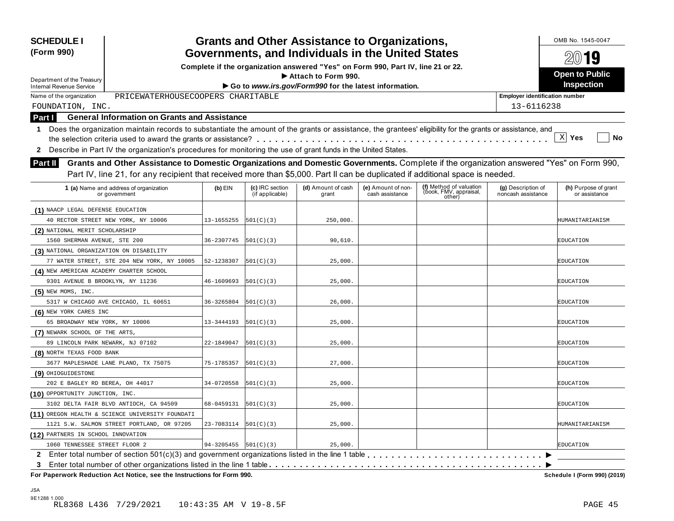| <b>SCHEDULE I</b><br>(Form 990)                               |                                                                                                                                                                                                                                                                           |            |                                    | <b>Grants and Other Assistance to Organizations,</b><br>Governments, and Individuals in the United States |                                       |                                                             |                                          | OMB No. 1545-0047                     |
|---------------------------------------------------------------|---------------------------------------------------------------------------------------------------------------------------------------------------------------------------------------------------------------------------------------------------------------------------|------------|------------------------------------|-----------------------------------------------------------------------------------------------------------|---------------------------------------|-------------------------------------------------------------|------------------------------------------|---------------------------------------|
|                                                               |                                                                                                                                                                                                                                                                           |            |                                    | Complete if the organization answered "Yes" on Form 990, Part IV, line 21 or 22.                          |                                       |                                                             |                                          | 2019                                  |
|                                                               |                                                                                                                                                                                                                                                                           |            |                                    | Attach to Form 990.                                                                                       |                                       |                                                             |                                          | <b>Open to Public</b>                 |
| Department of the Treasury<br><b>Internal Revenue Service</b> |                                                                                                                                                                                                                                                                           |            |                                    | Go to www.irs.gov/Form990 for the latest information.                                                     |                                       |                                                             |                                          | Inspection                            |
| Name of the organization                                      | PRICEWATERHOUSECOOPERS CHARITABLE                                                                                                                                                                                                                                         |            |                                    |                                                                                                           |                                       |                                                             | <b>Employer identification number</b>    |                                       |
| FOUNDATION, INC.                                              |                                                                                                                                                                                                                                                                           |            |                                    |                                                                                                           |                                       |                                                             | 13-6116238                               |                                       |
| Part I                                                        | <b>General Information on Grants and Assistance</b>                                                                                                                                                                                                                       |            |                                    |                                                                                                           |                                       |                                                             |                                          |                                       |
|                                                               | 1 Does the organization maintain records to substantiate the amount of the grants or assistance, the grantees' eligibility for the grants or assistance, and                                                                                                              |            |                                    |                                                                                                           |                                       |                                                             |                                          |                                       |
|                                                               |                                                                                                                                                                                                                                                                           |            |                                    |                                                                                                           |                                       |                                                             |                                          | $\mathbf{x}$<br>Yes<br>No             |
| $\mathbf{2}$                                                  | Describe in Part IV the organization's procedures for monitoring the use of grant funds in the United States.                                                                                                                                                             |            |                                    |                                                                                                           |                                       |                                                             |                                          |                                       |
| <b>Part II</b>                                                | Grants and Other Assistance to Domestic Organizations and Domestic Governments. Complete if the organization answered "Yes" on Form 990,<br>Part IV, line 21, for any recipient that received more than \$5,000. Part II can be duplicated if additional space is needed. |            |                                    |                                                                                                           |                                       |                                                             |                                          |                                       |
|                                                               | 1 (a) Name and address of organization<br>or government                                                                                                                                                                                                                   | $(b)$ EIN  | (c) IRC section<br>(if applicable) | (d) Amount of cash<br>grant                                                                               | (e) Amount of non-<br>cash assistance | (f) Method of valuation<br>(book, FMV, appraisal,<br>other) | (g) Description of<br>noncash assistance | (h) Purpose of grant<br>or assistance |
| (1) NAACP LEGAL DEFENSE EDUCATION                             |                                                                                                                                                                                                                                                                           |            |                                    |                                                                                                           |                                       |                                                             |                                          |                                       |
|                                                               | 40 RECTOR STREET NEW YORK, NY 10006                                                                                                                                                                                                                                       | 13-1655255 | 501(C)(3)                          | 250,000.                                                                                                  |                                       |                                                             |                                          | HUMANITARIANISM                       |
| (2) NATIONAL MERIT SCHOLARSHIP                                |                                                                                                                                                                                                                                                                           |            |                                    |                                                                                                           |                                       |                                                             |                                          |                                       |
| 1560 SHERMAN AVENUE, STE 200                                  |                                                                                                                                                                                                                                                                           | 36-2307745 | 501(C)(3)                          | 90,610.                                                                                                   |                                       |                                                             |                                          | EDUCATION                             |
| (3) NATIONAL ORGANIZATION ON DISABILITY                       |                                                                                                                                                                                                                                                                           |            |                                    |                                                                                                           |                                       |                                                             |                                          |                                       |
|                                                               | 77 WATER STREET, STE 204 NEW YORK, NY 10005                                                                                                                                                                                                                               | 52-1238307 | 501(C)(3)                          | 25,000.                                                                                                   |                                       |                                                             |                                          | EDUCATION                             |
| (4) NEW AMERICAN ACADEMY CHARTER SCHOOL                       |                                                                                                                                                                                                                                                                           |            |                                    |                                                                                                           |                                       |                                                             |                                          |                                       |
| 9301 AVENUE B BROOKLYN, NY 11236                              |                                                                                                                                                                                                                                                                           | 46-1609693 | 501(C)(3)                          | 25,000.                                                                                                   |                                       |                                                             |                                          | EDUCATION                             |
| $(5)$ NEW MOMS, INC.                                          |                                                                                                                                                                                                                                                                           |            |                                    |                                                                                                           |                                       |                                                             |                                          |                                       |
|                                                               | 5317 W CHICAGO AVE CHICAGO, IL 60651                                                                                                                                                                                                                                      | 36-3265804 | 501(C)(3)                          | 26,000.                                                                                                   |                                       |                                                             |                                          | EDUCATION                             |
| (6) NEW YORK CARES INC                                        |                                                                                                                                                                                                                                                                           |            |                                    |                                                                                                           |                                       |                                                             |                                          |                                       |
| 65 BROADWAY NEW YORK, NY 10006                                |                                                                                                                                                                                                                                                                           | 13-3444193 | 501(C)(3)                          | 25,000.                                                                                                   |                                       |                                                             |                                          | EDUCATION                             |
| (7) NEWARK SCHOOL OF THE ARTS,                                |                                                                                                                                                                                                                                                                           |            |                                    |                                                                                                           |                                       |                                                             |                                          |                                       |
| 89 LINCOLN PARK NEWARK, NJ 07102                              |                                                                                                                                                                                                                                                                           | 22-1849047 | 501(C)(3)                          | 25,000.                                                                                                   |                                       |                                                             |                                          | EDUCATION                             |
| (8) NORTH TEXAS FOOD BANK                                     |                                                                                                                                                                                                                                                                           |            |                                    |                                                                                                           |                                       |                                                             |                                          |                                       |
|                                                               | 3677 MAPLESHADE LANE PLANO, TX 75075                                                                                                                                                                                                                                      | 75-1785357 | 501(C)(3)                          | 27,000.                                                                                                   |                                       |                                                             |                                          | EDUCATION                             |
| (9) OHIOGUIDESTONE                                            |                                                                                                                                                                                                                                                                           |            |                                    |                                                                                                           |                                       |                                                             |                                          |                                       |
| 202 E BAGLEY RD BEREA, OH 44017                               |                                                                                                                                                                                                                                                                           | 34-0720558 | 501(C)(3)                          | 25,000.                                                                                                   |                                       |                                                             |                                          | EDUCATION                             |
| (10) OPPORTUNITY JUNCTION, INC.                               |                                                                                                                                                                                                                                                                           |            |                                    |                                                                                                           |                                       |                                                             |                                          |                                       |
|                                                               | 3102 DELTA FAIR BLVD ANTIOCH, CA 94509                                                                                                                                                                                                                                    | 68-0459131 | 501(C)(3)                          | 25,000.                                                                                                   |                                       |                                                             |                                          | <b>EDUCATION</b>                      |
|                                                               | (11) OREGON HEALTH & SCIENCE UNIVERSITY FOUNDATI                                                                                                                                                                                                                          |            |                                    |                                                                                                           |                                       |                                                             |                                          |                                       |
|                                                               | 1121 S.W. SALMON STREET PORTLAND, OR 97205                                                                                                                                                                                                                                | 23-7083114 | 501(C)(3)                          | 25,000.                                                                                                   |                                       |                                                             |                                          | HUMANITARIANISM                       |
| (12) PARTNERS IN SCHOOL INNOVATION                            |                                                                                                                                                                                                                                                                           |            |                                    |                                                                                                           |                                       |                                                             |                                          |                                       |
| 1060 TENNESSEE STREET FLOOR 2                                 |                                                                                                                                                                                                                                                                           | 94-3205455 | 501(C)(3)                          | 25,000.                                                                                                   |                                       |                                                             |                                          | <b>EDUCATION</b>                      |
|                                                               | 2 Enter total number of section 501(c)(3) and government organizations listed in the line 1 table                                                                                                                                                                         |            |                                    |                                                                                                           |                                       |                                                             |                                          |                                       |
| 3.                                                            |                                                                                                                                                                                                                                                                           |            |                                    |                                                                                                           |                                       |                                                             |                                          |                                       |
|                                                               | For Paperwork Reduction Act Notice, see the Instructions for Form 990.                                                                                                                                                                                                    |            |                                    |                                                                                                           |                                       |                                                             |                                          | Schedule I (Form 990) (2019)          |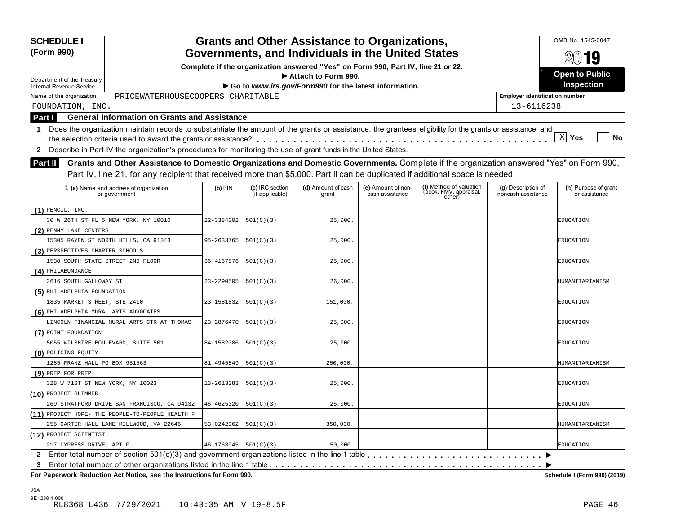| (Form 990)<br>Department of the Treasury<br><b>Internal Revenue Service</b><br>PRICEWATERHOUSECOOPERS CHARITABLE<br>Name of the organization<br>FOUNDATION, INC.     |            |                                    | Governments, and Individuals in the United States<br>Complete if the organization answered "Yes" on Form 990, Part IV, line 21 or 22. |                                       |                                                             |                                          | 2019                                  |
|----------------------------------------------------------------------------------------------------------------------------------------------------------------------|------------|------------------------------------|---------------------------------------------------------------------------------------------------------------------------------------|---------------------------------------|-------------------------------------------------------------|------------------------------------------|---------------------------------------|
|                                                                                                                                                                      |            |                                    |                                                                                                                                       |                                       |                                                             |                                          |                                       |
|                                                                                                                                                                      |            |                                    | Attach to Form 990.                                                                                                                   |                                       |                                                             |                                          | <b>Open to Public</b>                 |
|                                                                                                                                                                      |            |                                    | Go to www.irs.gov/Form990 for the latest information.                                                                                 |                                       |                                                             |                                          | <b>Inspection</b>                     |
|                                                                                                                                                                      |            |                                    |                                                                                                                                       |                                       |                                                             | <b>Employer identification number</b>    |                                       |
|                                                                                                                                                                      |            |                                    |                                                                                                                                       |                                       |                                                             | 13-6116238                               |                                       |
| <b>General Information on Grants and Assistance</b>                                                                                                                  |            |                                    |                                                                                                                                       |                                       |                                                             |                                          |                                       |
| Part I<br>Does the organization maintain records to substantiate the amount of the grants or assistance, the grantees' eligibility for the grants or assistance, and |            |                                    |                                                                                                                                       |                                       |                                                             |                                          |                                       |
| 1                                                                                                                                                                    |            |                                    |                                                                                                                                       |                                       |                                                             |                                          | X <br>Yes<br>No                       |
| Describe in Part IV the organization's procedures for monitoring the use of grant funds in the United States.                                                        |            |                                    |                                                                                                                                       |                                       |                                                             |                                          |                                       |
| $\mathbf{2}$                                                                                                                                                         |            |                                    |                                                                                                                                       |                                       |                                                             |                                          |                                       |
| Grants and Other Assistance to Domestic Organizations and Domestic Governments. Complete if the organization answered "Yes" on Form 990,<br><b>Part II</b>           |            |                                    |                                                                                                                                       |                                       |                                                             |                                          |                                       |
| Part IV, line 21, for any recipient that received more than \$5,000. Part II can be duplicated if additional space is needed.                                        |            |                                    |                                                                                                                                       |                                       |                                                             |                                          |                                       |
| 1 (a) Name and address of organization<br>or government                                                                                                              | $(b)$ EIN  | (c) IRC section<br>(if applicable) | (d) Amount of cash<br>grant                                                                                                           | (e) Amount of non-<br>cash assistance | (f) Method of valuation<br>(book, FMV, appraisal,<br>other) | (g) Description of<br>noncash assistance | (h) Purpose of grant<br>or assistance |
| $(1)$ PENCIL, INC.                                                                                                                                                   |            |                                    |                                                                                                                                       |                                       |                                                             |                                          |                                       |
| 30 W 26TH ST FL 5 NEW YORK, NY 10010                                                                                                                                 | 22-3384302 | 501(C)(3)                          | 25,000.                                                                                                                               |                                       |                                                             |                                          | EDUCATION                             |
| (2) PENNY LANE CENTERS                                                                                                                                               |            |                                    |                                                                                                                                       |                                       |                                                             |                                          |                                       |
| 15305 RAYEN ST NORTH HILLS, CA 91343                                                                                                                                 | 95-2633765 | 501(C)(3)                          | 25,000.                                                                                                                               |                                       |                                                             |                                          | EDUCATION                             |
| (3) PERSPECTIVES CHARTER SCHOOLS                                                                                                                                     |            |                                    |                                                                                                                                       |                                       |                                                             |                                          |                                       |
| 1530 SOUTH STATE STREET 2ND FLOOR                                                                                                                                    | 36-4167576 | 501(C)(3)                          | 25,000.                                                                                                                               |                                       |                                                             |                                          | EDUCATION                             |
| (4) PHILABUNDANCE                                                                                                                                                    |            |                                    |                                                                                                                                       |                                       |                                                             |                                          |                                       |
| 3616 SOUTH GALLOWAY ST                                                                                                                                               | 23-2290505 | 501(C)(3)                          | 26,000.                                                                                                                               |                                       |                                                             |                                          | HUMANITARIANISM                       |
| (5) PHILADELPHIA FOUNDATION                                                                                                                                          |            |                                    |                                                                                                                                       |                                       |                                                             |                                          |                                       |
| 1835 MARKET STREET, STE 2410                                                                                                                                         | 23-1581832 | 501(C)(3)                          | 151,000.                                                                                                                              |                                       |                                                             |                                          | EDUCATION                             |
| (6) PHILADELPHIA MURAL ARTS ADVOCATES                                                                                                                                |            |                                    |                                                                                                                                       |                                       |                                                             |                                          |                                       |
| LINCOLN FINANCIAL MURAL ARTS CTR AT THOMAS                                                                                                                           | 23-2876470 | 501(C)(3)                          | 25,000.                                                                                                                               |                                       |                                                             |                                          | EDUCATION                             |
| (7) POINT FOUNDATION                                                                                                                                                 |            |                                    |                                                                                                                                       |                                       |                                                             |                                          |                                       |
| 5055 WILSHIRE BOULEVARD, SUITE 501                                                                                                                                   | 84-1582086 | 501(C)(3)                          | 25,000.                                                                                                                               |                                       |                                                             |                                          | EDUCATION                             |
| (8) POLICING EQUITY                                                                                                                                                  |            |                                    |                                                                                                                                       |                                       |                                                             |                                          |                                       |
| 1285 FRANZ HALL PO BOX 951563                                                                                                                                        | 81-4945849 | 501(C)(3)                          | 250,000.                                                                                                                              |                                       |                                                             |                                          | HUMANITARIANISM                       |
| (9) PREP FOR PREP                                                                                                                                                    |            |                                    |                                                                                                                                       |                                       |                                                             |                                          |                                       |
| 328 W 71ST ST NEW YORK, NY 10023                                                                                                                                     | 13-2613383 | 501(C)(3)                          | 25,000.                                                                                                                               |                                       |                                                             |                                          | EDUCATION                             |
| (10) PROJECT GLIMMER                                                                                                                                                 |            |                                    |                                                                                                                                       |                                       |                                                             |                                          |                                       |
| 269 STRATFORD DRIVE SAN FRANCISCO, CA 94132                                                                                                                          | 46-4625320 | 501(C)(3)                          | 25,000.                                                                                                                               |                                       |                                                             |                                          | EDUCATION                             |
| (11) PROJECT HOPE- THE PEOPLE-TO-PEOPLE HEALTH F                                                                                                                     |            |                                    |                                                                                                                                       |                                       |                                                             |                                          |                                       |
| 255 CARTER HALL LANE MILLWOOD, VA 22646                                                                                                                              | 53-0242962 | 501(C)(3)                          | 350,000.                                                                                                                              |                                       |                                                             |                                          | HUMANITARIANISM                       |
| (12) PROJECT SCIENTIST                                                                                                                                               |            |                                    |                                                                                                                                       |                                       |                                                             |                                          |                                       |
| 217 CYPRESS DRIVE, APT F                                                                                                                                             | 46-1763945 | 501(C)(3)                          | 50,000.                                                                                                                               |                                       |                                                             |                                          | <b>EDUCATION</b>                      |
| 2 Enter total number of section 501(c)(3) and government organizations listed in the line 1 table                                                                    |            |                                    |                                                                                                                                       |                                       |                                                             |                                          |                                       |
| 3                                                                                                                                                                    |            |                                    |                                                                                                                                       |                                       |                                                             |                                          |                                       |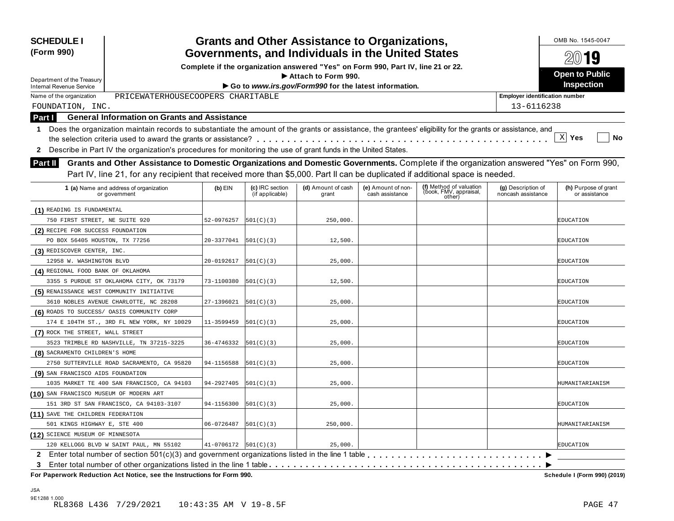| <b>SCHEDULE I</b><br>(Form 990)                                                                                                                              |                            |                                    | <b>Grants and Other Assistance to Organizations,</b><br>Governments, and Individuals in the United States |                                       |                                                             |                                          | OMB No. 1545-0047                     |
|--------------------------------------------------------------------------------------------------------------------------------------------------------------|----------------------------|------------------------------------|-----------------------------------------------------------------------------------------------------------|---------------------------------------|-------------------------------------------------------------|------------------------------------------|---------------------------------------|
|                                                                                                                                                              |                            |                                    |                                                                                                           |                                       |                                                             |                                          | $20$ 19                               |
|                                                                                                                                                              |                            |                                    | Complete if the organization answered "Yes" on Form 990, Part IV, line 21 or 22.<br>Attach to Form 990.   |                                       |                                                             |                                          | <b>Open to Public</b>                 |
| Department of the Treasury<br>Internal Revenue Service                                                                                                       |                            |                                    | Go to www.irs.gov/Form990 for the latest information.                                                     |                                       |                                                             |                                          | Inspection                            |
| Name of the organization<br>PRICEWATERHOUSECOOPERS CHARITABLE                                                                                                |                            |                                    |                                                                                                           |                                       |                                                             | <b>Employer identification number</b>    |                                       |
| FOUNDATION, INC.                                                                                                                                             |                            |                                    |                                                                                                           |                                       |                                                             | 13-6116238                               |                                       |
| <b>General Information on Grants and Assistance</b><br>Part I                                                                                                |                            |                                    |                                                                                                           |                                       |                                                             |                                          |                                       |
|                                                                                                                                                              |                            |                                    |                                                                                                           |                                       |                                                             |                                          |                                       |
| 1 Does the organization maintain records to substantiate the amount of the grants or assistance, the grantees' eligibility for the grants or assistance, and |                            |                                    |                                                                                                           |                                       |                                                             |                                          | $\mathbf{x}$<br>Yes<br>No             |
| Describe in Part IV the organization's procedures for monitoring the use of grant funds in the United States.                                                |                            |                                    |                                                                                                           |                                       |                                                             |                                          |                                       |
| 2                                                                                                                                                            |                            |                                    |                                                                                                           |                                       |                                                             |                                          |                                       |
| Grants and Other Assistance to Domestic Organizations and Domestic Governments. Complete if the organization answered "Yes" on Form 990,<br><b>Part II</b>   |                            |                                    |                                                                                                           |                                       |                                                             |                                          |                                       |
| Part IV, line 21, for any recipient that received more than \$5,000. Part II can be duplicated if additional space is needed.                                |                            |                                    |                                                                                                           |                                       |                                                             |                                          |                                       |
| 1 (a) Name and address of organization<br>or government                                                                                                      | $(b)$ EIN                  | (c) IRC section<br>(if applicable) | (d) Amount of cash<br>grant                                                                               | (e) Amount of non-<br>cash assistance | (f) Method of valuation<br>(book, FMV, appraisal,<br>other) | (g) Description of<br>noncash assistance | (h) Purpose of grant<br>or assistance |
| (1) READING IS FUNDAMENTAL                                                                                                                                   |                            |                                    |                                                                                                           |                                       |                                                             |                                          |                                       |
| 750 FIRST STREET, NE SUITE 920                                                                                                                               | 52-0976257                 | 501(C)(3)                          | 250,000.                                                                                                  |                                       |                                                             |                                          | EDUCATION                             |
| (2) RECIPE FOR SUCCESS FOUNDATION                                                                                                                            |                            |                                    |                                                                                                           |                                       |                                                             |                                          |                                       |
| PO BOX 56405 HOUSTON, TX 77256                                                                                                                               | 20-3377041                 | 501(C)(3)                          | 12,500.                                                                                                   |                                       |                                                             |                                          | EDUCATION                             |
| (3) REDISCOVER CENTER, INC.                                                                                                                                  |                            |                                    |                                                                                                           |                                       |                                                             |                                          |                                       |
| 12958 W. WASHINGTON BLVD                                                                                                                                     | 20-0192617                 | 501(C)(3)                          | 25,000.                                                                                                   |                                       |                                                             |                                          | EDUCATION                             |
| (4) REGIONAL FOOD BANK OF OKLAHOMA                                                                                                                           |                            |                                    |                                                                                                           |                                       |                                                             |                                          |                                       |
| 3355 S PURDUE ST OKLAHOMA CITY, OK 73179                                                                                                                     | 73-1100380                 | 501(C)(3)                          | 12,500.                                                                                                   |                                       |                                                             |                                          | EDUCATION                             |
| (5) RENAISSANCE WEST COMMUNITY INITIATIVE                                                                                                                    |                            |                                    |                                                                                                           |                                       |                                                             |                                          |                                       |
| 3610 NOBLES AVENUE CHARLOTTE, NC 28208                                                                                                                       | 27-1396021                 | 501(C)(3)                          | 25,000.                                                                                                   |                                       |                                                             |                                          | EDUCATION                             |
| (6) ROADS TO SUCCESS/ OASIS COMMUNITY CORP                                                                                                                   |                            |                                    |                                                                                                           |                                       |                                                             |                                          |                                       |
| 174 E 104TH ST., 3RD FL NEW YORK, NY 10029                                                                                                                   | 11-3599459                 | 501(C)(3)                          | 25,000.                                                                                                   |                                       |                                                             |                                          | EDUCATION                             |
| (7) ROCK THE STREET, WALL STREET                                                                                                                             |                            |                                    |                                                                                                           |                                       |                                                             |                                          |                                       |
| 3523 TRIMBLE RD NASHVILLE, TN 37215-3225                                                                                                                     | 36-4746332                 | 501(C)(3)                          | 25,000.                                                                                                   |                                       |                                                             |                                          | EDUCATION                             |
| (8) SACRAMENTO CHILDREN'S HOME                                                                                                                               |                            |                                    |                                                                                                           |                                       |                                                             |                                          |                                       |
| 2750 SUTTERVILLE ROAD SACRAMENTO, CA 95820                                                                                                                   | 94-1156588                 | 501(C)(3)                          | 25,000.                                                                                                   |                                       |                                                             |                                          | EDUCATION                             |
| (9) SAN FRANCISCO AIDS FOUNDATION                                                                                                                            |                            |                                    |                                                                                                           |                                       |                                                             |                                          |                                       |
| 1035 MARKET TE 400 SAN FRANCISCO, CA 94103                                                                                                                   | 94-2927405                 | 501(C)(3)                          | 25,000.                                                                                                   |                                       |                                                             |                                          | HUMANITARIANISM                       |
| (10) SAN FRANCISCO MUSEUM OF MODERN ART                                                                                                                      |                            |                                    |                                                                                                           |                                       |                                                             |                                          |                                       |
| 151 3RD ST SAN FRANCISCO, CA 94103-3107                                                                                                                      | 94-1156300                 | 501(C)(3)                          | 25,000.                                                                                                   |                                       |                                                             |                                          | EDUCATION                             |
| (11) SAVE THE CHILDREN FEDERATION                                                                                                                            |                            |                                    |                                                                                                           |                                       |                                                             |                                          |                                       |
| 501 KINGS HIGHWAY E, STE 400                                                                                                                                 | 06-0726487                 | 501(C)(3)                          | 250,000.                                                                                                  |                                       |                                                             |                                          | HUMANITARIANISM                       |
| (12) SCIENCE MUSEUM OF MINNESOTA                                                                                                                             |                            |                                    |                                                                                                           |                                       |                                                             |                                          |                                       |
| 120 KELLOGG BLVD W SAINT PAUL, MN 55102                                                                                                                      | $41-0706172$ $ 501(C)(3) $ |                                    | 25,000.                                                                                                   |                                       |                                                             |                                          | <b>EDUCATION</b>                      |
|                                                                                                                                                              |                            |                                    |                                                                                                           |                                       |                                                             |                                          |                                       |
| 3                                                                                                                                                            |                            |                                    |                                                                                                           |                                       |                                                             |                                          |                                       |
| For Paperwork Reduction Act Notice, see the Instructions for Form 990.                                                                                       |                            |                                    |                                                                                                           |                                       |                                                             |                                          | Schedule I (Form 990) (2019)          |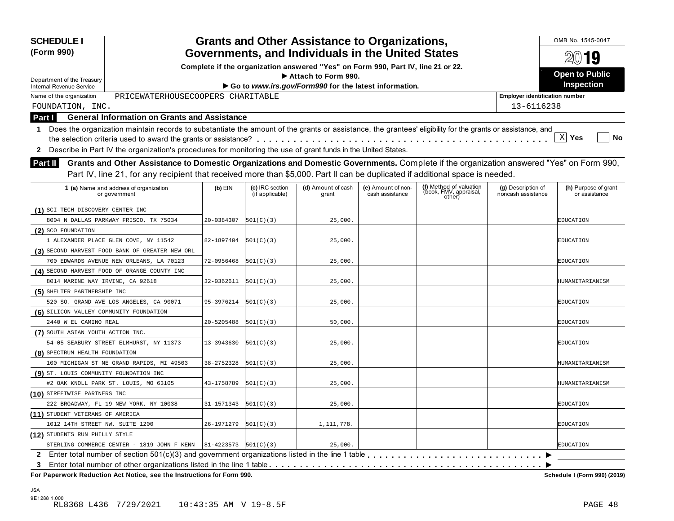| (Form 990)                                                                                                                                                                                                                                                                                                                                                                                                 |            |                                    |                                                                                  | <b>Grants and Other Assistance to Organizations,</b> |                                                             |                                          | OMB No. 1545-0047                     |
|------------------------------------------------------------------------------------------------------------------------------------------------------------------------------------------------------------------------------------------------------------------------------------------------------------------------------------------------------------------------------------------------------------|------------|------------------------------------|----------------------------------------------------------------------------------|------------------------------------------------------|-------------------------------------------------------------|------------------------------------------|---------------------------------------|
|                                                                                                                                                                                                                                                                                                                                                                                                            |            |                                    | Governments, and Individuals in the United States                                |                                                      |                                                             |                                          | $20$ 19                               |
|                                                                                                                                                                                                                                                                                                                                                                                                            |            |                                    | Complete if the organization answered "Yes" on Form 990, Part IV, line 21 or 22. |                                                      |                                                             |                                          | <b>Open to Public</b>                 |
| Department of the Treasury                                                                                                                                                                                                                                                                                                                                                                                 |            |                                    | Attach to Form 990.                                                              |                                                      |                                                             |                                          | Inspection                            |
| <b>Internal Revenue Service</b>                                                                                                                                                                                                                                                                                                                                                                            |            |                                    | Go to www.irs.gov/Form990 for the latest information.                            |                                                      |                                                             |                                          |                                       |
| PRICEWATERHOUSECOOPERS CHARITABLE<br>Name of the organization                                                                                                                                                                                                                                                                                                                                              |            |                                    |                                                                                  |                                                      |                                                             | <b>Employer identification number</b>    |                                       |
| FOUNDATION, INC.                                                                                                                                                                                                                                                                                                                                                                                           |            |                                    |                                                                                  |                                                      |                                                             | 13-6116238                               |                                       |
| <b>General Information on Grants and Assistance</b><br>Part I                                                                                                                                                                                                                                                                                                                                              |            |                                    |                                                                                  |                                                      |                                                             |                                          |                                       |
| Does the organization maintain records to substantiate the amount of the grants or assistance, the grantees' eligibility for the grants or assistance, and<br>$\mathbf 1$                                                                                                                                                                                                                                  |            |                                    |                                                                                  |                                                      |                                                             |                                          | $\mathbf{x}$<br>Yes<br>No             |
| Describe in Part IV the organization's procedures for monitoring the use of grant funds in the United States.<br>2<br>Grants and Other Assistance to Domestic Organizations and Domestic Governments. Complete if the organization answered "Yes" on Form 990,<br>Part II<br>Part IV, line 21, for any recipient that received more than \$5,000. Part II can be duplicated if additional space is needed. |            |                                    |                                                                                  |                                                      |                                                             |                                          |                                       |
| 1 (a) Name and address of organization<br>or government                                                                                                                                                                                                                                                                                                                                                    | $(b)$ EIN  | (c) IRC section<br>(if applicable) | (d) Amount of cash<br>grant                                                      | (e) Amount of non-<br>cash assistance                | (f) Method of valuation<br>(book, FMV, appraisal,<br>other) | (g) Description of<br>noncash assistance | (h) Purpose of grant<br>or assistance |
| (1) SCI-TECH DISCOVERY CENTER INC                                                                                                                                                                                                                                                                                                                                                                          |            |                                    |                                                                                  |                                                      |                                                             |                                          |                                       |
| 8004 N DALLAS PARKWAY FRISCO, TX 75034                                                                                                                                                                                                                                                                                                                                                                     | 20-0384307 | 501(C)(3)                          | 25,000.                                                                          |                                                      |                                                             |                                          | EDUCATION                             |
| (2) SCO FOUNDATION                                                                                                                                                                                                                                                                                                                                                                                         |            |                                    |                                                                                  |                                                      |                                                             |                                          |                                       |
| 1 ALEXANDER PLACE GLEN COVE, NY 11542                                                                                                                                                                                                                                                                                                                                                                      | 82-1897404 | 501(C)(3)                          | 25,000.                                                                          |                                                      |                                                             |                                          | EDUCATION                             |
| (3) SECOND HARVEST FOOD BANK OF GREATER NEW ORL                                                                                                                                                                                                                                                                                                                                                            |            |                                    |                                                                                  |                                                      |                                                             |                                          |                                       |
| 700 EDWARDS AVENUE NEW ORLEANS, LA 70123                                                                                                                                                                                                                                                                                                                                                                   | 72-0956468 | 501(C)(3)                          | 25,000.                                                                          |                                                      |                                                             |                                          | EDUCATION                             |
| (4) SECOND HARVEST FOOD OF ORANGE COUNTY INC                                                                                                                                                                                                                                                                                                                                                               |            |                                    |                                                                                  |                                                      |                                                             |                                          |                                       |
| 8014 MARINE WAY IRVINE, CA 92618                                                                                                                                                                                                                                                                                                                                                                           | 32-0362611 | 501(C)(3)                          | 25,000.                                                                          |                                                      |                                                             |                                          | HUMANITARIANISM                       |
| (5) SHELTER PARTNERSHIP INC                                                                                                                                                                                                                                                                                                                                                                                |            |                                    |                                                                                  |                                                      |                                                             |                                          |                                       |
| 520 SO. GRAND AVE LOS ANGELES, CA 90071                                                                                                                                                                                                                                                                                                                                                                    | 95-3976214 | 501(C)(3)                          | 25,000.                                                                          |                                                      |                                                             |                                          | EDUCATION                             |
| (6) SILICON VALLEY COMMUNITY FOUNDATION                                                                                                                                                                                                                                                                                                                                                                    |            |                                    |                                                                                  |                                                      |                                                             |                                          |                                       |
| 2440 W EL CAMINO REAL                                                                                                                                                                                                                                                                                                                                                                                      | 20-5205488 | 501(C)(3)                          | 50,000.                                                                          |                                                      |                                                             |                                          | EDUCATION                             |
| (7) SOUTH ASIAN YOUTH ACTION INC.                                                                                                                                                                                                                                                                                                                                                                          |            |                                    |                                                                                  |                                                      |                                                             |                                          |                                       |
| 54-05 SEABURY STREET ELMHURST, NY 11373                                                                                                                                                                                                                                                                                                                                                                    | 13-3943630 | 501(C)(3)                          | 25,000.                                                                          |                                                      |                                                             |                                          | EDUCATION                             |
| (8) SPECTRUM HEALTH FOUNDATION                                                                                                                                                                                                                                                                                                                                                                             |            |                                    |                                                                                  |                                                      |                                                             |                                          |                                       |
| 100 MICHIGAN ST NE GRAND RAPIDS, MI 49503                                                                                                                                                                                                                                                                                                                                                                  | 38-2752328 | 501(C)(3)                          | 25,000.                                                                          |                                                      |                                                             |                                          | HUMANITARIANISM                       |
| (9) ST. LOUIS COMMUNITY FOUNDATION INC                                                                                                                                                                                                                                                                                                                                                                     |            |                                    |                                                                                  |                                                      |                                                             |                                          |                                       |
| #2 OAK KNOLL PARK ST. LOUIS, MO 63105                                                                                                                                                                                                                                                                                                                                                                      | 43-1758789 | 501(C)(3)                          | 25,000.                                                                          |                                                      |                                                             |                                          | HUMANITARIANISM                       |
| (10) STREETWISE PARTNERS INC                                                                                                                                                                                                                                                                                                                                                                               |            |                                    |                                                                                  |                                                      |                                                             |                                          |                                       |
| 222 BROADWAY, FL 19 NEW YORK, NY 10038                                                                                                                                                                                                                                                                                                                                                                     | 31-1571343 | 501(C)(3)                          | 25,000.                                                                          |                                                      |                                                             |                                          | EDUCATION                             |
| (11) STUDENT VETERANS OF AMERICA                                                                                                                                                                                                                                                                                                                                                                           |            |                                    |                                                                                  |                                                      |                                                             |                                          |                                       |
| 1012 14TH STREET NW, SUITE 1200                                                                                                                                                                                                                                                                                                                                                                            | 26-1971279 | 501(C)(3)                          | 1,111,778.                                                                       |                                                      |                                                             |                                          | EDUCATION                             |
| (12) STUDENTS RUN PHILLY STYLE                                                                                                                                                                                                                                                                                                                                                                             |            |                                    |                                                                                  |                                                      |                                                             |                                          |                                       |
| STERLING COMMERCE CENTER - 1819 JOHN F KENN                                                                                                                                                                                                                                                                                                                                                                | 81-4223573 | 501(C)(3)                          | 25,000.                                                                          |                                                      |                                                             |                                          | <b>EDUCATION</b>                      |
| 3                                                                                                                                                                                                                                                                                                                                                                                                          |            |                                    |                                                                                  |                                                      |                                                             |                                          |                                       |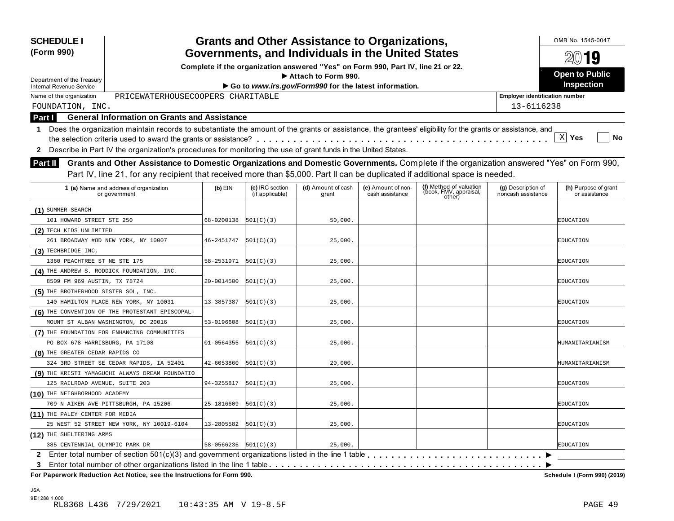| <b>SCHEDULE I</b><br>(Form 990)                                                                                                                              |                                                                                                         |                                    | <b>Grants and Other Assistance to Organizations,</b>  |                                       |                                                             |                                          | OMB No. 1545-0047<br>2019             |  |  |
|--------------------------------------------------------------------------------------------------------------------------------------------------------------|---------------------------------------------------------------------------------------------------------|------------------------------------|-------------------------------------------------------|---------------------------------------|-------------------------------------------------------------|------------------------------------------|---------------------------------------|--|--|
|                                                                                                                                                              | Governments, and Individuals in the United States                                                       |                                    |                                                       |                                       |                                                             |                                          |                                       |  |  |
|                                                                                                                                                              | Complete if the organization answered "Yes" on Form 990, Part IV, line 21 or 22.<br>Attach to Form 990. |                                    |                                                       |                                       |                                                             |                                          |                                       |  |  |
| Department of the Treasury<br><b>Internal Revenue Service</b>                                                                                                |                                                                                                         |                                    | Go to www.irs.gov/Form990 for the latest information. |                                       |                                                             |                                          | <b>Open to Public</b><br>Inspection   |  |  |
| PRICEWATERHOUSECOOPERS CHARITABLE<br>Name of the organization                                                                                                |                                                                                                         |                                    |                                                       |                                       |                                                             | <b>Employer identification number</b>    |                                       |  |  |
| FOUNDATION, INC.                                                                                                                                             |                                                                                                         |                                    |                                                       |                                       |                                                             | 13-6116238                               |                                       |  |  |
| <b>General Information on Grants and Assistance</b><br>Part I                                                                                                |                                                                                                         |                                    |                                                       |                                       |                                                             |                                          |                                       |  |  |
| 1 Does the organization maintain records to substantiate the amount of the grants or assistance, the grantees' eligibility for the grants or assistance, and |                                                                                                         |                                    |                                                       |                                       |                                                             |                                          |                                       |  |  |
|                                                                                                                                                              |                                                                                                         |                                    |                                                       |                                       |                                                             |                                          | $\mathbf{x}$<br>Yes<br>No             |  |  |
| Describe in Part IV the organization's procedures for monitoring the use of grant funds in the United States.<br>$\mathbf{2}$                                |                                                                                                         |                                    |                                                       |                                       |                                                             |                                          |                                       |  |  |
|                                                                                                                                                              |                                                                                                         |                                    |                                                       |                                       |                                                             |                                          |                                       |  |  |
| Grants and Other Assistance to Domestic Organizations and Domestic Governments. Complete if the organization answered "Yes" on Form 990,<br><b>Part II</b>   |                                                                                                         |                                    |                                                       |                                       |                                                             |                                          |                                       |  |  |
| Part IV, line 21, for any recipient that received more than \$5,000. Part II can be duplicated if additional space is needed.                                |                                                                                                         |                                    |                                                       |                                       |                                                             |                                          |                                       |  |  |
| 1 (a) Name and address of organization<br>or government                                                                                                      | $(b)$ EIN                                                                                               | (c) IRC section<br>(if applicable) | (d) Amount of cash<br>grant                           | (e) Amount of non-<br>cash assistance | (f) Method of valuation<br>(book, FMV, appraisal,<br>other) | (g) Description of<br>noncash assistance | (h) Purpose of grant<br>or assistance |  |  |
| (1) SUMMER SEARCH                                                                                                                                            |                                                                                                         |                                    |                                                       |                                       |                                                             |                                          |                                       |  |  |
| 101 HOWARD STREET STE 250                                                                                                                                    | 68-0200138                                                                                              | 501(C)(3)                          | 50,000.                                               |                                       |                                                             |                                          | EDUCATION                             |  |  |
| (2) TECH KIDS UNLIMITED                                                                                                                                      |                                                                                                         |                                    |                                                       |                                       |                                                             |                                          |                                       |  |  |
| 261 BROADWAY #8D NEW YORK, NY 10007                                                                                                                          | 46-2451747                                                                                              | 501(C)(3)                          | 25,000.                                               |                                       |                                                             |                                          | EDUCATION                             |  |  |
| (3) TECHBRIDGE INC.                                                                                                                                          |                                                                                                         |                                    |                                                       |                                       |                                                             |                                          |                                       |  |  |
| 1360 PEACHTREE ST NE STE 175                                                                                                                                 | 58-2531971                                                                                              | 501(C)(3)                          | 25,000.                                               |                                       |                                                             |                                          | EDUCATION                             |  |  |
| (4) THE ANDREW S. RODDICK FOUNDATION, INC.                                                                                                                   |                                                                                                         |                                    |                                                       |                                       |                                                             |                                          |                                       |  |  |
| 8509 FM 969 AUSTIN, TX 78724                                                                                                                                 | 20-0014500                                                                                              | 501(C)(3)                          | 25,000.                                               |                                       |                                                             |                                          | EDUCATION                             |  |  |
| (5) THE BROTHERHOOD SISTER SOL, INC.                                                                                                                         |                                                                                                         |                                    |                                                       |                                       |                                                             |                                          |                                       |  |  |
| 140 HAMILTON PLACE NEW YORK, NY 10031                                                                                                                        | 13-3857387                                                                                              | 501(C)(3)                          | 25,000.                                               |                                       |                                                             |                                          | EDUCATION                             |  |  |
| (6) THE CONVENTION OF THE PROTESTANT EPISCOPAL-                                                                                                              |                                                                                                         |                                    |                                                       |                                       |                                                             |                                          |                                       |  |  |
| MOUNT ST ALBAN WASHINGTON, DC 20016                                                                                                                          | 53-0196608                                                                                              | 501(C)(3)                          | 25,000.                                               |                                       |                                                             |                                          | EDUCATION                             |  |  |
| (7) THE FOUNDATION FOR ENHANCING COMMUNITIES                                                                                                                 |                                                                                                         |                                    |                                                       |                                       |                                                             |                                          |                                       |  |  |
| PO BOX 678 HARRISBURG, PA 17108                                                                                                                              | 01-0564355                                                                                              | 501(C)(3)                          | 25,000.                                               |                                       |                                                             |                                          | HUMANITARIANISM                       |  |  |
| (8) THE GREATER CEDAR RAPIDS CO                                                                                                                              |                                                                                                         |                                    |                                                       |                                       |                                                             |                                          |                                       |  |  |
| 324 3RD STREET SE CEDAR RAPIDS, IA 52401                                                                                                                     | 42-6053860                                                                                              | 501(C)(3)                          | 20,000.                                               |                                       |                                                             |                                          | HUMANITARIANISM                       |  |  |
| (9) THE KRISTI YAMAGUCHI ALWAYS DREAM FOUNDATIO                                                                                                              |                                                                                                         |                                    |                                                       |                                       |                                                             |                                          |                                       |  |  |
| 125 RAILROAD AVENUE, SUITE 203                                                                                                                               | 94-3255817                                                                                              | 501(C)(3)                          | 25,000.                                               |                                       |                                                             |                                          | EDUCATION                             |  |  |
| (10) THE NEIGHBORHOOD ACADEMY                                                                                                                                |                                                                                                         |                                    |                                                       |                                       |                                                             |                                          |                                       |  |  |
| 709 N AIKEN AVE PITTSBURGH, PA 15206                                                                                                                         | 25-1816609                                                                                              | 501(C)(3)                          | 25,000.                                               |                                       |                                                             |                                          | <b>EDUCATION</b>                      |  |  |
| (11) THE PALEY CENTER FOR MEDIA                                                                                                                              |                                                                                                         |                                    |                                                       |                                       |                                                             |                                          |                                       |  |  |
| 25 WEST 52 STREET NEW YORK, NY 10019-6104                                                                                                                    | 13-2805582                                                                                              | 501(C)(3)                          | 25,000.                                               |                                       |                                                             |                                          | <b>EDUCATION</b>                      |  |  |
| (12) THE SHELTERING ARMS                                                                                                                                     |                                                                                                         |                                    |                                                       |                                       |                                                             |                                          |                                       |  |  |
| 385 CENTENNIAL OLYMPIC PARK DR                                                                                                                               | 58-0566236                                                                                              | 501(C)(3)                          | 25,000.                                               |                                       |                                                             |                                          | <b>EDUCATION</b>                      |  |  |
|                                                                                                                                                              |                                                                                                         |                                    |                                                       |                                       |                                                             |                                          |                                       |  |  |
| 3                                                                                                                                                            |                                                                                                         |                                    |                                                       |                                       |                                                             |                                          |                                       |  |  |
| For Paperwork Reduction Act Notice, see the Instructions for Form 990.                                                                                       |                                                                                                         |                                    |                                                       |                                       |                                                             |                                          | Schedule I (Form 990) (2019)          |  |  |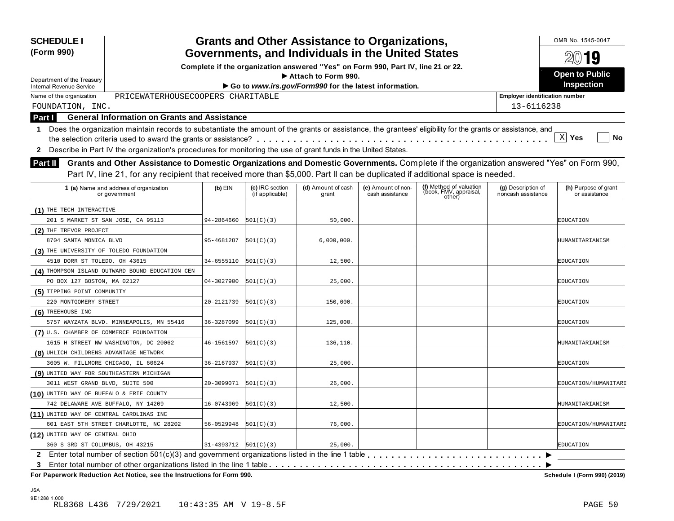| <b>SCHEDULE I</b><br>(Form 990)                                                                                                                                                                                                                                                               |                            |                                    | <b>Grants and Other Assistance to Organizations,</b>                                                    |                                       |                                                             |                                          | OMB No. 1545-0047                     |
|-----------------------------------------------------------------------------------------------------------------------------------------------------------------------------------------------------------------------------------------------------------------------------------------------|----------------------------|------------------------------------|---------------------------------------------------------------------------------------------------------|---------------------------------------|-------------------------------------------------------------|------------------------------------------|---------------------------------------|
|                                                                                                                                                                                                                                                                                               |                            |                                    | Governments, and Individuals in the United States                                                       |                                       |                                                             |                                          | 2019                                  |
|                                                                                                                                                                                                                                                                                               |                            |                                    | Complete if the organization answered "Yes" on Form 990, Part IV, line 21 or 22.<br>Attach to Form 990. |                                       |                                                             |                                          | <b>Open to Public</b>                 |
| Department of the Treasury<br><b>Internal Revenue Service</b>                                                                                                                                                                                                                                 |                            |                                    | Go to www.irs.gov/Form990 for the latest information.                                                   |                                       |                                                             |                                          | <b>Inspection</b>                     |
| PRICEWATERHOUSECOOPERS CHARITABLE<br>Name of the organization                                                                                                                                                                                                                                 |                            |                                    |                                                                                                         |                                       |                                                             | <b>Employer identification number</b>    |                                       |
| FOUNDATION, INC.                                                                                                                                                                                                                                                                              |                            |                                    |                                                                                                         |                                       |                                                             | 13-6116238                               |                                       |
| <b>General Information on Grants and Assistance</b><br>Part I                                                                                                                                                                                                                                 |                            |                                    |                                                                                                         |                                       |                                                             |                                          |                                       |
| 1 Does the organization maintain records to substantiate the amount of the grants or assistance, the grantees' eligibility for the grants or assistance, and<br>Describe in Part IV the organization's procedures for monitoring the use of grant funds in the United States.<br>$\mathbf{2}$ |                            |                                    |                                                                                                         |                                       |                                                             |                                          | X <br>Yes<br>No                       |
| Grants and Other Assistance to Domestic Organizations and Domestic Governments. Complete if the organization answered "Yes" on Form 990,<br>Part II<br>Part IV, line 21, for any recipient that received more than \$5,000. Part II can be duplicated if additional space is needed.          |                            |                                    |                                                                                                         |                                       |                                                             |                                          |                                       |
| 1 (a) Name and address of organization<br>or government                                                                                                                                                                                                                                       | $(b)$ EIN                  | (c) IRC section<br>(if applicable) | (d) Amount of cash<br>grant                                                                             | (e) Amount of non-<br>cash assistance | (f) Method of valuation<br>(book, FMV, appraisal,<br>other) | (g) Description of<br>noncash assistance | (h) Purpose of grant<br>or assistance |
| (1) THE TECH INTERACTIVE                                                                                                                                                                                                                                                                      |                            |                                    |                                                                                                         |                                       |                                                             |                                          |                                       |
| 201 S MARKET ST SAN JOSE, CA 95113                                                                                                                                                                                                                                                            | 94-2864660                 | 501(C)(3)                          | 50,000.                                                                                                 |                                       |                                                             |                                          | EDUCATION                             |
| (2) THE TREVOR PROJECT                                                                                                                                                                                                                                                                        |                            |                                    |                                                                                                         |                                       |                                                             |                                          |                                       |
| 8704 SANTA MONICA BLVD                                                                                                                                                                                                                                                                        | 95-4681287                 | 501(C)(3)                          | 6,000,000.                                                                                              |                                       |                                                             |                                          | HUMANITARIANISM                       |
| (3) THE UNIVERSITY OF TOLEDO FOUNDATION                                                                                                                                                                                                                                                       |                            |                                    |                                                                                                         |                                       |                                                             |                                          |                                       |
| 4510 DORR ST TOLEDO, OH 43615                                                                                                                                                                                                                                                                 | 34-6555110                 | 501(C)(3)                          | 12,500.                                                                                                 |                                       |                                                             |                                          | EDUCATION                             |
| (4) THOMPSON ISLAND OUTWARD BOUND EDUCATION CEN                                                                                                                                                                                                                                               |                            |                                    |                                                                                                         |                                       |                                                             |                                          |                                       |
| PO BOX 127 BOSTON, MA 02127                                                                                                                                                                                                                                                                   | 04-3027900                 | 501(C)(3)                          | 25,000.                                                                                                 |                                       |                                                             |                                          | EDUCATION                             |
| (5) TIPPING POINT COMMUNITY                                                                                                                                                                                                                                                                   |                            |                                    |                                                                                                         |                                       |                                                             |                                          |                                       |
| 220 MONTGOMERY STREET                                                                                                                                                                                                                                                                         | 20-2121739                 | 501(C)(3)                          | 150,000.                                                                                                |                                       |                                                             |                                          | EDUCATION                             |
| (6) TREEHOUSE INC                                                                                                                                                                                                                                                                             |                            |                                    |                                                                                                         |                                       |                                                             |                                          |                                       |
| 5757 WAYZATA BLVD. MINNEAPOLIS, MN 55416                                                                                                                                                                                                                                                      | 36-3287099                 | 501(C)(3)                          | 125,000.                                                                                                |                                       |                                                             |                                          | EDUCATION                             |
| (7) U.S. CHAMBER OF COMMERCE FOUNDATION                                                                                                                                                                                                                                                       |                            |                                    |                                                                                                         |                                       |                                                             |                                          |                                       |
| 1615 H STREET NW WASHINGTON, DC 20062                                                                                                                                                                                                                                                         | 46-1561597                 | 501(C)(3)                          | 136,110.                                                                                                |                                       |                                                             |                                          | HUMANITARIANISM                       |
| (8) UHLICH CHILDRENS ADVANTAGE NETWORK                                                                                                                                                                                                                                                        |                            |                                    |                                                                                                         |                                       |                                                             |                                          |                                       |
| 3605 W. FILLMORE CHICAGO, IL 60624                                                                                                                                                                                                                                                            | 36-2167937                 | 501(C)(3)                          | 25,000.                                                                                                 |                                       |                                                             |                                          | EDUCATION                             |
| (9) UNITED WAY FOR SOUTHEASTERN MICHIGAN                                                                                                                                                                                                                                                      |                            |                                    |                                                                                                         |                                       |                                                             |                                          |                                       |
| 3011 WEST GRAND BLVD, SUITE 500                                                                                                                                                                                                                                                               | 20-3099071                 | 501(C)(3)                          | 26,000.                                                                                                 |                                       |                                                             |                                          | EDUCATION/HUMANITARI                  |
| (10) UNITED WAY OF BUFFALO & ERIE COUNTY                                                                                                                                                                                                                                                      |                            |                                    |                                                                                                         |                                       |                                                             |                                          |                                       |
| 742 DELAWARE AVE BUFFALO, NY 14209                                                                                                                                                                                                                                                            | 16-0743969                 | 501(C)(3)                          | 12,500.                                                                                                 |                                       |                                                             |                                          | HUMANITARIANISM                       |
| (11) UNITED WAY OF CENTRAL CAROLINAS INC                                                                                                                                                                                                                                                      |                            |                                    |                                                                                                         |                                       |                                                             |                                          |                                       |
| 601 EAST 5TH STREET CHARLOTTE, NC 28202                                                                                                                                                                                                                                                       | 56-0529948                 | 501(C)(3)                          | 76,000.                                                                                                 |                                       |                                                             |                                          | EDUCATION/HUMANITARI                  |
| (12) UNITED WAY OF CENTRAL OHIO                                                                                                                                                                                                                                                               |                            |                                    |                                                                                                         |                                       |                                                             |                                          |                                       |
| 360 S 3RD ST COLUMBUS, OH 43215                                                                                                                                                                                                                                                               | $31-4393712$ $ 501(C)(3) $ |                                    | 25,000.                                                                                                 |                                       |                                                             |                                          | <b>EDUCATION</b>                      |
| 2 Enter total number of section 501(c)(3) and government organizations listed in the line 1 table<br>3                                                                                                                                                                                        |                            |                                    |                                                                                                         |                                       |                                                             |                                          |                                       |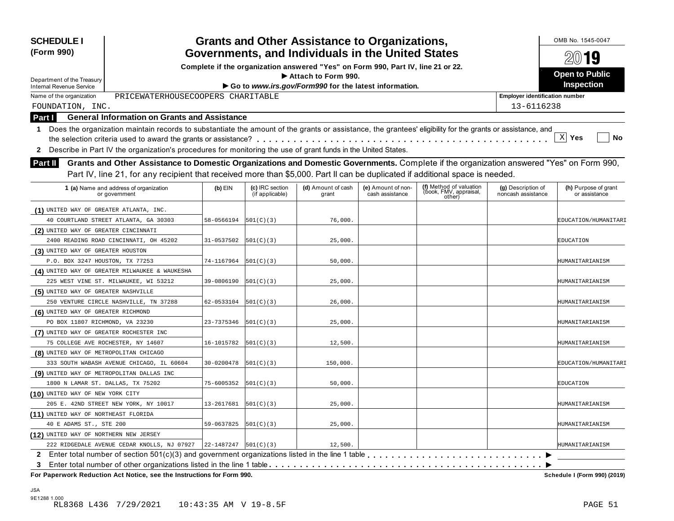| <b>SCHEDULE I</b><br>(Form 990)                               |                                                                                                                                                                                                                                                                           |            |                                    | <b>Grants and Other Assistance to Organizations,</b><br>Governments, and Individuals in the United States |                                       |                                                             |                                          | OMB No. 1545-0047                     |  |
|---------------------------------------------------------------|---------------------------------------------------------------------------------------------------------------------------------------------------------------------------------------------------------------------------------------------------------------------------|------------|------------------------------------|-----------------------------------------------------------------------------------------------------------|---------------------------------------|-------------------------------------------------------------|------------------------------------------|---------------------------------------|--|
|                                                               |                                                                                                                                                                                                                                                                           |            | 2019                               |                                                                                                           |                                       |                                                             |                                          |                                       |  |
|                                                               | Complete if the organization answered "Yes" on Form 990, Part IV, line 21 or 22.<br>Attach to Form 990.                                                                                                                                                                   |            |                                    |                                                                                                           |                                       |                                                             |                                          |                                       |  |
| Department of the Treasury<br><b>Internal Revenue Service</b> |                                                                                                                                                                                                                                                                           |            |                                    | Go to www.irs.gov/Form990 for the latest information.                                                     |                                       |                                                             |                                          | <b>Inspection</b>                     |  |
| Name of the organization                                      | PRICEWATERHOUSECOOPERS CHARITABLE                                                                                                                                                                                                                                         |            |                                    |                                                                                                           |                                       |                                                             | <b>Employer identification number</b>    |                                       |  |
| FOUNDATION, INC.                                              |                                                                                                                                                                                                                                                                           |            |                                    |                                                                                                           |                                       |                                                             | 13-6116238                               |                                       |  |
| Part I                                                        | <b>General Information on Grants and Assistance</b>                                                                                                                                                                                                                       |            |                                    |                                                                                                           |                                       |                                                             |                                          |                                       |  |
|                                                               | 1 Does the organization maintain records to substantiate the amount of the grants or assistance, the grantees' eligibility for the grants or assistance, and                                                                                                              |            |                                    |                                                                                                           |                                       |                                                             |                                          |                                       |  |
|                                                               |                                                                                                                                                                                                                                                                           |            |                                    |                                                                                                           |                                       |                                                             |                                          | $\mathbf{x}$<br>Yes<br>No             |  |
| $\mathbf{2}$                                                  | Describe in Part IV the organization's procedures for monitoring the use of grant funds in the United States.                                                                                                                                                             |            |                                    |                                                                                                           |                                       |                                                             |                                          |                                       |  |
| <b>Part II</b>                                                | Grants and Other Assistance to Domestic Organizations and Domestic Governments. Complete if the organization answered "Yes" on Form 990,<br>Part IV, line 21, for any recipient that received more than \$5,000. Part II can be duplicated if additional space is needed. |            |                                    |                                                                                                           |                                       |                                                             |                                          |                                       |  |
|                                                               | 1 (a) Name and address of organization<br>or government                                                                                                                                                                                                                   | $(b)$ EIN  | (c) IRC section<br>(if applicable) | (d) Amount of cash<br>grant                                                                               | (e) Amount of non-<br>cash assistance | (f) Method of valuation<br>(book, FMV, appraisal,<br>other) | (g) Description of<br>noncash assistance | (h) Purpose of grant<br>or assistance |  |
| (1) UNITED WAY OF GREATER ATLANTA, INC.                       |                                                                                                                                                                                                                                                                           |            |                                    |                                                                                                           |                                       |                                                             |                                          |                                       |  |
|                                                               | 40 COURTLAND STREET ATLANTA, GA 30303                                                                                                                                                                                                                                     | 58-0566194 | 501(C)(3)                          | 76,000.                                                                                                   |                                       |                                                             |                                          | EDUCATION/HUMANITARI                  |  |
| (2) UNITED WAY OF GREATER CINCINNATI                          |                                                                                                                                                                                                                                                                           |            |                                    |                                                                                                           |                                       |                                                             |                                          |                                       |  |
|                                                               | 2400 READING ROAD CINCINNATI, OH 45202                                                                                                                                                                                                                                    | 31-0537502 | 501(C)(3)                          | 25,000.                                                                                                   |                                       |                                                             |                                          | <b>EDUCATION</b>                      |  |
| (3) UNITED WAY OF GREATER HOUSTON                             |                                                                                                                                                                                                                                                                           |            |                                    |                                                                                                           |                                       |                                                             |                                          |                                       |  |
| P.O. BOX 3247 HOUSTON, TX 77253                               |                                                                                                                                                                                                                                                                           | 74-1167964 | 501(C)(3)                          | 50,000.                                                                                                   |                                       |                                                             |                                          | HUMANITARIANISM                       |  |
|                                                               | (4) UNITED WAY OF GREATER MILWAUKEE & WAUKESHA                                                                                                                                                                                                                            |            |                                    |                                                                                                           |                                       |                                                             |                                          |                                       |  |
|                                                               | 225 WEST VINE ST. MILWAUKEE, WI 53212                                                                                                                                                                                                                                     | 39-0806190 | 501(C)(3)                          | 25,000.                                                                                                   |                                       |                                                             |                                          | HUMANITARIANISM                       |  |
| (5) UNITED WAY OF GREATER NASHVILLE                           |                                                                                                                                                                                                                                                                           |            |                                    |                                                                                                           |                                       |                                                             |                                          |                                       |  |
|                                                               | 250 VENTURE CIRCLE NASHVILLE, TN 37288                                                                                                                                                                                                                                    | 62-0533104 | 501(C)(3)                          | 26,000.                                                                                                   |                                       |                                                             |                                          | HUMANITARIANISM                       |  |
| (6) UNITED WAY OF GREATER RICHMOND                            |                                                                                                                                                                                                                                                                           |            |                                    |                                                                                                           |                                       |                                                             |                                          |                                       |  |
| PO BOX 11807 RICHMOND, VA 23230                               |                                                                                                                                                                                                                                                                           | 23-7375346 | 501(C)(3)                          | 25,000.                                                                                                   |                                       |                                                             |                                          | HUMANITARIANISM                       |  |
| (7) UNITED WAY OF GREATER ROCHESTER INC                       |                                                                                                                                                                                                                                                                           |            |                                    |                                                                                                           |                                       |                                                             |                                          |                                       |  |
| 75 COLLEGE AVE ROCHESTER, NY 14607                            |                                                                                                                                                                                                                                                                           | 16-1015782 | 501(C)(3)                          | 12,500.                                                                                                   |                                       |                                                             |                                          | HUMANITARIANISM                       |  |
| (8) UNITED WAY OF METROPOLITAN CHICAGO                        |                                                                                                                                                                                                                                                                           |            |                                    |                                                                                                           |                                       |                                                             |                                          |                                       |  |
|                                                               | 333 SOUTH WABASH AVENUE CHICAGO, IL 60604                                                                                                                                                                                                                                 | 30-0200478 | 501(C)(3)                          | 150,000.                                                                                                  |                                       |                                                             |                                          | EDUCATION/HUMANITARI                  |  |
| (9) UNITED WAY OF METROPOLITAN DALLAS INC                     |                                                                                                                                                                                                                                                                           |            |                                    |                                                                                                           |                                       |                                                             |                                          |                                       |  |
| 1800 N LAMAR ST. DALLAS, TX 75202                             |                                                                                                                                                                                                                                                                           | 75-6005352 | 501(C)(3)                          | 50,000.                                                                                                   |                                       |                                                             |                                          | EDUCATION                             |  |
| (10) UNITED WAY OF NEW YORK CITY                              |                                                                                                                                                                                                                                                                           |            |                                    |                                                                                                           |                                       |                                                             |                                          |                                       |  |
|                                                               | 205 E. 42ND STREET NEW YORK, NY 10017                                                                                                                                                                                                                                     | 13-2617681 | 501(C)(3)                          | 25,000.                                                                                                   |                                       |                                                             |                                          | HUMANITARIANISM                       |  |
| (11) UNITED WAY OF NORTHEAST FLORIDA                          |                                                                                                                                                                                                                                                                           |            |                                    |                                                                                                           |                                       |                                                             |                                          |                                       |  |
| 40 E ADAMS ST., STE 200                                       |                                                                                                                                                                                                                                                                           | 59-0637825 | 501(C)(3)                          | 25,000.                                                                                                   |                                       |                                                             |                                          | HUMANITARIANISM                       |  |
| (12) UNITED WAY OF NORTHERN NEW JERSEY                        |                                                                                                                                                                                                                                                                           |            |                                    |                                                                                                           |                                       |                                                             |                                          |                                       |  |
|                                                               | 222 RIDGEDALE AVENUE CEDAR KNOLLS, NJ 07927                                                                                                                                                                                                                               | 22-1487247 | 501(C)(3)                          | 12,500.                                                                                                   |                                       |                                                             |                                          | HUMANITARIANISM                       |  |
|                                                               | 2 Enter total number of section 501(c)(3) and government organizations listed in the line 1 table                                                                                                                                                                         |            |                                    |                                                                                                           |                                       |                                                             |                                          |                                       |  |
| 3.                                                            |                                                                                                                                                                                                                                                                           |            |                                    |                                                                                                           |                                       |                                                             |                                          |                                       |  |
|                                                               | For Paperwork Reduction Act Notice, see the Instructions for Form 990.                                                                                                                                                                                                    |            |                                    |                                                                                                           |                                       |                                                             |                                          | Schedule I (Form 990) (2019)          |  |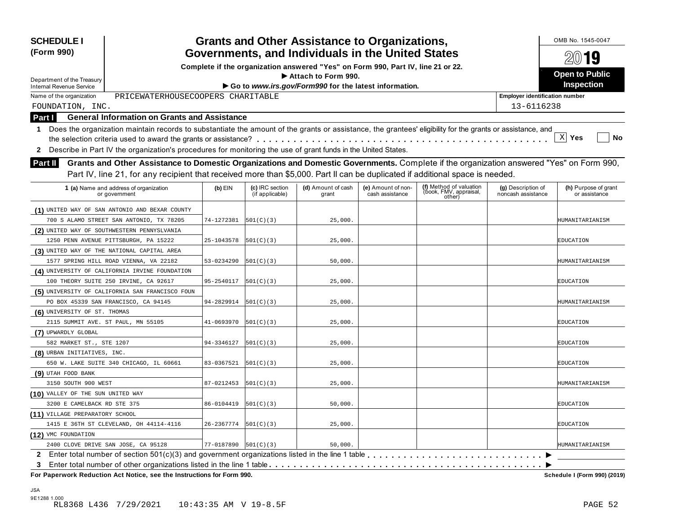| Governments, and Individuals in the United States<br>(Form 990)<br>Complete if the organization answered "Yes" on Form 990, Part IV, line 21 or 22.<br>Attach to Form 990.<br>Department of the Treasury<br>Go to www.irs.gov/Form990 for the latest information.<br>Internal Revenue Service<br>PRICEWATERHOUSECOOPERS CHARITABLE<br>Name of the organization<br><b>Employer identification number</b><br>13-6116238<br>FOUNDATION, INC.<br><b>General Information on Grants and Assistance</b><br><b>Part I</b><br>Does the organization maintain records to substantiate the amount of the grants or assistance, the grantees' eligibility for the grants or assistance, and<br>1.<br>X <br>Describe in Part IV the organization's procedures for monitoring the use of grant funds in the United States.<br>$\mathbf{2}$<br>Grants and Other Assistance to Domestic Organizations and Domestic Governments. Complete if the organization answered "Yes" on Form 990,<br><b>Part II</b><br>Part IV, line 21, for any recipient that received more than \$5,000. Part II can be duplicated if additional space is needed.<br>(f) Method of valuation<br>(c) IRC section<br>(d) Amount of cash<br>1 (a) Name and address of organization<br>$(b)$ EIN<br>(e) Amount of non-<br>(g) Description of<br>(book, FMV, appraisal,<br>(if applicable)<br>cash assistance<br>noncash assistance<br>grant<br>or government<br>other)<br>(1) UNITED WAY OF SAN ANTONIO AND BEXAR COUNTY<br>74-1272381<br>25,000.<br>700 S ALAMO STREET SAN ANTONIO, TX 78205<br> 501(C)(3) <br>(2) UNITED WAY OF SOUTHWESTERN PENNYSLVANIA | $20$ 19<br><b>Open to Public</b><br><b>Inspection</b><br>Yes<br>No |
|-------------------------------------------------------------------------------------------------------------------------------------------------------------------------------------------------------------------------------------------------------------------------------------------------------------------------------------------------------------------------------------------------------------------------------------------------------------------------------------------------------------------------------------------------------------------------------------------------------------------------------------------------------------------------------------------------------------------------------------------------------------------------------------------------------------------------------------------------------------------------------------------------------------------------------------------------------------------------------------------------------------------------------------------------------------------------------------------------------------------------------------------------------------------------------------------------------------------------------------------------------------------------------------------------------------------------------------------------------------------------------------------------------------------------------------------------------------------------------------------------------------------------------------------------------------------------------------------------------------------|--------------------------------------------------------------------|
|                                                                                                                                                                                                                                                                                                                                                                                                                                                                                                                                                                                                                                                                                                                                                                                                                                                                                                                                                                                                                                                                                                                                                                                                                                                                                                                                                                                                                                                                                                                                                                                                                   |                                                                    |
|                                                                                                                                                                                                                                                                                                                                                                                                                                                                                                                                                                                                                                                                                                                                                                                                                                                                                                                                                                                                                                                                                                                                                                                                                                                                                                                                                                                                                                                                                                                                                                                                                   |                                                                    |
|                                                                                                                                                                                                                                                                                                                                                                                                                                                                                                                                                                                                                                                                                                                                                                                                                                                                                                                                                                                                                                                                                                                                                                                                                                                                                                                                                                                                                                                                                                                                                                                                                   |                                                                    |
|                                                                                                                                                                                                                                                                                                                                                                                                                                                                                                                                                                                                                                                                                                                                                                                                                                                                                                                                                                                                                                                                                                                                                                                                                                                                                                                                                                                                                                                                                                                                                                                                                   |                                                                    |
|                                                                                                                                                                                                                                                                                                                                                                                                                                                                                                                                                                                                                                                                                                                                                                                                                                                                                                                                                                                                                                                                                                                                                                                                                                                                                                                                                                                                                                                                                                                                                                                                                   |                                                                    |
|                                                                                                                                                                                                                                                                                                                                                                                                                                                                                                                                                                                                                                                                                                                                                                                                                                                                                                                                                                                                                                                                                                                                                                                                                                                                                                                                                                                                                                                                                                                                                                                                                   |                                                                    |
|                                                                                                                                                                                                                                                                                                                                                                                                                                                                                                                                                                                                                                                                                                                                                                                                                                                                                                                                                                                                                                                                                                                                                                                                                                                                                                                                                                                                                                                                                                                                                                                                                   |                                                                    |
|                                                                                                                                                                                                                                                                                                                                                                                                                                                                                                                                                                                                                                                                                                                                                                                                                                                                                                                                                                                                                                                                                                                                                                                                                                                                                                                                                                                                                                                                                                                                                                                                                   |                                                                    |
|                                                                                                                                                                                                                                                                                                                                                                                                                                                                                                                                                                                                                                                                                                                                                                                                                                                                                                                                                                                                                                                                                                                                                                                                                                                                                                                                                                                                                                                                                                                                                                                                                   |                                                                    |
|                                                                                                                                                                                                                                                                                                                                                                                                                                                                                                                                                                                                                                                                                                                                                                                                                                                                                                                                                                                                                                                                                                                                                                                                                                                                                                                                                                                                                                                                                                                                                                                                                   |                                                                    |
|                                                                                                                                                                                                                                                                                                                                                                                                                                                                                                                                                                                                                                                                                                                                                                                                                                                                                                                                                                                                                                                                                                                                                                                                                                                                                                                                                                                                                                                                                                                                                                                                                   |                                                                    |
|                                                                                                                                                                                                                                                                                                                                                                                                                                                                                                                                                                                                                                                                                                                                                                                                                                                                                                                                                                                                                                                                                                                                                                                                                                                                                                                                                                                                                                                                                                                                                                                                                   |                                                                    |
|                                                                                                                                                                                                                                                                                                                                                                                                                                                                                                                                                                                                                                                                                                                                                                                                                                                                                                                                                                                                                                                                                                                                                                                                                                                                                                                                                                                                                                                                                                                                                                                                                   | (h) Purpose of grant<br>or assistance                              |
|                                                                                                                                                                                                                                                                                                                                                                                                                                                                                                                                                                                                                                                                                                                                                                                                                                                                                                                                                                                                                                                                                                                                                                                                                                                                                                                                                                                                                                                                                                                                                                                                                   |                                                                    |
|                                                                                                                                                                                                                                                                                                                                                                                                                                                                                                                                                                                                                                                                                                                                                                                                                                                                                                                                                                                                                                                                                                                                                                                                                                                                                                                                                                                                                                                                                                                                                                                                                   | HUMANITARIANISM                                                    |
|                                                                                                                                                                                                                                                                                                                                                                                                                                                                                                                                                                                                                                                                                                                                                                                                                                                                                                                                                                                                                                                                                                                                                                                                                                                                                                                                                                                                                                                                                                                                                                                                                   |                                                                    |
| 1250 PENN AVENUE PITTSBURGH, PA 15222<br>25-1043578<br> 501(C)(3) <br>25,000.                                                                                                                                                                                                                                                                                                                                                                                                                                                                                                                                                                                                                                                                                                                                                                                                                                                                                                                                                                                                                                                                                                                                                                                                                                                                                                                                                                                                                                                                                                                                     | EDUCATION                                                          |
| (3) UNITED WAY OF THE NATIONAL CAPITAL AREA                                                                                                                                                                                                                                                                                                                                                                                                                                                                                                                                                                                                                                                                                                                                                                                                                                                                                                                                                                                                                                                                                                                                                                                                                                                                                                                                                                                                                                                                                                                                                                       |                                                                    |
| 1577 SPRING HILL ROAD VIENNA, VA 22182<br>53-0234290<br> 501(C)(3) <br>50,000.                                                                                                                                                                                                                                                                                                                                                                                                                                                                                                                                                                                                                                                                                                                                                                                                                                                                                                                                                                                                                                                                                                                                                                                                                                                                                                                                                                                                                                                                                                                                    | HUMANITARIANISM                                                    |
| (4) UNIVERSITY OF CALIFORNIA IRVINE FOUNDATION                                                                                                                                                                                                                                                                                                                                                                                                                                                                                                                                                                                                                                                                                                                                                                                                                                                                                                                                                                                                                                                                                                                                                                                                                                                                                                                                                                                                                                                                                                                                                                    |                                                                    |
| 100 THEORY SUITE 250 IRVINE, CA 92617<br>95-2540117<br> 501(C)(3) <br>25,000.                                                                                                                                                                                                                                                                                                                                                                                                                                                                                                                                                                                                                                                                                                                                                                                                                                                                                                                                                                                                                                                                                                                                                                                                                                                                                                                                                                                                                                                                                                                                     | EDUCATION                                                          |
| (5) UNIVERSITY OF CALIFORNIA SAN FRANCISCO FOUN                                                                                                                                                                                                                                                                                                                                                                                                                                                                                                                                                                                                                                                                                                                                                                                                                                                                                                                                                                                                                                                                                                                                                                                                                                                                                                                                                                                                                                                                                                                                                                   |                                                                    |
| PO BOX 45339 SAN FRANCISCO, CA 94145<br>94-2829914<br> 501(C)(3) <br>25,000.                                                                                                                                                                                                                                                                                                                                                                                                                                                                                                                                                                                                                                                                                                                                                                                                                                                                                                                                                                                                                                                                                                                                                                                                                                                                                                                                                                                                                                                                                                                                      | HUMANITARIANISM                                                    |
| (6) UNIVERSITY OF ST. THOMAS                                                                                                                                                                                                                                                                                                                                                                                                                                                                                                                                                                                                                                                                                                                                                                                                                                                                                                                                                                                                                                                                                                                                                                                                                                                                                                                                                                                                                                                                                                                                                                                      |                                                                    |
| 2115 SUMMIT AVE. ST PAUL, MN 55105<br>41-0693970<br> 501(C)(3) <br>25,000.                                                                                                                                                                                                                                                                                                                                                                                                                                                                                                                                                                                                                                                                                                                                                                                                                                                                                                                                                                                                                                                                                                                                                                                                                                                                                                                                                                                                                                                                                                                                        | EDUCATION                                                          |
| (7) UPWARDLY GLOBAL                                                                                                                                                                                                                                                                                                                                                                                                                                                                                                                                                                                                                                                                                                                                                                                                                                                                                                                                                                                                                                                                                                                                                                                                                                                                                                                                                                                                                                                                                                                                                                                               |                                                                    |
| 582 MARKET ST., STE 1207<br>94-3346127<br> 501(C)(3) <br>25,000.                                                                                                                                                                                                                                                                                                                                                                                                                                                                                                                                                                                                                                                                                                                                                                                                                                                                                                                                                                                                                                                                                                                                                                                                                                                                                                                                                                                                                                                                                                                                                  | EDUCATION                                                          |
| (8) URBAN INITIATIVES, INC.                                                                                                                                                                                                                                                                                                                                                                                                                                                                                                                                                                                                                                                                                                                                                                                                                                                                                                                                                                                                                                                                                                                                                                                                                                                                                                                                                                                                                                                                                                                                                                                       |                                                                    |
| 650 W. LAKE SUITE 340 CHICAGO, IL 60661<br>83-0367521<br> 501(C)(3) <br>25,000.                                                                                                                                                                                                                                                                                                                                                                                                                                                                                                                                                                                                                                                                                                                                                                                                                                                                                                                                                                                                                                                                                                                                                                                                                                                                                                                                                                                                                                                                                                                                   | EDUCATION                                                          |
| (9) UTAH FOOD BANK                                                                                                                                                                                                                                                                                                                                                                                                                                                                                                                                                                                                                                                                                                                                                                                                                                                                                                                                                                                                                                                                                                                                                                                                                                                                                                                                                                                                                                                                                                                                                                                                |                                                                    |
| 3150 SOUTH 900 WEST<br>87-0212453<br> 501(C)(3) <br>25,000.                                                                                                                                                                                                                                                                                                                                                                                                                                                                                                                                                                                                                                                                                                                                                                                                                                                                                                                                                                                                                                                                                                                                                                                                                                                                                                                                                                                                                                                                                                                                                       | HUMANITARIANISM                                                    |
| (10) VALLEY OF THE SUN UNITED WAY                                                                                                                                                                                                                                                                                                                                                                                                                                                                                                                                                                                                                                                                                                                                                                                                                                                                                                                                                                                                                                                                                                                                                                                                                                                                                                                                                                                                                                                                                                                                                                                 |                                                                    |
| 3200 E CAMELBACK RD STE 375<br>86-0104419<br> 501(C)(3) <br>50,000.                                                                                                                                                                                                                                                                                                                                                                                                                                                                                                                                                                                                                                                                                                                                                                                                                                                                                                                                                                                                                                                                                                                                                                                                                                                                                                                                                                                                                                                                                                                                               | EDUCATION                                                          |
| (11) VILLAGE PREPARATORY SCHOOL                                                                                                                                                                                                                                                                                                                                                                                                                                                                                                                                                                                                                                                                                                                                                                                                                                                                                                                                                                                                                                                                                                                                                                                                                                                                                                                                                                                                                                                                                                                                                                                   |                                                                    |
| 26-2367774<br>1415 E 36TH ST CLEVELAND, OH 44114-4116<br> 501(C)(3) <br>25,000.                                                                                                                                                                                                                                                                                                                                                                                                                                                                                                                                                                                                                                                                                                                                                                                                                                                                                                                                                                                                                                                                                                                                                                                                                                                                                                                                                                                                                                                                                                                                   | EDUCATION                                                          |
| (12) VMC FOUNDATION                                                                                                                                                                                                                                                                                                                                                                                                                                                                                                                                                                                                                                                                                                                                                                                                                                                                                                                                                                                                                                                                                                                                                                                                                                                                                                                                                                                                                                                                                                                                                                                               |                                                                    |
| 2400 CLOVE DRIVE SAN JOSE, CA 95128<br>$77 - 0187890$ $ 501(C)(3) $<br>50,000.                                                                                                                                                                                                                                                                                                                                                                                                                                                                                                                                                                                                                                                                                                                                                                                                                                                                                                                                                                                                                                                                                                                                                                                                                                                                                                                                                                                                                                                                                                                                    | HUMANITARIANISM                                                    |
|                                                                                                                                                                                                                                                                                                                                                                                                                                                                                                                                                                                                                                                                                                                                                                                                                                                                                                                                                                                                                                                                                                                                                                                                                                                                                                                                                                                                                                                                                                                                                                                                                   |                                                                    |
| 3<br>For Paperwork Reduction Act Notice, see the Instructions for Form 990.                                                                                                                                                                                                                                                                                                                                                                                                                                                                                                                                                                                                                                                                                                                                                                                                                                                                                                                                                                                                                                                                                                                                                                                                                                                                                                                                                                                                                                                                                                                                       |                                                                    |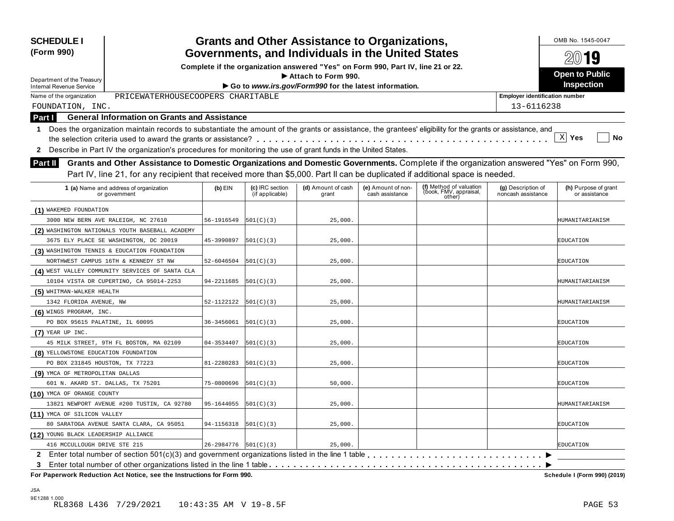| <b>SCHEDULE I</b><br>(Form 990)                               |                                                                                                                                                                                                                                                                           |                                                                                                                                       |                                    | <b>Grants and Other Assistance to Organizations,</b>                         |                                       |                                                             |                                          | OMB No. 1545-0047<br>2019             |  |
|---------------------------------------------------------------|---------------------------------------------------------------------------------------------------------------------------------------------------------------------------------------------------------------------------------------------------------------------------|---------------------------------------------------------------------------------------------------------------------------------------|------------------------------------|------------------------------------------------------------------------------|---------------------------------------|-------------------------------------------------------------|------------------------------------------|---------------------------------------|--|
|                                                               |                                                                                                                                                                                                                                                                           | Governments, and Individuals in the United States<br>Complete if the organization answered "Yes" on Form 990, Part IV, line 21 or 22. |                                    |                                                                              |                                       |                                                             |                                          |                                       |  |
|                                                               |                                                                                                                                                                                                                                                                           |                                                                                                                                       | <b>Open to Public</b>              |                                                                              |                                       |                                                             |                                          |                                       |  |
| Department of the Treasury<br><b>Internal Revenue Service</b> |                                                                                                                                                                                                                                                                           |                                                                                                                                       |                                    | Attach to Form 990.<br>Go to www.irs.gov/Form990 for the latest information. |                                       |                                                             |                                          | Inspection                            |  |
| Name of the organization                                      | PRICEWATERHOUSECOOPERS CHARITABLE                                                                                                                                                                                                                                         |                                                                                                                                       |                                    |                                                                              |                                       |                                                             | <b>Employer identification number</b>    |                                       |  |
| FOUNDATION, INC.                                              |                                                                                                                                                                                                                                                                           |                                                                                                                                       |                                    |                                                                              |                                       |                                                             | 13-6116238                               |                                       |  |
| Part I                                                        | <b>General Information on Grants and Assistance</b>                                                                                                                                                                                                                       |                                                                                                                                       |                                    |                                                                              |                                       |                                                             |                                          |                                       |  |
|                                                               | 1 Does the organization maintain records to substantiate the amount of the grants or assistance, the grantees' eligibility for the grants or assistance, and                                                                                                              |                                                                                                                                       |                                    |                                                                              |                                       |                                                             |                                          |                                       |  |
|                                                               |                                                                                                                                                                                                                                                                           |                                                                                                                                       |                                    |                                                                              |                                       |                                                             |                                          | $\mathbf{x}$<br>Yes<br>No             |  |
| $\mathbf{2}$                                                  | Describe in Part IV the organization's procedures for monitoring the use of grant funds in the United States.                                                                                                                                                             |                                                                                                                                       |                                    |                                                                              |                                       |                                                             |                                          |                                       |  |
| <b>Part II</b>                                                | Grants and Other Assistance to Domestic Organizations and Domestic Governments. Complete if the organization answered "Yes" on Form 990,<br>Part IV, line 21, for any recipient that received more than \$5,000. Part II can be duplicated if additional space is needed. |                                                                                                                                       |                                    |                                                                              |                                       |                                                             |                                          |                                       |  |
|                                                               | 1 (a) Name and address of organization<br>or government                                                                                                                                                                                                                   | $(b)$ EIN                                                                                                                             | (c) IRC section<br>(if applicable) | (d) Amount of cash<br>grant                                                  | (e) Amount of non-<br>cash assistance | (f) Method of valuation<br>(book, FMV, appraisal,<br>other) | (g) Description of<br>noncash assistance | (h) Purpose of grant<br>or assistance |  |
| (1) WAKEMED FOUNDATION                                        |                                                                                                                                                                                                                                                                           |                                                                                                                                       |                                    |                                                                              |                                       |                                                             |                                          |                                       |  |
|                                                               | 3000 NEW BERN AVE RALEIGH, NC 27610                                                                                                                                                                                                                                       | 56-1916549                                                                                                                            | 501(C)(3)                          | 25,000.                                                                      |                                       |                                                             |                                          | HUMANITARIANISM                       |  |
|                                                               | (2) WASHINGTON NATIONALS YOUTH BASEBALL ACADEMY                                                                                                                                                                                                                           |                                                                                                                                       |                                    |                                                                              |                                       |                                                             |                                          |                                       |  |
|                                                               | 3675 ELY PLACE SE WASHINGTON, DC 20019                                                                                                                                                                                                                                    | 45-3990897                                                                                                                            | 501(C)(3)                          | 25,000.                                                                      |                                       |                                                             |                                          | EDUCATION                             |  |
|                                                               | (3) WASHINGTON TENNIS & EDUCATION FOUNDATION                                                                                                                                                                                                                              |                                                                                                                                       |                                    |                                                                              |                                       |                                                             |                                          |                                       |  |
|                                                               | NORTHWEST CAMPUS 16TH & KENNEDY ST NW                                                                                                                                                                                                                                     | 52-6046504                                                                                                                            | 501(C)(3)                          | 25,000.                                                                      |                                       |                                                             |                                          | EDUCATION                             |  |
|                                                               | (4) WEST VALLEY COMMUNITY SERVICES OF SANTA CLA                                                                                                                                                                                                                           |                                                                                                                                       |                                    |                                                                              |                                       |                                                             |                                          |                                       |  |
|                                                               | 10104 VISTA DR CUPERTINO, CA 95014-2253                                                                                                                                                                                                                                   | 94-2211685                                                                                                                            | 501(C)(3)                          | 25,000.                                                                      |                                       |                                                             |                                          | HUMANITARIANISM                       |  |
| (5) WHITMAN-WALKER HEALTH                                     |                                                                                                                                                                                                                                                                           |                                                                                                                                       |                                    |                                                                              |                                       |                                                             |                                          |                                       |  |
| 1342 FLORIDA AVENUE, NW                                       |                                                                                                                                                                                                                                                                           | 52-1122122                                                                                                                            | 501(C)(3)                          | 25,000.                                                                      |                                       |                                                             |                                          | HUMANITARIANISM                       |  |
| (6) WINGS PROGRAM, INC.                                       |                                                                                                                                                                                                                                                                           |                                                                                                                                       |                                    |                                                                              |                                       |                                                             |                                          |                                       |  |
| PO BOX 95615 PALATINE, IL 60095                               |                                                                                                                                                                                                                                                                           | 36-3456061                                                                                                                            | 501(C)(3)                          | 25,000.                                                                      |                                       |                                                             |                                          | EDUCATION                             |  |
| $(7)$ YEAR UP INC.                                            |                                                                                                                                                                                                                                                                           |                                                                                                                                       |                                    |                                                                              |                                       |                                                             |                                          |                                       |  |
|                                                               | 45 MILK STREET, 9TH FL BOSTON, MA 02109                                                                                                                                                                                                                                   | 04-3534407                                                                                                                            | 501(C)(3)                          | 25,000.                                                                      |                                       |                                                             |                                          | EDUCATION                             |  |
| (8) YELLOWSTONE EDUCATION FOUNDATION                          |                                                                                                                                                                                                                                                                           |                                                                                                                                       |                                    |                                                                              |                                       |                                                             |                                          |                                       |  |
| PO BOX 231845 HOUSTON, TX 77223                               |                                                                                                                                                                                                                                                                           | 81-2280283                                                                                                                            | 501(C)(3)                          | 25,000.                                                                      |                                       |                                                             |                                          | EDUCATION                             |  |
| (9) YMCA OF METROPOLITAN DALLAS                               |                                                                                                                                                                                                                                                                           |                                                                                                                                       |                                    |                                                                              |                                       |                                                             |                                          |                                       |  |
| 601 N. AKARD ST. DALLAS, TX 75201                             |                                                                                                                                                                                                                                                                           | 75-0800696                                                                                                                            | 501(C)(3)                          | 50,000.                                                                      |                                       |                                                             |                                          | EDUCATION                             |  |
| (10) YMCA OF ORANGE COUNTY                                    |                                                                                                                                                                                                                                                                           |                                                                                                                                       |                                    |                                                                              |                                       |                                                             |                                          |                                       |  |
|                                                               | 13821 NEWPORT AVENUE #200 TUSTIN, CA 92780                                                                                                                                                                                                                                | 95-1644055                                                                                                                            | 501(C)(3)                          | 25,000.                                                                      |                                       |                                                             |                                          | HUMANITARIANISM                       |  |
| (11) YMCA OF SILICON VALLEY                                   |                                                                                                                                                                                                                                                                           |                                                                                                                                       |                                    |                                                                              |                                       |                                                             |                                          |                                       |  |
|                                                               | 80 SARATOGA AVENUE SANTA CLARA, CA 95051                                                                                                                                                                                                                                  | 94-1156318                                                                                                                            | 501(C)(3)                          | 25,000.                                                                      |                                       |                                                             |                                          | <b>EDUCATION</b>                      |  |
| (12) YOUNG BLACK LEADERSHIP ALLIANCE                          |                                                                                                                                                                                                                                                                           |                                                                                                                                       |                                    |                                                                              |                                       |                                                             |                                          |                                       |  |
| 416 MCCULLOUGH DRIVE STE 215                                  |                                                                                                                                                                                                                                                                           | $26 - 2984776$ $\vert 501(C)(3) \vert$                                                                                                |                                    | 25,000.                                                                      |                                       |                                                             |                                          | <b>EDUCATION</b>                      |  |
|                                                               |                                                                                                                                                                                                                                                                           |                                                                                                                                       |                                    |                                                                              |                                       |                                                             |                                          |                                       |  |
| 3                                                             |                                                                                                                                                                                                                                                                           |                                                                                                                                       |                                    |                                                                              |                                       |                                                             |                                          |                                       |  |
|                                                               | For Paperwork Reduction Act Notice, see the Instructions for Form 990.                                                                                                                                                                                                    |                                                                                                                                       |                                    |                                                                              |                                       |                                                             |                                          | Schedule I (Form 990) (2019)          |  |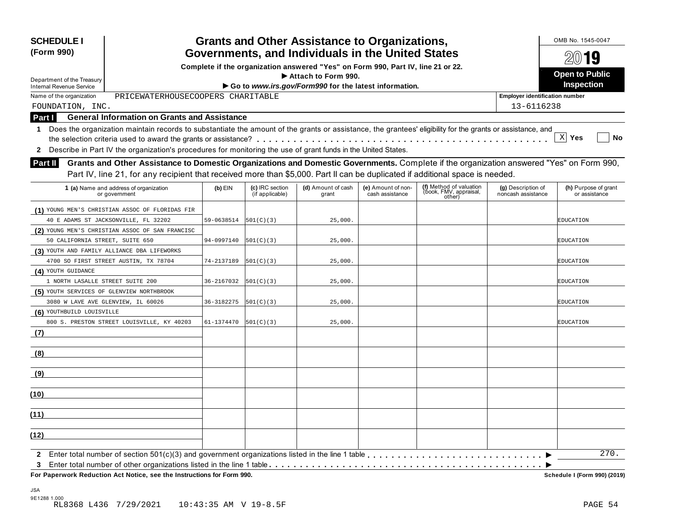| <b>SCHEDULE I</b><br>(Form 990)                        |                                                                                                                                                                                                                                                                           |                                                                                                                                       |                                    | <b>Grants and Other Assistance to Organizations,</b>                         |                                       |                                                             |                                          | OMB No. 1545-0047<br>$20$ 19          |  |  |
|--------------------------------------------------------|---------------------------------------------------------------------------------------------------------------------------------------------------------------------------------------------------------------------------------------------------------------------------|---------------------------------------------------------------------------------------------------------------------------------------|------------------------------------|------------------------------------------------------------------------------|---------------------------------------|-------------------------------------------------------------|------------------------------------------|---------------------------------------|--|--|
|                                                        |                                                                                                                                                                                                                                                                           | Governments, and Individuals in the United States<br>Complete if the organization answered "Yes" on Form 990, Part IV, line 21 or 22. |                                    |                                                                              |                                       |                                                             |                                          |                                       |  |  |
|                                                        |                                                                                                                                                                                                                                                                           |                                                                                                                                       | <b>Open to Public</b>              |                                                                              |                                       |                                                             |                                          |                                       |  |  |
| Department of the Treasury<br>Internal Revenue Service |                                                                                                                                                                                                                                                                           |                                                                                                                                       |                                    | Attach to Form 990.<br>Go to www.irs.gov/Form990 for the latest information. |                                       |                                                             |                                          | Inspection                            |  |  |
| Name of the organization                               | PRICEWATERHOUSECOOPERS CHARITABLE                                                                                                                                                                                                                                         |                                                                                                                                       |                                    |                                                                              |                                       |                                                             | <b>Employer identification number</b>    |                                       |  |  |
| FOUNDATION, INC.                                       |                                                                                                                                                                                                                                                                           |                                                                                                                                       |                                    |                                                                              |                                       |                                                             | 13-6116238                               |                                       |  |  |
| Part I                                                 | <b>General Information on Grants and Assistance</b>                                                                                                                                                                                                                       |                                                                                                                                       |                                    |                                                                              |                                       |                                                             |                                          |                                       |  |  |
| 1                                                      | Does the organization maintain records to substantiate the amount of the grants or assistance, the grantees' eligibility for the grants or assistance, and                                                                                                                |                                                                                                                                       |                                    |                                                                              |                                       |                                                             |                                          |                                       |  |  |
|                                                        |                                                                                                                                                                                                                                                                           |                                                                                                                                       |                                    |                                                                              |                                       |                                                             |                                          | X <br>Yes<br>No                       |  |  |
| $\mathbf{2}$                                           | Describe in Part IV the organization's procedures for monitoring the use of grant funds in the United States.                                                                                                                                                             |                                                                                                                                       |                                    |                                                                              |                                       |                                                             |                                          |                                       |  |  |
| <b>Part II</b>                                         | Grants and Other Assistance to Domestic Organizations and Domestic Governments. Complete if the organization answered "Yes" on Form 990,<br>Part IV, line 21, for any recipient that received more than \$5,000. Part II can be duplicated if additional space is needed. |                                                                                                                                       |                                    |                                                                              |                                       |                                                             |                                          |                                       |  |  |
|                                                        | 1 (a) Name and address of organization<br>or government                                                                                                                                                                                                                   | $(b)$ EIN                                                                                                                             | (c) IRC section<br>(if applicable) | (d) Amount of cash<br>grant                                                  | (e) Amount of non-<br>cash assistance | (f) Method of valuation<br>(book, FMV, appraisal,<br>other) | (g) Description of<br>noncash assistance | (h) Purpose of grant<br>or assistance |  |  |
|                                                        | (1) YOUNG MEN'S CHRISTIAN ASSOC OF FLORIDAS FIR                                                                                                                                                                                                                           |                                                                                                                                       |                                    |                                                                              |                                       |                                                             |                                          |                                       |  |  |
|                                                        | 40 E ADAMS ST JACKSONVILLE, FL 32202                                                                                                                                                                                                                                      | 59-0638514                                                                                                                            | 501(C)(3)                          | 25,000.                                                                      |                                       |                                                             |                                          | EDUCATION                             |  |  |
|                                                        | (2) YOUNG MEN'S CHRISTIAN ASSOC OF SAN FRANCISC                                                                                                                                                                                                                           |                                                                                                                                       |                                    |                                                                              |                                       |                                                             |                                          |                                       |  |  |
| 50 CALIFORNIA STREET, SUITE 650                        |                                                                                                                                                                                                                                                                           | 94-0997140                                                                                                                            | 501(C)(3)                          | 25,000.                                                                      |                                       |                                                             |                                          | EDUCATION                             |  |  |
|                                                        | (3) YOUTH AND FAMILY ALLIANCE DBA LIFEWORKS                                                                                                                                                                                                                               |                                                                                                                                       |                                    |                                                                              |                                       |                                                             |                                          |                                       |  |  |
|                                                        | 4700 SO FIRST STREET AUSTIN, TX 78704                                                                                                                                                                                                                                     | 74-2137189                                                                                                                            | 501(C)(3)                          | 25,000.                                                                      |                                       |                                                             |                                          | EDUCATION                             |  |  |
| (4) YOUTH GUIDANCE                                     |                                                                                                                                                                                                                                                                           |                                                                                                                                       |                                    |                                                                              |                                       |                                                             |                                          |                                       |  |  |
| 1 NORTH LASALLE STREET SUITE 200                       |                                                                                                                                                                                                                                                                           | 36-2167032                                                                                                                            | 501(C)(3)                          | 25,000.                                                                      |                                       |                                                             |                                          | EDUCATION                             |  |  |
| (5) YOUTH SERVICES OF GLENVIEW NORTHBROOK              |                                                                                                                                                                                                                                                                           |                                                                                                                                       |                                    |                                                                              |                                       |                                                             |                                          |                                       |  |  |
| 3080 W LAVE AVE GLENVIEW, IL 60026                     |                                                                                                                                                                                                                                                                           | 36-3182275                                                                                                                            | 501(C)(3)                          | 25,000.                                                                      |                                       |                                                             |                                          | EDUCATION                             |  |  |
| (6) YOUTHBUILD LOUISVILLE                              |                                                                                                                                                                                                                                                                           |                                                                                                                                       |                                    |                                                                              |                                       |                                                             |                                          |                                       |  |  |
|                                                        | 800 S. PRESTON STREET LOUISVILLE, KY 40203                                                                                                                                                                                                                                | 61-1374470                                                                                                                            | 501(C)(3)                          | 25,000.                                                                      |                                       |                                                             |                                          | EDUCATION                             |  |  |
| (7)                                                    |                                                                                                                                                                                                                                                                           |                                                                                                                                       |                                    |                                                                              |                                       |                                                             |                                          |                                       |  |  |
| (8)                                                    |                                                                                                                                                                                                                                                                           |                                                                                                                                       |                                    |                                                                              |                                       |                                                             |                                          |                                       |  |  |
| (9)                                                    |                                                                                                                                                                                                                                                                           |                                                                                                                                       |                                    |                                                                              |                                       |                                                             |                                          |                                       |  |  |
| (10)                                                   |                                                                                                                                                                                                                                                                           |                                                                                                                                       |                                    |                                                                              |                                       |                                                             |                                          |                                       |  |  |
| (11)                                                   |                                                                                                                                                                                                                                                                           |                                                                                                                                       |                                    |                                                                              |                                       |                                                             |                                          |                                       |  |  |
| (12)                                                   |                                                                                                                                                                                                                                                                           |                                                                                                                                       |                                    |                                                                              |                                       |                                                             |                                          |                                       |  |  |
| $\mathbf{2}$                                           |                                                                                                                                                                                                                                                                           |                                                                                                                                       |                                    |                                                                              |                                       |                                                             |                                          | 270.                                  |  |  |
| 3                                                      |                                                                                                                                                                                                                                                                           |                                                                                                                                       |                                    |                                                                              |                                       |                                                             |                                          |                                       |  |  |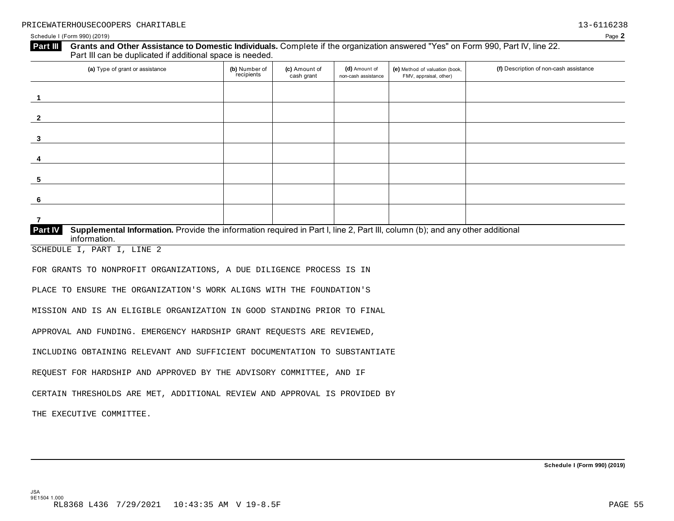#### **Grants and Other Assistance to Domestic Individuals.** Complete if the organization answered "Yes" on Form 990, Part IV, line 22. Part III can be duplicated if additional space is needed. **Part III**

| (a) Type of grant or assistance                                                                                                                         | (b) Number of<br>recipients | (c) Amount of<br>cash grant | (d) Amount of<br>non-cash assistance | (e) Method of valuation (book,<br>FMV, appraisal, other) | (f) Description of non-cash assistance |
|---------------------------------------------------------------------------------------------------------------------------------------------------------|-----------------------------|-----------------------------|--------------------------------------|----------------------------------------------------------|----------------------------------------|
|                                                                                                                                                         |                             |                             |                                      |                                                          |                                        |
| $\overline{2}$                                                                                                                                          |                             |                             |                                      |                                                          |                                        |
| 3                                                                                                                                                       |                             |                             |                                      |                                                          |                                        |
| 4                                                                                                                                                       |                             |                             |                                      |                                                          |                                        |
| 5                                                                                                                                                       |                             |                             |                                      |                                                          |                                        |
| 6                                                                                                                                                       |                             |                             |                                      |                                                          |                                        |
|                                                                                                                                                         |                             |                             |                                      |                                                          |                                        |
| Supplemental Information. Provide the information required in Part I, line 2, Part III, column (b); and any other additional<br>Part IV<br>information. |                             |                             |                                      |                                                          |                                        |

SCHEDULE I, PART I, LINE 2

FOR GRANTS TO NONPROFIT ORGANIZATIONS, A DUE DILIGENCE PROCESS IS IN

PLACE TO ENSURE THE ORGANIZATION'S WORK ALIGNS WITH THE FOUNDATION'S

MISSION AND IS AN ELIGIBLE ORGANIZATION IN GOOD STANDING PRIOR TO FINAL

APPROVAL AND FUNDING. EMERGENCY HARDSHIP GRANT REQUESTS ARE REVIEWED,

INCLUDING OBTAINING RELEVANT AND SUFFICIENT DOCUMENTATION TO SUBSTANTIATE

REQUEST FOR HARDSHIP AND APPROVED BY THE ADVISORY COMMITTEE, AND IF

CERTAIN THRESHOLDS ARE MET, ADDITIONAL REVIEW AND APPROVAL IS PROVIDED BY

THE EXECUTIVE COMMITTEE.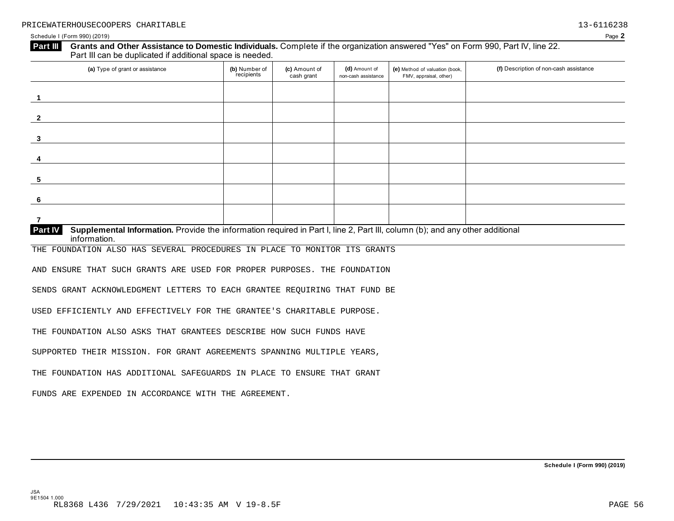## Schedule I (Form 990) (2019) Page **2 Grants and Other Assistance to Domestic Individuals.** Complete if the organization answered "Yes" on Form 990, Part IV, line 22. Part III can be duplicated if additional space is needed. **Part III**  (a) Type of grant or assistance **(b)** Number of **(c)** Amount of **(d)** Amount of **(e)** Method of valuation (book, **f) (f)** Description of non-cash assistance FMV, appraisal, other) **(b)** Number of recipients **(d)** Amount of non-cash assistance **(c)** Amount of cash grant **1 2 3 4 5 6 7 Supplemental Information.** Provide the information required in Part I, line 2, Part III, column (b); and any other additional information. **Part IV**  THE FOUNDATION ALSO HAS SEVERAL PROCEDURES IN PLACE TO MONITOR ITS GRANTS AND ENSURE THAT SUCH GRANTS ARE USED FOR PROPER PURPOSES. THE FOUNDATION SENDS GRANT ACKNOWLEDGMENT LETTERS TO EACH GRANTEE REQUIRING THAT FUND BE USED EFFICIENTLY AND EFFECTIVELY FOR THE GRANTEE'S CHARITABLE PURPOSE. THE FOUNDATION ALSO ASKS THAT GRANTEES DESCRIBE HOW SUCH FUNDS HAVE

SUPPORTED THEIR MISSION. FOR GRANT AGREEMENTS SPANNING MULTIPLE YEARS,

THE FOUNDATION HAS ADDITIONAL SAFEGUARDS IN PLACE TO ENSURE THAT GRANT

FUNDS ARE EXPENDED IN ACCORDANCE WITH THE AGREEMENT.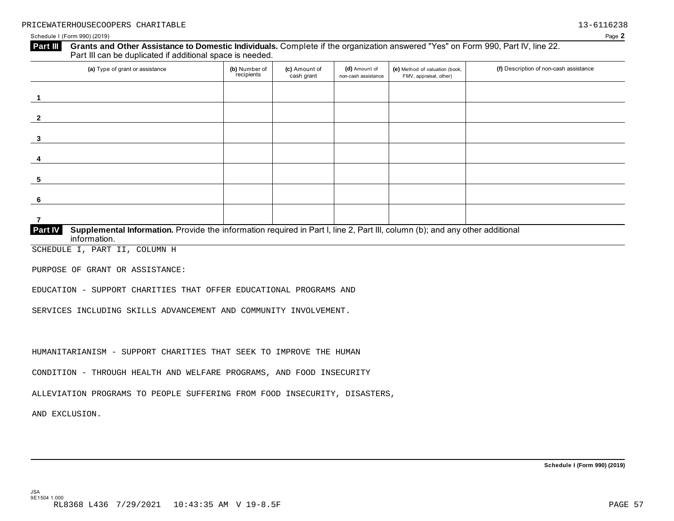#### **Grants and Other Assistance to Domestic Individuals.** Complete if the organization answered "Yes" on Form 990, Part IV, line 22. Part III can be duplicated if additional space is needed. **Part III**

| (a) Type of grant or assistance                                                                                                         | (b) Number of<br>recipients | (c) Amount of<br>cash grant | (d) Amount of<br>non-cash assistance | (e) Method of valuation (book,<br>FMV, appraisal, other) | (f) Description of non-cash assistance |
|-----------------------------------------------------------------------------------------------------------------------------------------|-----------------------------|-----------------------------|--------------------------------------|----------------------------------------------------------|----------------------------------------|
|                                                                                                                                         |                             |                             |                                      |                                                          |                                        |
| $\mathbf{2}$                                                                                                                            |                             |                             |                                      |                                                          |                                        |
| 3                                                                                                                                       |                             |                             |                                      |                                                          |                                        |
| 4                                                                                                                                       |                             |                             |                                      |                                                          |                                        |
| 5                                                                                                                                       |                             |                             |                                      |                                                          |                                        |
| 6                                                                                                                                       |                             |                             |                                      |                                                          |                                        |
|                                                                                                                                         |                             |                             |                                      |                                                          |                                        |
| Part IV<br>Supplemental Information. Provide the information required in Part I, line 2, Part III, column (b); and any other additional |                             |                             |                                      |                                                          |                                        |

information.

SCHEDULE I, PART II, COLUMN H

PURPOSE OF GRANT OR ASSISTANCE:

EDUCATION - SUPPORT CHARITIES THAT OFFER EDUCATIONAL PROGRAMS AND

SERVICES INCLUDING SKILLS ADVANCEMENT AND COMMUNITY INVOLVEMENT.

HUMANITARIANISM - SUPPORT CHARITIES THAT SEEK TO IMPROVE THE HUMAN

CONDITION - THROUGH HEALTH AND WELFARE PROGRAMS, AND FOOD INSECURITY

ALLEVIATION PROGRAMS TO PEOPLE SUFFERING FROM FOOD INSECURITY, DISASTERS,

AND EXCLUSION.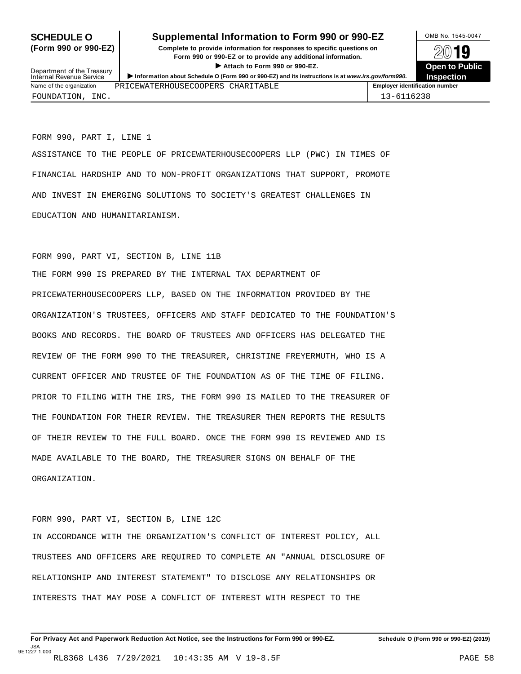## **SCHEDULE O** Supplemental Information to Form 990 or 990-EZ MB No. 1545-0047

**(Form 990 or 990-EZ) Complete to provide information for responses to specific questions on** plete to provide information for responses to specific questions on  $\mathbb{Z} \setminus \mathbb{R}$ **I Attach to Form 990 or 990-EZ.**<br>
Attach to Form 990 or 990-EZ.<br>
and a contract of Public and a contract of Public and a contract of the COP of Density of the COP of Density of A



 **Inspection** Department of the Treasury Internal Revenue Service I**Information about Schedule O (Form 990 or 990-EZ) and its instructions is at** *www.irs.gov/form990.* Name of the organization **PRICEWATERHOUSECOOPERS** CHARITABLE **The Contract of the organization number** FOUNDATION, INC. 13-6116238

FORM 990, PART I, LINE 1

ASSISTANCE TO THE PEOPLE OF PRICEWATERHOUSECOOPERS LLP (PWC) IN TIMES OF FINANCIAL HARDSHIP AND TO NON-PROFIT ORGANIZATIONS THAT SUPPORT, PROMOTE AND INVEST IN EMERGING SOLUTIONS TO SOCIETY'S GREATEST CHALLENGES IN EDUCATION AND HUMANITARIANISM.

#### FORM 990, PART VI, SECTION B, LINE 11B

THE FORM 990 IS PREPARED BY THE INTERNAL TAX DEPARTMENT OF PRICEWATERHOUSECOOPERS LLP, BASED ON THE INFORMATION PROVIDED BY THE ORGANIZATION'S TRUSTEES, OFFICERS AND STAFF DEDICATED TO THE FOUNDATION'S BOOKS AND RECORDS. THE BOARD OF TRUSTEES AND OFFICERS HAS DELEGATED THE REVIEW OF THE FORM 990 TO THE TREASURER, CHRISTINE FREYERMUTH, WHO IS A CURRENT OFFICER AND TRUSTEE OF THE FOUNDATION AS OF THE TIME OF FILING. PRIOR TO FILING WITH THE IRS, THE FORM 990 IS MAILED TO THE TREASURER OF THE FOUNDATION FOR THEIR REVIEW. THE TREASURER THEN REPORTS THE RESULTS OF THEIR REVIEW TO THE FULL BOARD. ONCE THE FORM 990 IS REVIEWED AND IS MADE AVAILABLE TO THE BOARD, THE TREASURER SIGNS ON BEHALF OF THE ORGANIZATION.

#### FORM 990, PART VI, SECTION B, LINE 12C

IN ACCORDANCE WITH THE ORGANIZATION'S CONFLICT OF INTEREST POLICY, ALL TRUSTEES AND OFFICERS ARE REQUIRED TO COMPLETE AN "ANNUAL DISCLOSURE OF RELATIONSHIP AND INTEREST STATEMENT" TO DISCLOSE ANY RELATIONSHIPS OR INTERESTS THAT MAY POSE A CONFLICT OF INTEREST WITH RESPECT TO THE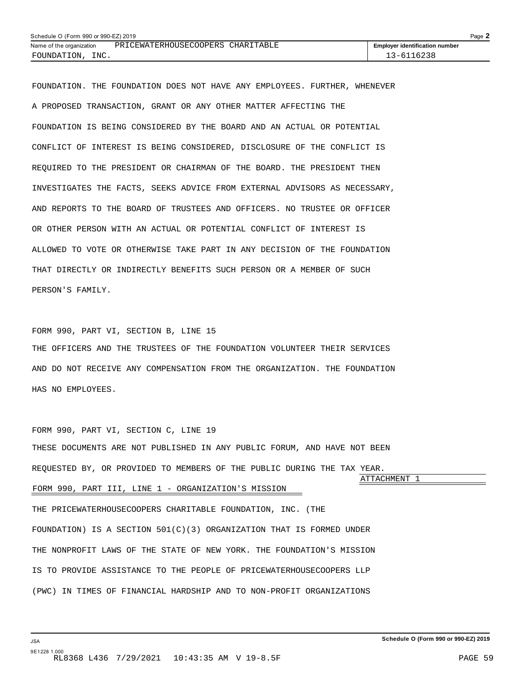<span id="page-57-0"></span>

| Schedule O (Form 990 or 990-EZ) 2019 |                                   |                                       |  |  |
|--------------------------------------|-----------------------------------|---------------------------------------|--|--|
| Name of the organization             | PRICEWATERHOUSECOOPERS CHARITABLE | <b>Employer identification number</b> |  |  |
| FOUNDATION, INC.                     |                                   | 13-6116238                            |  |  |

FOUNDATION. THE FOUNDATION DOES NOT HAVE ANY EMPLOYEES. FURTHER, WHENEVER A PROPOSED TRANSACTION, GRANT OR ANY OTHER MATTER AFFECTING THE FOUNDATION IS BEING CONSIDERED BY THE BOARD AND AN ACTUAL OR POTENTIAL CONFLICT OF INTEREST IS BEING CONSIDERED, DISCLOSURE OF THE CONFLICT IS REQUIRED TO THE PRESIDENT OR CHAIRMAN OF THE BOARD. THE PRESIDENT THEN INVESTIGATES THE FACTS, SEEKS ADVICE FROM EXTERNAL ADVISORS AS NECESSARY, AND REPORTS TO THE BOARD OF TRUSTEES AND OFFICERS. NO TRUSTEE OR OFFICER OR OTHER PERSON WITH AN ACTUAL OR POTENTIAL CONFLICT OF INTEREST IS ALLOWED TO VOTE OR OTHERWISE TAKE PART IN ANY DECISION OF THE FOUNDATION THAT DIRECTLY OR INDIRECTLY BENEFITS SUCH PERSON OR A MEMBER OF SUCH PERSON'S FAMILY.

#### FORM 990, PART VI, SECTION B, LINE 15

THE OFFICERS AND THE TRUSTEES OF THE FOUNDATION VOLUNTEER THEIR SERVICES AND DO NOT RECEIVE ANY COMPENSATION FROM THE ORGANIZATION. THE FOUNDATION HAS NO EMPLOYEES.

FORM 990, PART VI, SECTION C, LINE 19 THESE DOCUMENTS ARE NOT PUBLISHED IN ANY PUBLIC FORUM, AND HAVE NOT BEEN REQUESTED BY, OR PROVIDED TO MEMBERS OF THE PUBLIC DURING THE TAX YEAR. ATTACHMENT 1 FORM 990, PART III, LINE 1 - ORGANIZATION'S MISSION THE PRICEWATERHOUSECOOPERS CHARITABLE FOUNDATION, INC. (THE FOUNDATION) IS A SECTION  $501(C)(3)$  ORGANIZATION THAT IS FORMED UNDER THE NONPROFIT LAWS OF THE STATE OF NEW YORK. THE FOUNDATION'S MISSION IS TO PROVIDE ASSISTANCE TO THE PEOPLE OF PRICEWATERHOUSECOOPERS LLP (PWC) IN TIMES OF FINANCIAL HARDSHIP AND TO NON-PROFIT ORGANIZATIONS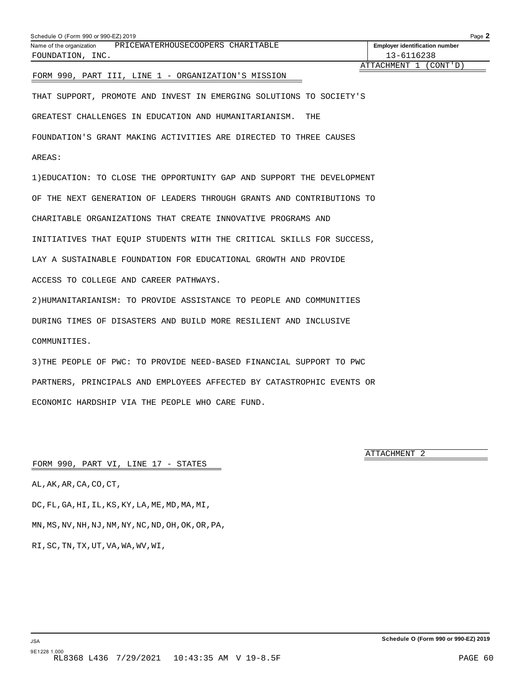### <span id="page-58-0"></span>FORM 990, PART III, LINE 1 - ORGANIZATION'S MISSION

THAT SUPPORT, PROMOTE AND INVEST IN EMERGING SOLUTIONS TO SOCIETY'S GREATEST CHALLENGES IN EDUCATION AND HUMANITARIANISM. THE FOUNDATION'S GRANT MAKING ACTIVITIES ARE DIRECTED TO THREE CAUSES AREAS:

1)EDUCATION: TO CLOSE THE OPPORTUNITY GAP AND SUPPORT THE DEVELOPMENT OF THE NEXT GENERATION OF LEADERS THROUGH GRANTS AND CONTRIBUTIONS TO CHARITABLE ORGANIZATIONS THAT CREATE INNOVATIVE PROGRAMS AND INITIATIVES THAT EQUIP STUDENTS WITH THE CRITICAL SKILLS FOR SUCCESS, LAY A SUSTAINABLE FOUNDATION FOR EDUCATIONAL GROWTH AND PROVIDE ACCESS TO COLLEGE AND CAREER PATHWAYS.

2)HUMANITARIANISM: TO PROVIDE ASSISTANCE TO PEOPLE AND COMMUNITIES DURING TIMES OF DISASTERS AND BUILD MORE RESILIENT AND INCLUSIVE COMMUNITIES.

3)THE PEOPLE OF PWC: TO PROVIDE NEED-BASED FINANCIAL SUPPORT TO PWC PARTNERS, PRINCIPALS AND EMPLOYEES AFFECTED BY CATASTROPHIC EVENTS OR ECONOMIC HARDSHIP VIA THE PEOPLE WHO CARE FUND.

ATTACHMENT 2

#### FORM 990, PART VI, LINE 17 - STATES

AL,AK,AR,CA,CO,CT, DC,FL,GA,HI,IL,KS,KY,LA,ME,MD,MA,MI, MN,MS,NV,NH,NJ,NM,NY,NC,ND,OH,OK,OR,PA, RI,SC,TN,TX,UT,VA,WA,WV,WI,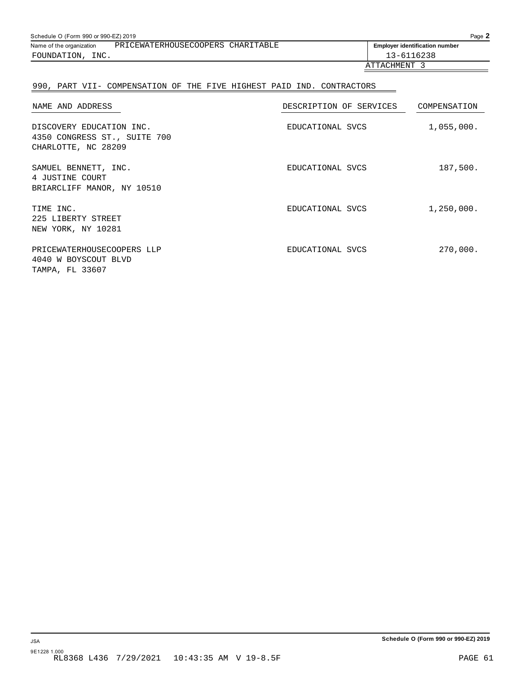<span id="page-59-0"></span>

| Schedule O (Form 990 or 990-EZ) 2019 |                                                            |                                                                       | Page 2                                |
|--------------------------------------|------------------------------------------------------------|-----------------------------------------------------------------------|---------------------------------------|
|                                      | Name of the organization PRICEWATERHOUSECOOPERS CHARITABLE |                                                                       | <b>Employer identification number</b> |
| FOUNDATION, INC.                     |                                                            |                                                                       | 13-6116238                            |
|                                      |                                                            |                                                                       | ATTACHMENT 3                          |
|                                      |                                                            | 990, PART VII- COMPENSATION OF THE FIVE HIGHEST PAID IND. CONTRACTORS |                                       |
| NAME AND ADDRESS                     |                                                            | DESCRIPTION OF SERVICES                                               | COMPENSATION                          |
| DISCOVERY EDUCATION INC.             |                                                            | EDUCATIONAL SVCS                                                      | 1,055,000.                            |

| CHARLOTTE, NC 28209                                                   |                  |            |
|-----------------------------------------------------------------------|------------------|------------|
| SAMUEL BENNETT, INC.<br>4 JUSTINE COURT<br>BRIARCLIFF MANOR, NY 10510 | EDUCATIONAL SVCS | 187,500.   |
| TIME INC.<br>225 LIBERTY STREET<br>NEW YORK, NY 10281                 | EDUCATIONAL SVCS | 1,250,000. |
| PRICEWATERHOUSECOOPERS LLP<br>4040 W BOYSCOUT BLVD<br>TAMPA, FL 33607 | EDUCATIONAL SVCS | 270,000.   |

4350 CONGRESS ST., SUITE 700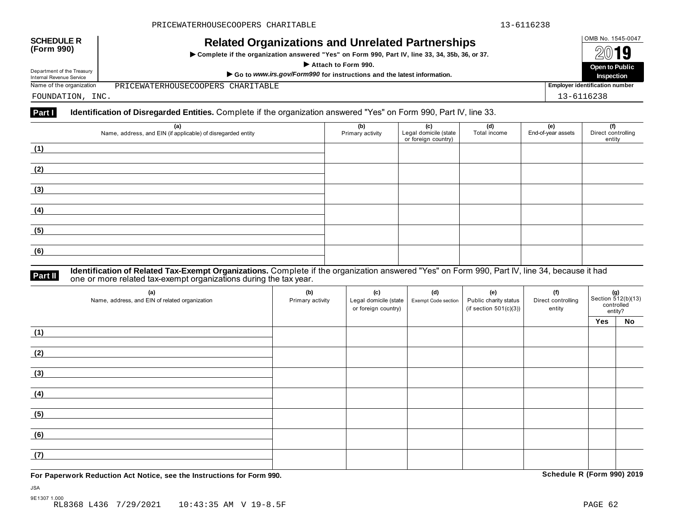# OMB No. 1545-0047 **SCHEDULE R (Form 990) Related Organizations and Unrelated Partnerships**

INCIALCU OF GATIZATIONS AND ON CIALCUT AFTIC STIPS<br>► Complete if the organization answered "Yes" on Form 990, Part IV, line 33, 34, 35b, 36, or 37. △ △ △ △ △  $\blacksquare$  Part IV, line 33, 34, 35b, 36, or 37.<br>  $\blacksquare$  Attach to Form 990.<br>  $\blacksquare$  Open to Public  $\blacksquare$  Open to Public  $\blacksquare$ 

**Department of the Treasury**<br>
Internal Revenue Service **Internal Revenue Service** Internal Revenue Service **Internal Revenue Service** Internal Revenue Service **Internal Revenue Service** Internal Revenue Service **Internal** Name of the organization **Employer identification number** PRICEWATERHOUSECOOPERS CHARITABLE

FOUNDATION, INC. 13-6116238

#### **Part I** Identification of Disregarded Entities. Complete if the organization answered "Yes" on Form 990, Part IV, line 33.

| (a)<br>Name, address, and EIN (if applicable) of disregarded entity | (b)<br>Primary activity | <b>(c)</b><br>Legal domicile (state<br>or foreign country) | (d)<br>Total income | <b>(e)</b><br>End-of-year assets | (f)<br>Direct controlling<br>entity |
|---------------------------------------------------------------------|-------------------------|------------------------------------------------------------|---------------------|----------------------------------|-------------------------------------|
| (1)                                                                 |                         |                                                            |                     |                                  |                                     |
| (2)                                                                 |                         |                                                            |                     |                                  |                                     |
| (3)                                                                 |                         |                                                            |                     |                                  |                                     |
| (4)                                                                 |                         |                                                            |                     |                                  |                                     |
| (5)                                                                 |                         |                                                            |                     |                                  |                                     |
| (6)                                                                 |                         |                                                            |                     |                                  |                                     |

#### **Identification of Related Tax-Exempt Organizations.** Complete if the organization answered "Yes" on Form 990, Part IV, line 34, because it had **Part II one or more related tax-exempt organizations during the tax year. Part II one or more related tax-exempt organizations during the tax year.**

| (a)<br>Name, address, and EIN of related organization | (b)<br>Primary activity | (c)<br>Legal domicile (state  <br>or foreign country) | (d)<br>Exempt Code section | (e)<br>Public charity status<br>(if section $501(c)(3)$ ) | (f)<br>Direct controlling<br>entity |     | $(g)$<br>Section 512(b)(13)<br>controlled<br>entity? |  |
|-------------------------------------------------------|-------------------------|-------------------------------------------------------|----------------------------|-----------------------------------------------------------|-------------------------------------|-----|------------------------------------------------------|--|
|                                                       |                         |                                                       |                            |                                                           |                                     | Yes | <b>No</b>                                            |  |
| (1)                                                   |                         |                                                       |                            |                                                           |                                     |     |                                                      |  |
| (2)                                                   |                         |                                                       |                            |                                                           |                                     |     |                                                      |  |
| (3)                                                   |                         |                                                       |                            |                                                           |                                     |     |                                                      |  |
| (4)                                                   |                         |                                                       |                            |                                                           |                                     |     |                                                      |  |
| (5)                                                   |                         |                                                       |                            |                                                           |                                     |     |                                                      |  |
| (6)                                                   |                         |                                                       |                            |                                                           |                                     |     |                                                      |  |
| (7)                                                   |                         |                                                       |                            |                                                           |                                     |     |                                                      |  |

**For Paperwork Reduction Act Notice, see the Instructions for Form 990. Schedule R (Form 990) 2019**

JSA

9E1307 1.000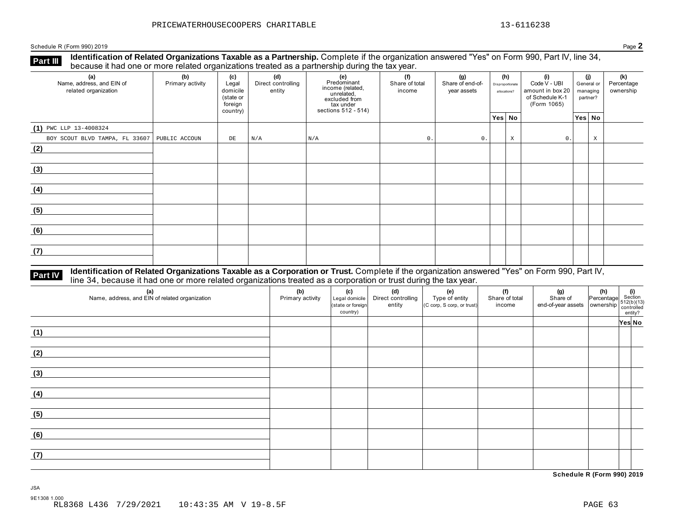Schedule R (Form 990) 2019 Page **2**

**Identification of Related Organizations Taxable as a Partnership.** Complete if the organization answered "Yes" on Form 990, Part IV, line 34, **because it had one or more related organizations Taxable as a Partnership.** Complete it the organization of Related organizations treated as a partnership during the tax year.

| (a)<br>Name, address, and EIN of<br>related organization | (b)<br>Primary activity | (d)<br>(c)<br>Direct controlling<br>Legal<br>domicile<br>entity<br>(state or<br>foreign<br>country) |     | (e)<br>Predominant<br>income (related,<br>unrelated,<br>excluded from<br>tax under<br>sections 512 - 514) | (f)<br>(g)<br>Share of total<br>Share of end-of-<br>income<br>year assets |                | (h)<br>Disproportionate<br>allocations? |   | (i)<br>Code V - UBI<br>amount in box 20<br>of Schedule K-1<br>(Form 1065) | (j)<br>General or<br>managing<br>partner? |        | (k)<br>Percentage<br>ownership |
|----------------------------------------------------------|-------------------------|-----------------------------------------------------------------------------------------------------|-----|-----------------------------------------------------------------------------------------------------------|---------------------------------------------------------------------------|----------------|-----------------------------------------|---|---------------------------------------------------------------------------|-------------------------------------------|--------|--------------------------------|
|                                                          |                         |                                                                                                     |     |                                                                                                           |                                                                           |                | Yes No                                  |   |                                                                           |                                           | Yes No |                                |
| $(1)$ PWC LLP 13-4008324                                 |                         |                                                                                                     |     |                                                                                                           |                                                                           |                |                                         |   |                                                                           |                                           |        |                                |
| BOY SCOUT BLVD TAMPA, FL 33607   PUBLIC ACCOUN           |                         | DE                                                                                                  | N/A | N/A                                                                                                       | 0.                                                                        | $\mathsf{0}$ . |                                         | X | 0.                                                                        |                                           | X      |                                |
| (2)                                                      |                         |                                                                                                     |     |                                                                                                           |                                                                           |                |                                         |   |                                                                           |                                           |        |                                |
| (3)                                                      |                         |                                                                                                     |     |                                                                                                           |                                                                           |                |                                         |   |                                                                           |                                           |        |                                |
| (4)                                                      |                         |                                                                                                     |     |                                                                                                           |                                                                           |                |                                         |   |                                                                           |                                           |        |                                |
| (5)                                                      |                         |                                                                                                     |     |                                                                                                           |                                                                           |                |                                         |   |                                                                           |                                           |        |                                |
| (6)                                                      |                         |                                                                                                     |     |                                                                                                           |                                                                           |                |                                         |   |                                                                           |                                           |        |                                |
| (7)                                                      |                         |                                                                                                     |     |                                                                                                           |                                                                           |                |                                         |   |                                                                           |                                           |        |                                |

# Part IV Identification of Related Organizations Taxable as a Corporation or Trust. Complete if the organization answered "Yes" on Form 990, Part IV,<br>line 34, because it had one or more related organizations treated as a co

| (a)<br>Name, address, and EIN of related organization | (b)<br>Primary activity | (c)<br>Legal domicile<br>(state or foreign<br>country) | (d)<br>Direct controlling<br>entity | (e)<br>Type of entity<br>(C corp, S corp, or trust) | (f)<br>Share of total<br>income | $\begin{array}{ c c c }\n\hline\n\text{(g)} & \text{(h)} & \text{(i)} \\ \text{Share of} & \text{Percentage} & \text{Section} \\ \text{end-of-year assets} & \text{ ownership} & \text{control} \\ \text{constrained} & \text{entity?} \\ \hline\n\end{array}$ |        |
|-------------------------------------------------------|-------------------------|--------------------------------------------------------|-------------------------------------|-----------------------------------------------------|---------------------------------|----------------------------------------------------------------------------------------------------------------------------------------------------------------------------------------------------------------------------------------------------------------|--------|
|                                                       |                         |                                                        |                                     |                                                     |                                 |                                                                                                                                                                                                                                                                | Yes No |
| (1)                                                   |                         |                                                        |                                     |                                                     |                                 |                                                                                                                                                                                                                                                                |        |
| (2)                                                   |                         |                                                        |                                     |                                                     |                                 |                                                                                                                                                                                                                                                                |        |
| (3)                                                   |                         |                                                        |                                     |                                                     |                                 |                                                                                                                                                                                                                                                                |        |
| (4)                                                   |                         |                                                        |                                     |                                                     |                                 |                                                                                                                                                                                                                                                                |        |
| (5)                                                   |                         |                                                        |                                     |                                                     |                                 |                                                                                                                                                                                                                                                                |        |
| (6)                                                   |                         |                                                        |                                     |                                                     |                                 |                                                                                                                                                                                                                                                                |        |
| (7)                                                   |                         |                                                        |                                     |                                                     |                                 |                                                                                                                                                                                                                                                                |        |

**Schedule R (Form 990) 2019**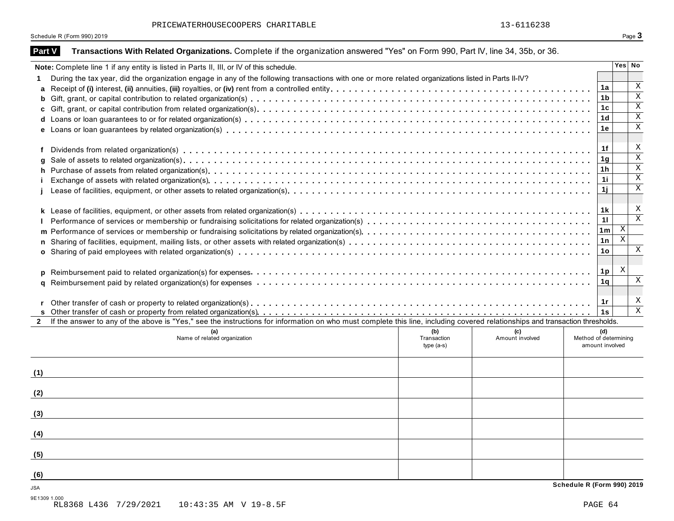PRICEWATERHOUSECOOPERS CHARITABLE 13-6116238

|               | Schedule R (Form 990) 2019                                                                                                                                                   |                | Page 3                  |
|---------------|------------------------------------------------------------------------------------------------------------------------------------------------------------------------------|----------------|-------------------------|
| <b>Part V</b> | Transactions With Related Organizations. Complete if the organization answered "Yes" on Form 990, Part IV, line 34, 35b, or 36.                                              |                |                         |
|               | Note: Complete line 1 if any entity is listed in Parts II, III, or IV of this schedule.                                                                                      |                | Yes No                  |
| 1.            | During the tax year, did the organization engage in any of the following transactions with one or more related organizations listed in Parts II-IV?                          |                |                         |
| a             |                                                                                                                                                                              | 1a             | Χ                       |
| b             |                                                                                                                                                                              | 1b             | $\mathbf X$             |
| C             |                                                                                                                                                                              | 1c             | X<br>Χ                  |
|               |                                                                                                                                                                              | 1d<br>1e       | Χ                       |
|               |                                                                                                                                                                              |                |                         |
| f             |                                                                                                                                                                              | 1f             | X                       |
| q             |                                                                                                                                                                              | 1g             | $\overline{\mathbf{x}}$ |
| h             |                                                                                                                                                                              | 1 h            | Χ<br>$\mathbf X$        |
|               |                                                                                                                                                                              | 11             | X                       |
|               |                                                                                                                                                                              | 1j             |                         |
|               |                                                                                                                                                                              | 1 k            | X                       |
|               |                                                                                                                                                                              | 11             | $\overline{\mathbf{x}}$ |
|               |                                                                                                                                                                              | 1m             | X                       |
| n             |                                                                                                                                                                              | 1n             | Χ                       |
|               |                                                                                                                                                                              | 1o             | X                       |
|               |                                                                                                                                                                              |                |                         |
| <b>D</b>      |                                                                                                                                                                              | 1p             | X<br>X                  |
|               |                                                                                                                                                                              | 1 <sub>q</sub> |                         |
|               |                                                                                                                                                                              | 1 $r$          | X                       |
|               |                                                                                                                                                                              | 1s             | $\mathbf{X}$            |
| $\mathbf{2}$  | If the answer to any of the above is "Yes," see the instructions for information on who must complete this line, including covered relationships and transaction thresholds. |                |                         |
|               | (b)<br>(c)                                                                                                                                                                   | (d)            |                         |
|               | Method of determining<br>Name of related organization<br>Transaction<br>Amount involved<br>$type(a-s)$<br>amount involved                                                    |                |                         |
|               |                                                                                                                                                                              |                |                         |
| (1)           |                                                                                                                                                                              |                |                         |
| (2)           |                                                                                                                                                                              |                |                         |
|               |                                                                                                                                                                              |                |                         |
| (3)           |                                                                                                                                                                              |                |                         |
| (4)           |                                                                                                                                                                              |                |                         |
| (5)           |                                                                                                                                                                              |                |                         |
| (6)           |                                                                                                                                                                              |                |                         |
| JSA           | Schedule R (Form 990) 2019                                                                                                                                                   |                |                         |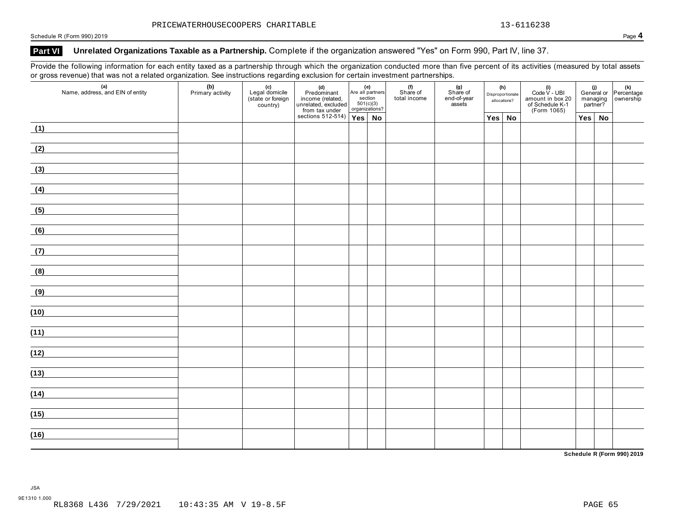Schedule R (Form 990) 2019 Page **4**

## Part VI Unrelated Organizations Taxable as a Partnership. Complete if the organization answered "Yes" on Form 990, Part IV, line 37.

Provide the following information for each entity taxed as a partnership through which the organization conducted more than five percent of its activities (measured by total assets or gross revenue) that was not a related organization. See instructions regarding exclusion for certain investment partnerships.

|      | $\mathcal{L}$<br>∸<br>(a)<br>Name, address, and EIN of entity                                                                                                                                                                        | (b)<br>Primary activity | ັ<br><b>(c)</b><br>Legal domicile<br>(state or foreign<br>country) | <b>(d)</b><br>Predominant<br>income (related,<br>unrelated, excluded<br>from tax under | Are all partners<br>section<br>501(c)(3)<br>organizations? | (e)       | (f)<br>Share of<br>total income | (g)<br>Share of<br>end-of-year<br>assets | (h)<br>Disproportionate<br>allocations? | (i)<br>Code V - UBI<br>amount in box 20<br>of Schedule K-1<br>(Form 1065) |               | (i)<br>General or Percentage<br>managing ownership<br>partner? |
|------|--------------------------------------------------------------------------------------------------------------------------------------------------------------------------------------------------------------------------------------|-------------------------|--------------------------------------------------------------------|----------------------------------------------------------------------------------------|------------------------------------------------------------|-----------|---------------------------------|------------------------------------------|-----------------------------------------|---------------------------------------------------------------------------|---------------|----------------------------------------------------------------|
|      |                                                                                                                                                                                                                                      |                         |                                                                    | sections 512-514) $Yes$                                                                |                                                            | <b>No</b> |                                 |                                          | $Yes \mid No$                           |                                                                           | $Yes \mid No$ |                                                                |
| (1)  |                                                                                                                                                                                                                                      |                         |                                                                    |                                                                                        |                                                            |           |                                 |                                          |                                         |                                                                           |               |                                                                |
| (2)  |                                                                                                                                                                                                                                      |                         |                                                                    |                                                                                        |                                                            |           |                                 |                                          |                                         |                                                                           |               |                                                                |
| (3)  |                                                                                                                                                                                                                                      |                         |                                                                    |                                                                                        |                                                            |           |                                 |                                          |                                         |                                                                           |               |                                                                |
| (4)  |                                                                                                                                                                                                                                      |                         |                                                                    |                                                                                        |                                                            |           |                                 |                                          |                                         |                                                                           |               |                                                                |
| (5)  | <u>and the company of the company of the company of the company of the company of the company of the company of the company of the company of the company of the company of the company of the company of the company of the com</u> |                         |                                                                    |                                                                                        |                                                            |           |                                 |                                          |                                         |                                                                           |               |                                                                |
| (6)  | <u> 1989 - Jan Stein Stein Stein Stein Stein Stein Stein Stein Stein Stein Stein Stein Stein Stein Stein Stein S</u>                                                                                                                 |                         |                                                                    |                                                                                        |                                                            |           |                                 |                                          |                                         |                                                                           |               |                                                                |
| (7)  | the control of the control of the control of the<br><u> 1980 - Andrea Station Barbara, amerikan per</u>                                                                                                                              |                         |                                                                    |                                                                                        |                                                            |           |                                 |                                          |                                         |                                                                           |               |                                                                |
| (8)  |                                                                                                                                                                                                                                      |                         |                                                                    |                                                                                        |                                                            |           |                                 |                                          |                                         |                                                                           |               |                                                                |
|      | (9)                                                                                                                                                                                                                                  |                         |                                                                    |                                                                                        |                                                            |           |                                 |                                          |                                         |                                                                           |               |                                                                |
| (10) |                                                                                                                                                                                                                                      |                         |                                                                    |                                                                                        |                                                            |           |                                 |                                          |                                         |                                                                           |               |                                                                |
| (11) | the control of the control of the control of the control of the control of<br><u> 1980 - Andrea Station Barbara, politik eta provincia eta provincia eta provincia eta provincia eta provincia</u>                                   |                         |                                                                    |                                                                                        |                                                            |           |                                 |                                          |                                         |                                                                           |               |                                                                |
| (12) | <u> 1980 - Jan Sterling von Berling von Berling von Berling von Berling von Berling von Berling von Berling von B</u>                                                                                                                |                         |                                                                    |                                                                                        |                                                            |           |                                 |                                          |                                         |                                                                           |               |                                                                |
| (13) | and the control of the control of the                                                                                                                                                                                                |                         |                                                                    |                                                                                        |                                                            |           |                                 |                                          |                                         |                                                                           |               |                                                                |
| (14) |                                                                                                                                                                                                                                      |                         |                                                                    |                                                                                        |                                                            |           |                                 |                                          |                                         |                                                                           |               |                                                                |
|      |                                                                                                                                                                                                                                      |                         |                                                                    |                                                                                        |                                                            |           |                                 |                                          |                                         |                                                                           |               |                                                                |
| (15) |                                                                                                                                                                                                                                      |                         |                                                                    |                                                                                        |                                                            |           |                                 |                                          |                                         |                                                                           |               |                                                                |
| (16) |                                                                                                                                                                                                                                      |                         |                                                                    |                                                                                        |                                                            |           |                                 |                                          |                                         |                                                                           |               |                                                                |

**Schedule R (Form 990) 2019**

JSA